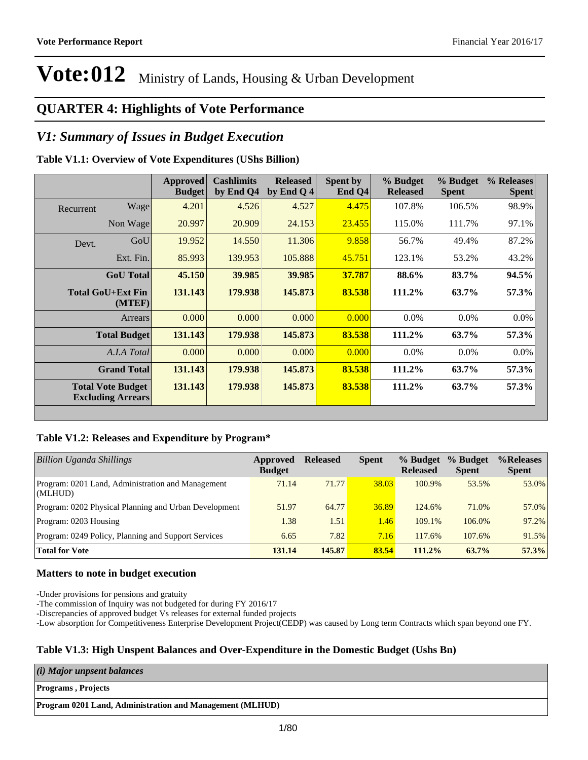#### **QUARTER 4: Highlights of Vote Performance**

#### *V1: Summary of Issues in Budget Execution*

#### **Table V1.1: Overview of Vote Expenditures (UShs Billion)**

|           |                                                      | Approved<br><b>Budget</b> | <b>Cashlimits</b><br>by End Q4 | <b>Released</b><br>by End Q 4 | Spent by<br>End Q4 | % Budget<br><b>Released</b> | % Budget<br><b>Spent</b> | % Releases<br><b>Spent</b> |
|-----------|------------------------------------------------------|---------------------------|--------------------------------|-------------------------------|--------------------|-----------------------------|--------------------------|----------------------------|
| Recurrent | Wage                                                 | 4.201                     | 4.526                          | 4.527                         | 4.475              | 107.8%                      | 106.5%                   | 98.9%                      |
|           | Non Wage                                             | 20.997                    | 20.909                         | 24.153                        | 23.455             | 115.0%                      | 111.7%                   | 97.1%                      |
| Devt.     | GoU                                                  | 19.952                    | 14.550                         | 11.306                        | 9.858              | 56.7%                       | 49.4%                    | 87.2%                      |
|           | Ext. Fin.                                            | 85.993                    | 139.953                        | 105.888                       | 45.751             | 123.1%                      | 53.2%                    | 43.2%                      |
|           | <b>GoU</b> Total                                     | 45.150                    | 39.985                         | 39.985                        | 37.787             | 88.6%                       | 83.7%                    | 94.5%                      |
|           | Total GoU+Ext Fin<br>(MTEF)                          | 131.143                   | 179.938                        | 145.873                       | 83.538             | 111.2%                      | 63.7%                    | 57.3%                      |
|           | Arrears                                              | 0.000                     | 0.000                          | 0.000                         | 0.000              | 0.0%                        | 0.0%                     | 0.0%                       |
|           | <b>Total Budget</b>                                  | 131.143                   | 179.938                        | 145.873                       | 83.538             | 111.2%                      | 63.7%                    | 57.3%                      |
|           | A.I.A Total                                          | 0.000                     | 0.000                          | 0.000                         | 0.000              | $0.0\%$                     | $0.0\%$                  | $0.0\%$                    |
|           | <b>Grand Total</b>                                   | 131.143                   | 179.938                        | 145.873                       | 83.538             | 111.2%                      | 63.7%                    | 57.3%                      |
|           | <b>Total Vote Budget</b><br><b>Excluding Arrears</b> | 131.143                   | 179.938                        | 145.873                       | 83.538             | 111.2%                      | 63.7%                    | 57.3%                      |

#### **Table V1.2: Releases and Expenditure by Program\***

| <b>Billion Uganda Shillings</b>                              | Approved<br><b>Budget</b> | <b>Released</b> | <b>Spent</b> | % Budget<br><b>Released</b> | % Budget<br><b>Spent</b> | %Releases<br><b>Spent</b> |
|--------------------------------------------------------------|---------------------------|-----------------|--------------|-----------------------------|--------------------------|---------------------------|
| Program: 0201 Land, Administration and Management<br>(MLHUD) | 71.14                     | 71.77           | 38.03        | 100.9%                      | 53.5%                    | 53.0%                     |
| Program: 0202 Physical Planning and Urban Development        | 51.97                     | 64.77           | 36.89        | 124.6%                      | 71.0%                    | 57.0%                     |
| Program: 0203 Housing                                        | 1.38                      | 1.51            | 1.46         | 109.1%                      | 106.0%                   | 97.2%                     |
| Program: 0249 Policy, Planning and Support Services          | 6.65                      | 7.82            | 7.16         | 117.6%                      | 107.6%                   | 91.5%                     |
| <b>Total for Vote</b>                                        | 131.14                    | 145.87          | 83.54        | 111.2%                      | 63.7%                    | 57.3%                     |

#### **Matters to note in budget execution**

-Under provisions for pensions and gratuity

-The commission of Inquiry was not budgeted for during FY 2016/17

-Discrepancies of approved budget Vs releases for external funded projects

-Low absorption for Competitiveness Enterprise Development Project(CEDP) was caused by Long term Contracts which span beyond one FY.

#### **Table V1.3: High Unspent Balances and Over-Expenditure in the Domestic Budget (Ushs Bn)**

| $(i)$ Major unpsent balances                             |  |
|----------------------------------------------------------|--|
| <b>Programs</b> , Projects                               |  |
| Program 0201 Land, Administration and Management (MLHUD) |  |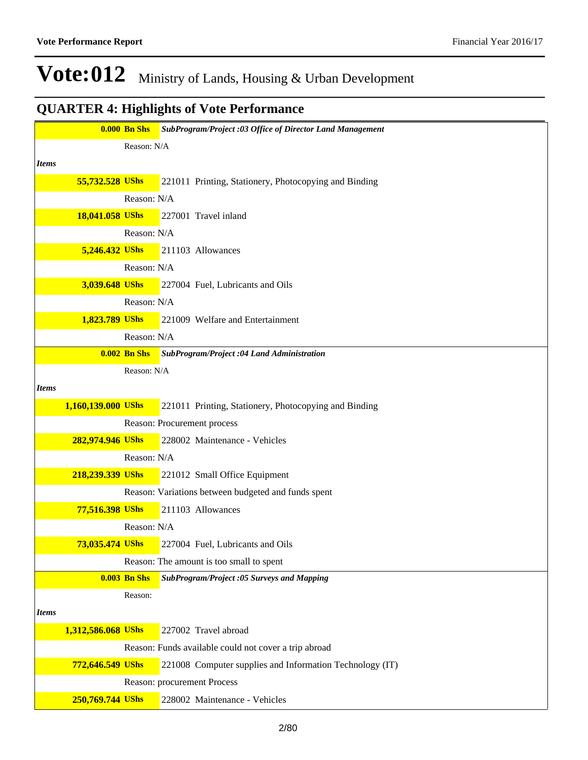|              |                    |                     | <b>0.000 Bn Shs</b> SubProgram/Project :03 Office of Director Land Management |
|--------------|--------------------|---------------------|-------------------------------------------------------------------------------|
|              |                    | Reason: N/A         |                                                                               |
| <b>Items</b> |                    |                     |                                                                               |
|              | 55,732.528 UShs    |                     | 221011 Printing, Stationery, Photocopying and Binding                         |
|              |                    | Reason: N/A         |                                                                               |
|              | 18,041.058 UShs    |                     | 227001 Travel inland                                                          |
|              |                    | Reason: N/A         |                                                                               |
|              | 5,246.432 UShs     |                     | 211103 Allowances                                                             |
|              |                    | Reason: N/A         |                                                                               |
|              | 3,039.648 UShs     |                     | 227004 Fuel, Lubricants and Oils                                              |
|              |                    | Reason: N/A         |                                                                               |
|              | 1,823.789 UShs     |                     | 221009 Welfare and Entertainment                                              |
|              |                    | Reason: N/A         |                                                                               |
|              |                    | $0.002$ Bn Shs      | <b>SubProgram/Project :04 Land Administration</b>                             |
|              |                    | Reason: N/A         |                                                                               |
| <b>Items</b> |                    |                     |                                                                               |
|              | 1,160,139.000 UShs |                     | 221011 Printing, Stationery, Photocopying and Binding                         |
|              |                    |                     | Reason: Procurement process                                                   |
|              | 282,974.946 UShs   |                     | 228002 Maintenance - Vehicles                                                 |
|              |                    | Reason: N/A         |                                                                               |
|              | 218,239.339 UShs   |                     | 221012 Small Office Equipment                                                 |
|              |                    |                     | Reason: Variations between budgeted and funds spent                           |
|              | 77,516.398 UShs    |                     | 211103 Allowances                                                             |
|              |                    | Reason: N/A         |                                                                               |
|              | 73,035.474 UShs    |                     | 227004 Fuel, Lubricants and Oils                                              |
|              |                    |                     | Reason: The amount is too small to spent                                      |
|              |                    | <b>0.003 Bn Shs</b> | SubProgram/Project :05 Surveys and Mapping                                    |
|              |                    | Reason:             |                                                                               |
| <b>Items</b> |                    |                     |                                                                               |
|              | 1,312,586.068 UShs |                     | 227002 Travel abroad                                                          |
|              |                    |                     | Reason: Funds available could not cover a trip abroad                         |
|              | 772,646.549 UShs   |                     | 221008 Computer supplies and Information Technology (IT)                      |
|              |                    |                     | Reason: procurement Process                                                   |
|              | 250,769.744 UShs   |                     | 228002 Maintenance - Vehicles                                                 |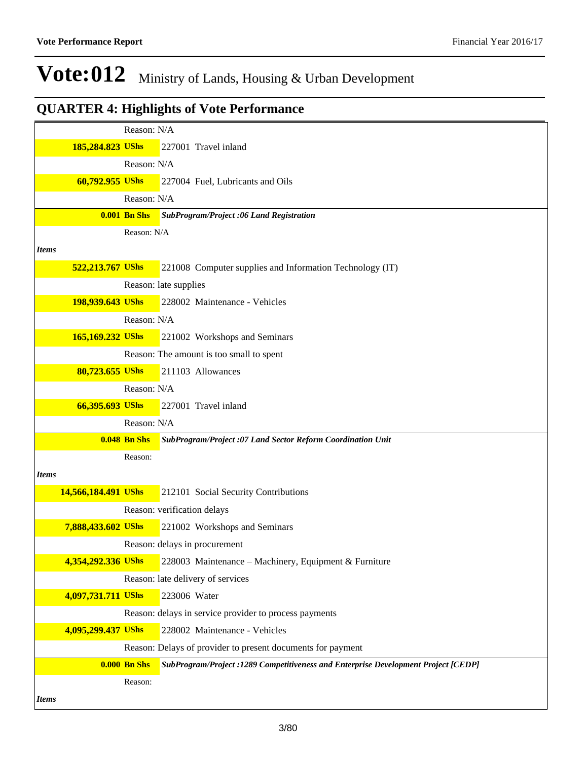|                     | Reason: N/A         |                                                                                     |
|---------------------|---------------------|-------------------------------------------------------------------------------------|
| 185,284.823 UShs    |                     | 227001 Travel inland                                                                |
|                     | Reason: N/A         |                                                                                     |
| 60,792.955 UShs     |                     | 227004 Fuel, Lubricants and Oils                                                    |
|                     | Reason: N/A         |                                                                                     |
|                     | <b>0.001 Bn Shs</b> | SubProgram/Project :06 Land Registration                                            |
|                     | Reason: N/A         |                                                                                     |
| <b>Items</b>        |                     |                                                                                     |
| 522,213.767 UShs    |                     | 221008 Computer supplies and Information Technology (IT)                            |
|                     |                     | Reason: late supplies                                                               |
| 198,939.643 UShs    |                     | 228002 Maintenance - Vehicles                                                       |
|                     | Reason: N/A         |                                                                                     |
| 165,169.232 UShs    |                     | 221002 Workshops and Seminars                                                       |
|                     |                     | Reason: The amount is too small to spent                                            |
| 80,723.655 UShs     |                     | 211103 Allowances                                                                   |
|                     | Reason: N/A         |                                                                                     |
| 66,395.693 UShs     |                     | 227001 Travel inland                                                                |
|                     | Reason: N/A         |                                                                                     |
|                     | <b>0.048 Bn Shs</b> | SubProgram/Project :07 Land Sector Reform Coordination Unit                         |
|                     | Reason:             |                                                                                     |
| <b>Items</b>        |                     |                                                                                     |
| 14,566,184.491 UShs |                     | 212101 Social Security Contributions                                                |
|                     |                     | Reason: verification delays                                                         |
| 7,888,433.602 UShs  |                     | 221002 Workshops and Seminars                                                       |
|                     |                     | Reason: delays in procurement                                                       |
| 4,354,292.336 UShs  |                     |                                                                                     |
|                     |                     | 228003 Maintenance - Machinery, Equipment & Furniture                               |
|                     |                     | Reason: late delivery of services                                                   |
| 4,097,731.711 UShs  |                     | 223006 Water                                                                        |
|                     |                     | Reason: delays in service provider to process payments                              |
| 4,095,299.437 UShs  |                     | 228002 Maintenance - Vehicles                                                       |
|                     |                     | Reason: Delays of provider to present documents for payment                         |
|                     | <b>0.000 Bn Shs</b> | SubProgram/Project : 1289 Competitiveness and Enterprise Development Project [CEDP] |
|                     | Reason:             |                                                                                     |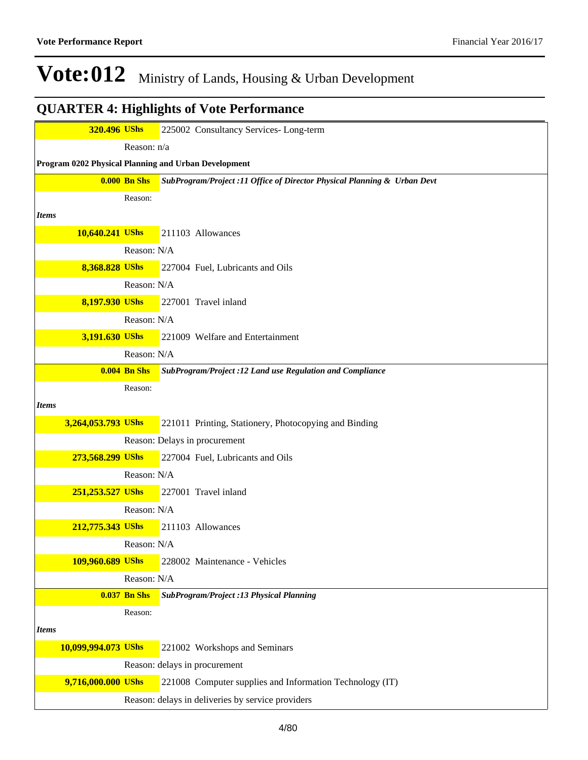| 320.496 UShs        |                     | 225002 Consultancy Services-Long-term                                    |
|---------------------|---------------------|--------------------------------------------------------------------------|
|                     | Reason: n/a         |                                                                          |
|                     |                     | Program 0202 Physical Planning and Urban Development                     |
|                     | $0.000$ Bn Shs      | SubProgram/Project :11 Office of Director Physical Planning & Urban Devt |
|                     | Reason:             |                                                                          |
| <b>Items</b>        |                     |                                                                          |
| 10,640.241 UShs     |                     | 211103 Allowances                                                        |
|                     | Reason: N/A         |                                                                          |
| 8,368.828 UShs      |                     | 227004 Fuel, Lubricants and Oils                                         |
|                     | Reason: N/A         |                                                                          |
| 8,197.930 UShs      |                     | 227001 Travel inland                                                     |
|                     | Reason: N/A         |                                                                          |
| 3,191.630 UShs      |                     | 221009 Welfare and Entertainment                                         |
|                     | Reason: N/A         |                                                                          |
|                     | $0.004$ Bn Shs      | SubProgram/Project :12 Land use Regulation and Compliance                |
|                     | Reason:             |                                                                          |
| <b>Items</b>        |                     |                                                                          |
| 3,264,053.793 UShs  |                     | 221011 Printing, Stationery, Photocopying and Binding                    |
|                     |                     | Reason: Delays in procurement                                            |
| 273,568.299 UShs    |                     | 227004 Fuel, Lubricants and Oils                                         |
|                     | Reason: N/A         |                                                                          |
| 251,253.527 UShs    |                     | 227001 Travel inland                                                     |
|                     | Reason: N/A         |                                                                          |
| 212,775.343 UShs    |                     | 211103 Allowances                                                        |
|                     | Reason: N/A         |                                                                          |
| 109,960.689 UShs    |                     | 228002 Maintenance - Vehicles                                            |
|                     | Reason: N/A         |                                                                          |
|                     | <b>0.037 Bn Shs</b> | SubProgram/Project :13 Physical Planning                                 |
|                     | Reason:             |                                                                          |
| <b>Items</b>        |                     |                                                                          |
| 10,099,994.073 UShs |                     | 221002 Workshops and Seminars                                            |
|                     |                     | Reason: delays in procurement                                            |
| 9,716,000.000 UShs  |                     | 221008 Computer supplies and Information Technology (IT)                 |
|                     |                     | Reason: delays in deliveries by service providers                        |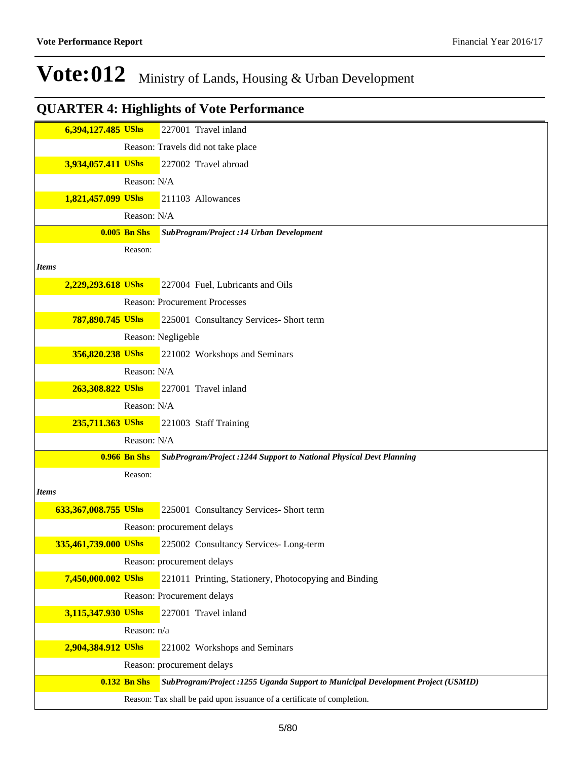|              | 6,394,127.485 UShs   |                     | 227001 Travel inland                                                             |
|--------------|----------------------|---------------------|----------------------------------------------------------------------------------|
|              |                      |                     | Reason: Travels did not take place                                               |
|              | 3,934,057.411 UShs   |                     | 227002 Travel abroad                                                             |
|              |                      | Reason: N/A         |                                                                                  |
|              | 1,821,457.099 UShs   |                     | 211103 Allowances                                                                |
|              |                      | Reason: N/A         |                                                                                  |
|              |                      | $0.005$ Bn Shs      | SubProgram/Project :14 Urban Development                                         |
|              |                      | Reason:             |                                                                                  |
| <b>Items</b> |                      |                     |                                                                                  |
|              | 2,229,293.618 UShs   |                     | 227004 Fuel, Lubricants and Oils                                                 |
|              |                      |                     | <b>Reason: Procurement Processes</b>                                             |
|              | 787,890.745 UShs     |                     | 225001 Consultancy Services- Short term                                          |
|              |                      |                     | Reason: Negligeble                                                               |
|              | 356,820.238 UShs     |                     | 221002 Workshops and Seminars                                                    |
|              |                      | Reason: N/A         |                                                                                  |
|              | 263,308.822 UShs     |                     | 227001 Travel inland                                                             |
|              |                      | Reason: N/A         |                                                                                  |
|              | 235,711.363 UShs     |                     | 221003 Staff Training                                                            |
|              |                      | Reason: N/A         |                                                                                  |
|              |                      | <b>0.966 Bn Shs</b> | SubProgram/Project :1244 Support to National Physical Devt Planning              |
|              |                      | Reason:             |                                                                                  |
| <b>Items</b> |                      |                     |                                                                                  |
|              | 633,367,008.755 UShs |                     | 225001 Consultancy Services- Short term                                          |
|              |                      |                     | Reason: procurement delays                                                       |
|              | 335,461,739.000 UShs |                     | 225002 Consultancy Services-Long-term                                            |
|              |                      |                     | Reason: procurement delays                                                       |
|              | 7,450,000.002 UShs   |                     | 221011 Printing, Stationery, Photocopying and Binding                            |
|              |                      |                     | Reason: Procurement delays                                                       |
|              | 3,115,347.930 UShs   |                     | 227001 Travel inland                                                             |
|              |                      | Reason: n/a         |                                                                                  |
|              | 2,904,384.912 UShs   |                     | 221002 Workshops and Seminars                                                    |
|              |                      |                     | Reason: procurement delays                                                       |
|              |                      | <b>0.132 Bn Shs</b> | SubProgram/Project: 1255 Uganda Support to Municipal Development Project (USMID) |
|              |                      |                     | Reason: Tax shall be paid upon issuance of a certificate of completion.          |
|              |                      |                     |                                                                                  |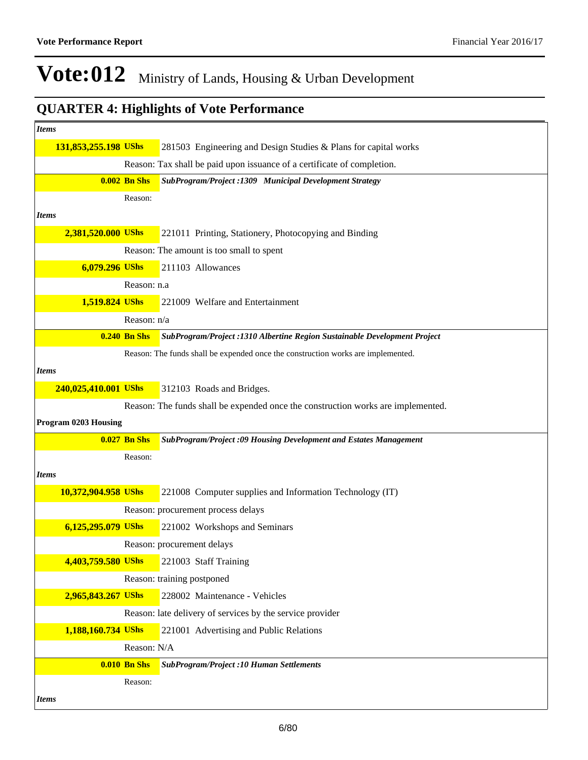| <i>Items</i>                |                     |                                                                                  |
|-----------------------------|---------------------|----------------------------------------------------------------------------------|
| 131,853,255.198 UShs        |                     | 281503 Engineering and Design Studies & Plans for capital works                  |
|                             |                     | Reason: Tax shall be paid upon issuance of a certificate of completion.          |
|                             | <b>0.002 Bn Shs</b> | SubProgram/Project : 1309 Municipal Development Strategy                         |
|                             | Reason:             |                                                                                  |
| <b>Items</b>                |                     |                                                                                  |
| 2,381,520.000 UShs          |                     | 221011 Printing, Stationery, Photocopying and Binding                            |
|                             |                     | Reason: The amount is too small to spent                                         |
| 6,079.296 UShs              |                     | 211103 Allowances                                                                |
|                             | Reason: n.a         |                                                                                  |
| 1,519.824 UShs              |                     | 221009 Welfare and Entertainment                                                 |
|                             | Reason: n/a         |                                                                                  |
|                             | <b>0.240 Bn Shs</b> | SubProgram/Project : 1310 Albertine Region Sustainable Development Project       |
|                             |                     | Reason: The funds shall be expended once the construction works are implemented. |
| <b>Items</b>                |                     |                                                                                  |
| 240,025,410.001 UShs        |                     | 312103 Roads and Bridges.                                                        |
|                             |                     | Reason: The funds shall be expended once the construction works are implemented. |
| <b>Program 0203 Housing</b> |                     |                                                                                  |
|                             | <b>0.027 Bn Shs</b> | SubProgram/Project:09 Housing Development and Estates Management                 |
|                             | Reason:             |                                                                                  |
| <b>Items</b>                |                     |                                                                                  |
| 10,372,904.958 UShs         |                     | 221008 Computer supplies and Information Technology (IT)                         |
|                             |                     | Reason: procurement process delays                                               |
| 6,125,295.079 UShs          |                     | 221002 Workshops and Seminars                                                    |
|                             |                     | Reason: procurement delays                                                       |
| 4,403,759.580 UShs          |                     | 221003 Staff Training                                                            |
|                             |                     | Reason: training postponed                                                       |
| 2,965,843.267 UShs          |                     | 228002 Maintenance - Vehicles                                                    |
|                             |                     | Reason: late delivery of services by the service provider                        |
| 1,188,160.734 UShs          |                     | 221001 Advertising and Public Relations                                          |
|                             | Reason: N/A         |                                                                                  |
|                             | <b>0.010 Bn Shs</b> | <b>SubProgram/Project :10 Human Settlements</b>                                  |
|                             |                     |                                                                                  |
|                             | Reason:             |                                                                                  |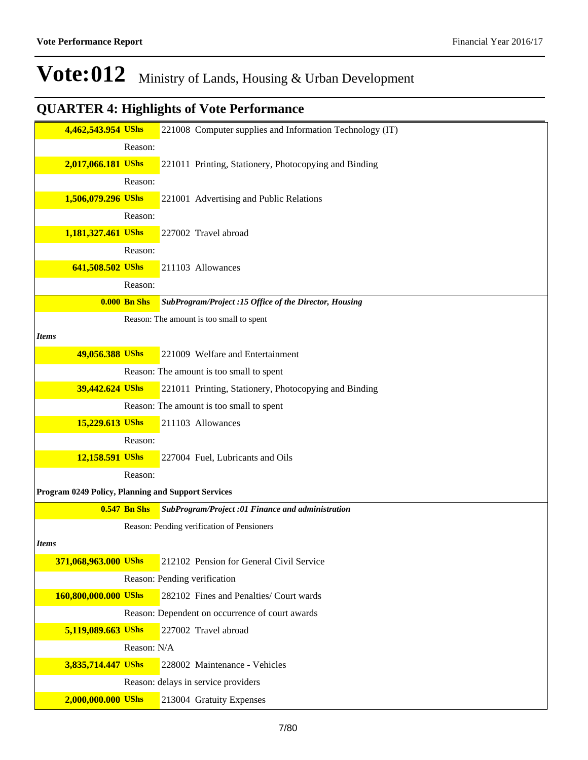| 4,462,543.954 UShs<br>Reason:<br>2,017,066.181 UShs<br>221011 Printing, Stationery, Photocopying and Binding<br>Reason:<br>1,506,079.296 UShs<br>221001 Advertising and Public Relations<br>Reason:<br>1,181,327.461 UShs<br>227002 Travel abroad<br>Reason:<br>641,508.502 UShs<br>211103 Allowances<br>Reason:<br><b>0.000 Bn Shs</b><br>SubProgram/Project :15 Office of the Director, Housing<br>Reason: The amount is too small to spent<br><b>Items</b><br>49,056.388 UShs<br>221009 Welfare and Entertainment<br>Reason: The amount is too small to spent<br>39,442.624 UShs<br>221011 Printing, Stationery, Photocopying and Binding<br>Reason: The amount is too small to spent<br>15,229.613 UShs<br>211103 Allowances<br>Reason:<br>12,158.591 UShs<br>227004 Fuel, Lubricants and Oils<br>Reason:<br>Program 0249 Policy, Planning and Support Services<br><b>0.547 Bn Shs</b><br>SubProgram/Project:01 Finance and administration<br>Reason: Pending verification of Pensioners<br><b>Items</b><br>371,068,963.000 UShs<br>212102 Pension for General Civil Service<br>Reason: Pending verification<br>160,800,000.000 UShs<br>282102 Fines and Penalties/ Court wards<br>Reason: Dependent on occurrence of court awards<br>227002 Travel abroad<br>5,119,089.663 UShs<br>Reason: N/A<br>3,835,714.447 UShs<br>228002 Maintenance - Vehicles<br>Reason: delays in service providers<br>2,000,000.000 UShs<br>213004 Gratuity Expenses |  |                                                          |
|-----------------------------------------------------------------------------------------------------------------------------------------------------------------------------------------------------------------------------------------------------------------------------------------------------------------------------------------------------------------------------------------------------------------------------------------------------------------------------------------------------------------------------------------------------------------------------------------------------------------------------------------------------------------------------------------------------------------------------------------------------------------------------------------------------------------------------------------------------------------------------------------------------------------------------------------------------------------------------------------------------------------------------------------------------------------------------------------------------------------------------------------------------------------------------------------------------------------------------------------------------------------------------------------------------------------------------------------------------------------------------------------------------------------------------------------------------|--|----------------------------------------------------------|
|                                                                                                                                                                                                                                                                                                                                                                                                                                                                                                                                                                                                                                                                                                                                                                                                                                                                                                                                                                                                                                                                                                                                                                                                                                                                                                                                                                                                                                                     |  | 221008 Computer supplies and Information Technology (IT) |
|                                                                                                                                                                                                                                                                                                                                                                                                                                                                                                                                                                                                                                                                                                                                                                                                                                                                                                                                                                                                                                                                                                                                                                                                                                                                                                                                                                                                                                                     |  |                                                          |
|                                                                                                                                                                                                                                                                                                                                                                                                                                                                                                                                                                                                                                                                                                                                                                                                                                                                                                                                                                                                                                                                                                                                                                                                                                                                                                                                                                                                                                                     |  |                                                          |
|                                                                                                                                                                                                                                                                                                                                                                                                                                                                                                                                                                                                                                                                                                                                                                                                                                                                                                                                                                                                                                                                                                                                                                                                                                                                                                                                                                                                                                                     |  |                                                          |
|                                                                                                                                                                                                                                                                                                                                                                                                                                                                                                                                                                                                                                                                                                                                                                                                                                                                                                                                                                                                                                                                                                                                                                                                                                                                                                                                                                                                                                                     |  |                                                          |
|                                                                                                                                                                                                                                                                                                                                                                                                                                                                                                                                                                                                                                                                                                                                                                                                                                                                                                                                                                                                                                                                                                                                                                                                                                                                                                                                                                                                                                                     |  |                                                          |
|                                                                                                                                                                                                                                                                                                                                                                                                                                                                                                                                                                                                                                                                                                                                                                                                                                                                                                                                                                                                                                                                                                                                                                                                                                                                                                                                                                                                                                                     |  |                                                          |
|                                                                                                                                                                                                                                                                                                                                                                                                                                                                                                                                                                                                                                                                                                                                                                                                                                                                                                                                                                                                                                                                                                                                                                                                                                                                                                                                                                                                                                                     |  |                                                          |
|                                                                                                                                                                                                                                                                                                                                                                                                                                                                                                                                                                                                                                                                                                                                                                                                                                                                                                                                                                                                                                                                                                                                                                                                                                                                                                                                                                                                                                                     |  |                                                          |
|                                                                                                                                                                                                                                                                                                                                                                                                                                                                                                                                                                                                                                                                                                                                                                                                                                                                                                                                                                                                                                                                                                                                                                                                                                                                                                                                                                                                                                                     |  |                                                          |
|                                                                                                                                                                                                                                                                                                                                                                                                                                                                                                                                                                                                                                                                                                                                                                                                                                                                                                                                                                                                                                                                                                                                                                                                                                                                                                                                                                                                                                                     |  |                                                          |
|                                                                                                                                                                                                                                                                                                                                                                                                                                                                                                                                                                                                                                                                                                                                                                                                                                                                                                                                                                                                                                                                                                                                                                                                                                                                                                                                                                                                                                                     |  |                                                          |
|                                                                                                                                                                                                                                                                                                                                                                                                                                                                                                                                                                                                                                                                                                                                                                                                                                                                                                                                                                                                                                                                                                                                                                                                                                                                                                                                                                                                                                                     |  |                                                          |
|                                                                                                                                                                                                                                                                                                                                                                                                                                                                                                                                                                                                                                                                                                                                                                                                                                                                                                                                                                                                                                                                                                                                                                                                                                                                                                                                                                                                                                                     |  |                                                          |
|                                                                                                                                                                                                                                                                                                                                                                                                                                                                                                                                                                                                                                                                                                                                                                                                                                                                                                                                                                                                                                                                                                                                                                                                                                                                                                                                                                                                                                                     |  |                                                          |
|                                                                                                                                                                                                                                                                                                                                                                                                                                                                                                                                                                                                                                                                                                                                                                                                                                                                                                                                                                                                                                                                                                                                                                                                                                                                                                                                                                                                                                                     |  |                                                          |
|                                                                                                                                                                                                                                                                                                                                                                                                                                                                                                                                                                                                                                                                                                                                                                                                                                                                                                                                                                                                                                                                                                                                                                                                                                                                                                                                                                                                                                                     |  |                                                          |
|                                                                                                                                                                                                                                                                                                                                                                                                                                                                                                                                                                                                                                                                                                                                                                                                                                                                                                                                                                                                                                                                                                                                                                                                                                                                                                                                                                                                                                                     |  |                                                          |
|                                                                                                                                                                                                                                                                                                                                                                                                                                                                                                                                                                                                                                                                                                                                                                                                                                                                                                                                                                                                                                                                                                                                                                                                                                                                                                                                                                                                                                                     |  |                                                          |
|                                                                                                                                                                                                                                                                                                                                                                                                                                                                                                                                                                                                                                                                                                                                                                                                                                                                                                                                                                                                                                                                                                                                                                                                                                                                                                                                                                                                                                                     |  |                                                          |
|                                                                                                                                                                                                                                                                                                                                                                                                                                                                                                                                                                                                                                                                                                                                                                                                                                                                                                                                                                                                                                                                                                                                                                                                                                                                                                                                                                                                                                                     |  |                                                          |
|                                                                                                                                                                                                                                                                                                                                                                                                                                                                                                                                                                                                                                                                                                                                                                                                                                                                                                                                                                                                                                                                                                                                                                                                                                                                                                                                                                                                                                                     |  |                                                          |
|                                                                                                                                                                                                                                                                                                                                                                                                                                                                                                                                                                                                                                                                                                                                                                                                                                                                                                                                                                                                                                                                                                                                                                                                                                                                                                                                                                                                                                                     |  |                                                          |
|                                                                                                                                                                                                                                                                                                                                                                                                                                                                                                                                                                                                                                                                                                                                                                                                                                                                                                                                                                                                                                                                                                                                                                                                                                                                                                                                                                                                                                                     |  |                                                          |
|                                                                                                                                                                                                                                                                                                                                                                                                                                                                                                                                                                                                                                                                                                                                                                                                                                                                                                                                                                                                                                                                                                                                                                                                                                                                                                                                                                                                                                                     |  |                                                          |
|                                                                                                                                                                                                                                                                                                                                                                                                                                                                                                                                                                                                                                                                                                                                                                                                                                                                                                                                                                                                                                                                                                                                                                                                                                                                                                                                                                                                                                                     |  |                                                          |
|                                                                                                                                                                                                                                                                                                                                                                                                                                                                                                                                                                                                                                                                                                                                                                                                                                                                                                                                                                                                                                                                                                                                                                                                                                                                                                                                                                                                                                                     |  |                                                          |
|                                                                                                                                                                                                                                                                                                                                                                                                                                                                                                                                                                                                                                                                                                                                                                                                                                                                                                                                                                                                                                                                                                                                                                                                                                                                                                                                                                                                                                                     |  |                                                          |
|                                                                                                                                                                                                                                                                                                                                                                                                                                                                                                                                                                                                                                                                                                                                                                                                                                                                                                                                                                                                                                                                                                                                                                                                                                                                                                                                                                                                                                                     |  |                                                          |
|                                                                                                                                                                                                                                                                                                                                                                                                                                                                                                                                                                                                                                                                                                                                                                                                                                                                                                                                                                                                                                                                                                                                                                                                                                                                                                                                                                                                                                                     |  |                                                          |
|                                                                                                                                                                                                                                                                                                                                                                                                                                                                                                                                                                                                                                                                                                                                                                                                                                                                                                                                                                                                                                                                                                                                                                                                                                                                                                                                                                                                                                                     |  |                                                          |
|                                                                                                                                                                                                                                                                                                                                                                                                                                                                                                                                                                                                                                                                                                                                                                                                                                                                                                                                                                                                                                                                                                                                                                                                                                                                                                                                                                                                                                                     |  |                                                          |
|                                                                                                                                                                                                                                                                                                                                                                                                                                                                                                                                                                                                                                                                                                                                                                                                                                                                                                                                                                                                                                                                                                                                                                                                                                                                                                                                                                                                                                                     |  |                                                          |
|                                                                                                                                                                                                                                                                                                                                                                                                                                                                                                                                                                                                                                                                                                                                                                                                                                                                                                                                                                                                                                                                                                                                                                                                                                                                                                                                                                                                                                                     |  |                                                          |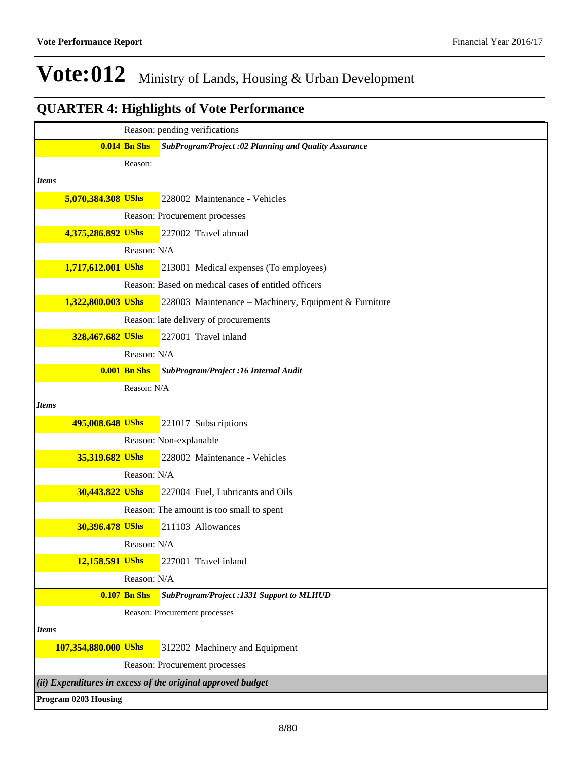|              |                             |                     | Reason: pending verifications                               |
|--------------|-----------------------------|---------------------|-------------------------------------------------------------|
|              |                             | <b>0.014 Bn Shs</b> | SubProgram/Project:02 Planning and Quality Assurance        |
|              |                             | Reason:             |                                                             |
| <b>Items</b> |                             |                     |                                                             |
|              | 5,070,384.308 UShs          |                     | 228002 Maintenance - Vehicles                               |
|              |                             |                     | Reason: Procurement processes                               |
|              | 4,375,286.892 UShs          |                     | 227002 Travel abroad                                        |
|              |                             | Reason: N/A         |                                                             |
|              | 1,717,612.001 UShs          |                     | 213001 Medical expenses (To employees)                      |
|              |                             |                     | Reason: Based on medical cases of entitled officers         |
|              | 1,322,800.003 UShs          |                     | 228003 Maintenance - Machinery, Equipment & Furniture       |
|              |                             |                     | Reason: late delivery of procurements                       |
|              | 328,467.682 UShs            |                     | 227001 Travel inland                                        |
|              |                             | Reason: N/A         |                                                             |
|              |                             | <b>0.001 Bn Shs</b> | SubProgram/Project :16 Internal Audit                       |
|              |                             | Reason: N/A         |                                                             |
| <b>Items</b> |                             |                     |                                                             |
|              | 495,008.648 UShs            |                     | 221017 Subscriptions                                        |
|              |                             |                     | Reason: Non-explanable                                      |
|              | 35,319.682 UShs             |                     | 228002 Maintenance - Vehicles                               |
|              |                             | Reason: N/A         |                                                             |
|              | 30,443.822 UShs             |                     | 227004 Fuel, Lubricants and Oils                            |
|              |                             |                     | Reason: The amount is too small to spent                    |
|              | 30,396.478 UShs             |                     | 211103 Allowances                                           |
|              |                             | Reason: N/A         |                                                             |
|              | 12,158.591 UShs             |                     | 227001 Travel inland                                        |
|              |                             | Reason: N/A         |                                                             |
|              |                             | <b>0.107 Bn Shs</b> | SubProgram/Project: 1331 Support to MLHUD                   |
|              |                             |                     | Reason: Procurement processes                               |
| <b>Items</b> |                             |                     |                                                             |
|              | 107,354,880.000 UShs        |                     | 312202 Machinery and Equipment                              |
|              |                             |                     | Reason: Procurement processes                               |
|              |                             |                     | (ii) Expenditures in excess of the original approved budget |
|              | <b>Program 0203 Housing</b> |                     |                                                             |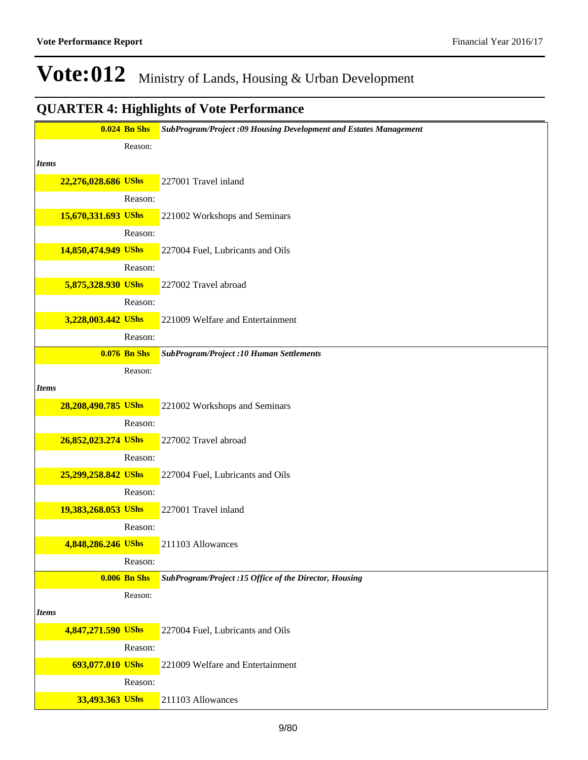|              |                     | <b>0.024 Bn Shs</b>            | SubProgram/Project :09 Housing Development and Estates Management |
|--------------|---------------------|--------------------------------|-------------------------------------------------------------------|
|              |                     | Reason:                        |                                                                   |
| <b>Items</b> |                     |                                |                                                                   |
|              | 22,276,028.686 UShs |                                | 227001 Travel inland                                              |
|              |                     | Reason:                        |                                                                   |
|              | 15,670,331.693 UShs |                                | 221002 Workshops and Seminars                                     |
|              |                     | Reason:                        |                                                                   |
|              | 14,850,474.949 UShs |                                | 227004 Fuel, Lubricants and Oils                                  |
|              |                     | Reason:                        |                                                                   |
|              | 5,875,328.930 UShs  |                                | 227002 Travel abroad                                              |
|              |                     | Reason:                        |                                                                   |
|              | 3,228,003.442 UShs  |                                | 221009 Welfare and Entertainment                                  |
|              |                     | Reason:                        |                                                                   |
|              |                     | $0.076$ Bn Shs                 | <b>SubProgram/Project :10 Human Settlements</b>                   |
|              |                     | Reason:                        |                                                                   |
| <b>Items</b> |                     |                                |                                                                   |
|              | 28,208,490.785 UShs |                                | 221002 Workshops and Seminars                                     |
|              |                     | Reason:                        |                                                                   |
|              | 26,852,023.274 UShs |                                | 227002 Travel abroad                                              |
|              |                     | Reason:                        |                                                                   |
|              | 25,299,258.842 UShs |                                | 227004 Fuel, Lubricants and Oils                                  |
|              |                     | Reason:                        |                                                                   |
|              | 19,383,268.053 UShs |                                | 227001 Travel inland                                              |
|              |                     | Reason:                        |                                                                   |
|              | 4,848,286.246 UShs  |                                | 211103 Allowances                                                 |
|              |                     | Reason:<br><b>0.006 Bn Shs</b> | SubProgram/Project :15 Office of the Director, Housing            |
|              |                     | Reason:                        |                                                                   |
| <b>Items</b> |                     |                                |                                                                   |
|              | 4,847,271.590 UShs  |                                | 227004 Fuel, Lubricants and Oils                                  |
|              |                     | Reason:                        |                                                                   |
|              | 693,077.010 UShs    |                                | 221009 Welfare and Entertainment                                  |
|              |                     | Reason:                        |                                                                   |
|              | 33,493.363 UShs     |                                | 211103 Allowances                                                 |
|              |                     |                                |                                                                   |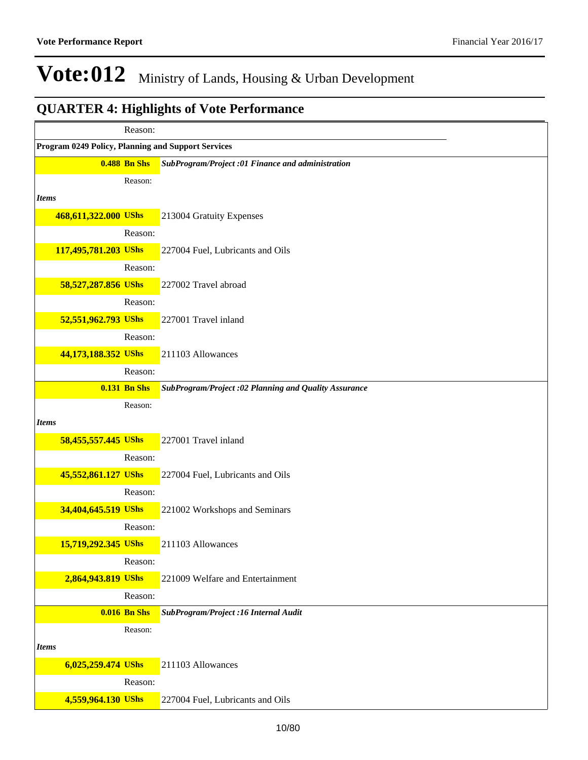|                                                    | Reason:             |                                                      |
|----------------------------------------------------|---------------------|------------------------------------------------------|
| Program 0249 Policy, Planning and Support Services |                     |                                                      |
|                                                    | <b>0.488 Bn Shs</b> | SubProgram/Project :01 Finance and administration    |
|                                                    | Reason:             |                                                      |
| <i>Items</i>                                       |                     |                                                      |
| 468,611,322.000 UShs                               |                     | 213004 Gratuity Expenses                             |
|                                                    | Reason:             |                                                      |
| 117,495,781.203 UShs                               |                     | 227004 Fuel, Lubricants and Oils                     |
|                                                    | Reason:             |                                                      |
| 58,527,287.856 UShs                                |                     | 227002 Travel abroad                                 |
|                                                    | Reason:             |                                                      |
| 52,551,962.793 UShs                                |                     | 227001 Travel inland                                 |
|                                                    | Reason:             |                                                      |
| 44,173,188.352 UShs                                |                     | 211103 Allowances                                    |
|                                                    | Reason:             |                                                      |
|                                                    | <b>0.131 Bn Shs</b> | SubProgram/Project:02 Planning and Quality Assurance |
|                                                    | Reason:             |                                                      |
| <i>Items</i>                                       |                     |                                                      |
| 58,455,557.445 UShs                                |                     | 227001 Travel inland                                 |
|                                                    | Reason:             |                                                      |
| 45,552,861.127 UShs                                |                     | 227004 Fuel, Lubricants and Oils                     |
|                                                    | Reason:             |                                                      |
| 34,404,645.519 UShs                                |                     | 221002 Workshops and Seminars                        |
|                                                    | Reason:             |                                                      |
| 15,719,292.345 UShs                                |                     | 211103 Allowances                                    |
|                                                    | Reason:             |                                                      |
| 2,864,943.819 UShs                                 |                     | 221009 Welfare and Entertainment                     |
|                                                    | Reason:             |                                                      |
|                                                    | <b>0.016 Bn Shs</b> | SubProgram/Project :16 Internal Audit                |
|                                                    | Reason:             |                                                      |
| <b>Items</b>                                       |                     |                                                      |
| 6,025,259.474 UShs                                 |                     | 211103 Allowances                                    |
|                                                    | Reason:             |                                                      |
| 4,559,964.130 UShs                                 |                     | 227004 Fuel, Lubricants and Oils                     |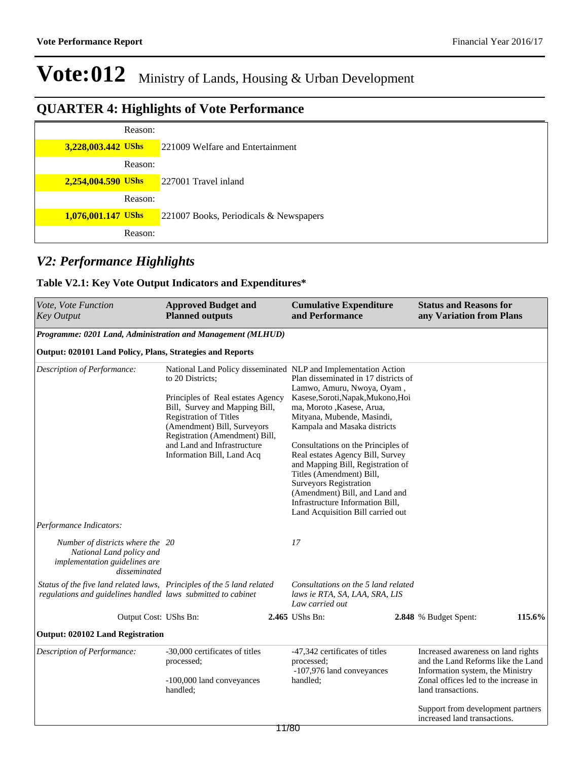## **QUARTER 4: Highlights of Vote Performance**

| Reason:            |                                        |
|--------------------|----------------------------------------|
| 3,228,003.442 UShs | 221009 Welfare and Entertainment       |
| Reason:            |                                        |
| 2,254,004.590 UShs | 227001 Travel inland                   |
| Reason:            |                                        |
| 1,076,001.147 UShs | 221007 Books, Periodicals & Newspapers |
| Reason:            |                                        |

### *V2: Performance Highlights*

#### **Table V2.1: Key Vote Output Indicators and Expenditures\***

| Vote, Vote Function<br><b>Key Output</b>                                                                                               | <b>Approved Budget and</b><br><b>Planned outputs</b>                                                                                                                                                                                                   | <b>Cumulative Expenditure</b><br>and Performance                                                                                                                                                                                                                                                                                                                                                                                                                                                                          | <b>Status and Reasons for</b><br>any Variation from Plans                                                                                                                  |
|----------------------------------------------------------------------------------------------------------------------------------------|--------------------------------------------------------------------------------------------------------------------------------------------------------------------------------------------------------------------------------------------------------|---------------------------------------------------------------------------------------------------------------------------------------------------------------------------------------------------------------------------------------------------------------------------------------------------------------------------------------------------------------------------------------------------------------------------------------------------------------------------------------------------------------------------|----------------------------------------------------------------------------------------------------------------------------------------------------------------------------|
| Programme: 0201 Land, Administration and Management (MLHUD)                                                                            |                                                                                                                                                                                                                                                        |                                                                                                                                                                                                                                                                                                                                                                                                                                                                                                                           |                                                                                                                                                                            |
| <b>Output: 020101 Land Policy, Plans, Strategies and Reports</b>                                                                       |                                                                                                                                                                                                                                                        |                                                                                                                                                                                                                                                                                                                                                                                                                                                                                                                           |                                                                                                                                                                            |
| Description of Performance:                                                                                                            | to 20 Districts;<br>Principles of Real estates Agency<br>Bill, Survey and Mapping Bill,<br><b>Registration of Titles</b><br>(Amendment) Bill, Surveyors<br>Registration (Amendment) Bill,<br>and Land and Infrastructure<br>Information Bill, Land Acq | National Land Policy disseminated NLP and Implementation Action<br>Plan disseminated in 17 districts of<br>Lamwo, Amuru, Nwoya, Oyam,<br>Kasese, Soroti, Napak, Mukono, Hoi<br>ma, Moroto , Kasese, Arua,<br>Mityana, Mubende, Masindi,<br>Kampala and Masaka districts<br>Consultations on the Principles of<br>Real estates Agency Bill, Survey<br>and Mapping Bill, Registration of<br>Titles (Amendment) Bill,<br><b>Surveyors Registration</b><br>(Amendment) Bill, and Land and<br>Infrastructure Information Bill, |                                                                                                                                                                            |
| Performance Indicators:                                                                                                                |                                                                                                                                                                                                                                                        | Land Acquisition Bill carried out                                                                                                                                                                                                                                                                                                                                                                                                                                                                                         |                                                                                                                                                                            |
| Number of districts where the 20<br>National Land policy and<br>implementation guidelines are<br>disseminated                          |                                                                                                                                                                                                                                                        | 17                                                                                                                                                                                                                                                                                                                                                                                                                                                                                                                        |                                                                                                                                                                            |
| Status of the five land related laws, Principles of the 5 land related<br>regulations and guidelines handled laws submitted to cabinet |                                                                                                                                                                                                                                                        | Consultations on the 5 land related<br>laws ie RTA, SA, LAA, SRA, LIS<br>Law carried out                                                                                                                                                                                                                                                                                                                                                                                                                                  |                                                                                                                                                                            |
| Output Cost: UShs Bn:                                                                                                                  |                                                                                                                                                                                                                                                        | 2.465 UShs Bn:                                                                                                                                                                                                                                                                                                                                                                                                                                                                                                            | 115.6%<br>2.848 % Budget Spent:                                                                                                                                            |
| <b>Output: 020102 Land Registration</b>                                                                                                |                                                                                                                                                                                                                                                        |                                                                                                                                                                                                                                                                                                                                                                                                                                                                                                                           |                                                                                                                                                                            |
| Description of Performance:                                                                                                            | -30,000 certificates of titles<br>processed;<br>-100,000 land conveyances<br>handled;                                                                                                                                                                  | -47,342 certificates of titles<br>processed;<br>-107,976 land conveyances<br>handled;                                                                                                                                                                                                                                                                                                                                                                                                                                     | Increased awareness on land rights<br>and the Land Reforms like the Land<br>Information system, the Ministry<br>Zonal offices led to the increase in<br>land transactions. |
|                                                                                                                                        |                                                                                                                                                                                                                                                        |                                                                                                                                                                                                                                                                                                                                                                                                                                                                                                                           | Support from development partners<br>increased land transactions.                                                                                                          |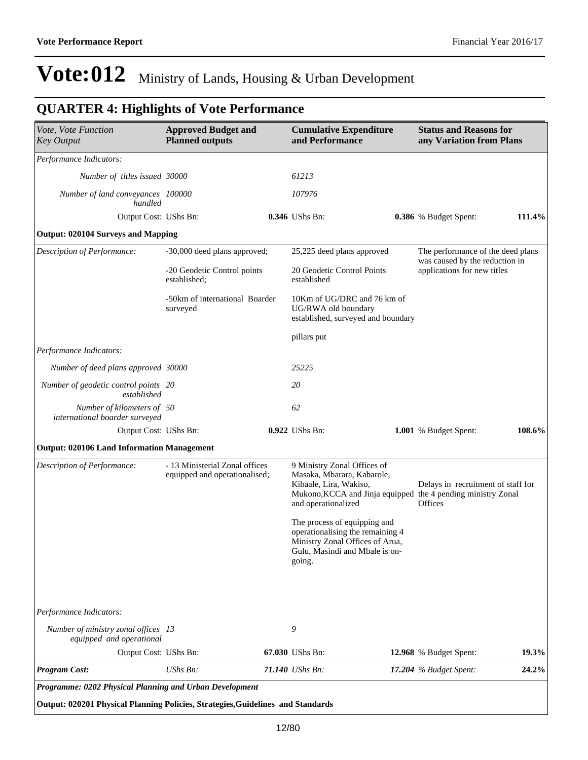### **QUARTER 4: Highlights of Vote Performance**

| Vote, Vote Function<br><b>Key Output</b>                       | <b>Approved Budget and</b><br><b>Planned outputs</b>            | <b>Cumulative Expenditure</b><br>and Performance                                                                                                                           | <b>Status and Reasons for</b><br>any Variation from Plans     |          |
|----------------------------------------------------------------|-----------------------------------------------------------------|----------------------------------------------------------------------------------------------------------------------------------------------------------------------------|---------------------------------------------------------------|----------|
| Performance Indicators:                                        |                                                                 |                                                                                                                                                                            |                                                               |          |
| Number of titles issued 30000                                  |                                                                 | 61213                                                                                                                                                                      |                                                               |          |
| Number of land conveyances 100000<br>handled                   |                                                                 | 107976                                                                                                                                                                     |                                                               |          |
| Output Cost: UShs Bn:                                          |                                                                 | 0.346 UShs Bn:                                                                                                                                                             | 0.386 % Budget Spent:                                         | 111.4%   |
| <b>Output: 020104 Surveys and Mapping</b>                      |                                                                 |                                                                                                                                                                            |                                                               |          |
| Description of Performance:                                    | -30,000 deed plans approved;                                    | 25,225 deed plans approved                                                                                                                                                 | The performance of the deed plans                             |          |
|                                                                | -20 Geodetic Control points<br>established;                     | 20 Geodetic Control Points<br>established                                                                                                                                  | was caused by the reduction in<br>applications for new titles |          |
|                                                                | -50km of international Boarder<br>surveyed                      | 10Km of UG/DRC and 76 km of<br>UG/RWA old boundary<br>established, surveyed and boundary                                                                                   |                                                               |          |
|                                                                |                                                                 | pillars put                                                                                                                                                                |                                                               |          |
| Performance Indicators:                                        |                                                                 |                                                                                                                                                                            |                                                               |          |
| Number of deed plans approved 30000                            |                                                                 | 25225                                                                                                                                                                      |                                                               |          |
| Number of geodetic control points 20<br>established            |                                                                 | 20                                                                                                                                                                         |                                                               |          |
| Number of kilometers of 50<br>international boarder surveyed   |                                                                 | 62                                                                                                                                                                         |                                                               |          |
| Output Cost: UShs Bn:                                          |                                                                 | 0.922 UShs Bn:                                                                                                                                                             | 1.001 % Budget Spent:                                         | 108.6%   |
| <b>Output: 020106 Land Information Management</b>              |                                                                 |                                                                                                                                                                            |                                                               |          |
| Description of Performance:                                    | - 13 Ministerial Zonal offices<br>equipped and operationalised; | 9 Ministry Zonal Offices of<br>Masaka, Mbarara, Kabarole,<br>Kibaale, Lira, Wakiso,<br>Mukono, KCCA and Jinja equipped the 4 pending ministry Zonal<br>and operationalized | Delays in recruitment of staff for<br><b>Offices</b>          |          |
|                                                                |                                                                 | The process of equipping and<br>operationalising the remaining 4<br>Ministry Zonal Offices of Arua,<br>Gulu, Masindi and Mbale is on-<br>going.                            |                                                               |          |
| Performance Indicators:<br>Number of ministry zonal offices 13 |                                                                 | 9                                                                                                                                                                          |                                                               |          |
| equipped and operational<br>Output Cost: UShs Bn:              |                                                                 | 67.030 UShs Bn:                                                                                                                                                            | 12.968 % Budget Spent:                                        | 19.3%    |
| <b>Program Cost:</b>                                           | UShs Bn:                                                        | 71.140 UShs Bn:                                                                                                                                                            | 17.204 % Budget Spent:                                        | $24.2\%$ |

**Output: 020201 Physical Planning Policies, Strategies,Guidelines and Standards**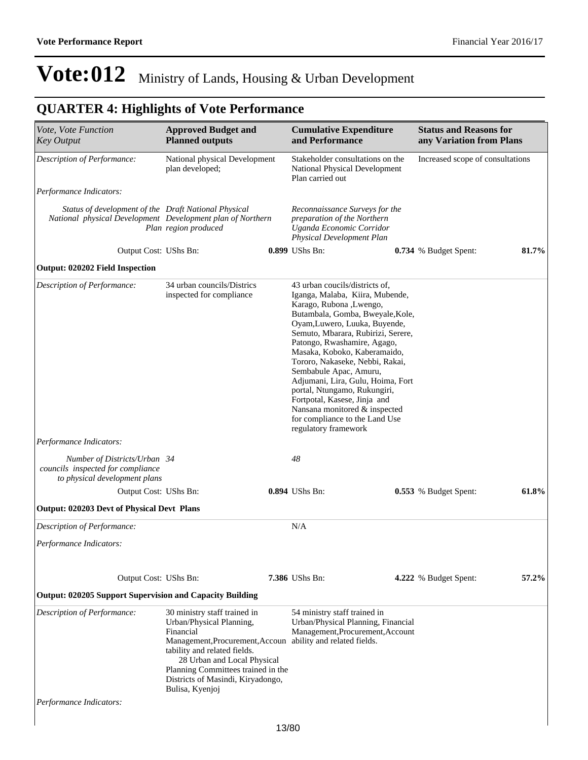| Vote, Vote Function<br><b>Key Output</b>                                                                           | <b>Approved Budget and</b><br><b>Planned outputs</b>                                                                                                                                                                                                                  |                                                                                       | <b>Cumulative Expenditure</b><br>and Performance                                                                                                                                                                                                                                                                                                                                                                                                                                                                                    | <b>Status and Reasons for</b><br>any Variation from Plans |       |  |
|--------------------------------------------------------------------------------------------------------------------|-----------------------------------------------------------------------------------------------------------------------------------------------------------------------------------------------------------------------------------------------------------------------|---------------------------------------------------------------------------------------|-------------------------------------------------------------------------------------------------------------------------------------------------------------------------------------------------------------------------------------------------------------------------------------------------------------------------------------------------------------------------------------------------------------------------------------------------------------------------------------------------------------------------------------|-----------------------------------------------------------|-------|--|
| Description of Performance:                                                                                        | National physical Development<br>plan developed;                                                                                                                                                                                                                      | Stakeholder consultations on the<br>National Physical Development<br>Plan carried out |                                                                                                                                                                                                                                                                                                                                                                                                                                                                                                                                     | Increased scope of consultations                          |       |  |
| Performance Indicators:                                                                                            |                                                                                                                                                                                                                                                                       |                                                                                       |                                                                                                                                                                                                                                                                                                                                                                                                                                                                                                                                     |                                                           |       |  |
| Status of development of the Draft National Physical<br>National physical Development Development plan of Northern | Plan region produced                                                                                                                                                                                                                                                  |                                                                                       | Reconnaissance Surveys for the<br>preparation of the Northern<br>Uganda Economic Corridor<br>Physical Development Plan                                                                                                                                                                                                                                                                                                                                                                                                              |                                                           |       |  |
| Output Cost: UShs Bn:                                                                                              |                                                                                                                                                                                                                                                                       |                                                                                       | 0.899 UShs Bn:                                                                                                                                                                                                                                                                                                                                                                                                                                                                                                                      | 0.734 % Budget Spent:                                     | 81.7% |  |
| <b>Output: 020202 Field Inspection</b>                                                                             |                                                                                                                                                                                                                                                                       |                                                                                       |                                                                                                                                                                                                                                                                                                                                                                                                                                                                                                                                     |                                                           |       |  |
| Description of Performance:                                                                                        | 34 urban councils/Districs<br>inspected for compliance                                                                                                                                                                                                                |                                                                                       | 43 urban coucils/districts of,<br>Iganga, Malaba, Kiira, Mubende,<br>Karago, Rubona ,Lwengo,<br>Butambala, Gomba, Bweyale, Kole,<br>Oyam, Luwero, Luuka, Buyende,<br>Semuto, Mbarara, Rubirizi, Serere,<br>Patongo, Rwashamire, Agago,<br>Masaka, Koboko, Kaberamaido,<br>Tororo, Nakaseke, Nebbi, Rakai,<br>Sembabule Apac, Amuru,<br>Adjumani, Lira, Gulu, Hoima, Fort<br>portal, Ntungamo, Rukungiri,<br>Fortpotal, Kasese, Jinja and<br>Nansana monitored & inspected<br>for compliance to the Land Use<br>regulatory framework |                                                           |       |  |
| Performance Indicators:                                                                                            |                                                                                                                                                                                                                                                                       |                                                                                       |                                                                                                                                                                                                                                                                                                                                                                                                                                                                                                                                     |                                                           |       |  |
| Number of Districts/Urban 34<br>councils inspected for compliance<br>to physical development plans                 |                                                                                                                                                                                                                                                                       |                                                                                       | 48                                                                                                                                                                                                                                                                                                                                                                                                                                                                                                                                  |                                                           |       |  |
| Output Cost: UShs Bn:                                                                                              |                                                                                                                                                                                                                                                                       |                                                                                       | 0.894 UShs Bn:                                                                                                                                                                                                                                                                                                                                                                                                                                                                                                                      | 0.553 % Budget Spent:                                     | 61.8% |  |
| Output: 020203 Devt of Physical Devt Plans                                                                         |                                                                                                                                                                                                                                                                       |                                                                                       |                                                                                                                                                                                                                                                                                                                                                                                                                                                                                                                                     |                                                           |       |  |
| Description of Performance:                                                                                        |                                                                                                                                                                                                                                                                       |                                                                                       | N/A                                                                                                                                                                                                                                                                                                                                                                                                                                                                                                                                 |                                                           |       |  |
| Performance Indicators:                                                                                            |                                                                                                                                                                                                                                                                       |                                                                                       |                                                                                                                                                                                                                                                                                                                                                                                                                                                                                                                                     |                                                           |       |  |
| Output Cost: UShs Bn:                                                                                              |                                                                                                                                                                                                                                                                       |                                                                                       | 7.386 UShs Bn:                                                                                                                                                                                                                                                                                                                                                                                                                                                                                                                      | 4.222 % Budget Spent:                                     | 57.2% |  |
| <b>Output: 020205 Support Supervision and Capacity Building</b>                                                    |                                                                                                                                                                                                                                                                       |                                                                                       |                                                                                                                                                                                                                                                                                                                                                                                                                                                                                                                                     |                                                           |       |  |
| Description of Performance:                                                                                        | 30 ministry staff trained in<br>Urban/Physical Planning,<br>Financial<br>Management, Procurement, Accoun<br>tability and related fields.<br>28 Urban and Local Physical<br>Planning Committees trained in the<br>Districts of Masindi, Kiryadongo,<br>Bulisa, Kyenjoj |                                                                                       | 54 ministry staff trained in<br>Urban/Physical Planning, Financial<br>Management, Procurement, Account<br>ability and related fields.                                                                                                                                                                                                                                                                                                                                                                                               |                                                           |       |  |
| Performance Indicators:                                                                                            |                                                                                                                                                                                                                                                                       |                                                                                       |                                                                                                                                                                                                                                                                                                                                                                                                                                                                                                                                     |                                                           |       |  |
|                                                                                                                    |                                                                                                                                                                                                                                                                       | 12/90                                                                                 |                                                                                                                                                                                                                                                                                                                                                                                                                                                                                                                                     |                                                           |       |  |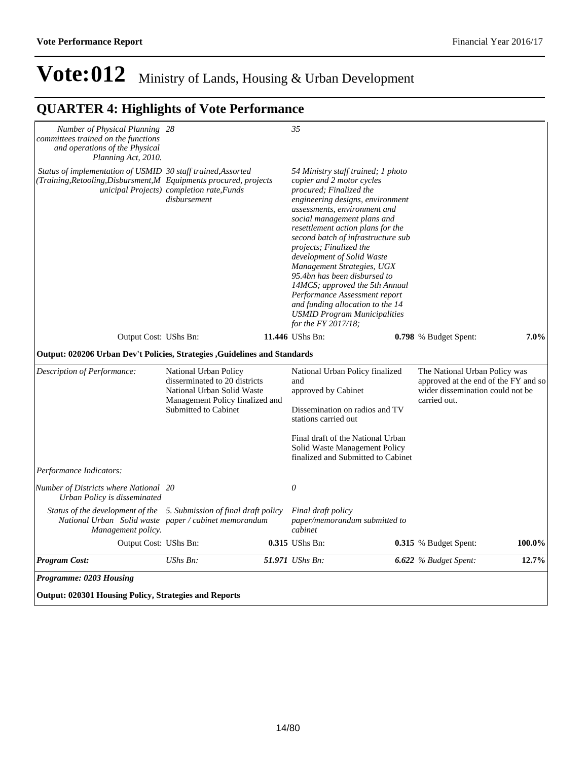| Number of Physical Planning 28                                                                                                                      |                                                                                                                                                 | 35                                                                                                                                                                                                                                                                                                                                                                                                                                                                                                                                                                   |                                                                                                                           |         |
|-----------------------------------------------------------------------------------------------------------------------------------------------------|-------------------------------------------------------------------------------------------------------------------------------------------------|----------------------------------------------------------------------------------------------------------------------------------------------------------------------------------------------------------------------------------------------------------------------------------------------------------------------------------------------------------------------------------------------------------------------------------------------------------------------------------------------------------------------------------------------------------------------|---------------------------------------------------------------------------------------------------------------------------|---------|
| committees trained on the functions<br>and operations of the Physical<br>Planning Act, 2010.                                                        |                                                                                                                                                 |                                                                                                                                                                                                                                                                                                                                                                                                                                                                                                                                                                      |                                                                                                                           |         |
| Status of implementation of USMID 30 staff trained, Assorted<br>(Training, Retooling, Disbursment, M Equipments procured, projects                  | unicipal Projects) completion rate, Funds<br>disbursement                                                                                       | 54 Ministry staff trained; 1 photo<br>copier and 2 motor cycles<br>procured; Finalized the<br>engineering designs, environment<br>assessments, environment and<br>social management plans and<br>resettlement action plans for the<br>second batch of infrastructure sub<br>projects; Finalized the<br>development of Solid Waste<br>Management Strategies, UGX<br>95.4bn has been disbursed to<br>14MCS; approved the 5th Annual<br>Performance Assessment report<br>and funding allocation to the 14<br><b>USMID Program Municipalities</b><br>for the FY 2017/18; |                                                                                                                           |         |
| Output Cost: UShs Bn:                                                                                                                               |                                                                                                                                                 | 11.446 UShs Bn:                                                                                                                                                                                                                                                                                                                                                                                                                                                                                                                                                      | 0.798 % Budget Spent:                                                                                                     | $7.0\%$ |
| Output: 020206 Urban Dev't Policies, Strategies , Guidelines and Standards                                                                          |                                                                                                                                                 |                                                                                                                                                                                                                                                                                                                                                                                                                                                                                                                                                                      |                                                                                                                           |         |
| Description of Performance:                                                                                                                         | National Urban Policy<br>disserminated to 20 districts<br>National Urban Solid Waste<br>Management Policy finalized and<br>Submitted to Cabinet | National Urban Policy finalized<br>and<br>approved by Cabinet<br>Dissemination on radios and TV<br>stations carried out                                                                                                                                                                                                                                                                                                                                                                                                                                              | The National Urban Policy was<br>approved at the end of the FY and so<br>wider dissemination could not be<br>carried out. |         |
|                                                                                                                                                     |                                                                                                                                                 | Final draft of the National Urban<br>Solid Waste Management Policy<br>finalized and Submitted to Cabinet                                                                                                                                                                                                                                                                                                                                                                                                                                                             |                                                                                                                           |         |
| Performance Indicators:                                                                                                                             |                                                                                                                                                 |                                                                                                                                                                                                                                                                                                                                                                                                                                                                                                                                                                      |                                                                                                                           |         |
| Number of Districts where National 20<br>Urban Policy is disseminated                                                                               |                                                                                                                                                 | $\theta$                                                                                                                                                                                                                                                                                                                                                                                                                                                                                                                                                             |                                                                                                                           |         |
| Status of the development of the 5. Submission of final draft policy<br>National Urban Solid waste paper / cabinet memorandum<br>Management policy. |                                                                                                                                                 | Final draft policy<br>paper/memorandum submitted to<br>cabinet                                                                                                                                                                                                                                                                                                                                                                                                                                                                                                       |                                                                                                                           |         |
| Output Cost: UShs Bn:                                                                                                                               |                                                                                                                                                 | 0.315 UShs Bn:                                                                                                                                                                                                                                                                                                                                                                                                                                                                                                                                                       | 0.315 % Budget Spent:                                                                                                     | 100.0%  |
| <b>Program Cost:</b>                                                                                                                                | $UShs Bn$ :                                                                                                                                     | 51.971 UShs Bn:                                                                                                                                                                                                                                                                                                                                                                                                                                                                                                                                                      | 6.622 % Budget Spent:                                                                                                     | 12.7%   |
| Programme: 0203 Housing                                                                                                                             |                                                                                                                                                 |                                                                                                                                                                                                                                                                                                                                                                                                                                                                                                                                                                      |                                                                                                                           |         |
| <b>Output: 020301 Housing Policy, Strategies and Reports</b>                                                                                        |                                                                                                                                                 |                                                                                                                                                                                                                                                                                                                                                                                                                                                                                                                                                                      |                                                                                                                           |         |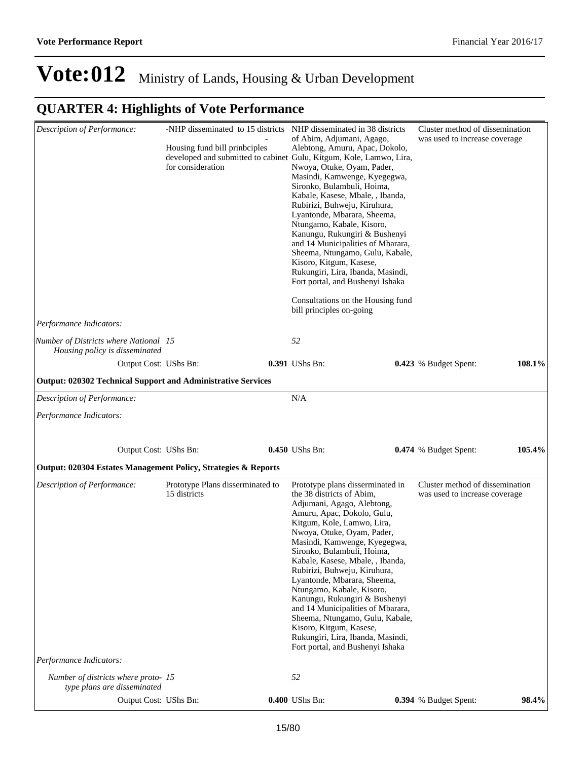| Description of Performance:<br>Performance Indicators:                  | -NHP disseminated to 15 districts<br>NHP disseminated in 38 districts<br>of Abim, Adjumani, Agago,<br>Housing fund bill prinbciples<br>Alebtong, Amuru, Apac, Dokolo,<br>for consideration<br>Nwoya, Otuke, Oyam, Pader,<br>Masindi, Kamwenge, Kyegegwa,<br>Sironko, Bulambuli, Hoima,<br>Kabale, Kasese, Mbale, , Ibanda,<br>Rubirizi, Buhweju, Kiruhura,<br>Lyantonde, Mbarara, Sheema,<br>Ntungamo, Kabale, Kisoro,<br>Kanungu, Rukungiri & Bushenyi<br>Kisoro, Kitgum, Kasese,<br>Rukungiri, Lira, Ibanda, Masindi,<br>Fort portal, and Bushenyi Ishaka<br>bill principles on-going |  | developed and submitted to cabinet Gulu, Kitgum, Kole, Lamwo, Lira,<br>and 14 Municipalities of Mbarara,<br>Sheema, Ntungamo, Gulu, Kabale,<br>Consultations on the Housing fund                                                                                                                                                                                                                                                                                                                                                                                                                 |  | Cluster method of dissemination<br>was used to increase coverage |        |
|-------------------------------------------------------------------------|-----------------------------------------------------------------------------------------------------------------------------------------------------------------------------------------------------------------------------------------------------------------------------------------------------------------------------------------------------------------------------------------------------------------------------------------------------------------------------------------------------------------------------------------------------------------------------------------|--|--------------------------------------------------------------------------------------------------------------------------------------------------------------------------------------------------------------------------------------------------------------------------------------------------------------------------------------------------------------------------------------------------------------------------------------------------------------------------------------------------------------------------------------------------------------------------------------------------|--|------------------------------------------------------------------|--------|
| Number of Districts where National 15<br>Housing policy is disseminated |                                                                                                                                                                                                                                                                                                                                                                                                                                                                                                                                                                                         |  | 52                                                                                                                                                                                                                                                                                                                                                                                                                                                                                                                                                                                               |  |                                                                  |        |
| Output Cost: UShs Bn:                                                   |                                                                                                                                                                                                                                                                                                                                                                                                                                                                                                                                                                                         |  | 0.391 UShs Bn:                                                                                                                                                                                                                                                                                                                                                                                                                                                                                                                                                                                   |  | 0.423 % Budget Spent:                                            | 108.1% |
| <b>Output: 020302 Technical Support and Administrative Services</b>     |                                                                                                                                                                                                                                                                                                                                                                                                                                                                                                                                                                                         |  |                                                                                                                                                                                                                                                                                                                                                                                                                                                                                                                                                                                                  |  |                                                                  |        |
| Description of Performance:                                             |                                                                                                                                                                                                                                                                                                                                                                                                                                                                                                                                                                                         |  | N/A                                                                                                                                                                                                                                                                                                                                                                                                                                                                                                                                                                                              |  |                                                                  |        |
| Performance Indicators:                                                 |                                                                                                                                                                                                                                                                                                                                                                                                                                                                                                                                                                                         |  |                                                                                                                                                                                                                                                                                                                                                                                                                                                                                                                                                                                                  |  |                                                                  |        |
|                                                                         |                                                                                                                                                                                                                                                                                                                                                                                                                                                                                                                                                                                         |  |                                                                                                                                                                                                                                                                                                                                                                                                                                                                                                                                                                                                  |  |                                                                  |        |
| Output Cost: UShs Bn:                                                   |                                                                                                                                                                                                                                                                                                                                                                                                                                                                                                                                                                                         |  | 0.450 UShs Bn:                                                                                                                                                                                                                                                                                                                                                                                                                                                                                                                                                                                   |  | 0.474 % Budget Spent:                                            | 105.4% |
| Output: 020304 Estates Management Policy, Strategies & Reports          |                                                                                                                                                                                                                                                                                                                                                                                                                                                                                                                                                                                         |  |                                                                                                                                                                                                                                                                                                                                                                                                                                                                                                                                                                                                  |  |                                                                  |        |
| Description of Performance:                                             | Prototype Plans disserminated to<br>15 districts                                                                                                                                                                                                                                                                                                                                                                                                                                                                                                                                        |  | Prototype plans disserminated in<br>the 38 districts of Abim,<br>Adjumani, Agago, Alebtong,<br>Amuru, Apac, Dokolo, Gulu,<br>Kitgum, Kole, Lamwo, Lira,<br>Nwoya, Otuke, Oyam, Pader,<br>Masindi, Kamwenge, Kyegegwa,<br>Sironko, Bulambuli, Hoima,<br>Kabale, Kasese, Mbale, , Ibanda,<br>Rubirizi, Buhweju, Kiruhura,<br>Lyantonde, Mbarara, Sheema,<br>Ntungamo, Kabale, Kisoro,<br>Kanungu, Rukungiri & Bushenyi<br>and 14 Municipalities of Mbarara,<br>Sheema, Ntungamo, Gulu, Kabale,<br>Kisoro, Kitgum, Kasese,<br>Rukungiri, Lira, Ibanda, Masindi,<br>Fort portal, and Bushenyi Ishaka |  | Cluster method of dissemination<br>was used to increase coverage |        |
| Performance Indicators:                                                 |                                                                                                                                                                                                                                                                                                                                                                                                                                                                                                                                                                                         |  |                                                                                                                                                                                                                                                                                                                                                                                                                                                                                                                                                                                                  |  |                                                                  |        |
| Number of districts where proto-15<br>type plans are disseminated       |                                                                                                                                                                                                                                                                                                                                                                                                                                                                                                                                                                                         |  | 52                                                                                                                                                                                                                                                                                                                                                                                                                                                                                                                                                                                               |  |                                                                  |        |
| Output Cost: UShs Bn:                                                   |                                                                                                                                                                                                                                                                                                                                                                                                                                                                                                                                                                                         |  | 0.400 UShs Bn:                                                                                                                                                                                                                                                                                                                                                                                                                                                                                                                                                                                   |  | 0.394 % Budget Spent:                                            | 98.4%  |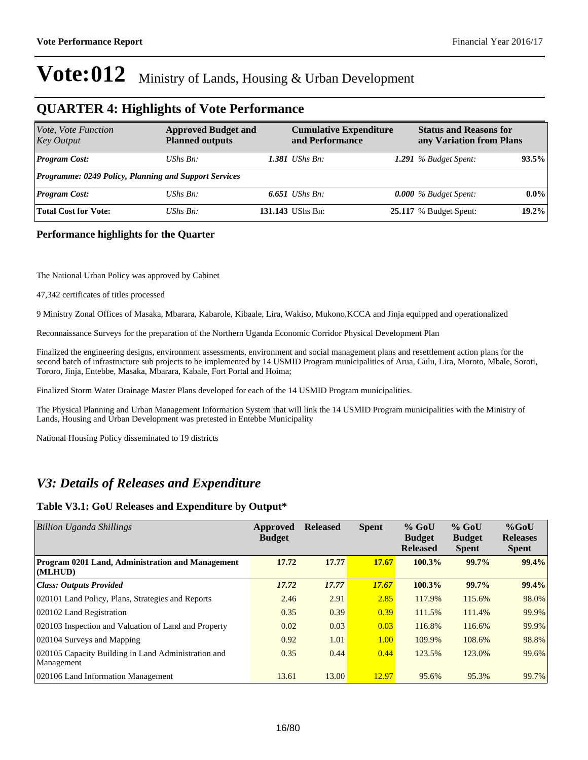#### **QUARTER 4: Highlights of Vote Performance**

| Vote, Vote Function<br><b>Key Output</b>                     | <b>Approved Budget and</b><br><b>Planned outputs</b> | <b>Cumulative Expenditure</b><br>and Performance | <b>Status and Reasons for</b><br>any Variation from Plans |          |
|--------------------------------------------------------------|------------------------------------------------------|--------------------------------------------------|-----------------------------------------------------------|----------|
| <b>Program Cost:</b>                                         | UShs Bn:                                             | <b>1.381</b> UShs Bn:                            | 1.291 $%$ Budget Spent:                                   | 93.5%    |
| <b>Programme: 0249 Policy, Planning and Support Services</b> |                                                      |                                                  |                                                           |          |
| <b>Program Cost:</b>                                         | UShs Bn:                                             | $6.651$ UShs Bn:                                 | $0.000\%$ Budget Spent:                                   | $0.0\%$  |
| <b>Total Cost for Vote:</b>                                  | $UShs Bn$ :                                          | 131.143 UShs Bn:                                 | 25.117 % Budget Spent:                                    | $19.2\%$ |

#### **Performance highlights for the Quarter**

The National Urban Policy was approved by Cabinet

47,342 certificates of titles processed

9 Ministry Zonal Offices of Masaka, Mbarara, Kabarole, Kibaale, Lira, Wakiso, Mukono,KCCA and Jinja equipped and operationalized

Reconnaissance Surveys for the preparation of the Northern Uganda Economic Corridor Physical Development Plan

Finalized the engineering designs, environment assessments, environment and social management plans and resettlement action plans for the second batch of infrastructure sub projects to be implemented by 14 USMID Program municipalities of Arua, Gulu, Lira, Moroto, Mbale, Soroti, Tororo, Jinja, Entebbe, Masaka, Mbarara, Kabale, Fort Portal and Hoima;

Finalized Storm Water Drainage Master Plans developed for each of the 14 USMID Program municipalities.

The Physical Planning and Urban Management Information System that will link the 14 USMID Program municipalities with the Ministry of Lands, Housing and Urban Development was pretested in Entebbe Municipality

National Housing Policy disseminated to 19 districts

#### *V3: Details of Releases and Expenditure*

#### **Table V3.1: GoU Releases and Expenditure by Output\***

| <b>Billion Uganda Shillings</b>                                   | Approved<br><b>Budget</b> | <b>Released</b> | <b>Spent</b> | $%$ GoU<br><b>Budget</b><br><b>Released</b> | $%$ GoU<br><b>Budget</b><br><b>Spent</b> | $%$ GoU<br><b>Releases</b><br><b>Spent</b> |
|-------------------------------------------------------------------|---------------------------|-----------------|--------------|---------------------------------------------|------------------------------------------|--------------------------------------------|
| Program 0201 Land, Administration and Management<br>(MLHUD)       | 17.72                     | 17.77           | 17.67        | 100.3%                                      | 99.7%                                    | 99.4%                                      |
| <b>Class: Outputs Provided</b>                                    | 17.72                     | 17.77           | <b>17.67</b> | 100.3%                                      | 99.7%                                    | 99.4%                                      |
| 020101 Land Policy, Plans, Strategies and Reports                 | 2.46                      | 2.91            | 2.85         | 117.9%                                      | 115.6%                                   | 98.0%                                      |
| 020102 Land Registration                                          | 0.35                      | 0.39            | 0.39         | 111.5%                                      | 111.4%                                   | 99.9%                                      |
| 020103 Inspection and Valuation of Land and Property              | 0.02                      | 0.03            | 0.03         | 116.8%                                      | 116.6%                                   | 99.9%                                      |
| 020104 Surveys and Mapping                                        | 0.92                      | 1.01            | 1.00         | 109.9%                                      | 108.6%                                   | 98.8%                                      |
| 020105 Capacity Building in Land Administration and<br>Management | 0.35                      | 0.44            | 0.44         | 123.5%                                      | 123.0%                                   | 99.6%                                      |
| 020106 Land Information Management                                | 13.61                     | 13.00           | 12.97        | 95.6%                                       | 95.3%                                    | 99.7%                                      |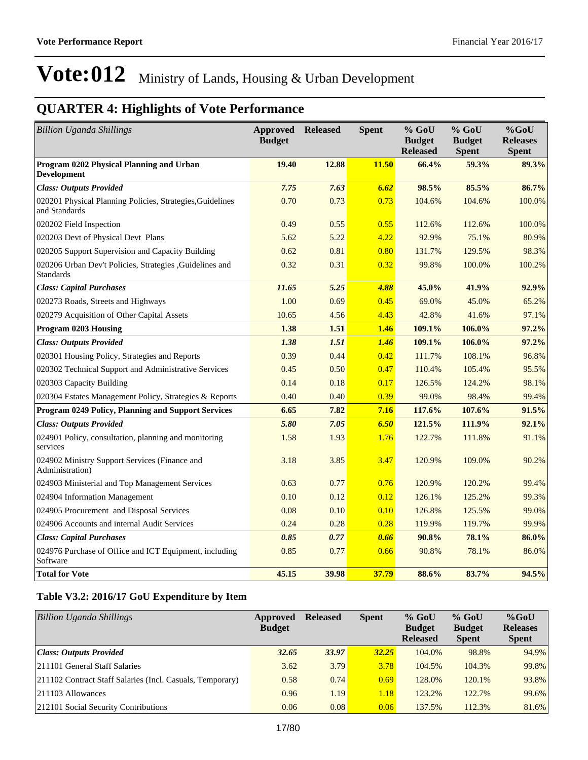## **QUARTER 4: Highlights of Vote Performance**

| <b>Billion Uganda Shillings</b>                                              | Approved<br><b>Budget</b> | <b>Released</b> | <b>Spent</b> | $%$ GoU<br><b>Budget</b><br><b>Released</b> | $%$ GoU<br><b>Budget</b><br><b>Spent</b> | $%$ GoU<br><b>Releases</b><br><b>Spent</b> |
|------------------------------------------------------------------------------|---------------------------|-----------------|--------------|---------------------------------------------|------------------------------------------|--------------------------------------------|
| Program 0202 Physical Planning and Urban<br><b>Development</b>               | 19.40                     | 12.88           | 11.50        | 66.4%                                       | 59.3%                                    | 89.3%                                      |
| <b>Class: Outputs Provided</b>                                               | 7.75                      | 7.63            | 6.62         | 98.5%                                       | 85.5%                                    | 86.7%                                      |
| 020201 Physical Planning Policies, Strategies, Guidelines<br>and Standards   | 0.70                      | 0.73            | 0.73         | 104.6%                                      | 104.6%                                   | 100.0%                                     |
| 020202 Field Inspection                                                      | 0.49                      | 0.55            | 0.55         | 112.6%                                      | 112.6%                                   | 100.0%                                     |
| 020203 Devt of Physical Devt Plans                                           | 5.62                      | 5.22            | 4.22         | 92.9%                                       | 75.1%                                    | 80.9%                                      |
| 020205 Support Supervision and Capacity Building                             | 0.62                      | 0.81            | 0.80         | 131.7%                                      | 129.5%                                   | 98.3%                                      |
| 020206 Urban Dev't Policies, Strategies , Guidelines and<br><b>Standards</b> | 0.32                      | 0.31            | 0.32         | 99.8%                                       | 100.0%                                   | 100.2%                                     |
| <b>Class: Capital Purchases</b>                                              | 11.65                     | 5.25            | 4.88         | 45.0%                                       | 41.9%                                    | 92.9%                                      |
| 020273 Roads, Streets and Highways                                           | 1.00                      | 0.69            | 0.45         | 69.0%                                       | 45.0%                                    | 65.2%                                      |
| 020279 Acquisition of Other Capital Assets                                   | 10.65                     | 4.56            | 4.43         | 42.8%                                       | 41.6%                                    | 97.1%                                      |
| Program 0203 Housing                                                         | 1.38                      | 1.51            | 1.46         | 109.1%                                      | 106.0%                                   | 97.2%                                      |
| <b>Class: Outputs Provided</b>                                               | 1.38                      | 1.51            | 1.46         | 109.1%                                      | 106.0%                                   | 97.2%                                      |
| 020301 Housing Policy, Strategies and Reports                                | 0.39                      | 0.44            | 0.42         | 111.7%                                      | 108.1%                                   | 96.8%                                      |
| 020302 Technical Support and Administrative Services                         | 0.45                      | 0.50            | 0.47         | 110.4%                                      | 105.4%                                   | 95.5%                                      |
| 020303 Capacity Building                                                     | 0.14                      | 0.18            | 0.17         | 126.5%                                      | 124.2%                                   | 98.1%                                      |
| 020304 Estates Management Policy, Strategies & Reports                       | 0.40                      | 0.40            | 0.39         | 99.0%                                       | 98.4%                                    | 99.4%                                      |
| Program 0249 Policy, Planning and Support Services                           | 6.65                      | 7.82            | 7.16         | 117.6%                                      | 107.6%                                   | 91.5%                                      |
| <b>Class: Outputs Provided</b>                                               | 5.80                      | 7.05            | 6.50         | 121.5%                                      | 111.9%                                   | 92.1%                                      |
| 024901 Policy, consultation, planning and monitoring<br>services             | 1.58                      | 1.93            | 1.76         | 122.7%                                      | 111.8%                                   | 91.1%                                      |
| 024902 Ministry Support Services (Finance and<br>Administration)             | 3.18                      | 3.85            | 3.47         | 120.9%                                      | 109.0%                                   | 90.2%                                      |
| 024903 Ministerial and Top Management Services                               | 0.63                      | 0.77            | 0.76         | 120.9%                                      | 120.2%                                   | 99.4%                                      |
| 024904 Information Management                                                | 0.10                      | 0.12            | 0.12         | 126.1%                                      | 125.2%                                   | 99.3%                                      |
| 024905 Procurement and Disposal Services                                     | 0.08                      | 0.10            | 0.10         | 126.8%                                      | 125.5%                                   | 99.0%                                      |
| 024906 Accounts and internal Audit Services                                  | 0.24                      | 0.28            | 0.28         | 119.9%                                      | 119.7%                                   | 99.9%                                      |
| <b>Class: Capital Purchases</b>                                              | 0.85                      | 0.77            | 0.66         | 90.8%                                       | 78.1%                                    | 86.0%                                      |
| 024976 Purchase of Office and ICT Equipment, including<br>Software           | 0.85                      | 0.77            | 0.66         | 90.8%                                       | 78.1%                                    | 86.0%                                      |
| <b>Total for Vote</b>                                                        | 45.15                     | 39.98           | 37.79        | 88.6%                                       | 83.7%                                    | 94.5%                                      |

#### **Table V3.2: 2016/17 GoU Expenditure by Item**

| <b>Billion Uganda Shillings</b>                           | Approved<br><b>Budget</b> | <b>Released</b> | <b>Spent</b> | $%$ GoU<br><b>Budget</b><br><b>Released</b> | $%$ GoU<br><b>Budget</b><br><b>Spent</b> | $%$ GoU<br><b>Releases</b><br><b>Spent</b> |
|-----------------------------------------------------------|---------------------------|-----------------|--------------|---------------------------------------------|------------------------------------------|--------------------------------------------|
| Class: Outputs Provided                                   | 32.65                     | 33.97           | 32.25        | 104.0%                                      | 98.8%                                    | 94.9%                                      |
| 211101 General Staff Salaries                             | 3.62                      | 3.79            | 3.78         | 104.5%                                      | 104.3%                                   | 99.8%                                      |
| 211102 Contract Staff Salaries (Incl. Casuals, Temporary) | 0.58                      | 0.74            | 0.69         | 128.0%                                      | 120.1%                                   | 93.8%                                      |
| $ 211103$ Allowances                                      | 0.96                      | 1.19            | 1.18         | 123.2%                                      | 122.7%                                   | 99.6%                                      |
| 212101 Social Security Contributions                      | 0.06                      | 0.08            | 0.06         | 137.5%                                      | 112.3%                                   | 81.6%                                      |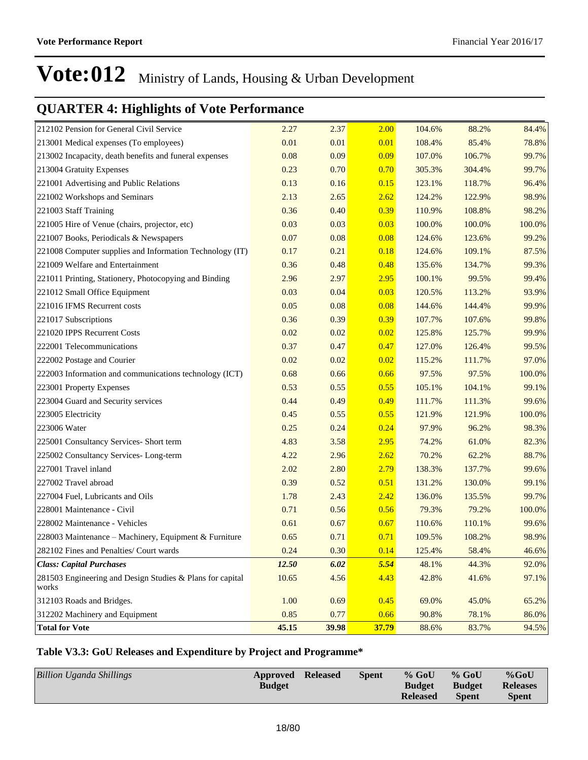## **QUARTER 4: Highlights of Vote Performance**

| 212102 Pension for General Civil Service                           | 2.27         | 2.37  | 2.00  | 104.6% | 88.2%  | 84.4%  |
|--------------------------------------------------------------------|--------------|-------|-------|--------|--------|--------|
| 213001 Medical expenses (To employees)                             | 0.01         | 0.01  | 0.01  | 108.4% | 85.4%  | 78.8%  |
| 213002 Incapacity, death benefits and funeral expenses             | 0.08         | 0.09  | 0.09  | 107.0% | 106.7% | 99.7%  |
| 213004 Gratuity Expenses                                           | 0.23         | 0.70  | 0.70  | 305.3% | 304.4% | 99.7%  |
| 221001 Advertising and Public Relations                            | 0.13         | 0.16  | 0.15  | 123.1% | 118.7% | 96.4%  |
| 221002 Workshops and Seminars                                      | 2.13         | 2.65  | 2.62  | 124.2% | 122.9% | 98.9%  |
| 221003 Staff Training                                              | 0.36         | 0.40  | 0.39  | 110.9% | 108.8% | 98.2%  |
| 221005 Hire of Venue (chairs, projector, etc)                      | 0.03         | 0.03  | 0.03  | 100.0% | 100.0% | 100.0% |
| 221007 Books, Periodicals & Newspapers                             | 0.07         | 0.08  | 0.08  | 124.6% | 123.6% | 99.2%  |
| 221008 Computer supplies and Information Technology (IT)           | 0.17         | 0.21  | 0.18  | 124.6% | 109.1% | 87.5%  |
| 221009 Welfare and Entertainment                                   | 0.36         | 0.48  | 0.48  | 135.6% | 134.7% | 99.3%  |
| 221011 Printing, Stationery, Photocopying and Binding              | 2.96         | 2.97  | 2.95  | 100.1% | 99.5%  | 99.4%  |
| 221012 Small Office Equipment                                      | 0.03         | 0.04  | 0.03  | 120.5% | 113.2% | 93.9%  |
| 221016 IFMS Recurrent costs                                        | 0.05         | 0.08  | 0.08  | 144.6% | 144.4% | 99.9%  |
| 221017 Subscriptions                                               | 0.36         | 0.39  | 0.39  | 107.7% | 107.6% | 99.8%  |
| 221020 IPPS Recurrent Costs                                        | 0.02         | 0.02  | 0.02  | 125.8% | 125.7% | 99.9%  |
| 222001 Telecommunications                                          | 0.37         | 0.47  | 0.47  | 127.0% | 126.4% | 99.5%  |
| 222002 Postage and Courier                                         | 0.02         | 0.02  | 0.02  | 115.2% | 111.7% | 97.0%  |
| 222003 Information and communications technology (ICT)             | 0.68         | 0.66  | 0.66  | 97.5%  | 97.5%  | 100.0% |
| 223001 Property Expenses                                           | 0.53         | 0.55  | 0.55  | 105.1% | 104.1% | 99.1%  |
| 223004 Guard and Security services                                 | 0.44         | 0.49  | 0.49  | 111.7% | 111.3% | 99.6%  |
| 223005 Electricity                                                 | 0.45         | 0.55  | 0.55  | 121.9% | 121.9% | 100.0% |
| 223006 Water                                                       | 0.25         | 0.24  | 0.24  | 97.9%  | 96.2%  | 98.3%  |
| 225001 Consultancy Services- Short term                            | 4.83         | 3.58  | 2.95  | 74.2%  | 61.0%  | 82.3%  |
| 225002 Consultancy Services-Long-term                              | 4.22         | 2.96  | 2.62  | 70.2%  | 62.2%  | 88.7%  |
| 227001 Travel inland                                               | 2.02         | 2.80  | 2.79  | 138.3% | 137.7% | 99.6%  |
| 227002 Travel abroad                                               | 0.39         | 0.52  | 0.51  | 131.2% | 130.0% | 99.1%  |
| 227004 Fuel, Lubricants and Oils                                   | 1.78         | 2.43  | 2.42  | 136.0% | 135.5% | 99.7%  |
| 228001 Maintenance - Civil                                         | 0.71         | 0.56  | 0.56  | 79.3%  | 79.2%  | 100.0% |
| 228002 Maintenance - Vehicles                                      | 0.61         | 0.67  | 0.67  | 110.6% | 110.1% | 99.6%  |
| 228003 Maintenance - Machinery, Equipment & Furniture              | 0.65         | 0.71  | 0.71  | 109.5% | 108.2% | 98.9%  |
| 282102 Fines and Penalties/ Court wards                            | 0.24         | 0.30  | 0.14  | 125.4% | 58.4%  | 46.6%  |
| <b>Class: Capital Purchases</b>                                    | <b>12.50</b> | 6.02  | 5.54  | 48.1%  | 44.3%  | 92.0%  |
| 281503 Engineering and Design Studies & Plans for capital<br>works | 10.65        | 4.56  | 4.43  | 42.8%  | 41.6%  | 97.1%  |
| 312103 Roads and Bridges.                                          | 1.00         | 0.69  | 0.45  | 69.0%  | 45.0%  | 65.2%  |
| 312202 Machinery and Equipment                                     | 0.85         | 0.77  | 0.66  | 90.8%  | 78.1%  | 86.0%  |
| <b>Total for Vote</b>                                              | 45.15        | 39.98 | 37.79 | 88.6%  | 83.7%  | 94.5%  |

#### **Table V3.3: GoU Releases and Expenditure by Project and Programme\***

| <b>Billion Uganda Shillings</b> | <b>Approved Released</b><br><b>Budget</b> | Spent | $%$ GoU<br><b>Budget</b> | $%$ GoU<br><b>Budget</b> | $%$ GoU<br><b>Releases</b> |
|---------------------------------|-------------------------------------------|-------|--------------------------|--------------------------|----------------------------|
|                                 |                                           |       | <b>Released</b>          | <b>Spent</b>             | <b>Spent</b>               |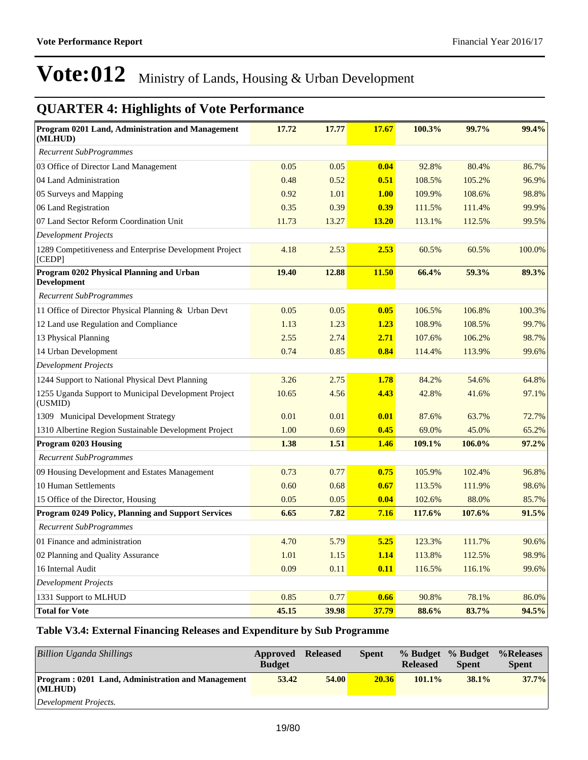## **QUARTER 4: Highlights of Vote Performance**

| Program 0201 Land, Administration and Management<br>(MLHUD)       | 17.72 | 17.77 | <b>17.67</b> | 100.3% | 99.7%  | 99.4%  |
|-------------------------------------------------------------------|-------|-------|--------------|--------|--------|--------|
| <b>Recurrent SubProgrammes</b>                                    |       |       |              |        |        |        |
| 03 Office of Director Land Management                             | 0.05  | 0.05  | 0.04         | 92.8%  | 80.4%  | 86.7%  |
| 04 Land Administration                                            | 0.48  | 0.52  | 0.51         | 108.5% | 105.2% | 96.9%  |
| 05 Surveys and Mapping                                            | 0.92  | 1.01  | 1.00         | 109.9% | 108.6% | 98.8%  |
| 06 Land Registration                                              | 0.35  | 0.39  | 0.39         | 111.5% | 111.4% | 99.9%  |
| 07 Land Sector Reform Coordination Unit                           | 11.73 | 13.27 | 13.20        | 113.1% | 112.5% | 99.5%  |
| Development Projects                                              |       |       |              |        |        |        |
| 1289 Competitiveness and Enterprise Development Project<br>[CEDP] | 4.18  | 2.53  | 2.53         | 60.5%  | 60.5%  | 100.0% |
| Program 0202 Physical Planning and Urban<br><b>Development</b>    | 19.40 | 12.88 | 11.50        | 66.4%  | 59.3%  | 89.3%  |
| <b>Recurrent SubProgrammes</b>                                    |       |       |              |        |        |        |
| 11 Office of Director Physical Planning & Urban Devt              | 0.05  | 0.05  | 0.05         | 106.5% | 106.8% | 100.3% |
| 12 Land use Regulation and Compliance                             | 1.13  | 1.23  | 1.23         | 108.9% | 108.5% | 99.7%  |
| 13 Physical Planning                                              | 2.55  | 2.74  | 2.71         | 107.6% | 106.2% | 98.7%  |
| 14 Urban Development                                              | 0.74  | 0.85  | 0.84         | 114.4% | 113.9% | 99.6%  |
| <b>Development Projects</b>                                       |       |       |              |        |        |        |
| 1244 Support to National Physical Devt Planning                   | 3.26  | 2.75  | <b>1.78</b>  | 84.2%  | 54.6%  | 64.8%  |
| 1255 Uganda Support to Municipal Development Project<br>(USMID)   | 10.65 | 4.56  | 4.43         | 42.8%  | 41.6%  | 97.1%  |
| 1309 Municipal Development Strategy                               | 0.01  | 0.01  | 0.01         | 87.6%  | 63.7%  | 72.7%  |
| 1310 Albertine Region Sustainable Development Project             | 1.00  | 0.69  | 0.45         | 69.0%  | 45.0%  | 65.2%  |
| <b>Program 0203 Housing</b>                                       | 1.38  | 1.51  | 1.46         | 109.1% | 106.0% | 97.2%  |
| <b>Recurrent SubProgrammes</b>                                    |       |       |              |        |        |        |
| 09 Housing Development and Estates Management                     | 0.73  | 0.77  | 0.75         | 105.9% | 102.4% | 96.8%  |
| 10 Human Settlements                                              | 0.60  | 0.68  | 0.67         | 113.5% | 111.9% | 98.6%  |
| 15 Office of the Director, Housing                                | 0.05  | 0.05  | 0.04         | 102.6% | 88.0%  | 85.7%  |
| Program 0249 Policy, Planning and Support Services                | 6.65  | 7.82  | 7.16         | 117.6% | 107.6% | 91.5%  |
| <b>Recurrent SubProgrammes</b>                                    |       |       |              |        |        |        |
| 01 Finance and administration                                     | 4.70  | 5.79  | 5.25         | 123.3% | 111.7% | 90.6%  |
| 02 Planning and Quality Assurance                                 | 1.01  | 1.15  | 1.14         | 113.8% | 112.5% | 98.9%  |
| 16 Internal Audit                                                 | 0.09  | 0.11  | 0.11         | 116.5% | 116.1% | 99.6%  |
| <b>Development Projects</b>                                       |       |       |              |        |        |        |
| 1331 Support to MLHUD                                             | 0.85  | 0.77  | 0.66         | 90.8%  | 78.1%  | 86.0%  |
| <b>Total for Vote</b>                                             | 45.15 | 39.98 | 37.79        | 88.6%  | 83.7%  | 94.5%  |

#### **Table V3.4: External Financing Releases and Expenditure by Sub Programme**

| <b>Billion Uganda Shillings</b>                                         | Approved<br><b>Budget</b> | <b>Released</b> | <b>Spent</b> | % Budget % Budget<br><b>Released</b> | <b>Spent</b> | %Releases<br><b>Spent</b> |
|-------------------------------------------------------------------------|---------------------------|-----------------|--------------|--------------------------------------|--------------|---------------------------|
| <b>Program: 0201 Land, Administration and Management</b><br>$ $ (MLHUD) | 53.42                     | 54.00           | 20.36        | $101.1\%$                            | $38.1\%$     | 37.7%                     |
| Development Projects.                                                   |                           |                 |              |                                      |              |                           |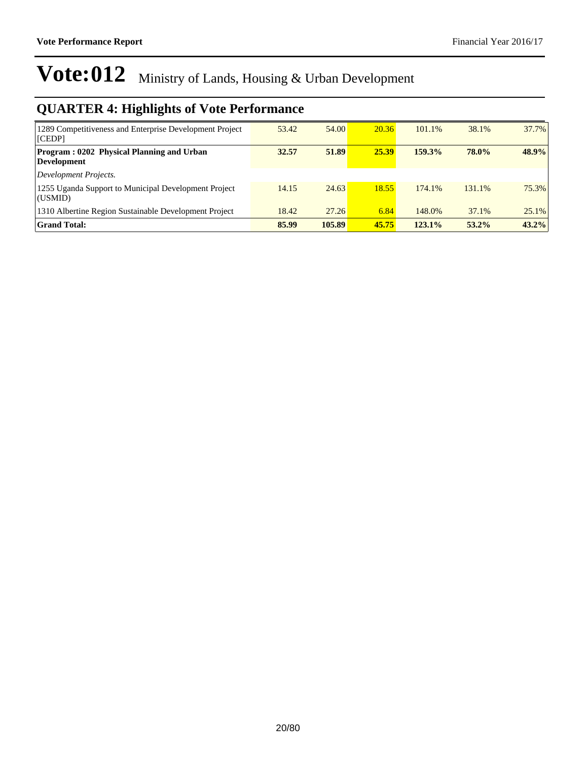| 1289 Competitiveness and Enterprise Development Project<br>[CEDP]      | 53.42 | 54.00  | 20.36 | 101.1% | 38.1%        | 37.7%    |
|------------------------------------------------------------------------|-------|--------|-------|--------|--------------|----------|
| <b>Program: 0202 Physical Planning and Urban</b><br><b>Development</b> | 32.57 | 51.89  | 25.39 | 159.3% | <b>78.0%</b> | 48.9%    |
| Development Projects.                                                  |       |        |       |        |              |          |
| 1255 Uganda Support to Municipal Development Project<br>(USMID)        | 14.15 | 24.63  | 18.55 | 174.1% | 131.1%       | 75.3%    |
| 1310 Albertine Region Sustainable Development Project                  | 18.42 | 27.26  | 6.84  | 148.0% | 37.1%        | $25.1\%$ |
| <b>Grand Total:</b>                                                    | 85.99 | 105.89 | 45.75 | 123.1% | $53.2\%$     | 43.2%    |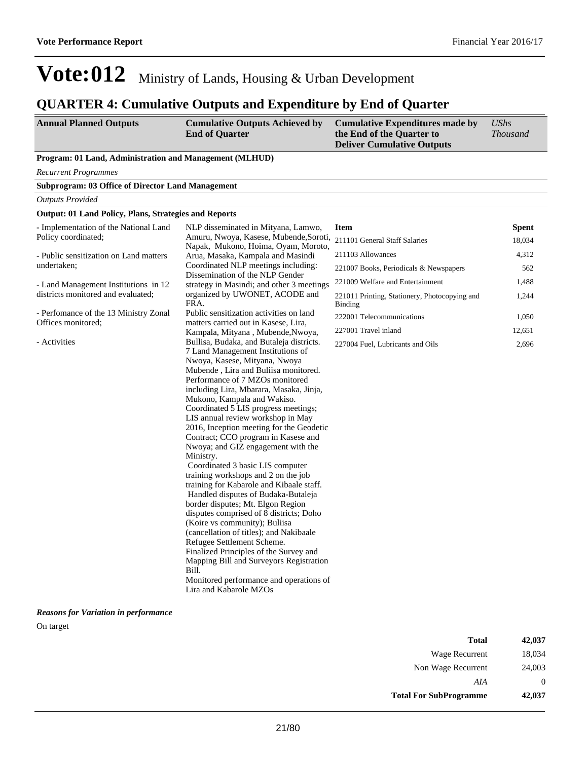### **QUARTER 4: Cumulative Outputs and Expenditure by End of Quarter**

| <b>Annual Planned Outputs</b> | <b>Cumulative Outputs Achieved by</b> | Cumulative Expenditures made by   | UShs            |
|-------------------------------|---------------------------------------|-----------------------------------|-----------------|
|                               | <b>End of Quarter</b>                 | the End of the Quarter to         | <i>Thousand</i> |
|                               |                                       | <b>Deliver Cumulative Outputs</b> |                 |

#### **Program: 01 Land, Administration and Management (MLHUD)**

*Recurrent Programmes*

| <b>Subprogram: 03 Office of Director Land Management</b>     |                                     |             |              |
|--------------------------------------------------------------|-------------------------------------|-------------|--------------|
| Outputs Provided                                             |                                     |             |              |
| <b>Output: 01 Land Policy, Plans, Strategies and Reports</b> |                                     |             |              |
| - Implementation of the National Land                        | NLP disseminated in Mityana, Lamwo, | <b>Item</b> | <b>Spent</b> |

| Policy coordinated;                    | Amuru, Nwoya, Kasese, Mubende, Soroti,    | 211101 General Staff Salaries                                   | 18,034 |
|----------------------------------------|-------------------------------------------|-----------------------------------------------------------------|--------|
|                                        | Napak, Mukono, Hoima, Oyam, Moroto,       |                                                                 |        |
| - Public sensitization on Land matters | Arua, Masaka, Kampala and Masindi         | 211103 Allowances                                               | 4,312  |
| undertaken:                            | Coordinated NLP meetings including:       | 221007 Books, Periodicals & Newspapers                          | 562    |
|                                        | Dissemination of the NLP Gender           |                                                                 |        |
| - Land Management Institutions in 12   | strategy in Masindi; and other 3 meetings | 221009 Welfare and Entertainment                                | 1,488  |
| districts monitored and evaluated;     | organized by UWONET, ACODE and<br>FRA.    | 221011 Printing, Stationery, Photocopying and<br><b>Binding</b> | 1,244  |
| - Perfomance of the 13 Ministry Zonal  | Public sensitization activities on land   | 222001 Telecommunications                                       | 1,050  |
| Offices monitored:                     | matters carried out in Kasese, Lira,      |                                                                 |        |
|                                        | Kampala, Mityana, Mubende, Nwoya,         | 227001 Travel inland                                            | 12,651 |
| - Activities                           | Bullisa, Budaka, and Butaleja districts.  | 227004 Fuel, Lubricants and Oils                                | 2,696  |
|                                        | 7 Land Management Institutions of         |                                                                 |        |
|                                        | Nwoya, Kasese, Mityana, Nwoya             |                                                                 |        |
|                                        | Mubende, Lira and Buliisa monitored.      |                                                                 |        |
|                                        | Performance of 7 MZOs monitored           |                                                                 |        |
|                                        | including Lira, Mbarara, Masaka, Jinja,   |                                                                 |        |
|                                        | Mukono, Kampala and Wakiso.               |                                                                 |        |
|                                        | Coordinated 5 LIS progress meetings;      |                                                                 |        |
|                                        | LIS annual review workshop in May         |                                                                 |        |
|                                        | 2016, Inception meeting for the Geodetic  |                                                                 |        |
|                                        | Contract; CCO program in Kasese and       |                                                                 |        |
|                                        | Nwoya; and GIZ engagement with the        |                                                                 |        |
|                                        | Ministry.                                 |                                                                 |        |
|                                        | Coordinated 3 basic LIS computer          |                                                                 |        |
|                                        | training workshops and 2 on the job       |                                                                 |        |
|                                        | training for Kabarole and Kibaale staff.  |                                                                 |        |
|                                        | Handled disputes of Budaka-Butaleja       |                                                                 |        |
|                                        | border disputes; Mt. Elgon Region         |                                                                 |        |
|                                        | disputes comprised of 8 districts; Doho   |                                                                 |        |
|                                        | (Koire vs community); Buliisa             |                                                                 |        |
|                                        | (cancellation of titles); and Nakibaale   |                                                                 |        |
|                                        | Refugee Settlement Scheme.                |                                                                 |        |
|                                        | Finalized Principles of the Survey and    |                                                                 |        |
|                                        | Mapping Bill and Surveyors Registration   |                                                                 |        |
|                                        | Bill.                                     |                                                                 |        |
|                                        | Monitored performance and operations of   |                                                                 |        |
|                                        | Lira and Kabarole MZOs                    |                                                                 |        |

#### *Reasons for Variation in performance*

On target

| Total                         | 42,037   |
|-------------------------------|----------|
| Wage Recurrent                | 18,034   |
| Non Wage Recurrent            | 24,003   |
| AIA                           | $\theta$ |
| <b>Total For SubProgramme</b> | 42,037   |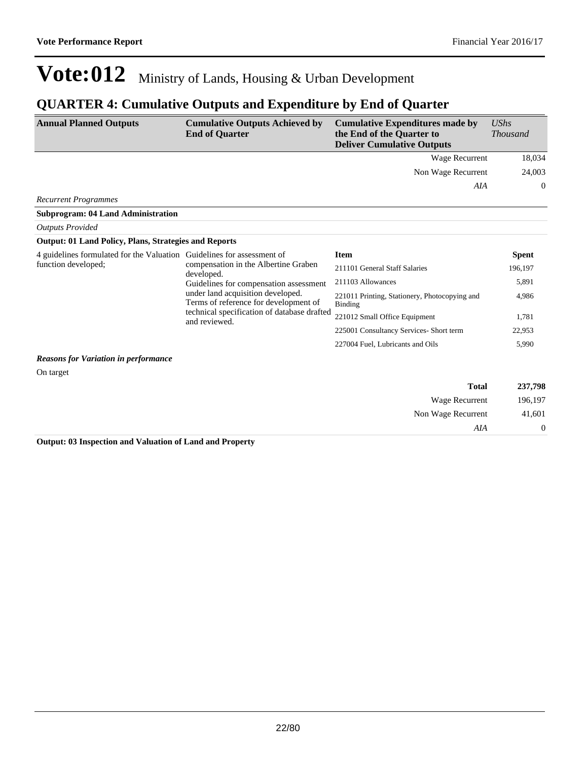### **QUARTER 4: Cumulative Outputs and Expenditure by End of Quarter**

| <b>Annual Planned Outputs</b>                                          | <b>Cumulative Outputs Achieved by</b><br><b>End of Quarter</b>                                                                                                             | <b>Cumulative Expenditures made by</b><br>the End of the Quarter to<br><b>Deliver Cumulative Outputs</b> | UShs<br><i>Thousand</i> |
|------------------------------------------------------------------------|----------------------------------------------------------------------------------------------------------------------------------------------------------------------------|----------------------------------------------------------------------------------------------------------|-------------------------|
|                                                                        |                                                                                                                                                                            | Wage Recurrent                                                                                           | 18,034                  |
|                                                                        |                                                                                                                                                                            | Non Wage Recurrent                                                                                       | 24,003                  |
|                                                                        |                                                                                                                                                                            | AIA                                                                                                      | $\Omega$                |
| <b>Recurrent Programmes</b>                                            |                                                                                                                                                                            |                                                                                                          |                         |
| <b>Subprogram: 04 Land Administration</b>                              |                                                                                                                                                                            |                                                                                                          |                         |
| <b>Outputs Provided</b>                                                |                                                                                                                                                                            |                                                                                                          |                         |
| <b>Output: 01 Land Policy, Plans, Strategies and Reports</b>           |                                                                                                                                                                            |                                                                                                          |                         |
| 4 guidelines formulated for the Valuation Guidelines for assessment of | compensation in the Albertine Graben<br>developed.<br>Guidelines for compensation assessment<br>under land acquisition developed.<br>Terms of reference for development of | <b>Item</b>                                                                                              | <b>Spent</b>            |
| function developed;                                                    |                                                                                                                                                                            | 211101 General Staff Salaries                                                                            | 196,197                 |
|                                                                        |                                                                                                                                                                            | 211103 Allowances                                                                                        | 5,891                   |
|                                                                        |                                                                                                                                                                            | 221011 Printing, Stationery, Photocopying and<br><b>Binding</b>                                          | 4,986                   |
|                                                                        | technical specification of database drafted<br>and reviewed.                                                                                                               | 221012 Small Office Equipment                                                                            | 1,781                   |
|                                                                        |                                                                                                                                                                            | 225001 Consultancy Services- Short term                                                                  | 22,953                  |
|                                                                        |                                                                                                                                                                            | 227004 Fuel, Lubricants and Oils                                                                         | 5,990                   |
| <b>Reasons for Variation in performance</b>                            |                                                                                                                                                                            |                                                                                                          |                         |
| On target                                                              |                                                                                                                                                                            |                                                                                                          |                         |

| 237,798 | <b>Total</b>       |
|---------|--------------------|
| 196,197 | Wage Recurrent     |
| 41,601  | Non Wage Recurrent |
| 0       | AIA                |

**Output: 03 Inspection and Valuation of Land and Property**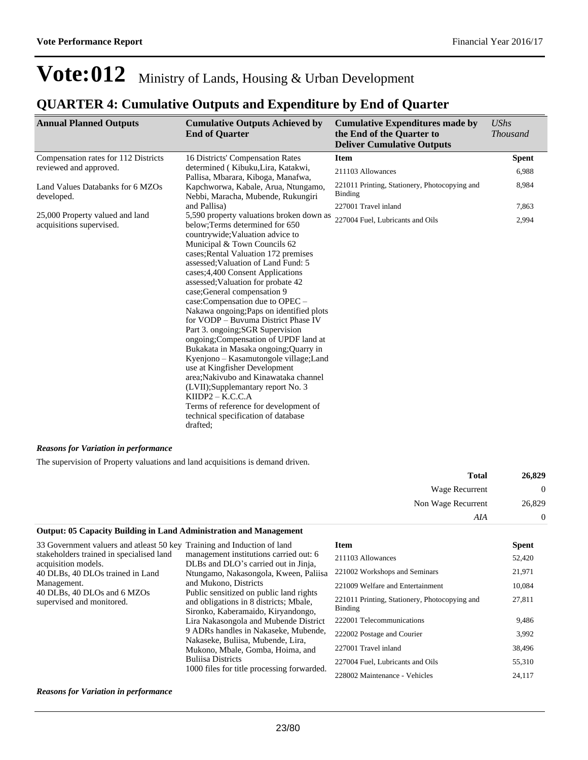### **QUARTER 4: Cumulative Outputs and Expenditure by End of Quarter**

| <b>Annual Planned Outputs</b>                               | <b>Cumulative Outputs Achieved by</b><br><b>End of Quarter</b>                                                                                                                                                                                                                                                                                                                                                                                                                                                                                                                                                                                                                                                                                                     | <b>Cumulative Expenditures made by</b><br>the End of the Quarter to<br><b>Deliver Cumulative Outputs</b> | <b>UShs</b><br><b>Thousand</b> |
|-------------------------------------------------------------|--------------------------------------------------------------------------------------------------------------------------------------------------------------------------------------------------------------------------------------------------------------------------------------------------------------------------------------------------------------------------------------------------------------------------------------------------------------------------------------------------------------------------------------------------------------------------------------------------------------------------------------------------------------------------------------------------------------------------------------------------------------------|----------------------------------------------------------------------------------------------------------|--------------------------------|
| Compensation rates for 112 Districts                        | 16 Districts' Compensation Rates                                                                                                                                                                                                                                                                                                                                                                                                                                                                                                                                                                                                                                                                                                                                   | <b>Item</b>                                                                                              | <b>Spent</b>                   |
| reviewed and approved.                                      | determined (Kibuku, Lira, Katakwi,<br>Pallisa, Mbarara, Kiboga, Manafwa,                                                                                                                                                                                                                                                                                                                                                                                                                                                                                                                                                                                                                                                                                           | 211103 Allowances                                                                                        | 6,988                          |
| Land Values Databanks for 6 MZOs<br>developed.              | Kapchworwa, Kabale, Arua, Ntungamo,<br>Nebbi, Maracha, Mubende, Rukungiri                                                                                                                                                                                                                                                                                                                                                                                                                                                                                                                                                                                                                                                                                          | 221011 Printing, Stationery, Photocopying and<br>Binding                                                 | 8,984                          |
|                                                             | and Pallisa)                                                                                                                                                                                                                                                                                                                                                                                                                                                                                                                                                                                                                                                                                                                                                       | 227001 Travel inland                                                                                     | 7,863                          |
| 25,000 Property valued and land<br>acquisitions supervised. | 5,590 property valuations broken down as<br>below; Terms determined for 650<br>countrywide; Valuation advice to<br>Municipal & Town Councils 62<br>cases; Rental Valuation 172 premises<br>assessed: Valuation of Land Fund: 5<br>cases; 4,400 Consent Applications<br>assessed; Valuation for probate 42<br>case;General compensation 9<br>case:Compensation due to OPEC -<br>Nakawa ongoing; Paps on identified plots<br>for VODP - Buvuma District Phase IV<br>Part 3. ongoing; SGR Supervision<br>ongoing; Compensation of UPDF land at<br>Bukakata in Masaka ongoing; Quarry in<br>Kyenjono – Kasamutongole village; Land<br>use at Kingfisher Development<br>area; Nakivubo and Kinawataka channel<br>(LVII);Supplemantary report No. 3<br>$KIDP2 - K.C.C.A$ | 227004 Fuel, Lubricants and Oils                                                                         | 2,994                          |
|                                                             | Terms of reference for development of<br>technical specification of database<br>drafted:                                                                                                                                                                                                                                                                                                                                                                                                                                                                                                                                                                                                                                                                           |                                                                                                          |                                |

#### *Reasons for Variation in performance*

The supervision of Property valuations and land acquisitions is demand driven.

| 26,829 | <b>Total</b>       |
|--------|--------------------|
| 0      | Wage Recurrent     |
| 26,829 | Non Wage Recurrent |
| 0      | AIA                |

#### **Output: 05 Capacity Building in Land Administration and Management**

| 33 Government valuers and at least 50 key Training and Induction of land |                                                                                                                       | <b>Item</b>                                              | <b>Spent</b> |
|--------------------------------------------------------------------------|-----------------------------------------------------------------------------------------------------------------------|----------------------------------------------------------|--------------|
| stakeholders trained in specialised land<br>acquisition models.          | management institutions carried out: 6<br>DLBs and DLO's carried out in Jinja,                                        | 211103 Allowances                                        | 52,420       |
| 40 DLBs, 40 DLOs trained in Land                                         | Ntungamo, Nakasongola, Kween, Paliisa                                                                                 | 221002 Workshops and Seminars                            | 21,971       |
| Management.<br>40 DLBs, 40 DLOs and 6 MZOs                               | and Mukono, Districts<br>Public sensitized on public land rights                                                      | 221009 Welfare and Entertainment                         | 10,084       |
| supervised and monitored.                                                | and obligations in 8 districts; Mbale,<br>Sironko, Kaberamaido, Kiryandongo,<br>Lira Nakasongola and Mubende District | 221011 Printing, Stationery, Photocopying and<br>Binding | 27,811       |
|                                                                          |                                                                                                                       | 222001 Telecommunications                                | 9,486        |
|                                                                          | 9 ADRs handles in Nakaseke, Mubende,<br>Nakaseke, Buliisa, Mubende, Lira,                                             | 222002 Postage and Courier                               | 3,992        |
|                                                                          | Mukono, Mbale, Gomba, Hoima, and<br><b>Buliisa Districts</b>                                                          | 227001 Travel inland                                     | 38,496       |
|                                                                          |                                                                                                                       | 227004 Fuel, Lubricants and Oils                         | 55,310       |
|                                                                          | 1000 files for title processing forwarded.                                                                            | 228002 Maintenance - Vehicles                            | 24,117       |

#### *Reasons for Variation in performance*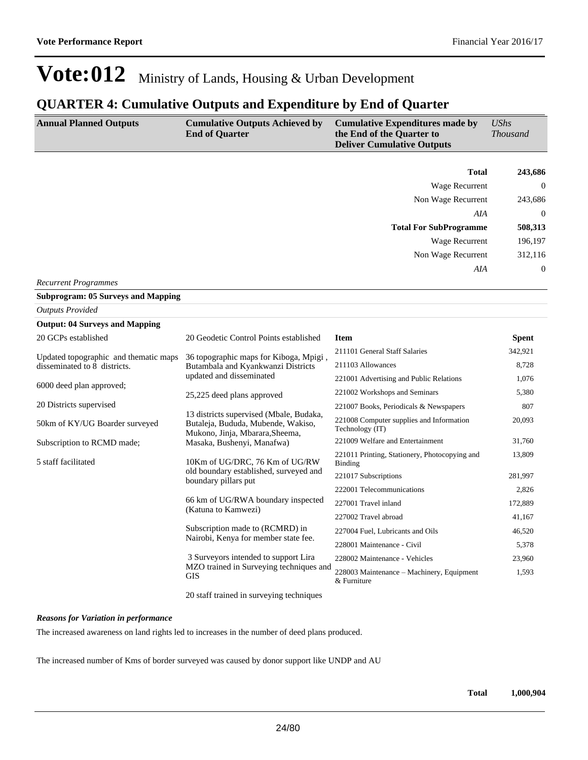#### **QUARTER 4: Cumulative Outputs and Expenditure by End of Quarter**

| <b>Annual Planned Outputs</b>                                         | <b>Cumulative Outputs Achieved by</b><br><b>End of Quarter</b>                                                   | <b>Cumulative Expenditures made by</b><br>the End of the Quarter to<br><b>Deliver Cumulative Outputs</b> | <b>UShs</b><br><b>Thousand</b> |
|-----------------------------------------------------------------------|------------------------------------------------------------------------------------------------------------------|----------------------------------------------------------------------------------------------------------|--------------------------------|
|                                                                       |                                                                                                                  | <b>Total</b>                                                                                             | 243,686                        |
|                                                                       |                                                                                                                  | <b>Wage Recurrent</b>                                                                                    | $\Omega$                       |
|                                                                       |                                                                                                                  | Non Wage Recurrent                                                                                       | 243,686                        |
|                                                                       |                                                                                                                  | AIA                                                                                                      | $\Omega$                       |
|                                                                       |                                                                                                                  | <b>Total For SubProgramme</b>                                                                            | 508,313                        |
|                                                                       |                                                                                                                  | <b>Wage Recurrent</b>                                                                                    | 196,197                        |
|                                                                       |                                                                                                                  | Non Wage Recurrent                                                                                       | 312,116                        |
|                                                                       |                                                                                                                  | AIA                                                                                                      | $\mathbf{0}$                   |
| <b>Recurrent Programmes</b>                                           |                                                                                                                  |                                                                                                          |                                |
| <b>Subprogram: 05 Surveys and Mapping</b>                             |                                                                                                                  |                                                                                                          |                                |
| <b>Outputs Provided</b>                                               |                                                                                                                  |                                                                                                          |                                |
| <b>Output: 04 Surveys and Mapping</b>                                 |                                                                                                                  |                                                                                                          |                                |
| 20 GCPs established                                                   | 20 Geodetic Control Points established                                                                           | <b>Item</b>                                                                                              | <b>Spent</b>                   |
|                                                                       |                                                                                                                  | 211101 General Staff Salaries                                                                            | 342,921                        |
| Updated topographic and thematic maps<br>disseminated to 8 districts. | 36 topographic maps for Kiboga, Mpigi,<br>Butambala and Kyankwanzi Districts                                     | 211103 Allowances                                                                                        | 8,728                          |
|                                                                       | updated and disseminated                                                                                         | 221001 Advertising and Public Relations                                                                  | 1,076                          |
| 6000 deed plan approved;                                              | 25,225 deed plans approved                                                                                       | 221002 Workshops and Seminars                                                                            | 5,380                          |
| 20 Districts supervised                                               |                                                                                                                  | 221007 Books, Periodicals & Newspapers                                                                   | 807                            |
| 50km of KY/UG Boarder surveyed                                        | 13 districts supervised (Mbale, Budaka,<br>Butaleja, Bududa, Mubende, Wakiso,<br>Mukono, Jinja, Mbarara, Sheema, | 221008 Computer supplies and Information<br>Technology (IT)                                              | 20,093                         |
| Subscription to RCMD made;                                            | Masaka, Bushenyi, Manafwa)                                                                                       | 221009 Welfare and Entertainment                                                                         | 31,760                         |
| 5 staff facilitated                                                   | 10Km of UG/DRC, 76 Km of UG/RW                                                                                   | 221011 Printing, Stationery, Photocopying and<br><b>Binding</b>                                          | 13,809                         |
|                                                                       | old boundary established, surveyed and<br>boundary pillars put                                                   | 221017 Subscriptions                                                                                     | 281,997                        |
|                                                                       |                                                                                                                  | 222001 Telecommunications                                                                                | 2,826                          |
|                                                                       | 66 km of UG/RWA boundary inspected<br>(Katuna to Kamwezi)                                                        | 227001 Travel inland                                                                                     | 172,889                        |
|                                                                       |                                                                                                                  | 227002 Travel abroad                                                                                     | 41,167                         |
|                                                                       | Subscription made to (RCMRD) in<br>Nairobi, Kenya for member state fee.<br>3 Surveyors intended to support Lira  | 227004 Fuel, Lubricants and Oils                                                                         | 46,520                         |
|                                                                       |                                                                                                                  | 228001 Maintenance - Civil                                                                               | 5,378                          |
|                                                                       |                                                                                                                  | 228002 Maintenance - Vehicles                                                                            | 23,960                         |
|                                                                       | MZO trained in Surveying techniques and<br><b>GIS</b>                                                            | 228003 Maintenance - Machinery, Equipment<br>& Furniture                                                 | 1,593                          |

20 staff trained in surveying techniques

#### *Reasons for Variation in performance*

The increased awareness on land rights led to increases in the number of deed plans produced.

The increased number of Kms of border surveyed was caused by donor support like UNDP and AU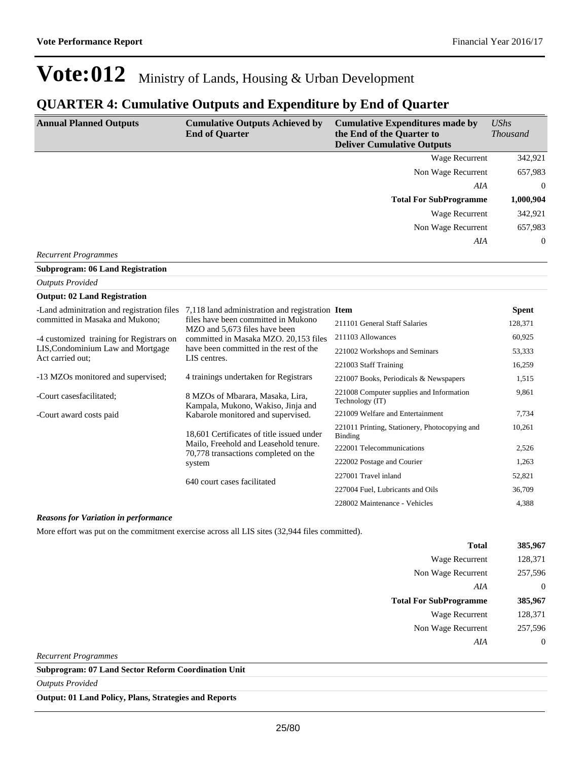### **QUARTER 4: Cumulative Outputs and Expenditure by End of Quarter**

| <b>Annual Planned Outputs</b>                         | <b>Cumulative Outputs Achieved by</b><br><b>End of Quarter</b>                                  | <b>Cumulative Expenditures made by</b><br>the End of the Quarter to<br><b>Deliver Cumulative Outputs</b> | <b>UShs</b><br><b>Thousand</b> |
|-------------------------------------------------------|-------------------------------------------------------------------------------------------------|----------------------------------------------------------------------------------------------------------|--------------------------------|
|                                                       |                                                                                                 | <b>Wage Recurrent</b>                                                                                    | 342,921                        |
|                                                       |                                                                                                 | Non Wage Recurrent                                                                                       | 657,983                        |
|                                                       |                                                                                                 | AIA                                                                                                      | $\overline{0}$                 |
|                                                       |                                                                                                 | <b>Total For SubProgramme</b>                                                                            | 1,000,904                      |
|                                                       |                                                                                                 | <b>Wage Recurrent</b>                                                                                    | 342,921                        |
|                                                       |                                                                                                 | Non Wage Recurrent                                                                                       | 657,983                        |
|                                                       |                                                                                                 | AIA                                                                                                      | $\theta$                       |
| <b>Recurrent Programmes</b>                           |                                                                                                 |                                                                                                          |                                |
| <b>Subprogram: 06 Land Registration</b>               |                                                                                                 |                                                                                                          |                                |
| <b>Outputs Provided</b>                               |                                                                                                 |                                                                                                          |                                |
| <b>Output: 02 Land Registration</b>                   |                                                                                                 |                                                                                                          |                                |
| -Land adminitration and registration files            | 7,118 land administration and registration Item                                                 |                                                                                                          | <b>Spent</b>                   |
| committed in Masaka and Mukono:                       | files have been committed in Mukono<br>MZO and 5,673 files have been                            | 211101 General Staff Salaries                                                                            | 128,371                        |
| -4 customized training for Registrars on              | committed in Masaka MZO. 20,153 files<br>have been committed in the rest of the<br>LIS centres. | 211103 Allowances                                                                                        | 60,925                         |
| LIS, Condominium Law and Mortgage<br>Act carried out: |                                                                                                 | 221002 Workshops and Seminars                                                                            | 53,333                         |
|                                                       |                                                                                                 | 221003 Staff Training                                                                                    | 16,259                         |
| -13 MZOs monitored and supervised;                    | 4 trainings undertaken for Registrars                                                           | 221007 Books, Periodicals & Newspapers                                                                   | 1,515                          |
| -Court casesfacilitated;                              | 8 MZOs of Mbarara, Masaka, Lira,<br>Kampala, Mukono, Wakiso, Jinja and                          | 221008 Computer supplies and Information<br>Technology (IT)                                              | 9,861                          |
| -Court award costs paid                               | Kabarole monitored and supervised.                                                              | 221009 Welfare and Entertainment                                                                         | 7,734                          |
|                                                       | 18,601 Certificates of title issued under                                                       | 221011 Printing, Stationery, Photocopying and<br>Binding                                                 | 10,261                         |
|                                                       | Mailo, Freehold and Leasehold tenure.<br>70,778 transactions completed on the<br>system         | 222001 Telecommunications                                                                                | 2,526                          |
|                                                       |                                                                                                 | 222002 Postage and Courier                                                                               | 1,263                          |
|                                                       | 640 court cases facilitated                                                                     | 227001 Travel inland                                                                                     | 52,821                         |
|                                                       |                                                                                                 | 227004 Fuel, Lubricants and Oils                                                                         | 36,709                         |
|                                                       |                                                                                                 | 228002 Maintenance - Vehicles                                                                            | 4,388                          |

#### *Reasons for Variation in performance*

More effort was put on the commitment exercise across all LIS sites (32,944 files committed).

| <b>Total</b>                  | 385,967          |
|-------------------------------|------------------|
| Wage Recurrent                | 128,371          |
| Non Wage Recurrent            | 257,596          |
| AIA                           | $\overline{0}$   |
| <b>Total For SubProgramme</b> | 385,967          |
| Wage Recurrent                | 128,371          |
| Non Wage Recurrent            | 257,596          |
| AIA                           | $\boldsymbol{0}$ |
| <b>Recurrent Programmes</b>   |                  |

**Subprogram: 07 Land Sector Reform Coordination Unit**

*Outputs Provided*

**Output: 01 Land Policy, Plans, Strategies and Reports**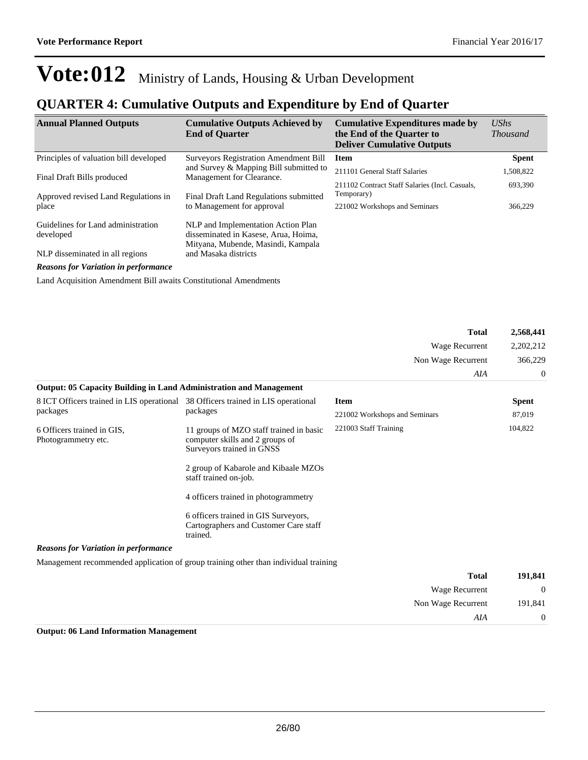*AIA* 0

## **Vote:012** Ministry of Lands, Housing & Urban Development

### **QUARTER 4: Cumulative Outputs and Expenditure by End of Quarter**

| <b>Annual Planned Outputs</b>                   | <b>Cumulative Outputs Achieved by</b><br><b>End of Quarter</b>                                                   | <b>Cumulative Expenditures made by</b><br>the End of the Quarter to<br><b>Deliver Cumulative Outputs</b> | $\mathit{UShs}$<br><b>Thousand</b> |
|-------------------------------------------------|------------------------------------------------------------------------------------------------------------------|----------------------------------------------------------------------------------------------------------|------------------------------------|
| Principles of valuation bill developed          | <b>Surveyors Registration Amendment Bill</b>                                                                     | Item                                                                                                     | <b>Spent</b>                       |
| Final Draft Bills produced                      | and Survey & Mapping Bill submitted to<br>Management for Clearance.                                              | 211101 General Staff Salaries                                                                            | 1,508,822                          |
| Approved revised Land Regulations in            | Final Draft Land Regulations submitted                                                                           | 211102 Contract Staff Salaries (Incl. Casuals,<br>Temporary)                                             | 693,390                            |
| place                                           | to Management for approval                                                                                       | 221002 Workshops and Seminars                                                                            | 366,229                            |
| Guidelines for Land administration<br>developed | NLP and Implementation Action Plan<br>disseminated in Kasese, Arua, Hoima,<br>Mityana, Mubende, Masindi, Kampala |                                                                                                          |                                    |
| NLP disseminated in all regions                 | and Masaka districts                                                                                             |                                                                                                          |                                    |
| $\overline{c}$ is the set of $\overline{c}$     |                                                                                                                  |                                                                                                          |                                    |

*Reasons for Variation in performance*

Land Acquisition Amendment Bill awaits Constitutional Amendments

|                                                                                  |                                                                                                         | <b>Total</b>                  | 2,568,441            |
|----------------------------------------------------------------------------------|---------------------------------------------------------------------------------------------------------|-------------------------------|----------------------|
|                                                                                  |                                                                                                         | Wage Recurrent                | 2,202,212<br>366,229 |
|                                                                                  |                                                                                                         | Non Wage Recurrent            |                      |
|                                                                                  |                                                                                                         | AIA                           | $\theta$             |
| <b>Output: 05 Capacity Building in Land Administration and Management</b>        |                                                                                                         |                               |                      |
| 8 ICT Officers trained in LIS operational 38 Officers trained in LIS operational |                                                                                                         | <b>Item</b>                   | <b>Spent</b>         |
| packages                                                                         | packages                                                                                                | 221002 Workshops and Seminars | 87,019               |
| 6 Officers trained in GIS.<br>Photogrammetry etc.                                | 11 groups of MZO staff trained in basic<br>computer skills and 2 groups of<br>Surveyors trained in GNSS | 221003 Staff Training         | 104,822              |
|                                                                                  | 2 group of Kabarole and Kibaale MZOs<br>staff trained on-job.                                           |                               |                      |
|                                                                                  | 4 officers trained in photogrammetry                                                                    |                               |                      |
|                                                                                  | 6 officers trained in GIS Surveyors,<br>Cartographers and Customer Care staff<br>trained.               |                               |                      |
| <b>Reasons for Variation in performance</b>                                      |                                                                                                         |                               |                      |
|                                                                                  | Management recommended application of group training other than individual training                     |                               |                      |
|                                                                                  |                                                                                                         | <b>Total</b>                  | 191,841              |
|                                                                                  |                                                                                                         | <b>Wage Recurrent</b>         | $\theta$             |
|                                                                                  |                                                                                                         | Non Wage Recurrent            | 191,841              |

#### **Output: 06 Land Information Management**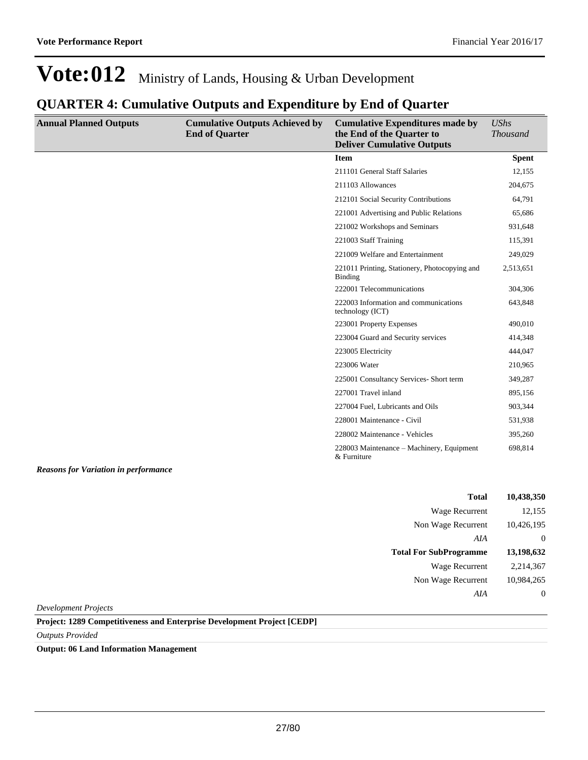### **QUARTER 4: Cumulative Outputs and Expenditure by End of Quarter**

| <b>Annual Planned Outputs</b>               | <b>Cumulative Outputs Achieved by</b><br><b>End of Quarter</b> | <b>Cumulative Expenditures made by</b><br>the End of the Quarter to<br><b>Deliver Cumulative Outputs</b> | UShs<br><b>Thousand</b> |
|---------------------------------------------|----------------------------------------------------------------|----------------------------------------------------------------------------------------------------------|-------------------------|
|                                             |                                                                | <b>Item</b>                                                                                              | <b>Spent</b>            |
|                                             |                                                                | 211101 General Staff Salaries                                                                            | 12,155                  |
|                                             |                                                                | 211103 Allowances                                                                                        | 204,675                 |
|                                             |                                                                | 212101 Social Security Contributions                                                                     | 64,791                  |
|                                             |                                                                | 221001 Advertising and Public Relations                                                                  | 65,686                  |
|                                             |                                                                | 221002 Workshops and Seminars                                                                            | 931,648                 |
|                                             |                                                                | 221003 Staff Training                                                                                    | 115,391                 |
|                                             |                                                                | 221009 Welfare and Entertainment                                                                         | 249,029                 |
|                                             |                                                                | 221011 Printing, Stationery, Photocopying and<br>Binding                                                 | 2,513,651               |
|                                             |                                                                | 222001 Telecommunications                                                                                | 304,306                 |
|                                             |                                                                | 222003 Information and communications<br>technology (ICT)                                                | 643,848                 |
|                                             |                                                                | 223001 Property Expenses                                                                                 | 490,010                 |
|                                             |                                                                | 223004 Guard and Security services                                                                       | 414,348                 |
|                                             |                                                                | 223005 Electricity                                                                                       | 444,047                 |
|                                             |                                                                | 223006 Water                                                                                             | 210,965                 |
|                                             |                                                                | 225001 Consultancy Services- Short term                                                                  | 349,287                 |
|                                             |                                                                | 227001 Travel inland                                                                                     | 895,156                 |
|                                             |                                                                | 227004 Fuel, Lubricants and Oils                                                                         | 903,344                 |
|                                             |                                                                | 228001 Maintenance - Civil                                                                               | 531,938                 |
|                                             |                                                                | 228002 Maintenance - Vehicles                                                                            | 395,260                 |
|                                             |                                                                | 228003 Maintenance - Machinery, Equipment<br>& Furniture                                                 | 698,814                 |
| <b>Reasons for Variation in performance</b> |                                                                |                                                                                                          |                         |

| Total                         | 10,438,350 |
|-------------------------------|------------|
| Wage Recurrent                | 12,155     |
| Non Wage Recurrent            | 10,426,195 |
| AIA                           | $\theta$   |
|                               |            |
| <b>Total For SubProgramme</b> | 13,198,632 |
| Wage Recurrent                | 2,214,367  |
| Non Wage Recurrent            | 10,984,265 |

*Development Projects*

**Project: 1289 Competitiveness and Enterprise Development Project [CEDP]**

*Outputs Provided*

**Output: 06 Land Information Management**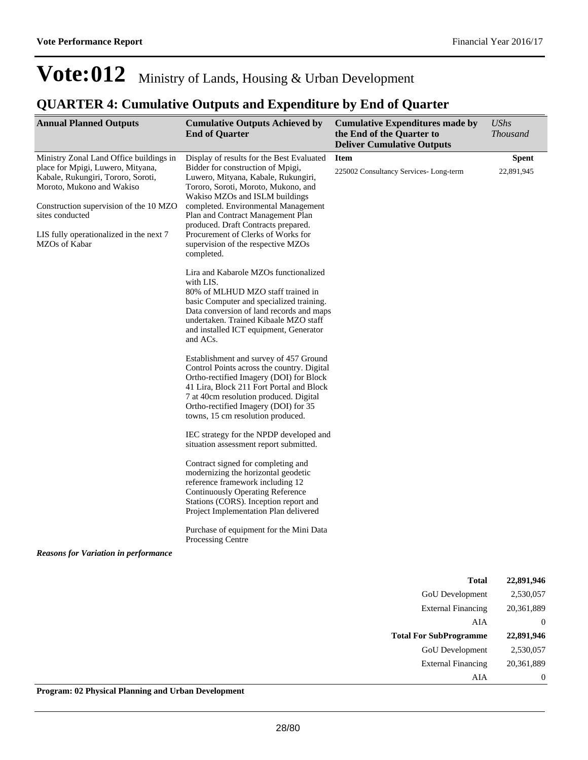### **QUARTER 4: Cumulative Outputs and Expenditure by End of Quarter**

| <b>Annual Planned Outputs</b>                                                                                                                                                                                                                                            | <b>Cumulative Outputs Achieved by</b><br><b>End of Quarter</b>                                                                                                                                                                                                                                                                                                                                              | <b>Cumulative Expenditures made by</b><br>the End of the Quarter to<br><b>Deliver Cumulative Outputs</b> | <b>UShs</b><br><b>Thousand</b> |
|--------------------------------------------------------------------------------------------------------------------------------------------------------------------------------------------------------------------------------------------------------------------------|-------------------------------------------------------------------------------------------------------------------------------------------------------------------------------------------------------------------------------------------------------------------------------------------------------------------------------------------------------------------------------------------------------------|----------------------------------------------------------------------------------------------------------|--------------------------------|
| Ministry Zonal Land Office buildings in<br>place for Mpigi, Luwero, Mityana,<br>Kabale, Rukungiri, Tororo, Soroti,<br>Moroto, Mukono and Wakiso<br>Construction supervision of the 10 MZO<br>sites conducted<br>LIS fully operationalized in the next 7<br>MZOs of Kabar | Display of results for the Best Evaluated<br>Bidder for construction of Mpigi,<br>Luwero, Mityana, Kabale, Rukungiri,<br>Tororo, Soroti, Moroto, Mukono, and<br>Wakiso MZOs and ISLM buildings<br>completed. Environmental Management<br>Plan and Contract Management Plan<br>produced. Draft Contracts prepared.<br>Procurement of Clerks of Works for<br>supervision of the respective MZOs<br>completed. | <b>Item</b><br>225002 Consultancy Services-Long-term                                                     | <b>Spent</b><br>22,891,945     |
|                                                                                                                                                                                                                                                                          | Lira and Kabarole MZOs functionalized<br>with LIS.<br>80% of MLHUD MZO staff trained in<br>basic Computer and specialized training.<br>Data conversion of land records and maps<br>undertaken. Trained Kibaale MZO staff<br>and installed ICT equipment, Generator<br>and ACs.                                                                                                                              |                                                                                                          |                                |
|                                                                                                                                                                                                                                                                          | Establishment and survey of 457 Ground<br>Control Points across the country. Digital<br>Ortho-rectified Imagery (DOI) for Block<br>41 Lira, Block 211 Fort Portal and Block<br>7 at 40cm resolution produced. Digital<br>Ortho-rectified Imagery (DOI) for 35<br>towns, 15 cm resolution produced.                                                                                                          |                                                                                                          |                                |
|                                                                                                                                                                                                                                                                          | IEC strategy for the NPDP developed and<br>situation assessment report submitted.                                                                                                                                                                                                                                                                                                                           |                                                                                                          |                                |
|                                                                                                                                                                                                                                                                          | Contract signed for completing and<br>modernizing the horizontal geodetic<br>reference framework including 12<br><b>Continuously Operating Reference</b><br>Stations (CORS). Inception report and<br>Project Implementation Plan delivered                                                                                                                                                                  |                                                                                                          |                                |
|                                                                                                                                                                                                                                                                          | Purchase of equipment for the Mini Data<br>Processing Centre                                                                                                                                                                                                                                                                                                                                                |                                                                                                          |                                |
| <b>Reasons for Variation in performance</b>                                                                                                                                                                                                                              |                                                                                                                                                                                                                                                                                                                                                                                                             |                                                                                                          |                                |
|                                                                                                                                                                                                                                                                          |                                                                                                                                                                                                                                                                                                                                                                                                             | <b>Total</b>                                                                                             | 22,891,946                     |
|                                                                                                                                                                                                                                                                          |                                                                                                                                                                                                                                                                                                                                                                                                             | GoU Development                                                                                          | 2,530,057                      |
|                                                                                                                                                                                                                                                                          |                                                                                                                                                                                                                                                                                                                                                                                                             | <b>External Financing</b>                                                                                | 20,361,889                     |
|                                                                                                                                                                                                                                                                          |                                                                                                                                                                                                                                                                                                                                                                                                             | AIA                                                                                                      | $\boldsymbol{0}$               |
|                                                                                                                                                                                                                                                                          |                                                                                                                                                                                                                                                                                                                                                                                                             | <b>Total For SubProgramme</b>                                                                            | 22,891,946                     |

GoU Development 2,530,057 External Financing 20,361,889 AIA 0

**Program: 02 Physical Planning and Urban Development**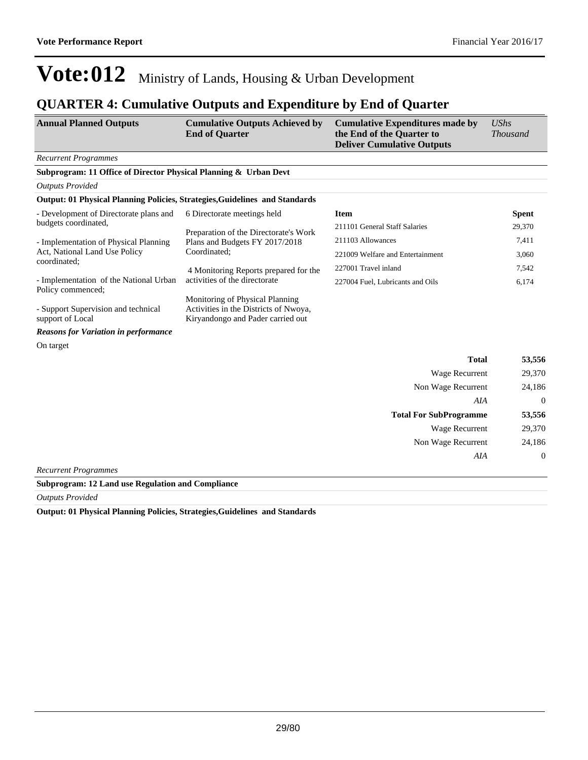### **QUARTER 4: Cumulative Outputs and Expenditure by End of Quarter**

| <b>Annual Planned Outputs</b>                                               | <b>Cumulative Outputs Achieved by</b><br><b>End of Quarter</b>                                                | <b>Cumulative Expenditures made by</b><br>the End of the Quarter to<br><b>Deliver Cumulative Outputs</b> | <b>UShs</b><br><b>Thousand</b> |
|-----------------------------------------------------------------------------|---------------------------------------------------------------------------------------------------------------|----------------------------------------------------------------------------------------------------------|--------------------------------|
| <b>Recurrent Programmes</b>                                                 |                                                                                                               |                                                                                                          |                                |
| Subprogram: 11 Office of Director Physical Planning & Urban Devt            |                                                                                                               |                                                                                                          |                                |
| <b>Outputs Provided</b>                                                     |                                                                                                               |                                                                                                          |                                |
| Output: 01 Physical Planning Policies, Strategies, Guidelines and Standards |                                                                                                               |                                                                                                          |                                |
| - Development of Directorate plans and                                      | 6 Directorate meetings held                                                                                   | <b>Item</b>                                                                                              | <b>Spent</b>                   |
| budgets coordinated,                                                        | Preparation of the Directorate's Work                                                                         | 211101 General Staff Salaries                                                                            | 29,370                         |
| - Implementation of Physical Planning                                       | Plans and Budgets FY 2017/2018                                                                                | 211103 Allowances                                                                                        | 7,411                          |
| Act, National Land Use Policy                                               | Coordinated;                                                                                                  | 221009 Welfare and Entertainment                                                                         | 3,060                          |
| coordinated:                                                                | 4 Monitoring Reports prepared for the                                                                         | 227001 Travel inland                                                                                     | 7,542                          |
| - Implementation of the National Urban<br>Policy commenced;                 | activities of the directorate                                                                                 | 227004 Fuel, Lubricants and Oils                                                                         | 6,174                          |
| - Support Supervision and technical<br>support of Local                     | Monitoring of Physical Planning<br>Activities in the Districts of Nwoya,<br>Kiryandongo and Pader carried out |                                                                                                          |                                |
| <b>Reasons for Variation in performance</b>                                 |                                                                                                               |                                                                                                          |                                |
| On target                                                                   |                                                                                                               |                                                                                                          |                                |
|                                                                             |                                                                                                               | <b>Total</b>                                                                                             | 53,556                         |
|                                                                             |                                                                                                               | Wage Recurrent                                                                                           | 29,370                         |
|                                                                             |                                                                                                               | Non Wage Recurrent                                                                                       | 24,186                         |
|                                                                             |                                                                                                               | AIA                                                                                                      | $\Omega$                       |
|                                                                             |                                                                                                               | <b>Total For SubProgramme</b>                                                                            | 53,556                         |
|                                                                             |                                                                                                               | Wage Recurrent                                                                                           | 29,370                         |
|                                                                             |                                                                                                               | Non Wage Recurrent                                                                                       | 24,186                         |
|                                                                             |                                                                                                               | AIA                                                                                                      | $\boldsymbol{0}$               |

*Recurrent Programmes*

**Subprogram: 12 Land use Regulation and Compliance**

*Outputs Provided*

**Output: 01 Physical Planning Policies, Strategies,Guidelines and Standards**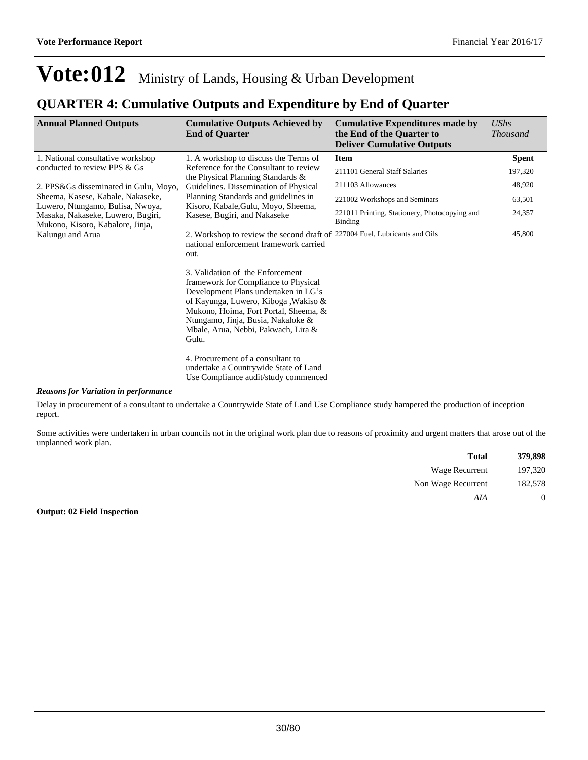### **QUARTER 4: Cumulative Outputs and Expenditure by End of Quarter**

| <b>Annual Planned Outputs</b>                                                                             | <b>Cumulative Outputs Achieved by</b><br><b>End of Quarter</b>                                                                                                                                                                                                                                                                                                                                          | <b>Cumulative Expenditures made by</b><br>the End of the Quarter to<br><b>Deliver Cumulative Outputs</b> | <b>UShs</b><br><i>Thousand</i> |
|-----------------------------------------------------------------------------------------------------------|---------------------------------------------------------------------------------------------------------------------------------------------------------------------------------------------------------------------------------------------------------------------------------------------------------------------------------------------------------------------------------------------------------|----------------------------------------------------------------------------------------------------------|--------------------------------|
| 1. National consultative workshop                                                                         | 1. A workshop to discuss the Terms of                                                                                                                                                                                                                                                                                                                                                                   | <b>Item</b>                                                                                              | <b>Spent</b>                   |
| conducted to review PPS & Gs                                                                              | Reference for the Consultant to review                                                                                                                                                                                                                                                                                                                                                                  | 211101 General Staff Salaries                                                                            | 197,320                        |
| 2. PPS&Gs disseminated in Gulu, Moyo,                                                                     | the Physical Planning Standards &<br>Guidelines. Dissemination of Physical                                                                                                                                                                                                                                                                                                                              | 211103 Allowances                                                                                        | 48,920                         |
| Sheema, Kasese, Kabale, Nakaseke,                                                                         | Planning Standards and guidelines in                                                                                                                                                                                                                                                                                                                                                                    | 221002 Workshops and Seminars                                                                            | 63,501                         |
| Luwero, Ntungamo, Bulisa, Nwoya,<br>Masaka, Nakaseke, Luwero, Bugiri,<br>Mukono, Kisoro, Kabalore, Jinja, | Kisoro, Kabale, Gulu, Moyo, Sheema,<br>Kasese, Bugiri, and Nakaseke                                                                                                                                                                                                                                                                                                                                     | 221011 Printing, Stationery, Photocopying and<br>Binding                                                 | 24,357                         |
| Kalungu and Arua<br>out.<br>Gulu.                                                                         | 2. Workshop to review the second draft of 227004 Fuel, Lubricants and Oils<br>national enforcement framework carried<br>3. Validation of the Enforcement<br>framework for Compliance to Physical<br>Development Plans undertaken in LG's<br>of Kayunga, Luwero, Kiboga , Wakiso &<br>Mukono, Hoima, Fort Portal, Sheema, &<br>Ntungamo, Jinja, Busia, Nakaloke &<br>Mbale, Arua, Nebbi, Pakwach, Lira & |                                                                                                          | 45,800                         |
|                                                                                                           | 4. Procurement of a consultant to<br>undertake a Countrywide State of Land<br>Use Compliance audit/study commenced                                                                                                                                                                                                                                                                                      |                                                                                                          |                                |

#### *Reasons for Variation in performance*

Delay in procurement of a consultant to undertake a Countrywide State of Land Use Compliance study hampered the production of inception report.

Some activities were undertaken in urban councils not in the original work plan due to reasons of proximity and urgent matters that arose out of the unplanned work plan.

| 379,898        | <b>Total</b>       |
|----------------|--------------------|
| 197,320        | Wage Recurrent     |
| 182,578        | Non Wage Recurrent |
| $\overline{0}$ | AIA                |

#### **Output: 02 Field Inspection**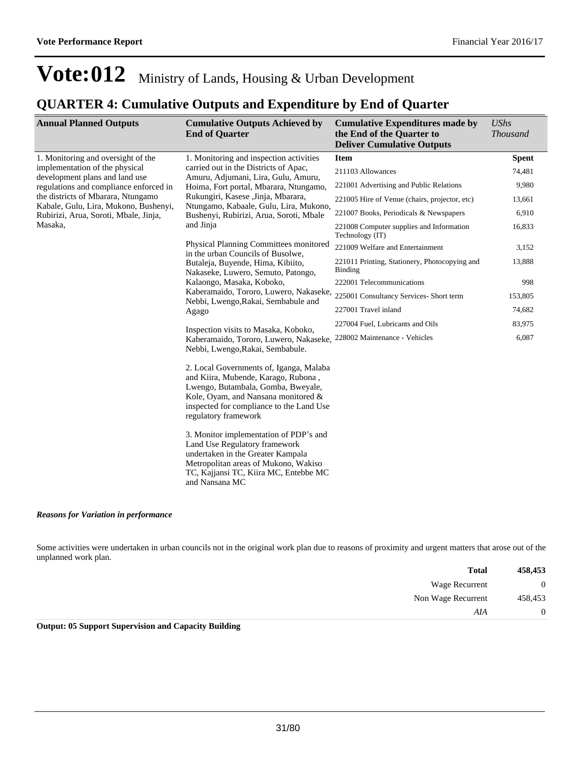### **QUARTER 4: Cumulative Outputs and Expenditure by End of Quarter**

| <b>Annual Planned Outputs</b>                                                                                                                    | <b>Cumulative Outputs Achieved by</b><br><b>End of Quarter</b>                                                                                                                                                                  | <b>Cumulative Expenditures made by</b><br>the End of the Quarter to<br><b>Deliver Cumulative Outputs</b> | <b>UShs</b><br><b>Thousand</b> |
|--------------------------------------------------------------------------------------------------------------------------------------------------|---------------------------------------------------------------------------------------------------------------------------------------------------------------------------------------------------------------------------------|----------------------------------------------------------------------------------------------------------|--------------------------------|
| 1. Monitoring and oversight of the<br>implementation of the physical<br>development plans and land use<br>regulations and compliance enforced in | 1. Monitoring and inspection activities                                                                                                                                                                                         | <b>Item</b>                                                                                              | <b>Spent</b>                   |
|                                                                                                                                                  | carried out in the Districts of Apac,<br>Amuru, Adjumani, Lira, Gulu, Amuru,<br>Hoima, Fort portal, Mbarara, Ntungamo,<br>Rukungiri, Kasese , Jinja, Mbarara,                                                                   | 211103 Allowances                                                                                        | 74,481                         |
|                                                                                                                                                  |                                                                                                                                                                                                                                 | 221001 Advertising and Public Relations                                                                  | 9,980                          |
| the districts of Mbarara, Ntungamo                                                                                                               |                                                                                                                                                                                                                                 | 221005 Hire of Venue (chairs, projector, etc)                                                            | 13,661                         |
| Kabale, Gulu, Lira, Mukono, Bushenyi,<br>Rubirizi, Arua, Soroti, Mbale, Jinja,                                                                   | Ntungamo, Kabaale, Gulu, Lira, Mukono,<br>Bushenyi, Rubirizi, Arua, Soroti, Mbale                                                                                                                                               | 221007 Books, Periodicals & Newspapers                                                                   | 6,910                          |
| Masaka,                                                                                                                                          | and Jinja                                                                                                                                                                                                                       | 221008 Computer supplies and Information<br>Technology (IT)                                              | 16,833                         |
|                                                                                                                                                  | Physical Planning Committees monitored<br>in the urban Councils of Busolwe,                                                                                                                                                     | 221009 Welfare and Entertainment                                                                         | 3,152                          |
|                                                                                                                                                  | Butaleja, Buyende, Hima, Kibiito,<br>Nakaseke, Luwero, Semuto, Patongo,                                                                                                                                                         | 221011 Printing, Stationery, Photocopying and<br>Binding                                                 | 13,888                         |
|                                                                                                                                                  | Kalaongo, Masaka, Koboko,                                                                                                                                                                                                       | 222001 Telecommunications                                                                                | 998                            |
|                                                                                                                                                  | Kaberamaido, Tororo, Luwero, Nakaseke,<br>Nebbi, Lwengo, Rakai, Sembabule and                                                                                                                                                   | 225001 Consultancy Services- Short term                                                                  | 153,805                        |
|                                                                                                                                                  | Agago                                                                                                                                                                                                                           | 227001 Travel inland                                                                                     | 74,682                         |
|                                                                                                                                                  | Inspection visits to Masaka, Koboko,<br>Kaberamaido, Tororo, Luwero, Nakaseke,<br>Nebbi, Lwengo, Rakai, Sembabule.                                                                                                              | 227004 Fuel, Lubricants and Oils                                                                         | 83,975                         |
|                                                                                                                                                  |                                                                                                                                                                                                                                 | 228002 Maintenance - Vehicles                                                                            | 6,087                          |
|                                                                                                                                                  | 2. Local Governments of, Iganga, Malaba<br>and Kiira, Mubende, Karago, Rubona,<br>Lwengo, Butambala, Gomba, Bweyale,<br>Kole, Oyam, and Nansana monitored &<br>inspected for compliance to the Land Use<br>regulatory framework |                                                                                                          |                                |
|                                                                                                                                                  | 3. Monitor implementation of PDP's and<br>Land Use Regulatory framework<br>undertaken in the Greater Kampala<br>Metropolitan areas of Mukono, Wakiso<br>TC, Kajjansi TC, Kiira MC, Entebbe MC<br>and Nansana MC                 |                                                                                                          |                                |

#### *Reasons for Variation in performance*

Some activities were undertaken in urban councils not in the original work plan due to reasons of proximity and urgent matters that arose out of the unplanned work plan.

| 458,453      | <b>Total</b>       |
|--------------|--------------------|
| $\mathbf{0}$ | Wage Recurrent     |
| 458,453      | Non Wage Recurrent |
| $\theta$     | AIA                |

**Output: 05 Support Supervision and Capacity Building**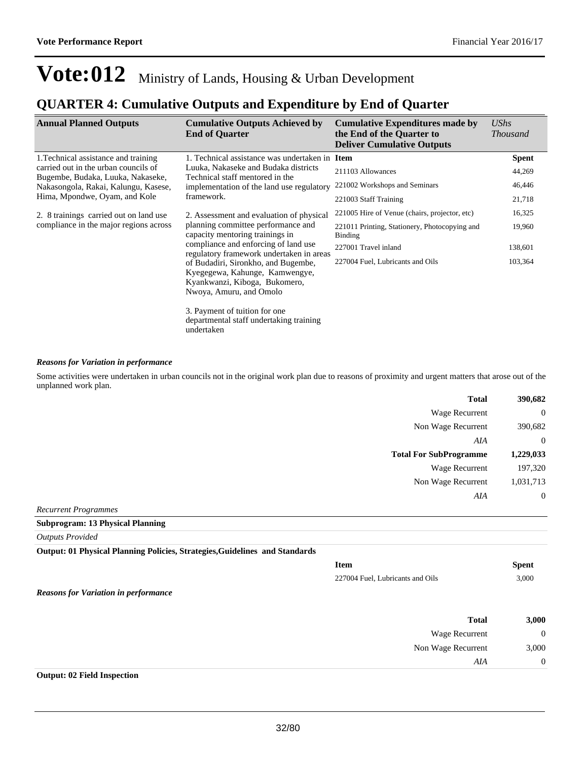### **QUARTER 4: Cumulative Outputs and Expenditure by End of Quarter**

| <b>Annual Planned Outputs</b>                                                                                                                                                 | <b>Cumulative Outputs Achieved by</b><br><b>End of Quarter</b>                                                                     | <b>Cumulative Expenditures made by</b><br>the End of the Quarter to<br><b>Deliver Cumulative Outputs</b> | UShs<br><b>Thousand</b> |
|-------------------------------------------------------------------------------------------------------------------------------------------------------------------------------|------------------------------------------------------------------------------------------------------------------------------------|----------------------------------------------------------------------------------------------------------|-------------------------|
| 1. Technical assistance and training                                                                                                                                          | 1. Technical assistance was undertaken in Item                                                                                     |                                                                                                          | <b>Spent</b>            |
| carried out in the urban councils of<br>Bugembe, Budaka, Luuka, Nakaseke,                                                                                                     | Luuka, Nakaseke and Budaka districts<br>Technical staff mentored in the<br>implementation of the land use regulatory<br>framework. | 211103 Allowances                                                                                        | 44,269                  |
| Nakasongola, Rakai, Kalungu, Kasese,<br>Hima, Mpondwe, Oyam, and Kole                                                                                                         |                                                                                                                                    | 221002 Workshops and Seminars                                                                            | 46,446                  |
|                                                                                                                                                                               |                                                                                                                                    | 221003 Staff Training                                                                                    | 21,718                  |
| 2. 8 trainings carried out on land use                                                                                                                                        | 2. Assessment and evaluation of physical                                                                                           | 221005 Hire of Venue (chairs, projector, etc)                                                            | 16,325                  |
| compliance in the major regions across                                                                                                                                        | planning committee performance and<br>capacity mentoring trainings in<br>compliance and enforcing of land use                      | 221011 Printing, Stationery, Photocopying and<br><b>Binding</b>                                          | 19,960                  |
|                                                                                                                                                                               |                                                                                                                                    | 227001 Travel inland                                                                                     | 138,601                 |
| regulatory framework undertaken in areas<br>of Budadiri, Sironkho, and Bugembe,<br>Kyegegewa, Kahunge, Kamwengye,<br>Kyankwanzi, Kiboga, Bukomero,<br>Nwoya, Amuru, and Omolo | 227004 Fuel, Lubricants and Oils                                                                                                   | 103,364                                                                                                  |                         |
|                                                                                                                                                                               | 3. Payment of tuition for one<br>departmental staff undertaking training<br>undertaken                                             |                                                                                                          |                         |

#### *Reasons for Variation in performance*

Some activities were undertaken in urban councils not in the original work plan due to reasons of proximity and urgent matters that arose out of the unplanned work plan.

| 390,682        | <b>Total</b>                  |
|----------------|-------------------------------|
| $\overline{0}$ | Wage Recurrent                |
| 390,682        | Non Wage Recurrent            |
| $\overline{0}$ | AIA                           |
| 1,229,033      | <b>Total For SubProgramme</b> |
| 197,320        | <b>Wage Recurrent</b>         |
| 1,031,713      | Non Wage Recurrent            |
| $\overline{0}$ | AIA                           |
|                |                               |

*Recurrent Programmes* **Subprogram: 13 Physical Planning**

*Outputs Provided*

**Output: 01 Physical Planning Policies, Strategies,Guidelines and Standards**

|                                             | <b>Item</b>                      | <b>Spent</b>   |
|---------------------------------------------|----------------------------------|----------------|
|                                             | 227004 Fuel, Lubricants and Oils | 3,000          |
| <b>Reasons for Variation in performance</b> |                                  |                |
|                                             | <b>Total</b>                     | 3,000          |
|                                             | Wage Recurrent                   | $\overline{0}$ |
|                                             | Non Wage Recurrent               | 3,000          |
|                                             | AIA                              | $\overline{0}$ |

#### **Output: 02 Field Inspection**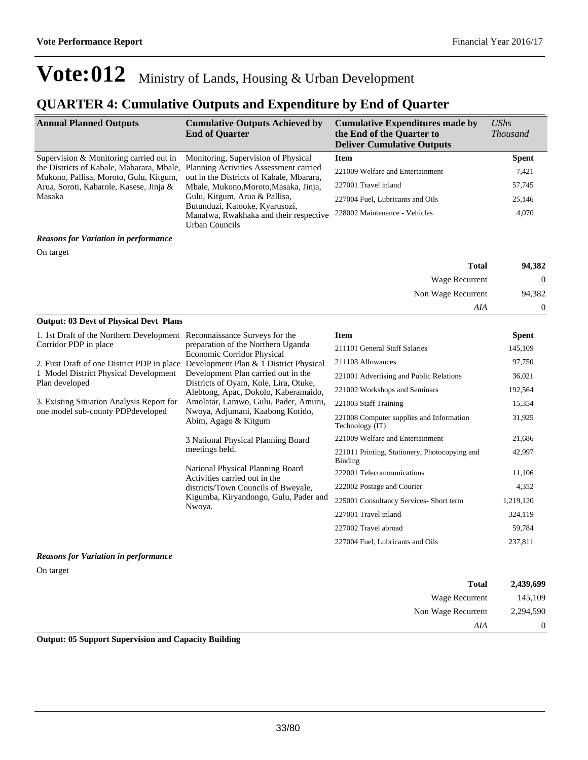## **QUARTER 4: Cumulative Outputs and Expenditure by End of Quarter**

| <b>Annual Planned Outputs</b>                                                                                                              | <b>Cumulative Outputs Achieved by</b><br><b>End of Quarter</b>                                                                                         | <b>Cumulative Expenditures made by</b><br>the End of the Quarter to<br><b>Deliver Cumulative Outputs</b> | <b>UShs</b><br><b>Thousand</b> |
|--------------------------------------------------------------------------------------------------------------------------------------------|--------------------------------------------------------------------------------------------------------------------------------------------------------|----------------------------------------------------------------------------------------------------------|--------------------------------|
| Supervision & Monitoring carried out in                                                                                                    | Monitoring, Supervision of Physical                                                                                                                    | <b>Item</b>                                                                                              | <b>Spent</b>                   |
| the Districts of Kabale, Mabarara, Mbale,<br>Mukono, Pallisa, Moroto, Gulu, Kitgum,                                                        | Planning Activities Assessment carried<br>out in the Districts of Kabale, Mbarara,<br>Mbale, Mukono, Moroto, Masaka, Jinja,                            | 221009 Welfare and Entertainment                                                                         | 7,421                          |
| Arua, Soroti, Kabarole, Kasese, Jinja &                                                                                                    |                                                                                                                                                        | 227001 Travel inland                                                                                     | 57,745                         |
| Masaka                                                                                                                                     | Gulu, Kitgum, Arua & Pallisa,                                                                                                                          | 227004 Fuel, Lubricants and Oils                                                                         | 25,146                         |
|                                                                                                                                            | Butunduzi, Katooke, Kyarusozi,<br>Manafwa, Rwakhaka and their respective<br>Urban Councils                                                             | 228002 Maintenance - Vehicles                                                                            | 4,070                          |
| <b>Reasons for Variation in performance</b>                                                                                                |                                                                                                                                                        |                                                                                                          |                                |
| On target                                                                                                                                  |                                                                                                                                                        |                                                                                                          |                                |
|                                                                                                                                            |                                                                                                                                                        | <b>Total</b>                                                                                             | 94,382                         |
|                                                                                                                                            |                                                                                                                                                        | Wage Recurrent                                                                                           | $\mathbf{0}$                   |
|                                                                                                                                            |                                                                                                                                                        | Non Wage Recurrent                                                                                       | 94,382                         |
|                                                                                                                                            |                                                                                                                                                        | AIA                                                                                                      | 0                              |
| <b>Output: 03 Devt of Physical Devt Plans</b>                                                                                              |                                                                                                                                                        |                                                                                                          |                                |
| 1. 1st Draft of the Northern Development Reconnaissance Surveys for the                                                                    |                                                                                                                                                        | <b>Item</b>                                                                                              | <b>Spent</b>                   |
| Corridor PDP in place                                                                                                                      | preparation of the Northern Uganda<br>Economic Corridor Physical<br>2. First Draft of one District PDP in place Development Plan & 1 District Physical | 211101 General Staff Salaries                                                                            | 145,109                        |
|                                                                                                                                            |                                                                                                                                                        | 211103 Allowances                                                                                        | 97,750                         |
| 1 Model District Physical Development<br>Development Plan carried out in the                                                               |                                                                                                                                                        | 221001 Advertising and Public Relations                                                                  | 36,021                         |
| Plan developed                                                                                                                             | Districts of Oyam, Kole, Lira, Otuke,<br>Alebtong, Apac, Dokolo, Kaberamaido,                                                                          | 221002 Workshops and Seminars                                                                            | 192,564                        |
| 3. Existing Situation Analysis Report for<br>one model sub-county PDPdeveloped<br>Nwoya, Adjumani, Kaabong Kotido,<br>Abim, Agago & Kitgum | Amolatar, Lamwo, Gulu, Pader, Amuru,                                                                                                                   | 221003 Staff Training                                                                                    | 15,354                         |
|                                                                                                                                            |                                                                                                                                                        | 221008 Computer supplies and Information<br>Technology (IT)                                              | 31,925                         |
|                                                                                                                                            | 3 National Physical Planning Board                                                                                                                     | 221009 Welfare and Entertainment                                                                         | 21,686                         |
|                                                                                                                                            | meetings held.                                                                                                                                         | 221011 Printing, Stationery, Photocopying and<br><b>Binding</b>                                          | 42,997                         |
|                                                                                                                                            | National Physical Planning Board<br>Activities carried out in the                                                                                      | 222001 Telecommunications                                                                                | 11,106                         |
|                                                                                                                                            | districts/Town Councils of Bweyale,                                                                                                                    | 222002 Postage and Courier                                                                               | 4,352                          |
|                                                                                                                                            | Kigumba, Kiryandongo, Gulu, Pader and                                                                                                                  | 225001 Consultancy Services- Short term                                                                  | 1,219,120                      |
| Nwoya.                                                                                                                                     |                                                                                                                                                        | 227001 Travel inland                                                                                     | 324,119                        |
|                                                                                                                                            |                                                                                                                                                        | 227002 Travel abroad                                                                                     | 59,784                         |
|                                                                                                                                            |                                                                                                                                                        | 227004 Fuel, Lubricants and Oils                                                                         | 237,811                        |
| <b>Reasons for Variation in performance</b>                                                                                                |                                                                                                                                                        |                                                                                                          |                                |
| On target                                                                                                                                  |                                                                                                                                                        |                                                                                                          |                                |

|           |                    | $\sim$                             |
|-----------|--------------------|------------------------------------|
| 2,439,699 | <b>Total</b>       |                                    |
| 145,109   | Wage Recurrent     |                                    |
| 2,294,590 | Non Wage Recurrent |                                    |
| $\theta$  | AIA                |                                    |
|           | .<br>_____         | the property of the control of the |

**Output: 05 Support Supervision and Capacity Building**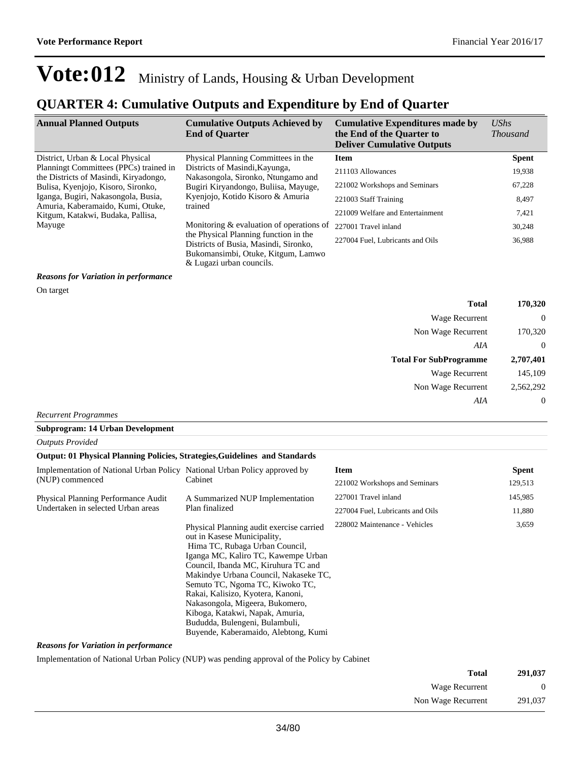### **QUARTER 4: Cumulative Outputs and Expenditure by End of Quarter**

| <b>Annual Planned Outputs</b>                                                                                                                                                                                                        | <b>Cumulative Outputs Achieved by</b><br><b>End of Quarter</b>                                                                                   | <b>Cumulative Expenditures made by</b><br>the End of the Quarter to<br><b>Deliver Cumulative Outputs</b> | <b>UShs</b><br><i>Thousand</i> |
|--------------------------------------------------------------------------------------------------------------------------------------------------------------------------------------------------------------------------------------|--------------------------------------------------------------------------------------------------------------------------------------------------|----------------------------------------------------------------------------------------------------------|--------------------------------|
| District, Urban & Local Physical                                                                                                                                                                                                     | Physical Planning Committees in the                                                                                                              | <b>Item</b>                                                                                              | <b>Spent</b>                   |
| Planningt Committees (PPCs) trained in                                                                                                                                                                                               | Districts of Masindi, Kayunga,                                                                                                                   | 211103 Allowances                                                                                        | 19,938                         |
| the Districts of Masindi, Kiryadongo,<br>Nakasongola, Sironko, Ntungamo and<br>Bulisa, Kyenjojo, Kisoro, Sironko,<br>Bugiri Kiryandongo, Buliisa, Mayuge,<br>Iganga, Bugiri, Nakasongola, Busia,<br>Kyenjojo, Kotido Kisoro & Amuria | 221002 Workshops and Seminars                                                                                                                    | 67,228                                                                                                   |                                |
|                                                                                                                                                                                                                                      | trained                                                                                                                                          | 221003 Staff Training                                                                                    | 8,497                          |
| Amuria, Kaberamaido, Kumi, Otuke,<br>Kitgum, Katakwi, Budaka, Pallisa,                                                                                                                                                               |                                                                                                                                                  | 221009 Welfare and Entertainment                                                                         | 7,421                          |
| Mayuge                                                                                                                                                                                                                               | Monitoring $&$ evaluation of operations of                                                                                                       | 227001 Travel inland                                                                                     | 30,248                         |
|                                                                                                                                                                                                                                      | the Physical Planning function in the<br>Districts of Busia, Masindi, Sironko,<br>Bukomansimbi, Otuke, Kitgum, Lamwo<br>& Lugazi urban councils. | 227004 Fuel, Lubricants and Oils                                                                         | 36,988                         |

#### *Reasons for Variation in performance*

On target

| Total                         | 170,320   |
|-------------------------------|-----------|
| <b>Wage Recurrent</b>         | 0         |
| Non Wage Recurrent            | 170,320   |
| AIA                           | $\theta$  |
|                               |           |
| <b>Total For SubProgramme</b> | 2,707,401 |
| Wage Recurrent                | 145,109   |
| Non Wage Recurrent            | 2,562,292 |

*Recurrent Programmes*

#### **Subprogram: 14 Urban Development**

*Outputs Provided*

#### **Output: 01 Physical Planning Policies, Strategies,Guidelines and Standards**

| Implementation of National Urban Policy National Urban Policy approved by<br>(NUP) commenced |                                                                                                                                                                                                                                                                                                                                                                                                                                                          | Item                             | <b>Spent</b> |
|----------------------------------------------------------------------------------------------|----------------------------------------------------------------------------------------------------------------------------------------------------------------------------------------------------------------------------------------------------------------------------------------------------------------------------------------------------------------------------------------------------------------------------------------------------------|----------------------------------|--------------|
|                                                                                              | Cabinet                                                                                                                                                                                                                                                                                                                                                                                                                                                  | 221002 Workshops and Seminars    | 129,513      |
| Physical Planning Performance Audit                                                          | A Summarized NUP Implementation                                                                                                                                                                                                                                                                                                                                                                                                                          | 227001 Travel inland             | 145,985      |
| Undertaken in selected Urban areas                                                           | Plan finalized                                                                                                                                                                                                                                                                                                                                                                                                                                           | 227004 Fuel, Lubricants and Oils | 11,880       |
|                                                                                              | Physical Planning audit exercise carried<br>out in Kasese Municipality,<br>Hima TC, Rubaga Urban Council,<br>Iganga MC, Kaliro TC, Kawempe Urban<br>Council, Ibanda MC, Kiruhura TC and<br>Makindye Urbana Council, Nakaseke TC,<br>Semuto TC, Ngoma TC, Kiwoko TC,<br>Rakai, Kalisizo, Kyotera, Kanoni,<br>Nakasongola, Migeera, Bukomero,<br>Kiboga, Katakwi, Napak, Amuria,<br>Bududda, Bulengeni, Bulambuli,<br>Buyende, Kaberamaido, Alebtong, Kumi | 228002 Maintenance - Vehicles    | 3,659        |

#### *Reasons for Variation in performance*

Implementation of National Urban Policy (NUP) was pending approval of the Policy by Cabinet

| 291,037 | Total              |
|---------|--------------------|
|         | Wage Recurrent     |
| 291,037 | Non Wage Recurrent |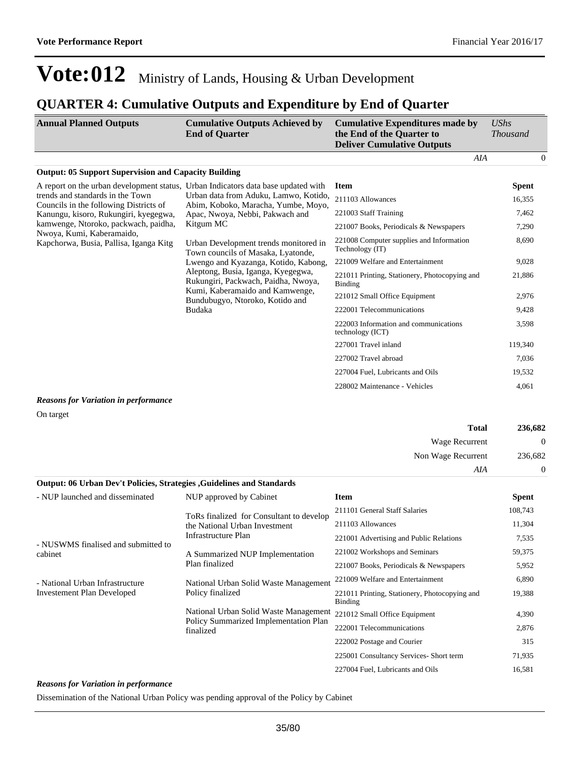#### **QUARTER 4: Cumulative Outputs and Expenditure by End of Quarter**

| <b>Annual Planned Outputs</b>                                                     | <b>Cumulative Outputs Achieved by</b><br><b>End of Quarter</b>                                                                                                                                   | <b>Cumulative Expenditures made by</b><br>the End of the Quarter to<br><b>Deliver Cumulative Outputs</b> | UShs<br><b>Thousand</b> |          |
|-----------------------------------------------------------------------------------|--------------------------------------------------------------------------------------------------------------------------------------------------------------------------------------------------|----------------------------------------------------------------------------------------------------------|-------------------------|----------|
|                                                                                   |                                                                                                                                                                                                  | AIA                                                                                                      |                         | $\theta$ |
| <b>Output: 05 Support Supervision and Capacity Building</b>                       |                                                                                                                                                                                                  |                                                                                                          |                         |          |
| A report on the urban development status, Urban Indicators data base updated with |                                                                                                                                                                                                  | <b>Item</b>                                                                                              | <b>Spent</b>            |          |
| trends and standards in the Town<br>Councils in the following Districts of        | Urban data from Aduku, Lamwo, Kotido,<br>Abim, Koboko, Maracha, Yumbe, Moyo,                                                                                                                     | 211103 Allowances                                                                                        | 16,355                  |          |
| Kanungu, kisoro, Rukungiri, kyegegwa,                                             | Apac, Nwoya, Nebbi, Pakwach and                                                                                                                                                                  | 221003 Staff Training                                                                                    | 7,462                   |          |
| kamwenge, Ntoroko, packwach, paidha,                                              | Kitgum MC                                                                                                                                                                                        | 221007 Books, Periodicals & Newspapers                                                                   | 7,290                   |          |
| Nwoya, Kumi, Kaberamaido,<br>Kapchorwa, Busia, Pallisa, Iganga Kitg               | Urban Development trends monitored in<br>Town councils of Masaka, Lyatonde,<br>Lwengo and Kyazanga, Kotido, Kabong,<br>Aleptong, Busia, Iganga, Kyegegwa,<br>Rukungiri, Packwach, Paidha, Nwoya, | 221008 Computer supplies and Information<br>Technology (IT)                                              | 8,690                   |          |
|                                                                                   |                                                                                                                                                                                                  | 221009 Welfare and Entertainment                                                                         | 9,028                   |          |
|                                                                                   |                                                                                                                                                                                                  | 221011 Printing, Stationery, Photocopying and<br>Binding                                                 | 21,886                  |          |
|                                                                                   | Kumi, Kaberamaido and Kamwenge,<br>Bundubugyo, Ntoroko, Kotido and                                                                                                                               | 221012 Small Office Equipment                                                                            | 2,976                   |          |
|                                                                                   | Budaka                                                                                                                                                                                           | 222001 Telecommunications                                                                                | 9,428                   |          |
|                                                                                   |                                                                                                                                                                                                  | 222003 Information and communications<br>technology (ICT)                                                | 3,598                   |          |
|                                                                                   |                                                                                                                                                                                                  | 227001 Travel inland                                                                                     | 119,340                 |          |
|                                                                                   |                                                                                                                                                                                                  | 227002 Travel abroad                                                                                     | 7,036                   |          |
|                                                                                   |                                                                                                                                                                                                  | 227004 Fuel, Lubricants and Oils                                                                         | 19,532                  |          |
|                                                                                   |                                                                                                                                                                                                  | 228002 Maintenance - Vehicles                                                                            | 4,061                   |          |

#### *Reasons for Variation in performance*

On target

| 236,682  | <b>Total</b>       |
|----------|--------------------|
| $\theta$ | Wage Recurrent     |
| 236,682  | Non Wage Recurrent |
| 0        | AIA                |
|          |                    |

#### **Output: 06 Urban Dev't Policies, Strategies ,Guidelines and Standards**

| - NUP launched and disseminated                                      | NUP approved by Cabinet                                                                          | <b>Item</b>                                              | <b>Spent</b> |
|----------------------------------------------------------------------|--------------------------------------------------------------------------------------------------|----------------------------------------------------------|--------------|
| - NUSWMS finalised and submitted to<br>cabinet                       | ToRs finalized for Consultant to develop<br>the National Urban Investment<br>Infrastructure Plan | 211101 General Staff Salaries                            | 108,743      |
|                                                                      |                                                                                                  | 211103 Allowances                                        | 11,304       |
|                                                                      |                                                                                                  | 221001 Advertising and Public Relations                  | 7,535        |
|                                                                      | A Summarized NUP Implementation<br>Plan finalized                                                | 221002 Workshops and Seminars                            | 59,375       |
|                                                                      |                                                                                                  | 221007 Books, Periodicals & Newspapers                   | 5,952        |
| - National Urban Infrastructure<br><b>Investement Plan Developed</b> | National Urban Solid Waste Management<br>Policy finalized                                        | 221009 Welfare and Entertainment                         | 6,890        |
|                                                                      |                                                                                                  | 221011 Printing, Stationery, Photocopying and<br>Binding | 19,388       |
|                                                                      | National Urban Solid Waste Management<br>Policy Summarized Implementation Plan<br>finalized      | 221012 Small Office Equipment                            | 4,390        |
|                                                                      |                                                                                                  | 222001 Telecommunications                                | 2,876        |
|                                                                      |                                                                                                  | 222002 Postage and Courier                               | 315          |
|                                                                      |                                                                                                  | 225001 Consultancy Services- Short term                  | 71,935       |
|                                                                      |                                                                                                  | 227004 Fuel, Lubricants and Oils                         | 16,581       |

#### *Reasons for Variation in performance*

Dissemination of the National Urban Policy was pending approval of the Policy by Cabinet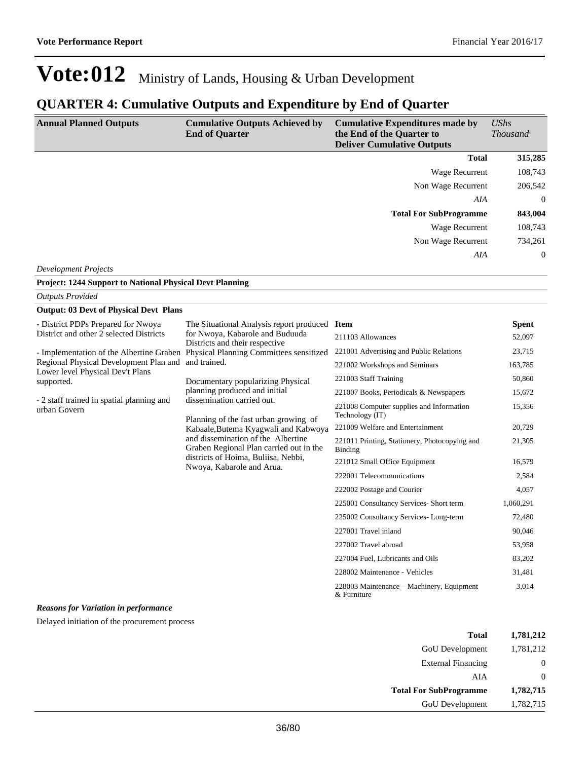### **QUARTER 4: Cumulative Outputs and Expenditure by End of Quarter**

| <b>Annual Planned Outputs</b> | <b>Cumulative Outputs Achieved by</b><br><b>End of Quarter</b> | <b>Cumulative Expenditures made by</b><br>the End of the Quarter to<br><b>Deliver Cumulative Outputs</b> | UShs<br><b>Thousand</b> |
|-------------------------------|----------------------------------------------------------------|----------------------------------------------------------------------------------------------------------|-------------------------|
|                               |                                                                | <b>Total</b>                                                                                             | 315,285                 |
|                               |                                                                | <b>Wage Recurrent</b>                                                                                    | 108,743                 |
|                               |                                                                | Non Wage Recurrent                                                                                       | 206,542                 |
|                               |                                                                | AIA                                                                                                      | $\overline{0}$          |
|                               |                                                                | <b>Total For SubProgramme</b>                                                                            | 843,004                 |
|                               |                                                                | Wage Recurrent                                                                                           | 108,743                 |
|                               |                                                                | Non Wage Recurrent                                                                                       | 734,261                 |
|                               |                                                                | AIA                                                                                                      | $\overline{0}$          |

*Development Projects*

**Project: 1244 Support to National Physical Devt Planning**

| <b>Outputs Provided</b>                                                                                                 |                                                                                                                                                                                                                                                                                                                                                                                                                                                                                                                                                                  |                                                             |              |
|-------------------------------------------------------------------------------------------------------------------------|------------------------------------------------------------------------------------------------------------------------------------------------------------------------------------------------------------------------------------------------------------------------------------------------------------------------------------------------------------------------------------------------------------------------------------------------------------------------------------------------------------------------------------------------------------------|-------------------------------------------------------------|--------------|
| <b>Output: 03 Devt of Physical Devt Plans</b>                                                                           |                                                                                                                                                                                                                                                                                                                                                                                                                                                                                                                                                                  |                                                             |              |
| - District PDPs Prepared for Nwoya<br>District and other 2 selected Districts<br>Regional Physical Development Plan and | The Situational Analysis report produced Item<br>for Nwoya, Kabarole and Buduuda<br>Districts and their respective<br>- Implementation of the Albertine Graben Physical Planning Committees sensitized<br>and trained.<br>Documentary popularizing Physical<br>planning produced and initial<br>dissemination carried out.<br>Planning of the fast urban growing of<br>Kabaale, Butema Kyagwali and Kabwoya<br>and dissemination of the Albertine<br>Graben Regional Plan carried out in the<br>districts of Hoima, Buliisa, Nebbi,<br>Nwoya, Kabarole and Arua. |                                                             | <b>Spent</b> |
|                                                                                                                         |                                                                                                                                                                                                                                                                                                                                                                                                                                                                                                                                                                  | 211103 Allowances                                           | 52,097       |
|                                                                                                                         |                                                                                                                                                                                                                                                                                                                                                                                                                                                                                                                                                                  | 221001 Advertising and Public Relations                     | 23,715       |
|                                                                                                                         |                                                                                                                                                                                                                                                                                                                                                                                                                                                                                                                                                                  | 221002 Workshops and Seminars                               | 163,785      |
| Lower level Physical Dev't Plans<br>supported.                                                                          |                                                                                                                                                                                                                                                                                                                                                                                                                                                                                                                                                                  | 221003 Staff Training                                       | 50,860       |
| - 2 staff trained in spatial planning and<br>urban Govern                                                               |                                                                                                                                                                                                                                                                                                                                                                                                                                                                                                                                                                  | 221007 Books, Periodicals & Newspapers                      | 15,672       |
|                                                                                                                         |                                                                                                                                                                                                                                                                                                                                                                                                                                                                                                                                                                  | 221008 Computer supplies and Information<br>Technology (IT) | 15,356       |
|                                                                                                                         |                                                                                                                                                                                                                                                                                                                                                                                                                                                                                                                                                                  | 221009 Welfare and Entertainment                            | 20,729       |
|                                                                                                                         |                                                                                                                                                                                                                                                                                                                                                                                                                                                                                                                                                                  | 221011 Printing, Stationery, Photocopying and<br>Binding    | 21,305       |
|                                                                                                                         |                                                                                                                                                                                                                                                                                                                                                                                                                                                                                                                                                                  | 221012 Small Office Equipment                               | 16,579       |
|                                                                                                                         |                                                                                                                                                                                                                                                                                                                                                                                                                                                                                                                                                                  | 222001 Telecommunications                                   | 2,584        |
|                                                                                                                         |                                                                                                                                                                                                                                                                                                                                                                                                                                                                                                                                                                  | 222002 Postage and Courier                                  | 4,057        |
|                                                                                                                         |                                                                                                                                                                                                                                                                                                                                                                                                                                                                                                                                                                  | 225001 Consultancy Services- Short term                     | 1,060,291    |
|                                                                                                                         |                                                                                                                                                                                                                                                                                                                                                                                                                                                                                                                                                                  | 225002 Consultancy Services-Long-term                       | 72,480       |
|                                                                                                                         |                                                                                                                                                                                                                                                                                                                                                                                                                                                                                                                                                                  | 227001 Travel inland                                        | 90,046       |
|                                                                                                                         |                                                                                                                                                                                                                                                                                                                                                                                                                                                                                                                                                                  | 227002 Travel abroad                                        | 53,958       |
|                                                                                                                         |                                                                                                                                                                                                                                                                                                                                                                                                                                                                                                                                                                  | 227004 Fuel, Lubricants and Oils                            | 83,202       |
|                                                                                                                         |                                                                                                                                                                                                                                                                                                                                                                                                                                                                                                                                                                  | 228002 Maintenance - Vehicles                               | 31,481       |
|                                                                                                                         |                                                                                                                                                                                                                                                                                                                                                                                                                                                                                                                                                                  | 228003 Maintenance – Machinery, Equipment<br>& Furniture    | 3,014        |

#### *Reasons for Variation in performance*

Delayed initiation of the procurement process

| Total                         | 1,781,212 |
|-------------------------------|-----------|
| <b>GoU</b> Development        | 1,781,212 |
| <b>External Financing</b>     |           |
| AIA                           | 0         |
| <b>Total For SubProgramme</b> | 1,782,715 |
| <b>GoU</b> Development        | 1,782,715 |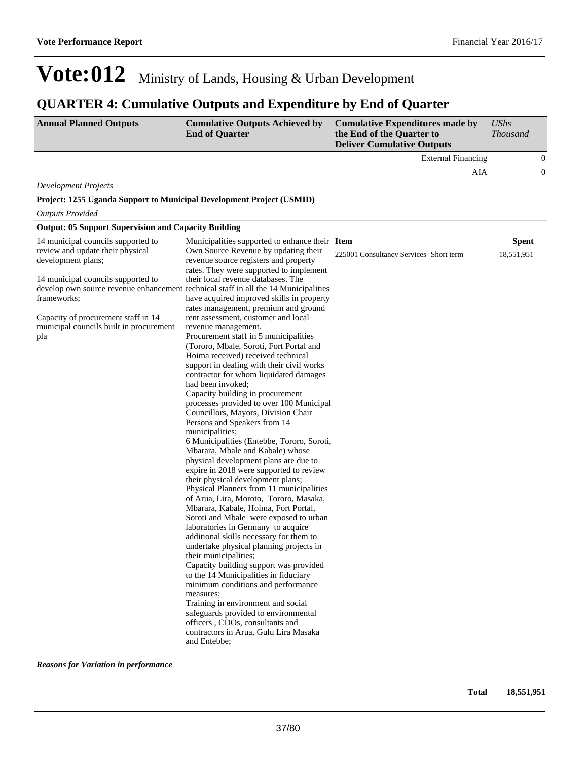## **QUARTER 4: Cumulative Outputs and Expenditure by End of Quarter**

| <b>Annual Planned Outputs</b>                                                                                                                                                                                                              | <b>Cumulative Outputs Achieved by</b><br><b>End of Quarter</b>                                                                                                                                                                                                                                                                                                                                                                                                                                                                                                                                                                                                                                                                                                                                                                                                                                                                                                                                                                                                                                                                                                                                                                                                                                                                                                                                                                                                                                                                                                                                                                                                                                                     | <b>Cumulative Expenditures made by</b><br>the End of the Quarter to<br><b>Deliver Cumulative Outputs</b> | <b>UShs</b><br><b>Thousand</b> |                  |
|--------------------------------------------------------------------------------------------------------------------------------------------------------------------------------------------------------------------------------------------|--------------------------------------------------------------------------------------------------------------------------------------------------------------------------------------------------------------------------------------------------------------------------------------------------------------------------------------------------------------------------------------------------------------------------------------------------------------------------------------------------------------------------------------------------------------------------------------------------------------------------------------------------------------------------------------------------------------------------------------------------------------------------------------------------------------------------------------------------------------------------------------------------------------------------------------------------------------------------------------------------------------------------------------------------------------------------------------------------------------------------------------------------------------------------------------------------------------------------------------------------------------------------------------------------------------------------------------------------------------------------------------------------------------------------------------------------------------------------------------------------------------------------------------------------------------------------------------------------------------------------------------------------------------------------------------------------------------------|----------------------------------------------------------------------------------------------------------|--------------------------------|------------------|
|                                                                                                                                                                                                                                            |                                                                                                                                                                                                                                                                                                                                                                                                                                                                                                                                                                                                                                                                                                                                                                                                                                                                                                                                                                                                                                                                                                                                                                                                                                                                                                                                                                                                                                                                                                                                                                                                                                                                                                                    | <b>External Financing</b>                                                                                |                                | $\boldsymbol{0}$ |
|                                                                                                                                                                                                                                            |                                                                                                                                                                                                                                                                                                                                                                                                                                                                                                                                                                                                                                                                                                                                                                                                                                                                                                                                                                                                                                                                                                                                                                                                                                                                                                                                                                                                                                                                                                                                                                                                                                                                                                                    | AIA                                                                                                      |                                | $\boldsymbol{0}$ |
| <b>Development Projects</b>                                                                                                                                                                                                                |                                                                                                                                                                                                                                                                                                                                                                                                                                                                                                                                                                                                                                                                                                                                                                                                                                                                                                                                                                                                                                                                                                                                                                                                                                                                                                                                                                                                                                                                                                                                                                                                                                                                                                                    |                                                                                                          |                                |                  |
| Project: 1255 Uganda Support to Municipal Development Project (USMID)                                                                                                                                                                      |                                                                                                                                                                                                                                                                                                                                                                                                                                                                                                                                                                                                                                                                                                                                                                                                                                                                                                                                                                                                                                                                                                                                                                                                                                                                                                                                                                                                                                                                                                                                                                                                                                                                                                                    |                                                                                                          |                                |                  |
| <b>Outputs Provided</b>                                                                                                                                                                                                                    |                                                                                                                                                                                                                                                                                                                                                                                                                                                                                                                                                                                                                                                                                                                                                                                                                                                                                                                                                                                                                                                                                                                                                                                                                                                                                                                                                                                                                                                                                                                                                                                                                                                                                                                    |                                                                                                          |                                |                  |
| <b>Output: 05 Support Supervision and Capacity Building</b>                                                                                                                                                                                |                                                                                                                                                                                                                                                                                                                                                                                                                                                                                                                                                                                                                                                                                                                                                                                                                                                                                                                                                                                                                                                                                                                                                                                                                                                                                                                                                                                                                                                                                                                                                                                                                                                                                                                    |                                                                                                          |                                |                  |
| 14 municipal councils supported to<br>review and update their physical<br>development plans;<br>14 municipal councils supported to<br>frameworks;<br>Capacity of procurement staff in 14<br>municipal councils built in procurement<br>pla | Municipalities supported to enhance their Item<br>Own Source Revenue by updating their<br>revenue source registers and property<br>rates. They were supported to implement<br>their local revenue databases. The<br>develop own source revenue enhancement technical staff in all the 14 Municipalities<br>have acquired improved skills in property<br>rates management, premium and ground<br>rent assessment, customer and local<br>revenue management.<br>Procurement staff in 5 municipalities<br>(Tororo, Mbale, Soroti, Fort Portal and<br>Hoima received) received technical<br>support in dealing with their civil works<br>contractor for whom liquidated damages<br>had been invoked;<br>Capacity building in procurement<br>processes provided to over 100 Municipal<br>Councillors, Mayors, Division Chair<br>Persons and Speakers from 14<br>municipalities;<br>6 Municipalities (Entebbe, Tororo, Soroti,<br>Mbarara, Mbale and Kabale) whose<br>physical development plans are due to<br>expire in 2018 were supported to review<br>their physical development plans;<br>Physical Planners from 11 municipalities<br>of Arua, Lira, Moroto, Tororo, Masaka,<br>Mbarara, Kabale, Hoima, Fort Portal,<br>Soroti and Mbale were exposed to urban<br>laboratories in Germany to acquire<br>additional skills necessary for them to<br>undertake physical planning projects in<br>their municipalities;<br>Capacity building support was provided<br>to the 14 Municipalities in fiduciary<br>minimum conditions and performance<br>measures;<br>Training in environment and social<br>safeguards provided to environmental<br>officers, CDOs, consultants and<br>contractors in Arua, Gulu Lira Masaka | 225001 Consultancy Services- Short term                                                                  | <b>Spent</b><br>18,551,951     |                  |

*Reasons for Variation in performance*

**Total 18,551,951**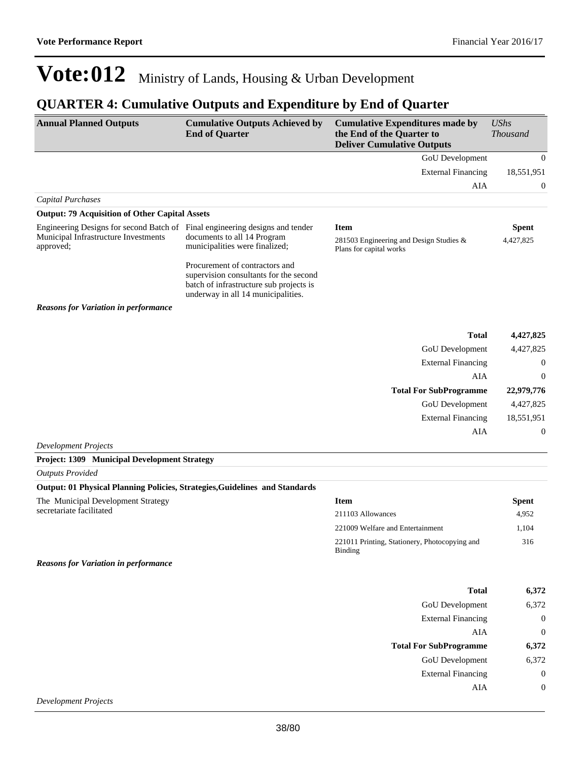### **QUARTER 4: Cumulative Outputs and Expenditure by End of Quarter**

| <b>Annual Planned Outputs</b>                                                  | <b>Cumulative Outputs Achieved by</b><br><b>End of Quarter</b>                                                                                            | <b>Cumulative Expenditures made by</b><br>the End of the Quarter to<br><b>Deliver Cumulative Outputs</b> | <b>UShs</b><br><b>Thousand</b> |
|--------------------------------------------------------------------------------|-----------------------------------------------------------------------------------------------------------------------------------------------------------|----------------------------------------------------------------------------------------------------------|--------------------------------|
|                                                                                |                                                                                                                                                           | GoU Development                                                                                          | $\overline{0}$                 |
|                                                                                |                                                                                                                                                           | <b>External Financing</b>                                                                                | 18,551,951                     |
|                                                                                |                                                                                                                                                           | AIA                                                                                                      | $\boldsymbol{0}$               |
| <b>Capital Purchases</b>                                                       |                                                                                                                                                           |                                                                                                          |                                |
| <b>Output: 79 Acquisition of Other Capital Assets</b>                          |                                                                                                                                                           |                                                                                                          |                                |
| Engineering Designs for second Batch of Final engineering designs and tender   |                                                                                                                                                           | <b>Item</b>                                                                                              | <b>Spent</b>                   |
| Municipal Infrastructure Investments<br>approved;                              | documents to all 14 Program<br>municipalities were finalized;                                                                                             | 281503 Engineering and Design Studies &<br>Plans for capital works                                       | 4,427,825                      |
|                                                                                | Procurement of contractors and<br>supervision consultants for the second<br>batch of infrastructure sub projects is<br>underway in all 14 municipalities. |                                                                                                          |                                |
| <b>Reasons for Variation in performance</b>                                    |                                                                                                                                                           |                                                                                                          |                                |
|                                                                                |                                                                                                                                                           | <b>Total</b>                                                                                             | 4,427,825                      |
|                                                                                |                                                                                                                                                           | GoU Development                                                                                          | 4,427,825                      |
|                                                                                |                                                                                                                                                           | <b>External Financing</b>                                                                                | $\boldsymbol{0}$               |
|                                                                                |                                                                                                                                                           | <b>AIA</b>                                                                                               | $\theta$                       |
|                                                                                |                                                                                                                                                           | <b>Total For SubProgramme</b>                                                                            | 22,979,776                     |
|                                                                                |                                                                                                                                                           | GoU Development                                                                                          | 4,427,825                      |
|                                                                                |                                                                                                                                                           | <b>External Financing</b>                                                                                | 18,551,951                     |
|                                                                                |                                                                                                                                                           | AIA                                                                                                      | $\boldsymbol{0}$               |
| <b>Development Projects</b>                                                    |                                                                                                                                                           |                                                                                                          |                                |
| <b>Project: 1309 Municipal Development Strategy</b><br><b>Outputs Provided</b> |                                                                                                                                                           |                                                                                                          |                                |
| Output: 01 Physical Planning Policies, Strategies, Guidelines and Standards    |                                                                                                                                                           |                                                                                                          |                                |
| The Municipal Development Strategy                                             |                                                                                                                                                           | <b>Item</b>                                                                                              | <b>Spent</b>                   |
| secretariate facilitated                                                       |                                                                                                                                                           | 211103 Allowances                                                                                        | 4,952                          |
|                                                                                |                                                                                                                                                           | 221009 Welfare and Entertainment                                                                         | 1,104                          |
|                                                                                |                                                                                                                                                           | 221011 Printing, Stationery, Photocopying and<br>Binding                                                 | 316                            |
| <b>Reasons for Variation in performance</b>                                    |                                                                                                                                                           |                                                                                                          |                                |
|                                                                                |                                                                                                                                                           | <b>Total</b>                                                                                             | 6,372                          |
|                                                                                |                                                                                                                                                           | GoU Development                                                                                          | 6,372                          |
|                                                                                |                                                                                                                                                           | <b>External Financing</b>                                                                                | $\boldsymbol{0}$               |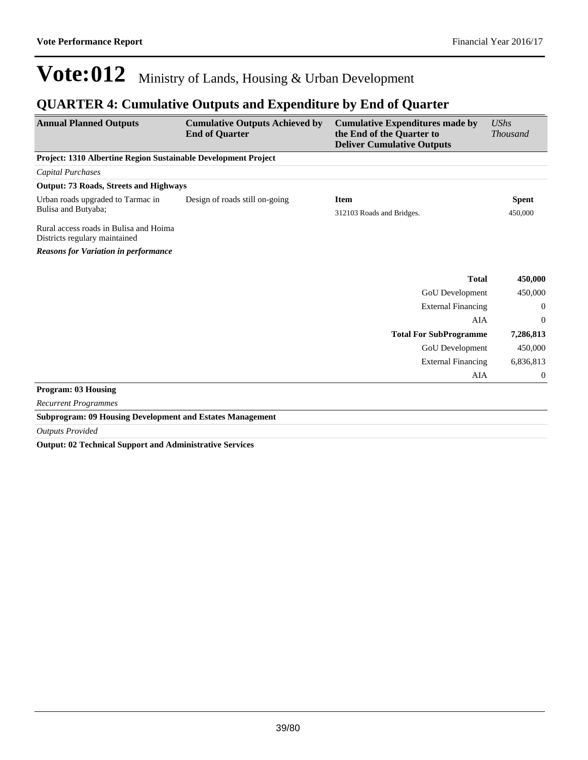### **QUARTER 4: Cumulative Outputs and Expenditure by End of Quarter**

| <b>Annual Planned Outputs</b>                                           | <b>Cumulative Outputs Achieved by</b><br><b>End of Quarter</b> | <b>Cumulative Expenditures made by</b><br>the End of the Quarter to<br><b>Deliver Cumulative Outputs</b> | <b>UShs</b><br><b>Thousand</b> |
|-------------------------------------------------------------------------|----------------------------------------------------------------|----------------------------------------------------------------------------------------------------------|--------------------------------|
| Project: 1310 Albertine Region Sustainable Development Project          |                                                                |                                                                                                          |                                |
| <b>Capital Purchases</b>                                                |                                                                |                                                                                                          |                                |
| <b>Output: 73 Roads, Streets and Highways</b>                           |                                                                |                                                                                                          |                                |
| Urban roads upgraded to Tarmac in<br>Bulisa and Butyaba;                | Design of roads still on-going                                 | <b>Item</b><br>312103 Roads and Bridges.                                                                 | <b>Spent</b><br>450,000        |
| Rural access roads in Bulisa and Hoima<br>Districts regulary maintained |                                                                |                                                                                                          |                                |
| <b>Reasons for Variation in performance</b>                             |                                                                |                                                                                                          |                                |
|                                                                         |                                                                | <b>Total</b>                                                                                             | 450,000                        |
|                                                                         |                                                                | <b>GoU</b> Development                                                                                   | 450,000                        |
|                                                                         |                                                                | <b>External Financing</b>                                                                                | $\mathbf{0}$                   |
|                                                                         |                                                                | AIA                                                                                                      | $\mathbf{0}$                   |
|                                                                         |                                                                | <b>Total For SubProgramme</b>                                                                            | 7,286,813                      |
|                                                                         |                                                                | <b>GoU</b> Development                                                                                   | 450,000                        |
|                                                                         |                                                                | <b>External Financing</b>                                                                                | 6,836,813                      |
|                                                                         |                                                                | AIA                                                                                                      | $\mathbf{0}$                   |
| <b>Program: 03 Housing</b>                                              |                                                                |                                                                                                          |                                |
| <b>Recurrent Programmes</b>                                             |                                                                |                                                                                                          |                                |
| <b>Subprogram: 09 Housing Development and Estates Management</b>        |                                                                |                                                                                                          |                                |
| <b>Outputs Provided</b>                                                 |                                                                |                                                                                                          |                                |

**Output: 02 Technical Support and Administrative Services**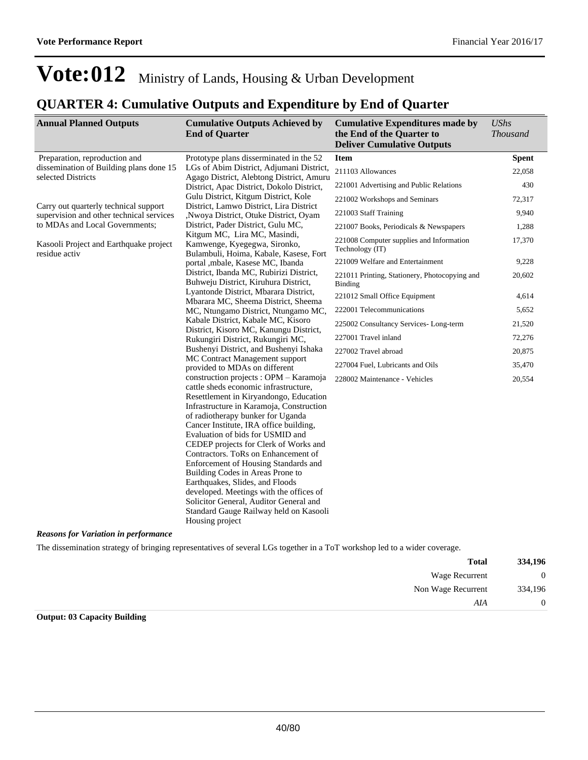### **QUARTER 4: Cumulative Outputs and Expenditure by End of Quarter**

| <b>Annual Planned Outputs</b>                                                     | <b>Cumulative Outputs Achieved by</b><br><b>End of Quarter</b>                                         | <b>Cumulative Expenditures made by</b><br>the End of the Quarter to<br><b>Deliver Cumulative Outputs</b> | <b>UShs</b><br><b>Thousand</b> |
|-----------------------------------------------------------------------------------|--------------------------------------------------------------------------------------------------------|----------------------------------------------------------------------------------------------------------|--------------------------------|
| Preparation, reproduction and                                                     | Prototype plans disserminated in the 52                                                                | Item                                                                                                     | <b>Spent</b>                   |
| dissemination of Building plans done 15<br>selected Districts                     | LGs of Abim District, Adjumani District,<br>Agago District, Alebtong District, Amuru                   | 211103 Allowances                                                                                        | 22,058                         |
|                                                                                   | District, Apac District, Dokolo District,                                                              | 221001 Advertising and Public Relations                                                                  | 430                            |
|                                                                                   | Gulu District, Kitgum District, Kole                                                                   | 221002 Workshops and Seminars                                                                            | 72,317                         |
| Carry out quarterly technical support<br>supervision and other technical services | District, Lamwo District, Lira District<br>Nwoya District, Otuke District, Oyam                        | 221003 Staff Training                                                                                    | 9,940                          |
| to MDAs and Local Governments;                                                    | District, Pader District, Gulu MC,                                                                     | 221007 Books, Periodicals & Newspapers                                                                   | 1,288                          |
| Kasooli Project and Earthquake project<br>residue activ                           | Kitgum MC, Lira MC, Masindi,<br>Kamwenge, Kyegegwa, Sironko,<br>Bulambuli, Hoima, Kabale, Kasese, Fort | 221008 Computer supplies and Information<br>Technology (IT)                                              | 17,370                         |
|                                                                                   | portal , mbale, Kasese MC, Ibanda                                                                      | 221009 Welfare and Entertainment                                                                         | 9,228                          |
|                                                                                   | District, Ibanda MC, Rubirizi District,<br>Buhweju District, Kiruhura District,                        | 221011 Printing, Stationery, Photocopying and<br>Binding                                                 | 20,602                         |
|                                                                                   | Lyantonde District, Mbarara District,<br>Mbarara MC, Sheema District, Sheema                           | 221012 Small Office Equipment                                                                            | 4,614                          |
|                                                                                   | MC, Ntungamo District, Ntungamo MC,                                                                    | 222001 Telecommunications                                                                                | 5,652                          |
|                                                                                   | Kabale District, Kabale MC, Kisoro                                                                     | 225002 Consultancy Services-Long-term                                                                    | 21,520                         |
|                                                                                   | District, Kisoro MC, Kanungu District,<br>Rukungiri District, Rukungiri MC,                            | 227001 Travel inland                                                                                     | 72,276                         |
|                                                                                   | Bushenyi District, and Bushenyi Ishaka                                                                 | 227002 Travel abroad                                                                                     | 20,875                         |
|                                                                                   | MC Contract Management support                                                                         | 227004 Fuel, Lubricants and Oils                                                                         | 35,470                         |
|                                                                                   | provided to MDAs on different                                                                          |                                                                                                          |                                |
|                                                                                   | construction projects : OPM - Karamoja<br>cattle sheds economic infrastructure,                        | 228002 Maintenance - Vehicles                                                                            | 20,554                         |
|                                                                                   | Resettlement in Kiryandongo, Education                                                                 |                                                                                                          |                                |
|                                                                                   | Infrastructure in Karamoja, Construction                                                               |                                                                                                          |                                |
|                                                                                   | of radiotherapy bunker for Uganda                                                                      |                                                                                                          |                                |
|                                                                                   | Cancer Institute, IRA office building,                                                                 |                                                                                                          |                                |
|                                                                                   | Evaluation of bids for USMID and                                                                       |                                                                                                          |                                |
|                                                                                   | CEDEP projects for Clerk of Works and                                                                  |                                                                                                          |                                |
|                                                                                   | Contractors. ToRs on Enhancement of<br>Enforcement of Housing Standards and                            |                                                                                                          |                                |
|                                                                                   | Building Codes in Areas Prone to                                                                       |                                                                                                          |                                |
|                                                                                   | Earthquakes, Slides, and Floods                                                                        |                                                                                                          |                                |
|                                                                                   | developed. Meetings with the offices of                                                                |                                                                                                          |                                |
|                                                                                   | Solicitor General, Auditor General and                                                                 |                                                                                                          |                                |
|                                                                                   | Standard Gauge Railway held on Kasooli<br>Housing project                                              |                                                                                                          |                                |

*Reasons for Variation in performance*

The dissemination strategy of bringing representatives of several LGs together in a ToT workshop led to a wider coverage.

| 334,196      | <b>Total</b>       |
|--------------|--------------------|
| $\mathbf{0}$ | Wage Recurrent     |
| 334,196      | Non Wage Recurrent |
| $\theta$     | AIA                |

**Output: 03 Capacity Building**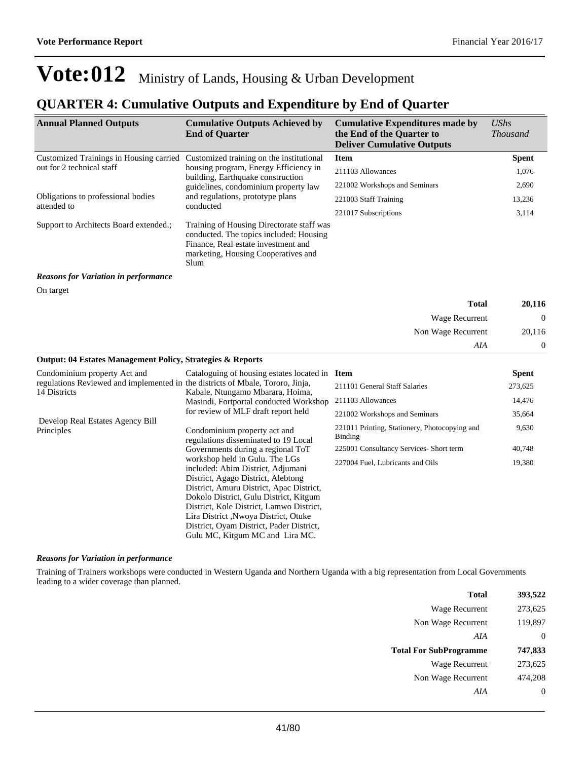### **QUARTER 4: Cumulative Outputs and Expenditure by End of Quarter**

| <b>Annual Planned Outputs</b>                                                                  | <b>Cumulative Outputs Achieved by</b><br><b>End of Quarter</b>                                                                                                                                                                                                                                                                                                     | <b>Cumulative Expenditures made by</b><br>the End of the Quarter to<br><b>Deliver Cumulative Outputs</b> | <b>UShs</b><br><b>Thousand</b> |
|------------------------------------------------------------------------------------------------|--------------------------------------------------------------------------------------------------------------------------------------------------------------------------------------------------------------------------------------------------------------------------------------------------------------------------------------------------------------------|----------------------------------------------------------------------------------------------------------|--------------------------------|
| Customized Trainings in Housing carried Customized training on the institutional               |                                                                                                                                                                                                                                                                                                                                                                    | <b>Item</b>                                                                                              | <b>Spent</b>                   |
| out for 2 technical staff                                                                      | housing program, Energy Efficiency in                                                                                                                                                                                                                                                                                                                              | 211103 Allowances                                                                                        | 1,076                          |
|                                                                                                | building, Earthquake construction<br>guidelines, condominium property law                                                                                                                                                                                                                                                                                          | 221002 Workshops and Seminars                                                                            | 2,690                          |
| Obligations to professional bodies                                                             | and regulations, prototype plans                                                                                                                                                                                                                                                                                                                                   | 221003 Staff Training                                                                                    | 13,236                         |
| attended to                                                                                    | conducted                                                                                                                                                                                                                                                                                                                                                          | 221017 Subscriptions                                                                                     | 3,114                          |
| Support to Architects Board extended.;                                                         | Training of Housing Directorate staff was<br>conducted. The topics included: Housing<br>Finance, Real estate investment and<br>marketing, Housing Cooperatives and<br>Slum                                                                                                                                                                                         |                                                                                                          |                                |
| <b>Reasons for Variation in performance</b>                                                    |                                                                                                                                                                                                                                                                                                                                                                    |                                                                                                          |                                |
| On target                                                                                      |                                                                                                                                                                                                                                                                                                                                                                    |                                                                                                          |                                |
|                                                                                                |                                                                                                                                                                                                                                                                                                                                                                    | <b>Total</b>                                                                                             | 20,116                         |
|                                                                                                |                                                                                                                                                                                                                                                                                                                                                                    | Wage Recurrent                                                                                           | $\mathbf{0}$                   |
|                                                                                                |                                                                                                                                                                                                                                                                                                                                                                    | Non Wage Recurrent                                                                                       | 20,116                         |
|                                                                                                |                                                                                                                                                                                                                                                                                                                                                                    | AIA                                                                                                      | 0                              |
| <b>Output: 04 Estates Management Policy, Strategies &amp; Reports</b>                          |                                                                                                                                                                                                                                                                                                                                                                    |                                                                                                          |                                |
| Condominium property Act and                                                                   | Cataloguing of housing estates located in Item                                                                                                                                                                                                                                                                                                                     |                                                                                                          | <b>Spent</b>                   |
| regulations Reviewed and implemented in the districts of Mbale, Tororo, Jinja,<br>14 Districts | Kabale, Ntungamo Mbarara, Hoima,                                                                                                                                                                                                                                                                                                                                   | 211101 General Staff Salaries                                                                            | 273,625                        |
|                                                                                                | Masindi, Fortportal conducted Workshop                                                                                                                                                                                                                                                                                                                             | 211103 Allowances                                                                                        | 14,476                         |
|                                                                                                | for review of MLF draft report held                                                                                                                                                                                                                                                                                                                                | 221002 Workshops and Seminars                                                                            | 35,664                         |
| Develop Real Estates Agency Bill<br>Principles                                                 | Condominium property act and<br>regulations disseminated to 19 Local                                                                                                                                                                                                                                                                                               | 221011 Printing, Stationery, Photocopying and<br><b>Binding</b>                                          | 9,630                          |
|                                                                                                | Governments during a regional ToT                                                                                                                                                                                                                                                                                                                                  | 225001 Consultancy Services- Short term                                                                  | 40,748                         |
|                                                                                                | workshop held in Gulu. The LGs<br>included: Abim District, Adjumani<br>District, Agago District, Alebtong<br>District, Amuru District, Apac District,<br>Dokolo District, Gulu District, Kitgum<br>District, Kole District, Lamwo District,<br>Lira District, Nwoya District, Otuke<br>District, Oyam District, Pader District,<br>Gulu MC, Kitgum MC and Lira MC. | 227004 Fuel, Lubricants and Oils                                                                         | 19,380                         |

#### *Reasons for Variation in performance*

Training of Trainers workshops were conducted in Western Uganda and Northern Uganda with a big representation from Local Governments leading to a wider coverage than planned.

| <b>Total</b>                  | 393,522  |
|-------------------------------|----------|
| Wage Recurrent                | 273,625  |
| Non Wage Recurrent            | 119,897  |
| AIA                           | $\theta$ |
|                               |          |
| <b>Total For SubProgramme</b> | 747,833  |
| <b>Wage Recurrent</b>         | 273,625  |
| Non Wage Recurrent            | 474.208  |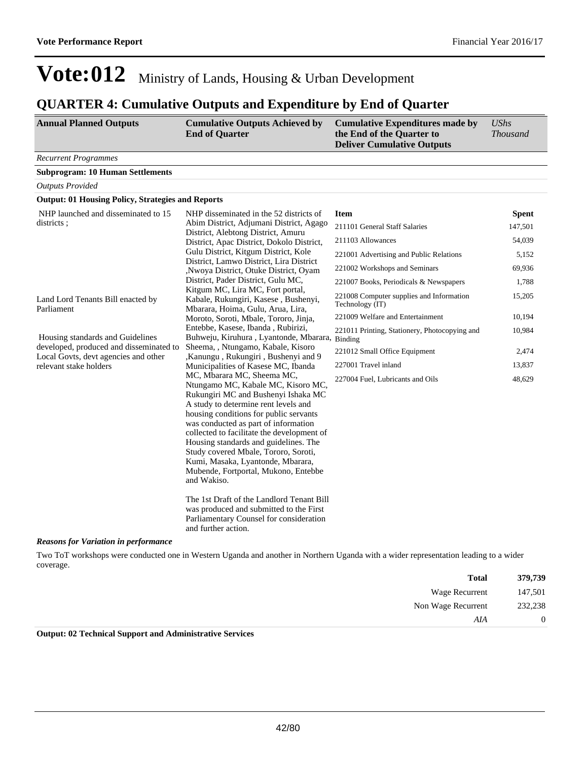### **QUARTER 4: Cumulative Outputs and Expenditure by End of Quarter**

| <b>Recurrent Programmes</b><br><b>Subprogram: 10 Human Settlements</b><br><b>Outputs Provided</b><br><b>Output: 01 Housing Policy, Strategies and Reports</b><br>NHP launched and disseminated to 15<br>NHP disseminated in the 52 districts of<br><b>Item</b><br>districts:<br>Abim District, Adjumani District, Agago<br>211101 General Staff Salaries<br>District, Alebtong District, Amuru<br>211103 Allowances<br>District, Apac District, Dokolo District,<br>Gulu District, Kitgum District, Kole<br>221001 Advertising and Public Relations<br>District, Lamwo District, Lira District<br>221002 Workshops and Seminars<br>,Nwoya District, Otuke District, Oyam<br>District, Pader District, Gulu MC,<br>221007 Books, Periodicals & Newspapers<br>Kitgum MC, Lira MC, Fort portal,<br>221008 Computer supplies and Information<br>Land Lord Tenants Bill enacted by<br>Kabale, Rukungiri, Kasese, Bushenyi,<br>Technology (IT)<br>Parliament<br>Mbarara, Hoima, Gulu, Arua, Lira,<br>221009 Welfare and Entertainment<br>Moroto, Soroti, Mbale, Tororo, Jinja,<br>Entebbe, Kasese, Ibanda, Rubirizi,<br>221011 Printing, Stationery, Photocopying and<br>Housing standards and Guidelines<br>Buhweju, Kiruhura, Lyantonde, Mbarara, Binding<br>developed, produced and disseminated to<br>Sheema, , Ntungamo, Kabale, Kisoro<br>221012 Small Office Equipment<br>Local Govts, devt agencies and other<br>,Kanungu, Rukungiri, Bushenyi and 9<br>relevant stake holders<br>Municipalities of Kasese MC, Ibanda<br>227001 Travel inland<br>MC, Mbarara MC, Sheema MC,<br>227004 Fuel, Lubricants and Oils<br>Ntungamo MC, Kabale MC, Kisoro MC,<br>Rukungiri MC and Bushenyi Ishaka MC<br>A study to determine rent levels and<br>housing conditions for public servants<br>was conducted as part of information<br>collected to facilitate the development of<br>Housing standards and guidelines. The<br>Study covered Mbale, Tororo, Soroti,<br>Kumi, Masaka, Lyantonde, Mbarara,<br>Mubende, Fortportal, Mukono, Entebbe<br>and Wakiso.<br>The 1st Draft of the Landlord Tenant Bill | <b>Annual Planned Outputs</b> | <b>Cumulative Outputs Achieved by</b><br><b>End of Quarter</b> | <b>Cumulative Expenditures made by</b><br>the End of the Quarter to<br><b>Deliver Cumulative Outputs</b> | <b>UShs</b><br><b>Thousand</b> |
|--------------------------------------------------------------------------------------------------------------------------------------------------------------------------------------------------------------------------------------------------------------------------------------------------------------------------------------------------------------------------------------------------------------------------------------------------------------------------------------------------------------------------------------------------------------------------------------------------------------------------------------------------------------------------------------------------------------------------------------------------------------------------------------------------------------------------------------------------------------------------------------------------------------------------------------------------------------------------------------------------------------------------------------------------------------------------------------------------------------------------------------------------------------------------------------------------------------------------------------------------------------------------------------------------------------------------------------------------------------------------------------------------------------------------------------------------------------------------------------------------------------------------------------------------------------------------------------------------------------------------------------------------------------------------------------------------------------------------------------------------------------------------------------------------------------------------------------------------------------------------------------------------------------------------------------------------------------------------------------------------------------------------------------------------------------------------------------------------|-------------------------------|----------------------------------------------------------------|----------------------------------------------------------------------------------------------------------|--------------------------------|
|                                                                                                                                                                                                                                                                                                                                                                                                                                                                                                                                                                                                                                                                                                                                                                                                                                                                                                                                                                                                                                                                                                                                                                                                                                                                                                                                                                                                                                                                                                                                                                                                                                                                                                                                                                                                                                                                                                                                                                                                                                                                                                  |                               |                                                                |                                                                                                          |                                |
|                                                                                                                                                                                                                                                                                                                                                                                                                                                                                                                                                                                                                                                                                                                                                                                                                                                                                                                                                                                                                                                                                                                                                                                                                                                                                                                                                                                                                                                                                                                                                                                                                                                                                                                                                                                                                                                                                                                                                                                                                                                                                                  |                               |                                                                |                                                                                                          |                                |
|                                                                                                                                                                                                                                                                                                                                                                                                                                                                                                                                                                                                                                                                                                                                                                                                                                                                                                                                                                                                                                                                                                                                                                                                                                                                                                                                                                                                                                                                                                                                                                                                                                                                                                                                                                                                                                                                                                                                                                                                                                                                                                  |                               |                                                                |                                                                                                          |                                |
|                                                                                                                                                                                                                                                                                                                                                                                                                                                                                                                                                                                                                                                                                                                                                                                                                                                                                                                                                                                                                                                                                                                                                                                                                                                                                                                                                                                                                                                                                                                                                                                                                                                                                                                                                                                                                                                                                                                                                                                                                                                                                                  |                               |                                                                |                                                                                                          |                                |
|                                                                                                                                                                                                                                                                                                                                                                                                                                                                                                                                                                                                                                                                                                                                                                                                                                                                                                                                                                                                                                                                                                                                                                                                                                                                                                                                                                                                                                                                                                                                                                                                                                                                                                                                                                                                                                                                                                                                                                                                                                                                                                  |                               |                                                                |                                                                                                          | <b>Spent</b><br>147,501        |
|                                                                                                                                                                                                                                                                                                                                                                                                                                                                                                                                                                                                                                                                                                                                                                                                                                                                                                                                                                                                                                                                                                                                                                                                                                                                                                                                                                                                                                                                                                                                                                                                                                                                                                                                                                                                                                                                                                                                                                                                                                                                                                  |                               |                                                                |                                                                                                          | 54,039                         |
|                                                                                                                                                                                                                                                                                                                                                                                                                                                                                                                                                                                                                                                                                                                                                                                                                                                                                                                                                                                                                                                                                                                                                                                                                                                                                                                                                                                                                                                                                                                                                                                                                                                                                                                                                                                                                                                                                                                                                                                                                                                                                                  |                               |                                                                |                                                                                                          |                                |
|                                                                                                                                                                                                                                                                                                                                                                                                                                                                                                                                                                                                                                                                                                                                                                                                                                                                                                                                                                                                                                                                                                                                                                                                                                                                                                                                                                                                                                                                                                                                                                                                                                                                                                                                                                                                                                                                                                                                                                                                                                                                                                  |                               |                                                                |                                                                                                          | 5,152                          |
|                                                                                                                                                                                                                                                                                                                                                                                                                                                                                                                                                                                                                                                                                                                                                                                                                                                                                                                                                                                                                                                                                                                                                                                                                                                                                                                                                                                                                                                                                                                                                                                                                                                                                                                                                                                                                                                                                                                                                                                                                                                                                                  |                               |                                                                |                                                                                                          | 69,936                         |
|                                                                                                                                                                                                                                                                                                                                                                                                                                                                                                                                                                                                                                                                                                                                                                                                                                                                                                                                                                                                                                                                                                                                                                                                                                                                                                                                                                                                                                                                                                                                                                                                                                                                                                                                                                                                                                                                                                                                                                                                                                                                                                  |                               |                                                                |                                                                                                          | 1,788                          |
|                                                                                                                                                                                                                                                                                                                                                                                                                                                                                                                                                                                                                                                                                                                                                                                                                                                                                                                                                                                                                                                                                                                                                                                                                                                                                                                                                                                                                                                                                                                                                                                                                                                                                                                                                                                                                                                                                                                                                                                                                                                                                                  |                               |                                                                |                                                                                                          | 15,205                         |
|                                                                                                                                                                                                                                                                                                                                                                                                                                                                                                                                                                                                                                                                                                                                                                                                                                                                                                                                                                                                                                                                                                                                                                                                                                                                                                                                                                                                                                                                                                                                                                                                                                                                                                                                                                                                                                                                                                                                                                                                                                                                                                  |                               |                                                                |                                                                                                          | 10,194                         |
|                                                                                                                                                                                                                                                                                                                                                                                                                                                                                                                                                                                                                                                                                                                                                                                                                                                                                                                                                                                                                                                                                                                                                                                                                                                                                                                                                                                                                                                                                                                                                                                                                                                                                                                                                                                                                                                                                                                                                                                                                                                                                                  |                               |                                                                |                                                                                                          | 10,984                         |
|                                                                                                                                                                                                                                                                                                                                                                                                                                                                                                                                                                                                                                                                                                                                                                                                                                                                                                                                                                                                                                                                                                                                                                                                                                                                                                                                                                                                                                                                                                                                                                                                                                                                                                                                                                                                                                                                                                                                                                                                                                                                                                  |                               |                                                                |                                                                                                          | 2,474                          |
|                                                                                                                                                                                                                                                                                                                                                                                                                                                                                                                                                                                                                                                                                                                                                                                                                                                                                                                                                                                                                                                                                                                                                                                                                                                                                                                                                                                                                                                                                                                                                                                                                                                                                                                                                                                                                                                                                                                                                                                                                                                                                                  |                               |                                                                |                                                                                                          | 13,837                         |
| Parliamentary Counsel for consideration<br>and further action.<br><b>Reasons for Variation in performance</b>                                                                                                                                                                                                                                                                                                                                                                                                                                                                                                                                                                                                                                                                                                                                                                                                                                                                                                                                                                                                                                                                                                                                                                                                                                                                                                                                                                                                                                                                                                                                                                                                                                                                                                                                                                                                                                                                                                                                                                                    |                               | was produced and submitted to the First                        |                                                                                                          | 48,629                         |

Two ToT workshops were conducted one in Western Uganda and another in Northern Uganda with a wider representation leading to a wider coverage.

| 379,739      | <b>Total</b>       |
|--------------|--------------------|
| 147,501      | Wage Recurrent     |
| 232,238      | Non Wage Recurrent |
| $\mathbf{0}$ | AIA                |

**Output: 02 Technical Support and Administrative Services**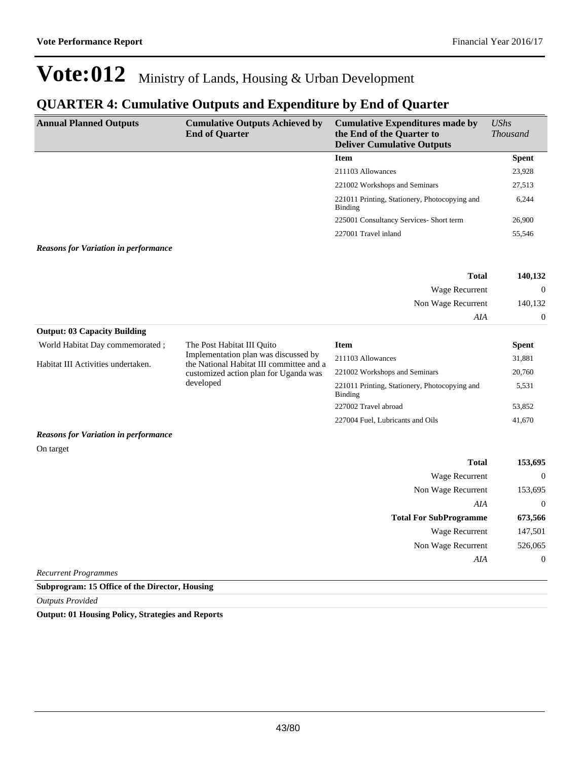### **QUARTER 4: Cumulative Outputs and Expenditure by End of Quarter**

| <b>Annual Planned Outputs</b>               | <b>Cumulative Outputs Achieved by</b><br><b>End of Quarter</b>                   | <b>Cumulative Expenditures made by</b><br>the End of the Quarter to<br><b>Deliver Cumulative Outputs</b> | <b>UShs</b><br><b>Thousand</b> |
|---------------------------------------------|----------------------------------------------------------------------------------|----------------------------------------------------------------------------------------------------------|--------------------------------|
|                                             |                                                                                  | <b>Item</b>                                                                                              | <b>Spent</b>                   |
|                                             |                                                                                  | 211103 Allowances                                                                                        | 23,928                         |
|                                             |                                                                                  | 221002 Workshops and Seminars                                                                            | 27,513                         |
|                                             |                                                                                  | 221011 Printing, Stationery, Photocopying and<br><b>Binding</b>                                          | 6,244                          |
|                                             |                                                                                  | 225001 Consultancy Services- Short term                                                                  | 26,900                         |
|                                             |                                                                                  | 227001 Travel inland                                                                                     | 55,546                         |
| <b>Reasons for Variation in performance</b> |                                                                                  |                                                                                                          |                                |
|                                             |                                                                                  | <b>Total</b>                                                                                             | 140,132                        |
|                                             |                                                                                  | Wage Recurrent                                                                                           | $\mathbf{0}$                   |
|                                             |                                                                                  | Non Wage Recurrent                                                                                       | 140,132                        |
|                                             |                                                                                  | AIA                                                                                                      | $\boldsymbol{0}$               |
| <b>Output: 03 Capacity Building</b>         |                                                                                  |                                                                                                          |                                |
| World Habitat Day commemorated;             | The Post Habitat III Quito                                                       | <b>Item</b>                                                                                              | <b>Spent</b>                   |
| Habitat III Activities undertaken.          | Implementation plan was discussed by<br>the National Habitat III committee and a | 211103 Allowances                                                                                        | 31,881                         |
|                                             | customized action plan for Uganda was                                            | 221002 Workshops and Seminars                                                                            | 20,760                         |
|                                             | developed                                                                        | 221011 Printing, Stationery, Photocopying and<br><b>Binding</b>                                          | 5,531                          |
|                                             |                                                                                  | 227002 Travel abroad                                                                                     | 53,852                         |
|                                             |                                                                                  | 227004 Fuel, Lubricants and Oils                                                                         | 41,670                         |
| <b>Reasons for Variation in performance</b> |                                                                                  |                                                                                                          |                                |
| On target                                   |                                                                                  |                                                                                                          |                                |
|                                             |                                                                                  | <b>Total</b>                                                                                             | 153,695                        |
|                                             |                                                                                  | Wage Recurrent                                                                                           | $\mathbf{0}$                   |
|                                             |                                                                                  | Non Wage Recurrent                                                                                       | 153,695                        |
|                                             |                                                                                  | AIA                                                                                                      | $\boldsymbol{0}$               |
|                                             |                                                                                  | <b>Total For SubProgramme</b>                                                                            | 673,566                        |
|                                             |                                                                                  | Wage Recurrent                                                                                           | 147,501                        |
|                                             |                                                                                  | Non Wage Recurrent                                                                                       | 526,065                        |
| <b>Recurrent Programmes</b>                 |                                                                                  | AIA                                                                                                      | $\boldsymbol{0}$               |

**Subprogram: 15 Office of the Director, Housing**

*Outputs Provided*

**Output: 01 Housing Policy, Strategies and Reports**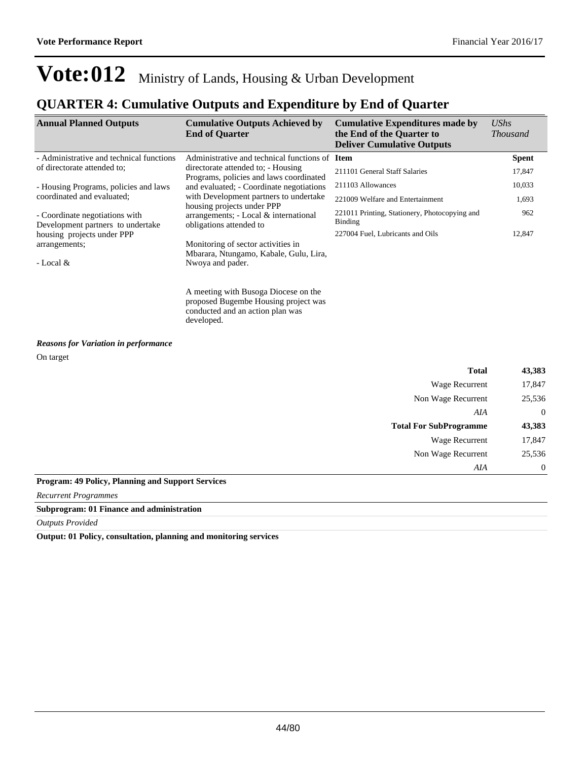### **QUARTER 4: Cumulative Outputs and Expenditure by End of Quarter**

| <b>Annual Planned Outputs</b>                                       | <b>Cumulative Outputs Achieved by</b>                                                                                          | <b>Cumulative Expenditures made by</b>                          | <b>UShs</b>      |
|---------------------------------------------------------------------|--------------------------------------------------------------------------------------------------------------------------------|-----------------------------------------------------------------|------------------|
|                                                                     | <b>End of Quarter</b>                                                                                                          | the End of the Quarter to<br><b>Deliver Cumulative Outputs</b>  | <b>Thousand</b>  |
| - Administrative and technical functions                            | Administrative and technical functions of Item                                                                                 |                                                                 | <b>Spent</b>     |
| of directorate attended to;                                         | directorate attended to; - Housing<br>Programs, policies and laws coordinated                                                  | 211101 General Staff Salaries                                   | 17,847           |
| - Housing Programs, policies and laws                               | and evaluated; - Coordinate negotiations                                                                                       | 211103 Allowances                                               | 10,033           |
| coordinated and evaluated;                                          | with Development partners to undertake                                                                                         | 221009 Welfare and Entertainment                                | 1,693            |
| - Coordinate negotiations with<br>Development partners to undertake | housing projects under PPP<br>arrangements; - Local & international<br>obligations attended to                                 | 221011 Printing, Stationery, Photocopying and<br><b>Binding</b> | 962              |
| housing projects under PPP                                          |                                                                                                                                | 227004 Fuel, Lubricants and Oils                                | 12,847           |
| arrangements;                                                       | Monitoring of sector activities in                                                                                             |                                                                 |                  |
| - Local $&$                                                         | Mbarara, Ntungamo, Kabale, Gulu, Lira,<br>Nwoya and pader.                                                                     |                                                                 |                  |
|                                                                     | A meeting with Busoga Diocese on the<br>proposed Bugembe Housing project was<br>conducted and an action plan was<br>developed. |                                                                 |                  |
| <b>Reasons for Variation in performance</b>                         |                                                                                                                                |                                                                 |                  |
| On target                                                           |                                                                                                                                |                                                                 |                  |
|                                                                     |                                                                                                                                | <b>Total</b>                                                    | 43,383           |
|                                                                     |                                                                                                                                | Wage Recurrent                                                  | 17,847           |
|                                                                     |                                                                                                                                | Non Wage Recurrent                                              | 25,536           |
|                                                                     |                                                                                                                                | AIA                                                             | $\mathbf{0}$     |
|                                                                     |                                                                                                                                | <b>Total For SubProgramme</b>                                   | 43,383           |
|                                                                     |                                                                                                                                | Wage Recurrent                                                  | 17,847           |
|                                                                     |                                                                                                                                | Non Wage Recurrent                                              | 25,536           |
|                                                                     |                                                                                                                                | AIA                                                             | $\boldsymbol{0}$ |

#### **Program: 49 Policy, Planning and Support Services**

*Recurrent Programmes*

#### **Subprogram: 01 Finance and administration**

*Outputs Provided*

**Output: 01 Policy, consultation, planning and monitoring services**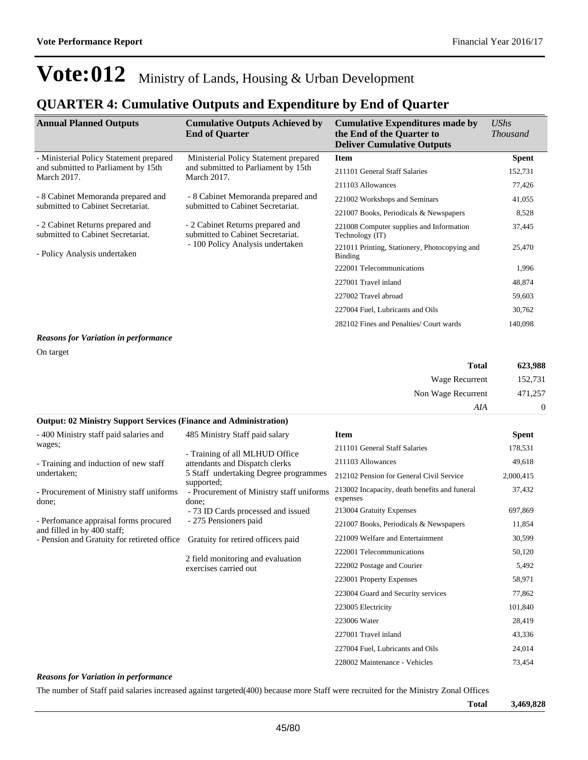### **QUARTER 4: Cumulative Outputs and Expenditure by End of Quarter**

| <b>Annual Planned Outputs</b>                                         | <b>Cumulative Outputs Achieved by</b><br><b>End of Quarter</b>                                            | <b>Cumulative Expenditures made by</b><br>the End of the Quarter to<br><b>Deliver Cumulative Outputs</b> | UShs<br><i>Thousand</i> |
|-----------------------------------------------------------------------|-----------------------------------------------------------------------------------------------------------|----------------------------------------------------------------------------------------------------------|-------------------------|
| - Ministerial Policy Statement prepared                               | Ministerial Policy Statement prepared                                                                     | <b>Item</b>                                                                                              | <b>Spent</b>            |
| and submitted to Parliament by 15th<br><b>March 2017.</b>             | and submitted to Parliament by 15th<br><b>March 2017.</b>                                                 | 211101 General Staff Salaries                                                                            | 152,731                 |
|                                                                       |                                                                                                           | 211103 Allowances                                                                                        | 77,426                  |
| - 8 Cabinet Memoranda prepared and                                    | - 8 Cabinet Memoranda prepared and                                                                        | 221002 Workshops and Seminars                                                                            | 41,055                  |
| submitted to Cabinet Secretariat.                                     | submitted to Cabinet Secretariat.                                                                         | 221007 Books, Periodicals & Newspapers                                                                   | 8,528                   |
| - 2 Cabinet Returns prepared and<br>submitted to Cabinet Secretariat. | - 2 Cabinet Returns prepared and<br>submitted to Cabinet Secretariat.<br>- 100 Policy Analysis undertaken | 221008 Computer supplies and Information<br>Technology (IT)                                              | 37,445                  |
| - Policy Analysis undertaken                                          |                                                                                                           | 221011 Printing, Stationery, Photocopying and<br>Binding                                                 | 25,470                  |
|                                                                       |                                                                                                           | 222001 Telecommunications                                                                                | 1,996                   |
|                                                                       |                                                                                                           | 227001 Travel inland                                                                                     | 48,874                  |
|                                                                       |                                                                                                           | 227002 Travel abroad                                                                                     | 59,603                  |
|                                                                       |                                                                                                           | 227004 Fuel, Lubricants and Oils                                                                         | 30,762                  |
|                                                                       |                                                                                                           | 282102 Fines and Penalties/ Court wards                                                                  | 140,098                 |

#### *Reasons for Variation in performance*

On target

| <b>Total</b>       | 623,988        |
|--------------------|----------------|
| Wage Recurrent     | 152,731        |
| Non Wage Recurrent | 471,257        |
| AIA                | $\overline{0}$ |

#### **Output: 02 Ministry Support Services (Finance and Administration)**

| - 400 Ministry staff paid salaries and                               | 485 Ministry Staff paid salary                                  | <b>Item</b>                                               | <b>Spent</b> |
|----------------------------------------------------------------------|-----------------------------------------------------------------|-----------------------------------------------------------|--------------|
| wages;                                                               | - Training of all MLHUD Office                                  | 211101 General Staff Salaries                             | 178,531      |
| - Training and induction of new staff                                | attendants and Dispatch clerks                                  | 211103 Allowances                                         | 49,618       |
| undertaken;                                                          | 5 Staff undertaking Degree programmes                           | 212102 Pension for General Civil Service                  | 2,000,415    |
| - Procurement of Ministry staff uniforms<br>done;                    | supported;<br>- Procurement of Ministry staff uniforms<br>done: | 213002 Incapacity, death benefits and funeral<br>expenses | 37,432       |
|                                                                      | - 73 ID Cards processed and issued                              | 213004 Gratuity Expenses                                  | 697,869      |
| - Perfomance appraisal forms procured<br>and filled in by 400 staff: | - 275 Pensioners paid                                           | 221007 Books, Periodicals & Newspapers                    | 11,854       |
| - Pension and Gratuity for retireted office                          | Gratuity for retired officers paid                              | 221009 Welfare and Entertainment                          | 30,599       |
|                                                                      |                                                                 | 222001 Telecommunications                                 | 50,120       |
|                                                                      | 2 field monitoring and evaluation<br>exercises carried out      | 222002 Postage and Courier                                | 5,492        |
|                                                                      |                                                                 | 223001 Property Expenses                                  | 58,971       |
|                                                                      |                                                                 | 223004 Guard and Security services                        | 77,862       |
|                                                                      |                                                                 | 223005 Electricity                                        | 101,840      |
|                                                                      |                                                                 | 223006 Water                                              | 28,419       |
|                                                                      |                                                                 | 227001 Travel inland                                      | 43,336       |
|                                                                      |                                                                 | 227004 Fuel, Lubricants and Oils                          | 24,014       |
|                                                                      |                                                                 | 228002 Maintenance - Vehicles                             | 73,454       |

#### *Reasons for Variation in performance*

The number of Staff paid salaries increased against targeted(400) because more Staff were recruited for the Ministry Zonal Offices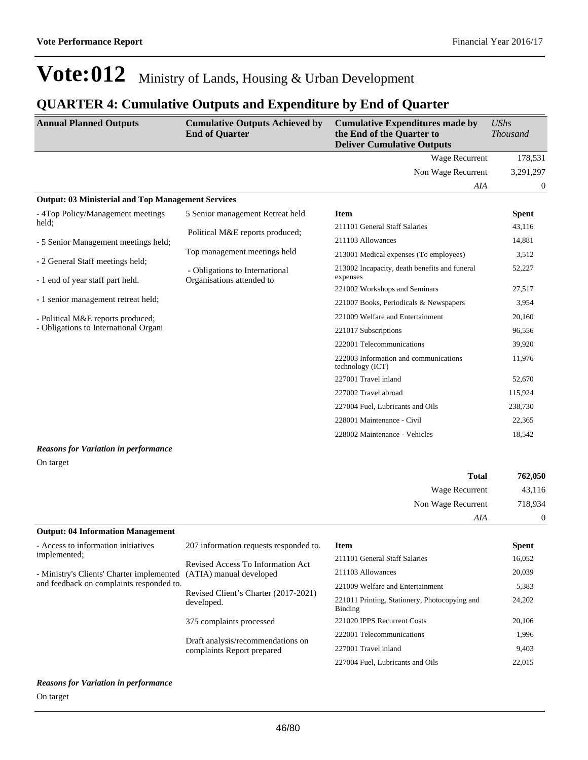### **QUARTER 4: Cumulative Outputs and Expenditure by End of Quarter**

| <b>Annual Planned Outputs</b>                                        | <b>Cumulative Outputs Achieved by</b><br><b>End of Quarter</b> | <b>Cumulative Expenditures made by</b><br>the End of the Quarter to<br><b>Deliver Cumulative Outputs</b> | <b>UShs</b><br><b>Thousand</b> |
|----------------------------------------------------------------------|----------------------------------------------------------------|----------------------------------------------------------------------------------------------------------|--------------------------------|
|                                                                      |                                                                | <b>Wage Recurrent</b>                                                                                    | 178,531                        |
|                                                                      |                                                                | Non Wage Recurrent                                                                                       | 3,291,297                      |
|                                                                      |                                                                | AIA                                                                                                      | $\theta$                       |
| <b>Output: 03 Ministerial and Top Management Services</b>            |                                                                |                                                                                                          |                                |
| - 4Top Policy/Management meetings                                    | 5 Senior management Retreat held                               | <b>Item</b>                                                                                              | <b>Spent</b>                   |
| held:                                                                | Political M&E reports produced;                                | 211101 General Staff Salaries                                                                            | 43,116                         |
| - 5 Senior Management meetings held;                                 |                                                                | 211103 Allowances                                                                                        | 14,881                         |
|                                                                      | Top management meetings held                                   | 213001 Medical expenses (To employees)                                                                   | 3,512                          |
| - 2 General Staff meetings held;<br>- 1 end of year staff part held. | - Obligations to International<br>Organisations attended to    | 213002 Incapacity, death benefits and funeral<br>expenses                                                | 52,227                         |
|                                                                      |                                                                | 221002 Workshops and Seminars                                                                            | 27,517                         |
| - 1 senior management retreat held;                                  |                                                                | 221007 Books, Periodicals & Newspapers                                                                   | 3,954                          |
| - Political M&E reports produced;                                    |                                                                | 221009 Welfare and Entertainment                                                                         | 20,160                         |
| - Obligations to International Organi                                |                                                                | 221017 Subscriptions                                                                                     | 96,556                         |
|                                                                      |                                                                | 222001 Telecommunications                                                                                | 39,920                         |
|                                                                      |                                                                | 222003 Information and communications<br>technology (ICT)                                                | 11,976                         |
|                                                                      |                                                                | 227001 Travel inland                                                                                     | 52,670                         |
|                                                                      |                                                                | 227002 Travel abroad                                                                                     | 115,924                        |
|                                                                      |                                                                | 227004 Fuel, Lubricants and Oils                                                                         | 238,730                        |
|                                                                      |                                                                | 228001 Maintenance - Civil                                                                               | 22,365                         |
|                                                                      |                                                                | 228002 Maintenance - Vehicles                                                                            | 18,542                         |
| <b>Reasons for Variation in performance</b>                          |                                                                |                                                                                                          |                                |
| On target                                                            |                                                                |                                                                                                          |                                |

| <b>Total</b>                             | 762,050  |
|------------------------------------------|----------|
| Wage Recurrent                           | 43,116   |
| Non Wage Recurrent                       | 718,934  |
| AIA                                      | $\Omega$ |
| <b>Output: 04 Information Management</b> |          |

| - Access to information initiatives                               | 207 information requests responded to.             | Item                                                     | <b>Spent</b> |
|-------------------------------------------------------------------|----------------------------------------------------|----------------------------------------------------------|--------------|
| implemented:                                                      | Revised Access To Information Act                  | 211101 General Staff Salaries                            | 16,052       |
| - Ministry's Clients' Charter implemented (ATIA) manual developed |                                                    | 211103 Allowances                                        | 20,039       |
| and feedback on complaints responded to.                          |                                                    | 221009 Welfare and Entertainment                         | 5,383        |
|                                                                   | Revised Client's Charter (2017-2021)<br>developed. | 221011 Printing, Stationery, Photocopying and<br>Binding | 24,202       |
|                                                                   | 375 complaints processed                           | 221020 IPPS Recurrent Costs                              | 20,106       |
|                                                                   | Draft analysis/recommendations on                  | 222001 Telecommunications                                | 1,996        |
|                                                                   | complaints Report prepared                         | 227001 Travel inland                                     | 9,403        |
|                                                                   |                                                    | 227004 Fuel, Lubricants and Oils                         | 22,015       |
|                                                                   |                                                    |                                                          |              |

#### *Reasons for Variation in performance* On target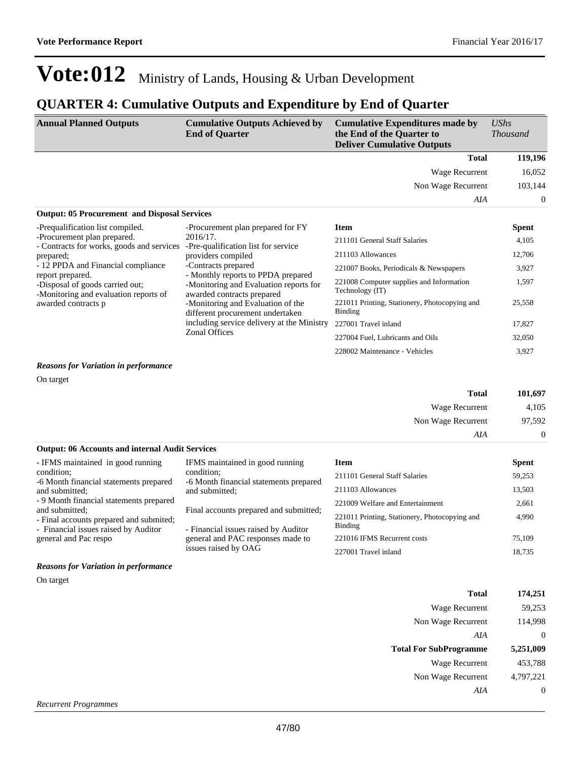#### **QUARTER 4: Cumulative Outputs and Expenditure by End of Quarter**

| <b>Annual Planned Outputs</b>                                                                                                                                                                                                                      | <b>Cumulative Outputs Achieved by</b><br><b>End of Quarter</b>                                                                                                                                                                                                                                                                                            | <b>Cumulative Expenditures made by</b><br>the End of the Quarter to<br><b>Deliver Cumulative Outputs</b> | UShs<br><i>Thousand</i> |
|----------------------------------------------------------------------------------------------------------------------------------------------------------------------------------------------------------------------------------------------------|-----------------------------------------------------------------------------------------------------------------------------------------------------------------------------------------------------------------------------------------------------------------------------------------------------------------------------------------------------------|----------------------------------------------------------------------------------------------------------|-------------------------|
|                                                                                                                                                                                                                                                    |                                                                                                                                                                                                                                                                                                                                                           | <b>Total</b>                                                                                             | 119,196                 |
|                                                                                                                                                                                                                                                    |                                                                                                                                                                                                                                                                                                                                                           | Wage Recurrent                                                                                           | 16,052                  |
|                                                                                                                                                                                                                                                    |                                                                                                                                                                                                                                                                                                                                                           | Non Wage Recurrent                                                                                       | 103,144                 |
|                                                                                                                                                                                                                                                    |                                                                                                                                                                                                                                                                                                                                                           | AIA                                                                                                      | $\theta$                |
| <b>Output: 05 Procurement and Disposal Services</b>                                                                                                                                                                                                |                                                                                                                                                                                                                                                                                                                                                           |                                                                                                          |                         |
| -Prequalification list compiled.                                                                                                                                                                                                                   | -Procurement plan prepared for FY                                                                                                                                                                                                                                                                                                                         | <b>Item</b>                                                                                              | <b>Spent</b>            |
| -Procurement plan prepared.<br>- Contracts for works, goods and services<br>prepared;<br>- 12 PPDA and Financial compliance<br>report prepared.<br>-Disposal of goods carried out;<br>-Monitoring and evaluation reports of<br>awarded contracts p | 2016/17.<br>-Pre-qualification list for service<br>providers compiled<br>-Contracts prepared<br>- Monthly reports to PPDA prepared<br>-Monitoring and Evaluation reports for<br>awarded contracts prepared<br>-Monitoring and Evaluation of the<br>different procurement undertaken<br>including service delivery at the Ministry<br><b>Zonal Offices</b> | 211101 General Staff Salaries                                                                            | 4,105                   |
|                                                                                                                                                                                                                                                    |                                                                                                                                                                                                                                                                                                                                                           | 211103 Allowances                                                                                        | 12,706                  |
|                                                                                                                                                                                                                                                    |                                                                                                                                                                                                                                                                                                                                                           | 221007 Books, Periodicals & Newspapers                                                                   | 3,927                   |
|                                                                                                                                                                                                                                                    |                                                                                                                                                                                                                                                                                                                                                           | 221008 Computer supplies and Information<br>Technology (IT)                                              | 1,597                   |
|                                                                                                                                                                                                                                                    |                                                                                                                                                                                                                                                                                                                                                           | 221011 Printing, Stationery, Photocopying and<br><b>Binding</b>                                          | 25,558                  |
|                                                                                                                                                                                                                                                    |                                                                                                                                                                                                                                                                                                                                                           | 227001 Travel inland                                                                                     | 17,827                  |
|                                                                                                                                                                                                                                                    |                                                                                                                                                                                                                                                                                                                                                           | 227004 Fuel, Lubricants and Oils                                                                         | 32,050                  |
|                                                                                                                                                                                                                                                    |                                                                                                                                                                                                                                                                                                                                                           | 228002 Maintenance - Vehicles                                                                            | 3,927                   |

*Reasons for Variation in performance*

On target

| Total              | 101,697 |
|--------------------|---------|
| Wage Recurrent     | 4,105   |
| Non Wage Recurrent | 97,592  |
| A I A              |         |

#### **Output: 06 Accounts and internal Audit Services**

| - IFMS maintained in good running                                                                 | IFMS maintained in good running                                                | Item                                                     | <b>Spent</b> |
|---------------------------------------------------------------------------------------------------|--------------------------------------------------------------------------------|----------------------------------------------------------|--------------|
| condition;<br>-6 Month financial statements prepared                                              | condition:<br>-6 Month financial statements prepared                           | 211101 General Staff Salaries                            | 59.253       |
| and submitted:                                                                                    | and submitted:                                                                 | 211103 Allowances                                        | 13.503       |
| - 9 Month financial statements prepared                                                           |                                                                                | 221009 Welfare and Entertainment                         | 2.661        |
| and submitted:<br>- Final accounts prepared and submited;<br>- Financial issues raised by Auditor | Final accounts prepared and submitted;<br>- Financial issues raised by Auditor | 221011 Printing, Stationery, Photocopying and<br>Binding | 4.990        |
| general and Pac respo                                                                             | general and PAC responses made to                                              | 221016 IFMS Recurrent costs                              | 75,109       |
|                                                                                                   | issues raised by OAG                                                           | 227001 Travel inland                                     | 18.735       |

#### *Reasons for Variation in performance*

On target

| Total                         | 174,251   |
|-------------------------------|-----------|
| Wage Recurrent                | 59,253    |
| Non Wage Recurrent            | 114,998   |
| AIA                           | 0         |
| <b>Total For SubProgramme</b> | 5,251,009 |
|                               |           |
| Wage Recurrent                | 453,788   |
| Non Wage Recurrent            | 4,797,221 |
| A I A                         | 0         |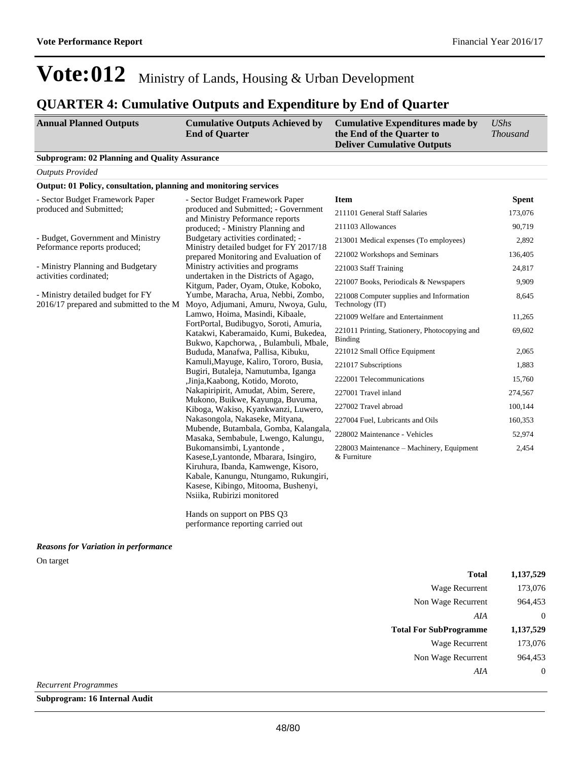### **QUARTER 4: Cumulative Outputs and Expenditure by End of Quarter**

| <b>Annual Planned Outputs</b>                                                | <b>Cumulative Outputs Achieved by</b><br><b>End of Quarter</b>                                                                                                                                                         | <b>Cumulative Expenditures made by</b><br>the End of the Quarter to<br><b>Deliver Cumulative Outputs</b> | <b>UShs</b><br><b>Thousand</b> |
|------------------------------------------------------------------------------|------------------------------------------------------------------------------------------------------------------------------------------------------------------------------------------------------------------------|----------------------------------------------------------------------------------------------------------|--------------------------------|
| <b>Subprogram: 02 Planning and Quality Assurance</b>                         |                                                                                                                                                                                                                        |                                                                                                          |                                |
| <b>Outputs Provided</b>                                                      |                                                                                                                                                                                                                        |                                                                                                          |                                |
| Output: 01 Policy, consultation, planning and monitoring services            |                                                                                                                                                                                                                        |                                                                                                          |                                |
| - Sector Budget Framework Paper                                              | - Sector Budget Framework Paper                                                                                                                                                                                        | <b>Item</b>                                                                                              | <b>Spent</b>                   |
| produced and Submitted;                                                      | produced and Submitted; - Government                                                                                                                                                                                   | 211101 General Staff Salaries                                                                            | 173,076                        |
|                                                                              | and Ministry Peformance reports<br>produced; - Ministry Planning and                                                                                                                                                   | 211103 Allowances                                                                                        | 90,719                         |
| - Budget, Government and Ministry                                            | Budgetary activities cordinated; -                                                                                                                                                                                     | 213001 Medical expenses (To employees)                                                                   | 2,892                          |
| Peformance reports produced;                                                 | Ministry detailed budget for FY 2017/18<br>prepared Monitoring and Evaluation of                                                                                                                                       | 221002 Workshops and Seminars                                                                            | 136,405                        |
| - Ministry Planning and Budgetary                                            | Ministry activities and programs                                                                                                                                                                                       | 221003 Staff Training                                                                                    | 24,817                         |
| activities cordinated:                                                       | undertaken in the Districts of Agago,                                                                                                                                                                                  | 221007 Books, Periodicals & Newspapers                                                                   | 9,909                          |
| - Ministry detailed budget for FY<br>2016/17 prepared and submitted to the M | Kitgum, Pader, Oyam, Otuke, Koboko,<br>Yumbe, Maracha, Arua, Nebbi, Zombo,<br>Moyo, Adjumani, Amuru, Nwoya, Gulu,                                                                                                      | 221008 Computer supplies and Information<br>Technology (IT)                                              | 8,645                          |
|                                                                              | Lamwo, Hoima, Masindi, Kibaale,                                                                                                                                                                                        | 221009 Welfare and Entertainment                                                                         | 11,265                         |
|                                                                              | FortPortal, Budibugyo, Soroti, Amuria,<br>Katakwi, Kaberamaido, Kumi, Bukedea,<br>Bukwo, Kapchorwa, , Bulambuli, Mbale,                                                                                                | 221011 Printing, Stationery, Photocopying and<br><b>Binding</b>                                          | 69,602                         |
|                                                                              | Bududa, Manafwa, Pallisa, Kibuku,                                                                                                                                                                                      | 221012 Small Office Equipment                                                                            | 2,065                          |
|                                                                              | Kamuli, Mayuge, Kaliro, Tororo, Busia,                                                                                                                                                                                 | 221017 Subscriptions                                                                                     | 1,883                          |
|                                                                              | Bugiri, Butaleja, Namutumba, Iganga<br>, Jinja, Kaabong, Kotido, Moroto,                                                                                                                                               | 222001 Telecommunications                                                                                | 15,760                         |
|                                                                              | Nakapiripirit, Amudat, Abim, Serere,                                                                                                                                                                                   | 227001 Travel inland                                                                                     | 274,567                        |
|                                                                              | Mukono, Buikwe, Kayunga, Buvuma,<br>Kiboga, Wakiso, Kyankwanzi, Luwero,                                                                                                                                                | 227002 Travel abroad                                                                                     | 100,144                        |
|                                                                              | Nakasongola, Nakaseke, Mityana,                                                                                                                                                                                        | 227004 Fuel, Lubricants and Oils                                                                         | 160,353                        |
|                                                                              | Mubende, Butambala, Gomba, Kalangala,<br>Masaka, Sembabule, Lwengo, Kalungu,                                                                                                                                           | 228002 Maintenance - Vehicles                                                                            | 52,974                         |
|                                                                              | Bukomansimbi, Lyantonde,<br>Kasese, Lyantonde, Mbarara, Isingiro,<br>Kiruhura, Ibanda, Kamwenge, Kisoro,<br>Kabale, Kanungu, Ntungamo, Rukungiri,<br>Kasese, Kibingo, Mitooma, Bushenyi,<br>Nsiika, Rubirizi monitored | 228003 Maintenance - Machinery, Equipment<br>& Furniture                                                 | 2,454                          |

Hands on support on PBS Q3 performance reporting carried out

#### *Reasons for Variation in performance*

On target

| Total                         | 1,137,529 |
|-------------------------------|-----------|
| Wage Recurrent                | 173,076   |
| Non Wage Recurrent            | 964,453   |
| AIA                           | $\theta$  |
|                               |           |
| <b>Total For SubProgramme</b> | 1,137,529 |
| Wage Recurrent                | 173,076   |
| Non Wage Recurrent            | 964.453   |

*Recurrent Programmes*

**Subprogram: 16 Internal Audit**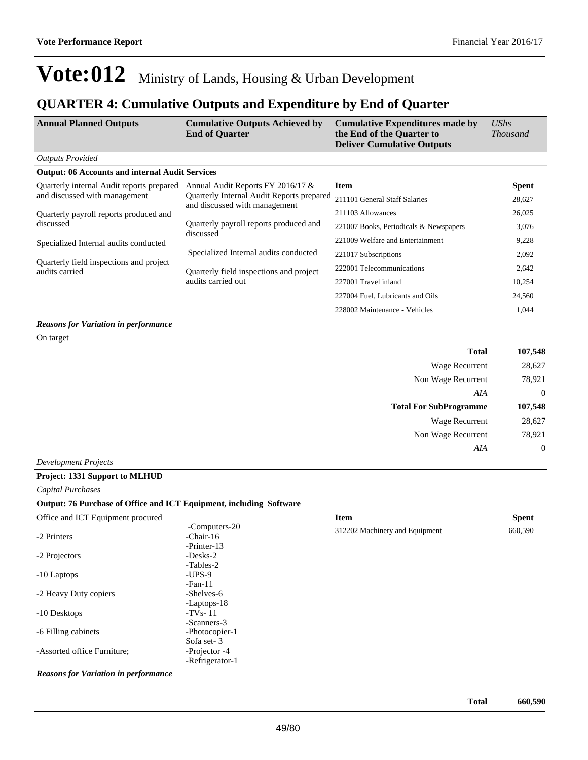### **QUARTER 4: Cumulative Outputs and Expenditure by End of Quarter**

| <b>Annual Planned Outputs</b>                             | <b>Cumulative Outputs Achieved by</b><br><b>End of Quarter</b> | <b>Cumulative Expenditures made by</b><br>the End of the Quarter to<br><b>Deliver Cumulative Outputs</b> | $\mathit{UShs}$<br><i>Thousand</i> |
|-----------------------------------------------------------|----------------------------------------------------------------|----------------------------------------------------------------------------------------------------------|------------------------------------|
| <b>Outputs Provided</b>                                   |                                                                |                                                                                                          |                                    |
| <b>Output: 06 Accounts and internal Audit Services</b>    |                                                                |                                                                                                          |                                    |
| Quarterly internal Audit reports prepared                 | Annual Audit Reports FY 2016/17 &                              | <b>Item</b>                                                                                              | <b>Spent</b>                       |
| and discussed with management                             | Quarterly Internal Audit Reports prepared                      | 211101 General Staff Salaries                                                                            | 28,627                             |
| Quarterly payroll reports produced and                    | and discussed with management                                  | 211103 Allowances                                                                                        | 26,025                             |
| discussed                                                 | Quarterly payroll reports produced and                         | 221007 Books, Periodicals & Newspapers                                                                   | 3,076                              |
| Specialized Internal audits conducted                     | discussed                                                      | 221009 Welfare and Entertainment                                                                         | 9,228                              |
|                                                           | Specialized Internal audits conducted                          | 221017 Subscriptions                                                                                     | 2,092                              |
| Quarterly field inspections and project<br>audits carried | Quarterly field inspections and project<br>audits carried out  | 222001 Telecommunications                                                                                | 2,642                              |
|                                                           |                                                                | 227001 Travel inland                                                                                     | 10,254                             |
|                                                           |                                                                | 227004 Fuel, Lubricants and Oils                                                                         | 24,560                             |
|                                                           |                                                                | 228002 Maintenance - Vehicles                                                                            | 1,044                              |

#### *Reasons for Variation in performance*

On target

| <b>Total</b>                  | 107,548  |
|-------------------------------|----------|
| Wage Recurrent                | 28,627   |
| Non Wage Recurrent            | 78,921   |
| AIA                           | $\theta$ |
|                               |          |
| <b>Total For SubProgramme</b> | 107,548  |
| Wage Recurrent                | 28,627   |
| Non Wage Recurrent            | 78,921   |
| AIA                           |          |

*Development Projects*

#### **Project: 1331 Support to MLHUD**

#### *Capital Purchases*

#### **Output: 76 Purchase of Office and ICT Equipment, including Software**  $\overline{\text{Off}}$  and  $\overline{\text{ICT}}$  Equip

| Office and ICT Equipment procured                                                     |                                           | <b>Item</b>                    | <b>Spent</b> |
|---------------------------------------------------------------------------------------|-------------------------------------------|--------------------------------|--------------|
| -2 Printers                                                                           | -Computers-20<br>-Chair-16<br>-Printer-13 | 312202 Machinery and Equipment | 660,590      |
| -2 Projectors                                                                         | $-Des$ ks $-2$<br>-Tables-2               |                                |              |
| -10 Laptops                                                                           | $-UPS-9$<br>$-Fan-11$                     |                                |              |
| -2 Heavy Duty copiers                                                                 | -Shelves-6<br>-Laptops-18                 |                                |              |
| -10 Desktops                                                                          | $-TVs-11$<br>-Scanners-3                  |                                |              |
| -6 Filling cabinets                                                                   | -Photocopier-1<br>Sofa set-3              |                                |              |
| -Assorted office Furniture;                                                           | -Projector -4<br>-Refrigerator-1          |                                |              |
| $\bf{D}$ , and some $\bf{f}$ and $\bf{V}$ and anti-one function $\bf{f}$ and $\bf{f}$ |                                           |                                |              |

*Reasons for Variation in performance*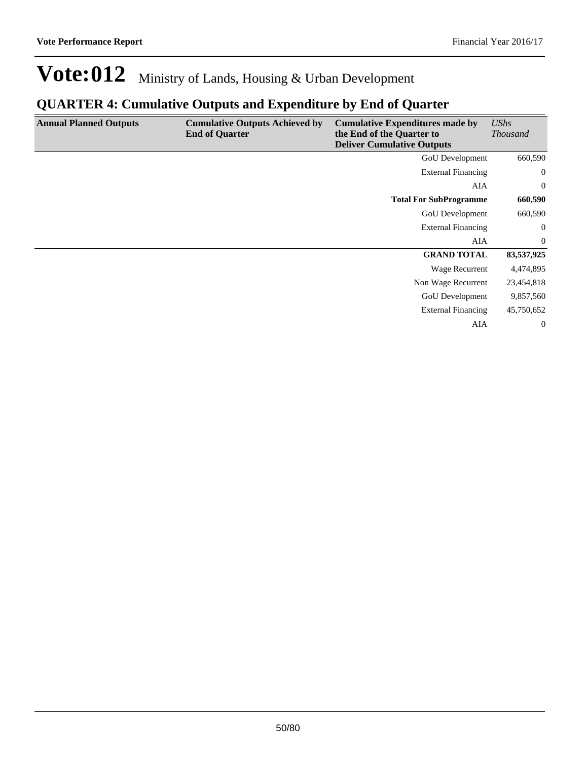### **QUARTER 4: Cumulative Outputs and Expenditure by End of Quarter**

| <b>Annual Planned Outputs</b> | <b>Cumulative Outputs Achieved by</b><br><b>End of Quarter</b> | <b>Cumulative Expenditures made by</b><br>the End of the Quarter to<br><b>Deliver Cumulative Outputs</b> | <b>UShs</b><br><i>Thousand</i> |
|-------------------------------|----------------------------------------------------------------|----------------------------------------------------------------------------------------------------------|--------------------------------|
|                               |                                                                | <b>GoU</b> Development                                                                                   | 660,590                        |
|                               |                                                                | <b>External Financing</b>                                                                                | $\overline{0}$                 |
|                               |                                                                | AIA                                                                                                      | $\overline{0}$                 |
|                               |                                                                | <b>Total For SubProgramme</b>                                                                            | 660,590                        |
|                               |                                                                | <b>GoU</b> Development                                                                                   | 660,590                        |
|                               |                                                                | <b>External Financing</b>                                                                                | $\overline{0}$                 |
|                               |                                                                | AIA                                                                                                      | $\overline{0}$                 |
|                               |                                                                | <b>GRAND TOTAL</b>                                                                                       | 83,537,925                     |
|                               |                                                                | Wage Recurrent                                                                                           | 4,474,895                      |
|                               |                                                                | Non Wage Recurrent                                                                                       | 23,454,818                     |
|                               |                                                                | GoU Development                                                                                          | 9,857,560                      |
|                               |                                                                | <b>External Financing</b>                                                                                | 45,750,652                     |
|                               |                                                                | AIA                                                                                                      | $\overline{0}$                 |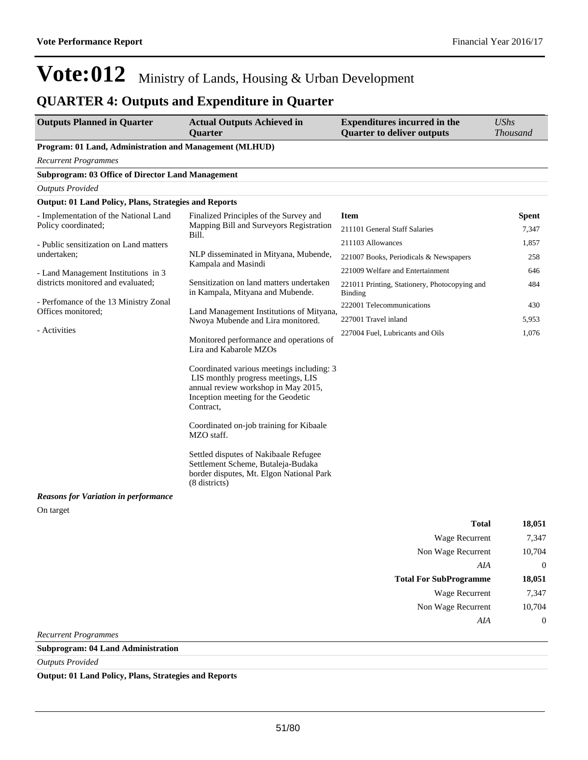### **QUARTER 4: Outputs and Expenditure in Quarter**

| <b>Outputs Planned in Quarter</b>                            | <b>Actual Outputs Achieved in</b><br><b>Ouarter</b>                                                                                                                       | <b>Expenditures incurred in the</b><br><b>Quarter to deliver outputs</b> | <b>UShs</b><br><b>Thousand</b> |
|--------------------------------------------------------------|---------------------------------------------------------------------------------------------------------------------------------------------------------------------------|--------------------------------------------------------------------------|--------------------------------|
| Program: 01 Land, Administration and Management (MLHUD)      |                                                                                                                                                                           |                                                                          |                                |
| <b>Recurrent Programmes</b>                                  |                                                                                                                                                                           |                                                                          |                                |
| <b>Subprogram: 03 Office of Director Land Management</b>     |                                                                                                                                                                           |                                                                          |                                |
| <b>Outputs Provided</b>                                      |                                                                                                                                                                           |                                                                          |                                |
| <b>Output: 01 Land Policy, Plans, Strategies and Reports</b> |                                                                                                                                                                           |                                                                          |                                |
| - Implementation of the National Land                        | Finalized Principles of the Survey and                                                                                                                                    | <b>Item</b>                                                              | <b>Spent</b>                   |
| Policy coordinated;                                          | Mapping Bill and Surveyors Registration<br>Bill.                                                                                                                          | 211101 General Staff Salaries                                            | 7,347                          |
| - Public sensitization on Land matters                       |                                                                                                                                                                           | 211103 Allowances                                                        | 1,857                          |
| undertaken;                                                  | NLP disseminated in Mityana, Mubende,                                                                                                                                     | 221007 Books, Periodicals & Newspapers                                   | 258                            |
| - Land Management Institutions in 3                          | Kampala and Masindi                                                                                                                                                       | 221009 Welfare and Entertainment                                         | 646                            |
| districts monitored and evaluated;                           | Sensitization on land matters undertaken<br>in Kampala, Mityana and Mubende.                                                                                              | 221011 Printing, Stationery, Photocopying and<br>Binding                 | 484                            |
| - Perfomance of the 13 Ministry Zonal<br>Offices monitored;  | Land Management Institutions of Mityana,                                                                                                                                  | 222001 Telecommunications                                                | 430                            |
|                                                              | Nwoya Mubende and Lira monitored.                                                                                                                                         | 227001 Travel inland                                                     | 5,953                          |
| - Activities<br>Lira and Kabarole MZOs                       | Monitored performance and operations of                                                                                                                                   | 227004 Fuel, Lubricants and Oils                                         | 1,076                          |
|                                                              | Coordinated various meetings including: 3<br>LIS monthly progress meetings, LIS<br>annual review workshop in May 2015,<br>Inception meeting for the Geodetic<br>Contract, |                                                                          |                                |
|                                                              | Coordinated on-job training for Kibaale<br>MZO staff.                                                                                                                     |                                                                          |                                |
|                                                              | Settled disputes of Nakibaale Refugee<br>Settlement Scheme, Butaleja-Budaka<br>border disputes, Mt. Elgon National Park<br>(8 districts)                                  |                                                                          |                                |
| <b>Reasons for Variation in performance</b>                  |                                                                                                                                                                           |                                                                          |                                |
| On target                                                    |                                                                                                                                                                           |                                                                          |                                |

| 18,051 | <b>Total</b>                  |
|--------|-------------------------------|
| 7,347  | <b>Wage Recurrent</b>         |
| 10,704 | Non Wage Recurrent            |
| 0      | AIA                           |
|        |                               |
| 18,051 | <b>Total For SubProgramme</b> |
| 7,347  | <b>Wage Recurrent</b>         |
| 10,704 | Non Wage Recurrent            |
|        | AIA                           |

*Recurrent Programmes*

**Subprogram: 04 Land Administration**

*Outputs Provided*

**Output: 01 Land Policy, Plans, Strategies and Reports**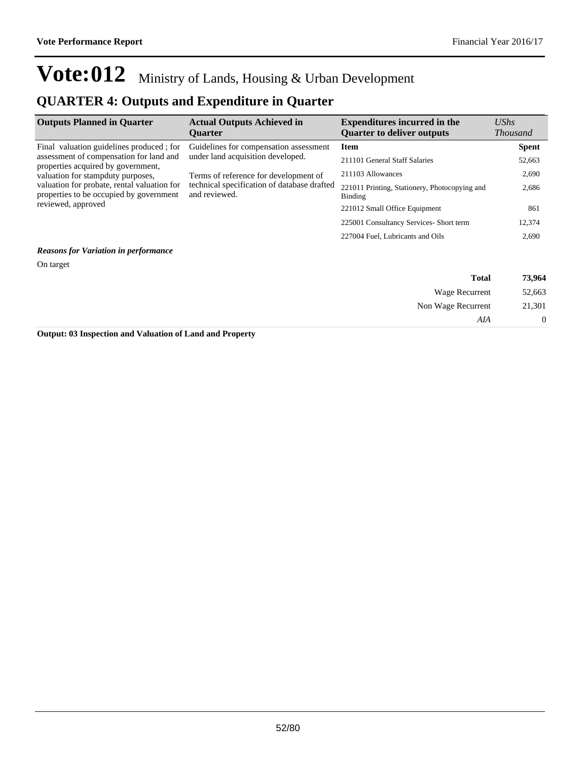### **QUARTER 4: Outputs and Expenditure in Quarter**

| <b>Outputs Planned in Quarter</b>                                                                                                                      | <b>Actual Outputs Achieved in</b><br><b>Ouarter</b>      | <b>Expenditures incurred in the</b><br><b>Quarter to deliver outputs</b> | $\mathit{UShs}$<br><b>Thousand</b> |
|--------------------------------------------------------------------------------------------------------------------------------------------------------|----------------------------------------------------------|--------------------------------------------------------------------------|------------------------------------|
| Final valuation guidelines produced; for                                                                                                               | Guidelines for compensation assessment                   | <b>Item</b>                                                              | <b>Spent</b>                       |
| assessment of compensation for land and<br>properties acquired by government,                                                                          | under land acquisition developed.                        | 211101 General Staff Salaries                                            | 52,663                             |
| valuation for stampduty purposes,                                                                                                                      | Terms of reference for development of                    | 211103 Allowances                                                        | 2,690                              |
| valuation for probate, rental valuation for<br>technical specification of database drafted<br>and reviewed.<br>properties to be occupied by government | 221011 Printing, Stationery, Photocopying and<br>Binding | 2,686                                                                    |                                    |
| reviewed, approved                                                                                                                                     |                                                          | 221012 Small Office Equipment                                            | 861                                |
|                                                                                                                                                        |                                                          | 225001 Consultancy Services- Short term                                  | 12,374                             |
|                                                                                                                                                        |                                                          | 227004 Fuel, Lubricants and Oils                                         | 2,690                              |

#### *Reasons for Variation in performance*

On target

| 73,964           | <b>Total</b>       |
|------------------|--------------------|
| 52,663           | Wage Recurrent     |
| 21,301           | Non Wage Recurrent |
| $\boldsymbol{0}$ | AIA                |
|                  |                    |

**Output: 03 Inspection and Valuation of Land and Property**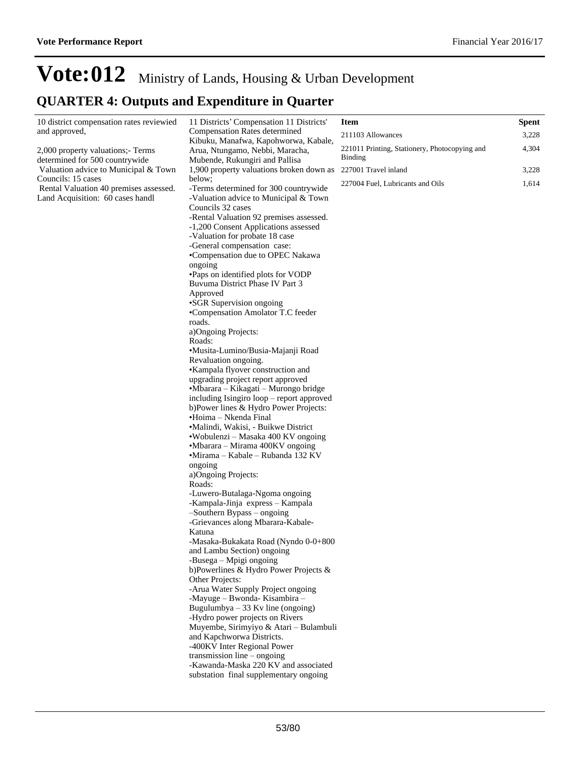## **Vote:012** Ministry of Lands, Housing & Urban Development **QUARTER 4: Outputs and Expenditure in Quarter**

| 10 district compensation rates reviewied                               | 11 Districts' Compensation 11 Districts'                                          | <b>Item</b>                                   | Spent |
|------------------------------------------------------------------------|-----------------------------------------------------------------------------------|-----------------------------------------------|-------|
| and approved,                                                          | Compensation Rates determined<br>Kibuku, Manafwa, Kapohworwa, Kabale,             | 211103 Allowances                             | 3,228 |
| 2,000 property valuations;- Terms                                      | Arua, Ntungamo, Nebbi, Maracha,                                                   | 221011 Printing, Stationery, Photocopying and | 4,304 |
| determined for 500 countrywide<br>Mubende, Rukungiri and Pallisa       |                                                                                   | <b>Binding</b>                                |       |
| Valuation advice to Municipal & Town                                   | 1,900 property valuations broken down as                                          | 227001 Travel inland                          | 3,228 |
| Councils: 15 cases<br>below;<br>Rental Valuation 40 premises assessed. | -Terms determined for 300 countrywide                                             | 227004 Fuel, Lubricants and Oils              | 1,614 |
| Land Acquisition: 60 cases handl                                       | -Valuation advice to Municipal & Town                                             |                                               |       |
|                                                                        | Councils 32 cases                                                                 |                                               |       |
|                                                                        | -Rental Valuation 92 premises assessed.<br>-1,200 Consent Applications assessed   |                                               |       |
|                                                                        | -Valuation for probate 18 case                                                    |                                               |       |
|                                                                        | -General compensation case:                                                       |                                               |       |
|                                                                        | •Compensation due to OPEC Nakawa                                                  |                                               |       |
|                                                                        | ongoing                                                                           |                                               |       |
|                                                                        | •Paps on identified plots for VODP<br>Buvuma District Phase IV Part 3             |                                               |       |
|                                                                        | Approved                                                                          |                                               |       |
|                                                                        | •SGR Supervision ongoing                                                          |                                               |       |
|                                                                        | •Compensation Amolator T.C feeder                                                 |                                               |       |
|                                                                        | roads.                                                                            |                                               |       |
|                                                                        | a)Ongoing Projects:<br>Roads:                                                     |                                               |       |
|                                                                        | •Musita-Lumino/Busia-Majanji Road                                                 |                                               |       |
|                                                                        | Revaluation ongoing.                                                              |                                               |       |
|                                                                        | •Kampala flyover construction and                                                 |                                               |       |
|                                                                        | upgrading project report approved                                                 |                                               |       |
|                                                                        | •Mbarara – Kikagati – Murongo bridge<br>including Isingiro loop – report approved |                                               |       |
|                                                                        | b)Power lines & Hydro Power Projects:                                             |                                               |       |
|                                                                        | •Hoima – Nkenda Final                                                             |                                               |       |
|                                                                        | •Malindi, Wakisi, - Buikwe District                                               |                                               |       |
|                                                                        | •Wobulenzi – Masaka 400 KV ongoing                                                |                                               |       |
|                                                                        | •Mbarara – Mirama 400KV ongoing<br>•Mirama - Kabale - Rubanda 132 KV              |                                               |       |
|                                                                        | ongoing                                                                           |                                               |       |
|                                                                        | a)Ongoing Projects:                                                               |                                               |       |
|                                                                        | Roads:                                                                            |                                               |       |
|                                                                        | -Luwero-Butalaga-Ngoma ongoing                                                    |                                               |       |
|                                                                        | -Kampala-Jinja express - Kampala<br>$-S$ outhern Bypass $-$ ongoing               |                                               |       |
|                                                                        | -Grievances along Mbarara-Kabale-                                                 |                                               |       |
|                                                                        | Katuna                                                                            |                                               |       |
|                                                                        | -Masaka-Bukakata Road (Nyndo 0-0+800                                              |                                               |       |
|                                                                        | and Lambu Section) ongoing                                                        |                                               |       |
|                                                                        | -Busega – Mpigi ongoing<br>b)Powerlines & Hydro Power Projects &                  |                                               |       |
|                                                                        | Other Projects:                                                                   |                                               |       |
|                                                                        | -Arua Water Supply Project ongoing                                                |                                               |       |
|                                                                        | -Mayuge - Bwonda- Kisambira -                                                     |                                               |       |
|                                                                        | Bugulumbya $-33$ Kv line (ongoing)<br>-Hydro power projects on Rivers             |                                               |       |
|                                                                        | Muyembe, Sirimyiyo & Atari - Bulambuli                                            |                                               |       |
|                                                                        | and Kapchworwa Districts.                                                         |                                               |       |
|                                                                        | -400KV Inter Regional Power                                                       |                                               |       |
|                                                                        | transmission line $-$ ongoing                                                     |                                               |       |
|                                                                        | -Kawanda-Maska 220 KV and associated<br>substation final supplementary ongoing    |                                               |       |
|                                                                        |                                                                                   |                                               |       |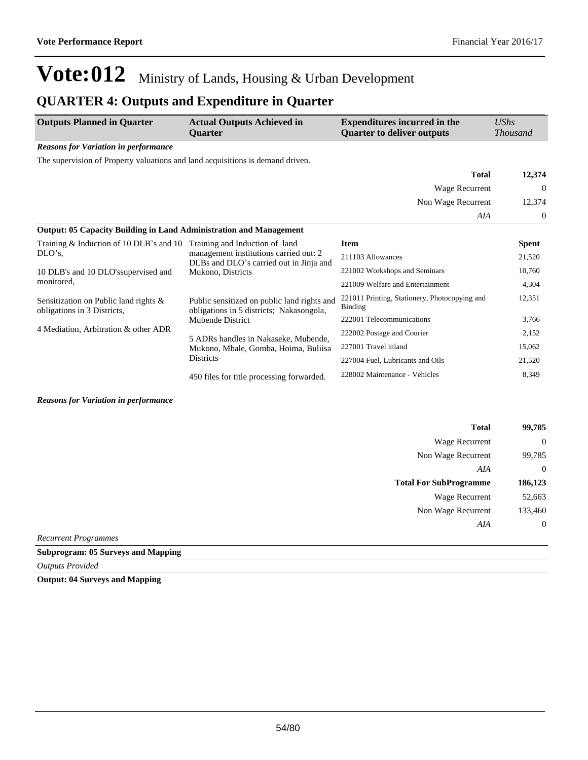## **QUARTER 4: Outputs and Expenditure in Quarter**

| <b>Outputs Planned in Quarter</b>                                              | <b>Actual Outputs Achieved in</b><br><b>Ouarter</b>                                                         | <b>Expenditures incurred in the</b><br><b>Ouarter to deliver outputs</b> | UShs<br><b>Thousand</b> |
|--------------------------------------------------------------------------------|-------------------------------------------------------------------------------------------------------------|--------------------------------------------------------------------------|-------------------------|
| <b>Reasons for Variation in performance</b>                                    |                                                                                                             |                                                                          |                         |
| The supervision of Property valuations and land acquisitions is demand driven. |                                                                                                             |                                                                          |                         |
|                                                                                |                                                                                                             | <b>Total</b>                                                             | 12,374                  |
|                                                                                |                                                                                                             | Wage Recurrent                                                           | 0                       |
|                                                                                |                                                                                                             | Non Wage Recurrent                                                       | 12,374                  |
|                                                                                |                                                                                                             | AIA                                                                      | 0                       |
| <b>Output: 05 Capacity Building in Land Administration and Management</b>      |                                                                                                             |                                                                          |                         |
| Training $&$ Induction of 10 DLB's and 10                                      | Training and Induction of land                                                                              | <b>Item</b>                                                              | <b>Spent</b>            |
| $DLO's$ ,                                                                      | management institutions carried out: 2<br>DLBs and DLO's carried out in Jinja and                           | 211103 Allowances                                                        | 21,520                  |
| 10 DLB's and 10 DLO's supervised and                                           | Mukono, Districts                                                                                           | 221002 Workshops and Seminars                                            | 10,760                  |
| monitored,                                                                     |                                                                                                             | 221009 Welfare and Entertainment                                         | 4,304                   |
| Sensitization on Public land rights &<br>obligations in 3 Districts,           | Public sensitized on public land rights and<br>obligations in 5 districts; Nakasongola,<br>Mubende District | 221011 Printing, Stationery, Photocopying and<br>Binding                 | 12,351                  |
|                                                                                |                                                                                                             | 222001 Telecommunications                                                | 3,766                   |
| 4 Mediation, Arbitration & other ADR                                           | 5 ADRs handles in Nakaseke, Mubende,                                                                        | 222002 Postage and Courier                                               | 2,152                   |
|                                                                                | Mukono, Mbale, Gomba, Hoima, Buliisa                                                                        | 227001 Travel inland                                                     | 15,062                  |
| <b>Districts</b>                                                               | 227004 Fuel, Lubricants and Oils                                                                            | 21,520                                                                   |                         |
|                                                                                | 450 files for title processing forwarded.                                                                   | 228002 Maintenance - Vehicles                                            | 8,349                   |

#### *Reasons for Variation in performance*

| 99,785      | <b>Total</b>                  |
|-------------|-------------------------------|
| $\theta$    | <b>Wage Recurrent</b>         |
| 99,785      | Non Wage Recurrent            |
| $\mathbf 0$ | AIA                           |
| 186,123     | <b>Total For SubProgramme</b> |
| 52,663      | <b>Wage Recurrent</b>         |
| 133,460     | Non Wage Recurrent            |
| $\mathbf 0$ | AIA                           |
|             |                               |

*Recurrent Programmes*

#### **Subprogram: 05 Surveys and Mapping**

*Outputs Provided*

**Output: 04 Surveys and Mapping**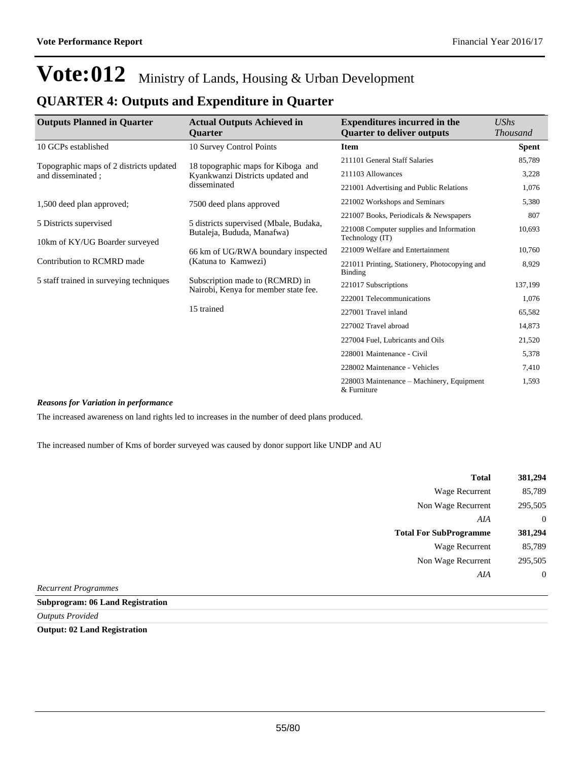| <b>Outputs Planned in Quarter</b>                        | <b>Actual Outputs Achieved in</b>                                       | <b>Expenditures incurred in the</b>                         | UShs            |
|----------------------------------------------------------|-------------------------------------------------------------------------|-------------------------------------------------------------|-----------------|
|                                                          | <b>Ouarter</b>                                                          | <b>Quarter to deliver outputs</b>                           | <b>Thousand</b> |
| 10 GCPs established                                      | 10 Survey Control Points                                                | <b>Item</b>                                                 | Spent           |
| Topographic maps of 2 districts updated                  | 18 topographic maps for Kiboga and                                      | 211101 General Staff Salaries                               | 85,789          |
| and disseminated ;                                       | Kyankwanzi Districts updated and                                        | 211103 Allowances                                           | 3,228           |
|                                                          | disseminated                                                            | 221001 Advertising and Public Relations                     | 1,076           |
| 1,500 deed plan approved;                                | 7500 deed plans approved                                                | 221002 Workshops and Seminars                               | 5,380           |
|                                                          |                                                                         | 221007 Books, Periodicals & Newspapers                      | 807             |
| 5 Districts supervised<br>10km of KY/UG Boarder surveyed | 5 districts supervised (Mbale, Budaka,<br>Butaleja, Bududa, Manafwa)    | 221008 Computer supplies and Information<br>Technology (IT) | 10,693          |
|                                                          | 66 km of UG/RWA boundary inspected                                      | 221009 Welfare and Entertainment                            | 10,760          |
| Contribution to RCMRD made                               | (Katuna to Kamwezi)                                                     | 221011 Printing, Stationery, Photocopying and<br>Binding    | 8,929           |
| 5 staff trained in surveying techniques                  | Subscription made to (RCMRD) in<br>Nairobi, Kenya for member state fee. | 221017 Subscriptions                                        | 137,199         |
|                                                          |                                                                         | 222001 Telecommunications                                   | 1,076           |
|                                                          | 15 trained                                                              | 227001 Travel inland                                        | 65,582          |
|                                                          |                                                                         | 227002 Travel abroad                                        | 14,873          |
|                                                          |                                                                         | 227004 Fuel, Lubricants and Oils                            | 21,520          |
|                                                          |                                                                         | 228001 Maintenance - Civil                                  | 5,378           |
|                                                          |                                                                         | 228002 Maintenance - Vehicles                               | 7,410           |
|                                                          |                                                                         | 228003 Maintenance – Machinery, Equipment<br>& Furniture    | 1,593           |

### **QUARTER 4: Outputs and Expenditure in Quarter**

#### *Reasons for Variation in performance*

The increased awareness on land rights led to increases in the number of deed plans produced.

The increased number of Kms of border surveyed was caused by donor support like UNDP and AU

| 381,294      | <b>Total</b>                  |
|--------------|-------------------------------|
| 85,789       | Wage Recurrent                |
| 295,505      | Non Wage Recurrent            |
| $\theta$     | AIA                           |
| 381,294      | <b>Total For SubProgramme</b> |
| 85,789       | <b>Wage Recurrent</b>         |
| 295,505      | Non Wage Recurrent            |
| $\mathbf{0}$ | AIA                           |
|              | .                             |

*Recurrent Programmes*

#### **Subprogram: 06 Land Registration**

*Outputs Provided*

**Output: 02 Land Registration**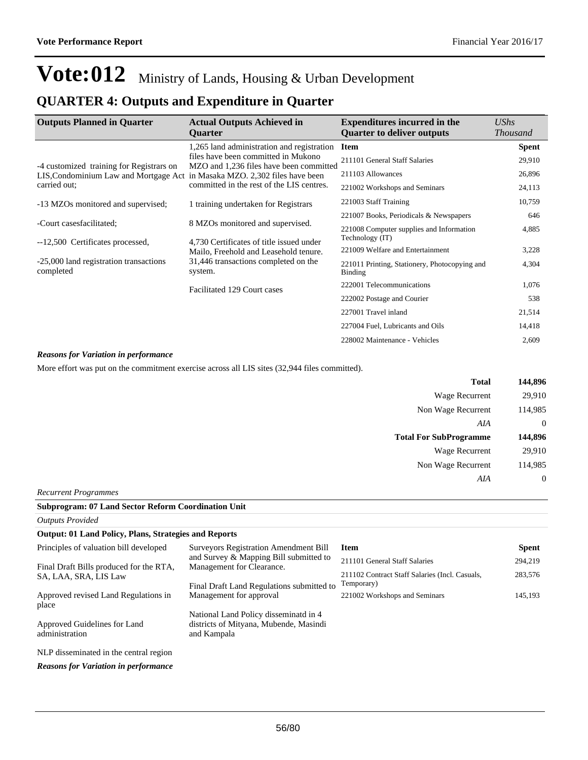### **QUARTER 4: Outputs and Expenditure in Quarter**

| <b>Outputs Planned in Quarter</b>                   | <b>Actual Outputs Achieved in</b><br><b>Ouarter</b>                               | <b>Expenditures incurred in the</b><br><b>Quarter to deliver outputs</b> | $\mathit{UShs}$<br><b>Thousand</b> |
|-----------------------------------------------------|-----------------------------------------------------------------------------------|--------------------------------------------------------------------------|------------------------------------|
|                                                     | 1,265 land administration and registration                                        | <b>Item</b>                                                              | <b>Spent</b>                       |
| -4 customized training for Registrars on            | files have been committed in Mukono<br>MZO and 1,236 files have been committed    | 211101 General Staff Salaries                                            | 29,910                             |
| LIS, Condominium Law and Mortgage Act               | in Masaka MZO. 2,302 files have been                                              | 211103 Allowances                                                        | 26,896                             |
| carried out;                                        | committed in the rest of the LIS centres.                                         | 221002 Workshops and Seminars                                            | 24,113                             |
| -13 MZOs monitored and supervised;                  | 1 training undertaken for Registrars                                              | 221003 Staff Training                                                    | 10,759                             |
|                                                     |                                                                                   | 221007 Books, Periodicals & Newspapers                                   | 646                                |
| -Court casesfacilitated;                            | 8 MZOs monitored and supervised.                                                  | 221008 Computer supplies and Information<br>Technology (IT)              | 4,885                              |
| --12,500 Certificates processed,                    | 4,730 Certificates of title issued under<br>Mailo, Freehold and Leasehold tenure. | 221009 Welfare and Entertainment                                         | 3,228                              |
| -25,000 land registration transactions<br>completed | 31,446 transactions completed on the<br>system.                                   | 221011 Printing, Stationery, Photocopying and<br><b>Binding</b>          | 4,304                              |
|                                                     | Facilitated 129 Court cases                                                       | 222001 Telecommunications                                                | 1,076                              |
|                                                     |                                                                                   | 222002 Postage and Courier                                               | 538                                |
|                                                     |                                                                                   | 227001 Travel inland                                                     | 21,514                             |
|                                                     |                                                                                   | 227004 Fuel, Lubricants and Oils                                         | 14,418                             |
|                                                     |                                                                                   | 228002 Maintenance - Vehicles                                            | 2,609                              |

#### *Reasons for Variation in performance*

More effort was put on the commitment exercise across all LIS sites (32,944 files committed).

| 144,896        | <b>Total</b>                  |
|----------------|-------------------------------|
| 29,910         | <b>Wage Recurrent</b>         |
| 114,985        | Non Wage Recurrent            |
| $\theta$       | AIA                           |
| 144,896        | <b>Total For SubProgramme</b> |
| 29,910         | <b>Wage Recurrent</b>         |
| 114,985        | Non Wage Recurrent            |
| $\overline{0}$ | AIA                           |
|                |                               |

*Recurrent Programmes*

| <b>Subprogram: 07 Land Sector Reform Coordination Unit</b> |                                                                                                |                                                              |              |  |
|------------------------------------------------------------|------------------------------------------------------------------------------------------------|--------------------------------------------------------------|--------------|--|
| <b>Outputs Provided</b>                                    |                                                                                                |                                                              |              |  |
|                                                            | <b>Output: 01 Land Policy, Plans, Strategies and Reports</b>                                   |                                                              |              |  |
| Principles of valuation bill developed                     | <b>Surveyors Registration Amendment Bill</b>                                                   | <b>Item</b>                                                  | <b>Spent</b> |  |
| Final Draft Bills produced for the RTA,                    | and Survey & Mapping Bill submitted to<br>Management for Clearance.                            | 211101 General Staff Salaries                                | 294,219      |  |
| SA, LAA, SRA, LIS Law                                      | Final Draft Land Regulations submitted to                                                      | 211102 Contract Staff Salaries (Incl. Casuals,<br>Temporary) | 283,576      |  |
| Approved revised Land Regulations in<br>place              | Management for approval                                                                        | 221002 Workshops and Seminars                                | 145,193      |  |
| Approved Guidelines for Land<br>administration             | National Land Policy disseminate in 4<br>districts of Mityana, Mubende, Masindi<br>and Kampala |                                                              |              |  |
| NLP disseminated in the central region                     |                                                                                                |                                                              |              |  |
| <b>Reasons for Variation in performance</b>                |                                                                                                |                                                              |              |  |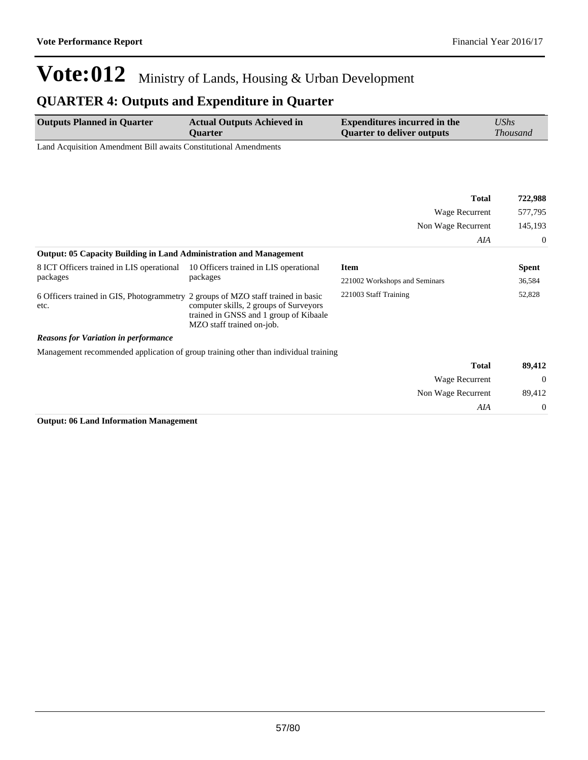Non Wage Recurrent 89,412

*AIA* 0

# **Vote:012** Ministry of Lands, Housing & Urban Development

## **QUARTER 4: Outputs and Expenditure in Quarter**

| <b>Outputs Planned in Quarter</b>                                | <b>Actual Outputs Achieved in</b> | <b>Expenditures incurred in the</b> | UShs            |
|------------------------------------------------------------------|-----------------------------------|-------------------------------------|-----------------|
|                                                                  | <b>Ouarter</b>                    | Quarter to deliver outputs          | <i>Thousand</i> |
| Land Acquisition Amendment Bill awaits Constitutional Amendments |                                   |                                     |                 |

|                                                                                          |                                                                                                               | <b>Total</b>                  | 722,988      |
|------------------------------------------------------------------------------------------|---------------------------------------------------------------------------------------------------------------|-------------------------------|--------------|
|                                                                                          |                                                                                                               | Wage Recurrent                | 577,795      |
|                                                                                          |                                                                                                               | Non Wage Recurrent            | 145,193      |
|                                                                                          |                                                                                                               | AIA                           | $\Omega$     |
| <b>Output: 05 Capacity Building in Land Administration and Management</b>                |                                                                                                               |                               |              |
| 8 ICT Officers trained in LIS operational                                                | 10 Officers trained in LIS operational<br>packages                                                            | <b>Item</b>                   | <b>Spent</b> |
| packages                                                                                 |                                                                                                               | 221002 Workshops and Seminars | 36,584       |
| 6 Officers trained in GIS, Photogrammetry 2 groups of MZO staff trained in basic<br>etc. | computer skills, 2 groups of Surveyors<br>trained in GNSS and 1 group of Kibaale<br>MZO staff trained on-job. | 221003 Staff Training         | 52,828       |
| <b>Reasons for Variation in performance</b>                                              |                                                                                                               |                               |              |
|                                                                                          | Management recommended application of group training other than individual training                           |                               |              |
|                                                                                          |                                                                                                               | <b>Total</b>                  | 89,412       |
|                                                                                          |                                                                                                               | Wage Recurrent                | $\theta$     |

**Output: 06 Land Information Management**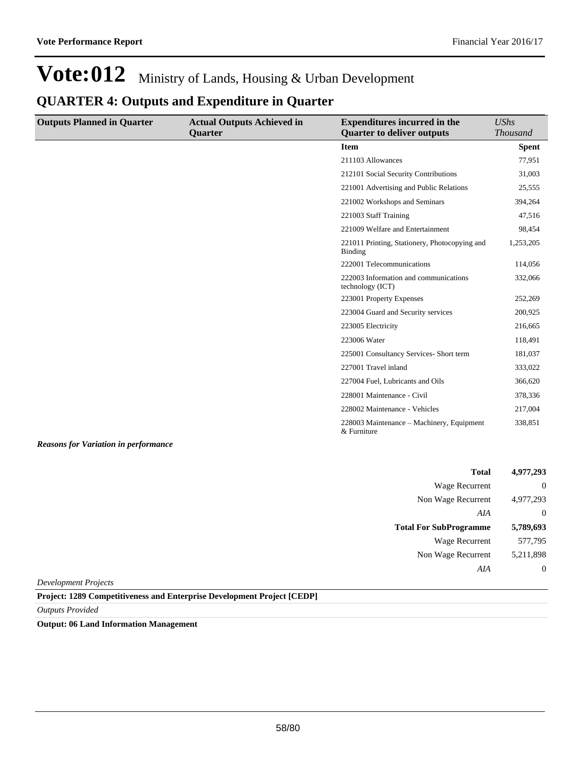### **QUARTER 4: Outputs and Expenditure in Quarter**

| <b>Outputs Planned in Quarter</b> | <b>Actual Outputs Achieved in</b> | <b>Expenditures incurred in the</b>                       | <b>UShs</b>     |
|-----------------------------------|-----------------------------------|-----------------------------------------------------------|-----------------|
|                                   | <b>Quarter</b>                    | <b>Quarter to deliver outputs</b>                         | <b>Thousand</b> |
|                                   |                                   | <b>Item</b>                                               | <b>Spent</b>    |
|                                   |                                   | 211103 Allowances                                         | 77,951          |
|                                   |                                   | 212101 Social Security Contributions                      | 31,003          |
|                                   |                                   | 221001 Advertising and Public Relations                   | 25,555          |
|                                   |                                   | 221002 Workshops and Seminars                             | 394,264         |
|                                   |                                   | 221003 Staff Training                                     | 47,516          |
|                                   |                                   | 221009 Welfare and Entertainment                          | 98,454          |
|                                   |                                   | 221011 Printing, Stationery, Photocopying and<br>Binding  | 1,253,205       |
|                                   |                                   | 222001 Telecommunications                                 | 114,056         |
|                                   |                                   | 222003 Information and communications<br>technology (ICT) | 332,066         |
|                                   |                                   | 223001 Property Expenses                                  | 252,269         |
|                                   |                                   | 223004 Guard and Security services                        | 200,925         |
|                                   |                                   | 223005 Electricity                                        | 216,665         |
|                                   |                                   | 223006 Water                                              | 118,491         |
|                                   |                                   | 225001 Consultancy Services- Short term                   | 181,037         |
|                                   |                                   | 227001 Travel inland                                      | 333,022         |
|                                   |                                   | 227004 Fuel, Lubricants and Oils                          | 366,620         |
|                                   |                                   | 228001 Maintenance - Civil                                | 378,336         |
|                                   |                                   | 228002 Maintenance - Vehicles                             | 217,004         |
|                                   |                                   | 228003 Maintenance – Machinery, Equipment<br>& Furniture  | 338,851         |

*Reasons for Variation in performance*

| 4,977,293      | <b>Total</b>                  |
|----------------|-------------------------------|
| $\overline{0}$ | Wage Recurrent                |
| 4,977,293      | Non Wage Recurrent            |
| $\overline{0}$ | AIA                           |
|                |                               |
| 5,789,693      | <b>Total For SubProgramme</b> |
| 577,795        | Wage Recurrent                |
| 5,211,898      | Non Wage Recurrent            |

*Development Projects*

**Project: 1289 Competitiveness and Enterprise Development Project [CEDP]**

*Outputs Provided*

**Output: 06 Land Information Management**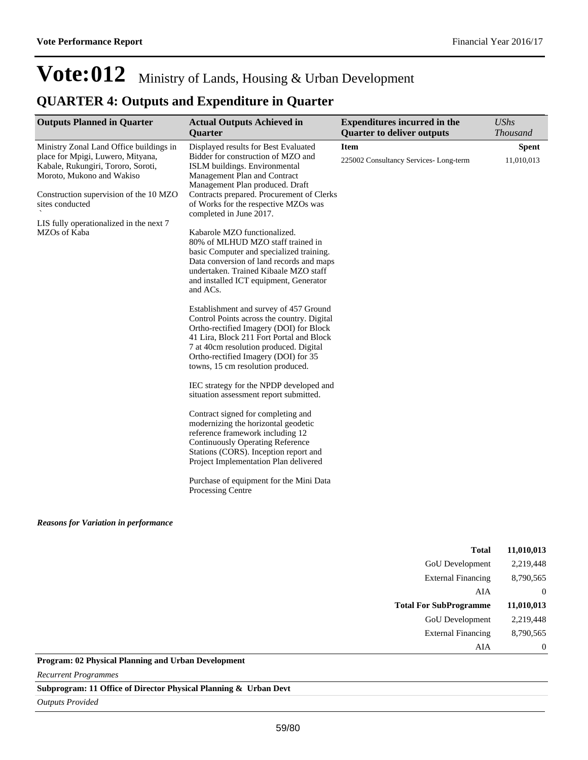## **QUARTER 4: Outputs and Expenditure in Quarter**

| <b>Outputs Planned in Quarter</b>                                                                                                                                                                                                                                       | <b>Actual Outputs Achieved in</b><br><b>Quarter</b>                                                                                                                                                                                                                                                                                                                                                                                                                                                                                                                                                                                                                                                                                                                                                                                                                                                                                                                                                                                                                                                                                                                                                                                                                 | <b>Expenditures incurred in the</b><br><b>Quarter to deliver outputs</b> | <b>UShs</b><br><b>Thousand</b> |
|-------------------------------------------------------------------------------------------------------------------------------------------------------------------------------------------------------------------------------------------------------------------------|---------------------------------------------------------------------------------------------------------------------------------------------------------------------------------------------------------------------------------------------------------------------------------------------------------------------------------------------------------------------------------------------------------------------------------------------------------------------------------------------------------------------------------------------------------------------------------------------------------------------------------------------------------------------------------------------------------------------------------------------------------------------------------------------------------------------------------------------------------------------------------------------------------------------------------------------------------------------------------------------------------------------------------------------------------------------------------------------------------------------------------------------------------------------------------------------------------------------------------------------------------------------|--------------------------------------------------------------------------|--------------------------------|
| Ministry Zonal Land Office buildings in<br>place for Mpigi, Luwero, Mityana,<br>Kabale, Rukungiri, Tororo, Soroti,<br>Moroto, Mukono and Wakiso<br>Construction supervision of the 10 MZO<br>sites conducted<br>LIS fully operationalized in the next 7<br>MZOs of Kaba | Displayed results for Best Evaluated<br>Bidder for construction of MZO and<br>ISLM buildings. Environmental<br>Management Plan and Contract<br>Management Plan produced. Draft<br>Contracts prepared. Procurement of Clerks<br>of Works for the respective MZOs was<br>completed in June 2017.<br>Kabarole MZO functionalized.<br>80% of MLHUD MZO staff trained in<br>basic Computer and specialized training.<br>Data conversion of land records and maps<br>undertaken. Trained Kibaale MZO staff<br>and installed ICT equipment, Generator<br>and ACs.<br>Establishment and survey of 457 Ground<br>Control Points across the country. Digital<br>Ortho-rectified Imagery (DOI) for Block<br>41 Lira, Block 211 Fort Portal and Block<br>7 at 40cm resolution produced. Digital<br>Ortho-rectified Imagery (DOI) for 35<br>towns, 15 cm resolution produced.<br>IEC strategy for the NPDP developed and<br>situation assessment report submitted.<br>Contract signed for completing and<br>modernizing the horizontal geodetic<br>reference framework including 12<br><b>Continuously Operating Reference</b><br>Stations (CORS). Inception report and<br>Project Implementation Plan delivered<br>Purchase of equipment for the Mini Data<br>Processing Centre | <b>Item</b><br>225002 Consultancy Services-Long-term                     | <b>Spent</b><br>11,010,013     |
| <b>Reasons for Variation in performance</b>                                                                                                                                                                                                                             |                                                                                                                                                                                                                                                                                                                                                                                                                                                                                                                                                                                                                                                                                                                                                                                                                                                                                                                                                                                                                                                                                                                                                                                                                                                                     |                                                                          |                                |

| <b>Total</b>                               | 11,010,013     |
|--------------------------------------------|----------------|
| <b>GoU</b> Development                     | 2,219,448      |
| <b>External Financing</b>                  | 8,790,565      |
| AIA                                        | $\Omega$       |
| <b>Total For SubProgramme</b>              | 11,010,013     |
| <b>GoU</b> Development                     | 2,219,448      |
| <b>External Financing</b>                  | 8,790,565      |
| AIA                                        | $\overline{0}$ |
| 12 Dhysical Dlanning and Urban Davelopment |                |

**Program: 02 Physical Planning and Urban Development**

*Recurrent Programmes*

**Subprogram: 11 Office of Director Physical Planning & Urban Devt**

*Outputs Provided*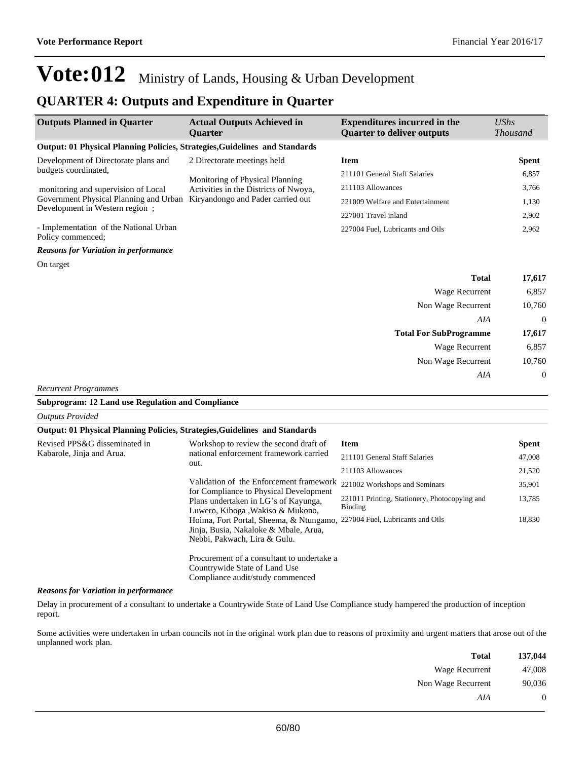*Reasons for Variation in performance*

report.

## **Vote:012** Ministry of Lands, Housing & Urban Development

#### **QUARTER 4: Outputs and Expenditure in Quarter**

| <b>Outputs Planned in Quarter</b>                                           | <b>Actual Outputs Achieved in</b><br><b>Ouarter</b>                                      | <b>Expenditures incurred in the</b><br><b>Quarter to deliver outputs</b> | <b>UShs</b><br><i>Thousand</i> |
|-----------------------------------------------------------------------------|------------------------------------------------------------------------------------------|--------------------------------------------------------------------------|--------------------------------|
| Output: 01 Physical Planning Policies, Strategies, Guidelines and Standards |                                                                                          |                                                                          |                                |
| Development of Directorate plans and<br>budgets coordinated,                | 2 Directorate meetings held                                                              | <b>Item</b>                                                              | <b>Spent</b>                   |
|                                                                             | Monitoring of Physical Planning                                                          | 211101 General Staff Salaries                                            | 6,857                          |
| monitoring and supervision of Local                                         | Activities in the Districts of Nwoya,<br>Kiryandongo and Pader carried out               | 211103 Allowances                                                        | 3.766                          |
| Government Physical Planning and Urban<br>Development in Western region;    |                                                                                          | 221009 Welfare and Entertainment                                         | 1,130                          |
|                                                                             |                                                                                          | 227001 Travel inland                                                     | 2,902                          |
| - Implementation of the National Urban<br>Policy commenced:                 |                                                                                          | 227004 Fuel, Lubricants and Oils                                         | 2,962                          |
| <b>Reasons for Variation in performance</b>                                 |                                                                                          |                                                                          |                                |
| On target                                                                   |                                                                                          |                                                                          |                                |
|                                                                             |                                                                                          | <b>Total</b>                                                             | 17,617                         |
|                                                                             |                                                                                          | Wage Recurrent                                                           | 6,857                          |
|                                                                             |                                                                                          | Non Wage Recurrent                                                       | 10,760                         |
|                                                                             |                                                                                          | AIA                                                                      | $\overline{0}$                 |
|                                                                             |                                                                                          | <b>Total For SubProgramme</b>                                            | 17,617                         |
|                                                                             |                                                                                          | Wage Recurrent                                                           | 6,857                          |
|                                                                             |                                                                                          | Non Wage Recurrent                                                       | 10,760                         |
|                                                                             |                                                                                          | AIA                                                                      | $\mathbf{0}$                   |
| <b>Recurrent Programmes</b>                                                 |                                                                                          |                                                                          |                                |
| <b>Subprogram: 12 Land use Regulation and Compliance</b>                    |                                                                                          |                                                                          |                                |
| <b>Outputs Provided</b>                                                     |                                                                                          |                                                                          |                                |
| Output: 01 Physical Planning Policies, Strategies, Guidelines and Standards |                                                                                          |                                                                          |                                |
| Revised PPS&G disseminated in                                               | Workshop to review the second draft of<br>national enforcement framework carried<br>out. | <b>Item</b>                                                              | <b>Spent</b>                   |
| Kabarole, Jinja and Arua.                                                   |                                                                                          | 211101 General Staff Salaries                                            | 47,008                         |
|                                                                             |                                                                                          | 211103 Allowances                                                        | 21,520                         |
|                                                                             | Validation of the Enforcement framework                                                  | 221002 Workshops and Seminars                                            | 35,901                         |
|                                                                             | for Compliance to Physical Development<br>Plans undertaken in LG's of Kayunga,           | 221011 Printing, Stationery, Photocopying and                            | 13,785                         |

Some activities were undertaken in urban councils not in the original work plan due to reasons of proximity and urgent matters that arose out of the unplanned work plan.

Delay in procurement of a consultant to undertake a Countrywide State of Land Use Compliance study hampered the production of inception

Hoima, Fort Portal, Sheema, & Ntungamo, 227004 Fuel, Lubricants and Oils 18,830

Binding

Luwero, Kiboga ,Wakiso & Mukono,

Jinja, Busia, Nakaloke & Mbale, Arua, Nebbi, Pakwach, Lira & Gulu.

Countrywide State of Land Use Compliance audit/study commenced

Procurement of a consultant to undertake a

| Total              | 137,044 |
|--------------------|---------|
| Wage Recurrent     | 47,008  |
| Non Wage Recurrent | 90,036  |
| AIA                |         |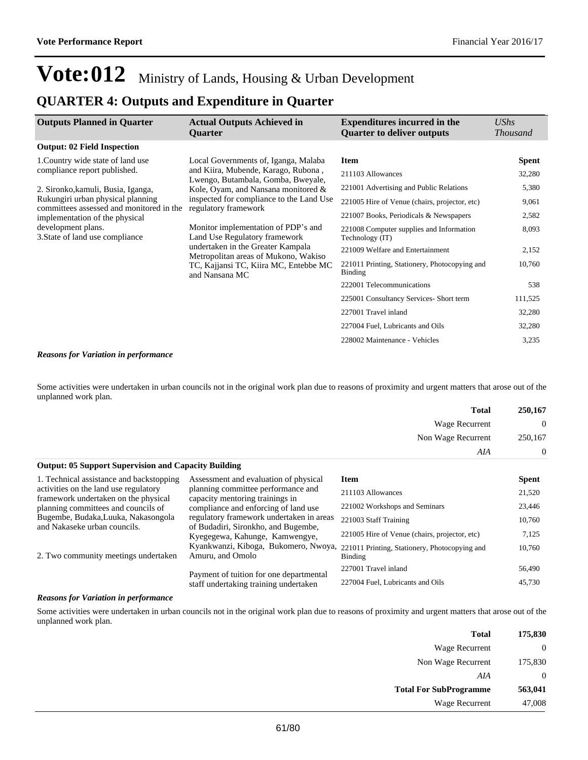### **QUARTER 4: Outputs and Expenditure in Quarter**

| <b>Outputs Planned in Quarter</b>                                                                                                                        | <b>Actual Outputs Achieved in</b><br><b>Ouarter</b>                                                                               | <b>Expenditures incurred in the</b><br><b>Quarter to deliver outputs</b> | UShs<br><b>Thousand</b> |
|----------------------------------------------------------------------------------------------------------------------------------------------------------|-----------------------------------------------------------------------------------------------------------------------------------|--------------------------------------------------------------------------|-------------------------|
| <b>Output: 02 Field Inspection</b>                                                                                                                       |                                                                                                                                   |                                                                          |                         |
| 1. Country wide state of land use                                                                                                                        | Local Governments of, Iganga, Malaba                                                                                              | <b>Item</b>                                                              | <b>Spent</b>            |
| compliance report published.                                                                                                                             | and Kiira, Mubende, Karago, Rubona,<br>Lwengo, Butambala, Gomba, Bweyale,                                                         | 211103 Allowances                                                        | 32,280                  |
| 2. Sironko, kamuli, Busia, Iganga,                                                                                                                       | Kole, Oyam, and Nansana monitored &                                                                                               | 221001 Advertising and Public Relations                                  | 5,380                   |
| Rukungiri urban physical planning<br>committees assessed and monitored in the                                                                            | inspected for compliance to the Land Use                                                                                          | 221005 Hire of Venue (chairs, projector, etc)                            | 9,061                   |
| implementation of the physical                                                                                                                           | regulatory framework<br>Monitor implementation of PDP's and<br>Land Use Regulatory framework<br>undertaken in the Greater Kampala | 221007 Books, Periodicals & Newspapers                                   | 2,582                   |
| development plans.<br>3. State of land use compliance<br>Metropolitan areas of Mukono, Wakiso<br>TC, Kajjansi TC, Kiira MC, Entebbe MC<br>and Nansana MC |                                                                                                                                   | 221008 Computer supplies and Information<br>Technology (IT)              | 8,093                   |
|                                                                                                                                                          |                                                                                                                                   | 221009 Welfare and Entertainment                                         | 2,152                   |
|                                                                                                                                                          | 221011 Printing, Stationery, Photocopying and<br>Binding                                                                          | 10,760                                                                   |                         |
|                                                                                                                                                          |                                                                                                                                   | 222001 Telecommunications                                                | 538                     |
|                                                                                                                                                          |                                                                                                                                   | 225001 Consultancy Services- Short term                                  | 111,525                 |
|                                                                                                                                                          |                                                                                                                                   | 227001 Travel inland                                                     | 32,280                  |
|                                                                                                                                                          |                                                                                                                                   | 227004 Fuel, Lubricants and Oils                                         | 32,280                  |
|                                                                                                                                                          |                                                                                                                                   | 228002 Maintenance - Vehicles                                            | 3,235                   |

#### *Reasons for Variation in performance*

Some activities were undertaken in urban councils not in the original work plan due to reasons of proximity and urgent matters that arose out of the unplanned work plan.

| 250,167          | Total              |
|------------------|--------------------|
| $\boldsymbol{0}$ | Wage Recurrent     |
| 250,167          | Non Wage Recurrent |
| 0                | AIA                |

| <b>Output: 05 Support Supervision and Capacity Building</b>                   |                                                                                                        |                                               |              |
|-------------------------------------------------------------------------------|--------------------------------------------------------------------------------------------------------|-----------------------------------------------|--------------|
| 1. Technical assistance and backstopping                                      | Assessment and evaluation of physical                                                                  | <b>Item</b>                                   | <b>Spent</b> |
| activities on the land use regulatory<br>framework undertaken on the physical | planning committee performance and<br>capacity mentoring trainings in                                  | 211103 Allowances                             | 21,520       |
| planning committees and councils of                                           | compliance and enforcing of land use                                                                   | 221002 Workshops and Seminars                 | 23,446       |
| Bugembe, Budaka, Luuka, Nakasongola<br>and Nakaseke urban councils.           | regulatory framework undertaken in areas                                                               | 221003 Staff Training                         | 10,760       |
|                                                                               | of Budadiri, Sironkho, and Bugembe,<br>Kyegegewa, Kahunge, Kamwengye,                                  | 221005 Hire of Venue (chairs, projector, etc) | 7,125        |
| 2. Two community meetings undertaken                                          | Kyankwanzi, Kiboga, Bukomero, Nwoya, 221011 Printing, Stationery, Photocopying and<br>Amuru, and Omolo | Binding                                       | 10,760       |
|                                                                               | Payment of tuition for one departmental                                                                | 227001 Travel inland                          | 56,490       |
|                                                                               | staff undertaking training undertaken                                                                  | 227004 Fuel, Lubricants and Oils              | 45,730       |

#### *Reasons for Variation in performance*

Some activities were undertaken in urban councils not in the original work plan due to reasons of proximity and urgent matters that arose out of the unplanned work plan.

| <b>Total</b>                  | 175,830 |
|-------------------------------|---------|
| Wage Recurrent                |         |
| Non Wage Recurrent            | 175,830 |
| AIA                           |         |
| <b>Total For SubProgramme</b> | 563,041 |
| Wage Recurrent                | 47,008  |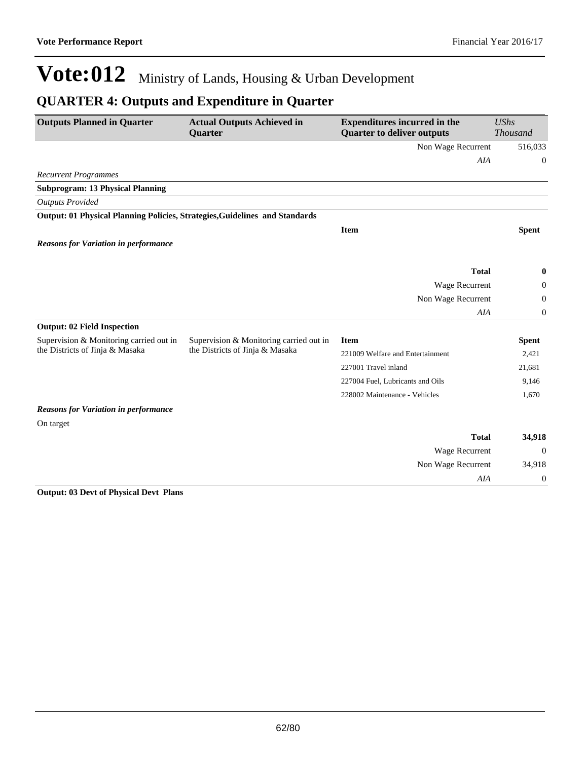### **QUARTER 4: Outputs and Expenditure in Quarter**

| <b>Outputs Planned in Quarter</b>                                           | <b>Actual Outputs Achieved in</b><br><b>Quarter</b> | <b>Expenditures incurred in the</b><br><b>Quarter to deliver outputs</b> | <b>UShs</b><br><b>Thousand</b> |
|-----------------------------------------------------------------------------|-----------------------------------------------------|--------------------------------------------------------------------------|--------------------------------|
|                                                                             |                                                     | Non Wage Recurrent                                                       | 516,033                        |
|                                                                             |                                                     | AIA                                                                      | $\boldsymbol{0}$               |
| <b>Recurrent Programmes</b>                                                 |                                                     |                                                                          |                                |
| <b>Subprogram: 13 Physical Planning</b>                                     |                                                     |                                                                          |                                |
| <b>Outputs Provided</b>                                                     |                                                     |                                                                          |                                |
| Output: 01 Physical Planning Policies, Strategies, Guidelines and Standards |                                                     |                                                                          |                                |
|                                                                             |                                                     | <b>Item</b>                                                              | <b>Spent</b>                   |
| <b>Reasons for Variation in performance</b>                                 |                                                     |                                                                          |                                |
|                                                                             |                                                     |                                                                          |                                |
|                                                                             |                                                     | <b>Total</b>                                                             | $\bf{0}$                       |
|                                                                             |                                                     | Wage Recurrent                                                           | 0                              |
|                                                                             |                                                     | Non Wage Recurrent                                                       | $\mathbf{0}$                   |
|                                                                             |                                                     | AIA                                                                      | $\overline{0}$                 |
| <b>Output: 02 Field Inspection</b>                                          |                                                     |                                                                          |                                |
| Supervision & Monitoring carried out in                                     | Supervision & Monitoring carried out in             | <b>Item</b>                                                              | <b>Spent</b>                   |
| the Districts of Jinja & Masaka                                             | the Districts of Jinja & Masaka                     | 221009 Welfare and Entertainment                                         | 2,421                          |
|                                                                             |                                                     | 227001 Travel inland                                                     | 21,681                         |
|                                                                             |                                                     | 227004 Fuel, Lubricants and Oils                                         | 9,146                          |
|                                                                             |                                                     | 228002 Maintenance - Vehicles                                            | 1,670                          |
| <b>Reasons for Variation in performance</b>                                 |                                                     |                                                                          |                                |
| On target                                                                   |                                                     |                                                                          |                                |
|                                                                             |                                                     | <b>Total</b>                                                             | 34,918                         |
|                                                                             |                                                     | Wage Recurrent                                                           | $\theta$                       |
|                                                                             |                                                     | Non Wage Recurrent                                                       | 34,918                         |
|                                                                             |                                                     | <b>AIA</b>                                                               | $\boldsymbol{0}$               |

#### **Output: 03 Devt of Physical Devt Plans**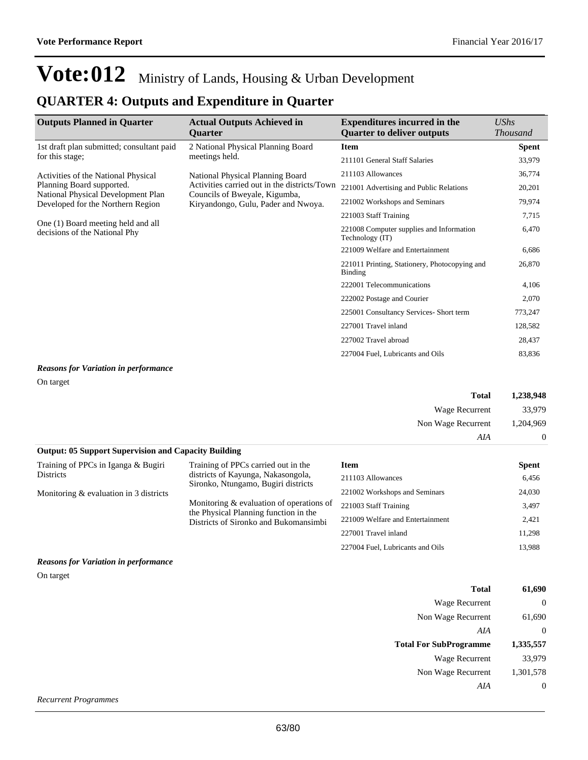### **QUARTER 4: Outputs and Expenditure in Quarter**

| <b>Outputs Planned in Quarter</b>                                   | <b>Actual Outputs Achieved in</b><br><b>Ouarter</b>                           | <b>Expenditures incurred in the</b><br><b>Quarter to deliver outputs</b> | UShs<br><b>Thousand</b> |
|---------------------------------------------------------------------|-------------------------------------------------------------------------------|--------------------------------------------------------------------------|-------------------------|
| 1st draft plan submitted; consultant paid                           | 2 National Physical Planning Board                                            | <b>Item</b>                                                              | <b>Spent</b>            |
| for this stage;                                                     | meetings held.                                                                | 211101 General Staff Salaries                                            | 33,979                  |
| Activities of the National Physical                                 | National Physical Planning Board                                              | 211103 Allowances                                                        | 36,774                  |
| Planning Board supported.<br>National Physical Development Plan     | Activities carried out in the districts/Town<br>Councils of Bweyale, Kigumba, | 221001 Advertising and Public Relations                                  | 20,201                  |
| Developed for the Northern Region                                   | Kiryandongo, Gulu, Pader and Nwoya.                                           | 221002 Workshops and Seminars                                            | 79,974                  |
|                                                                     |                                                                               | 221003 Staff Training                                                    | 7,715                   |
| One (1) Board meeting held and all<br>decisions of the National Phy |                                                                               | 221008 Computer supplies and Information<br>Technology (IT)              | 6,470                   |
|                                                                     |                                                                               | 221009 Welfare and Entertainment                                         | 6,686                   |
|                                                                     |                                                                               | 221011 Printing, Stationery, Photocopying and<br>Binding                 | 26,870                  |
|                                                                     |                                                                               | 222001 Telecommunications                                                | 4,106                   |
|                                                                     |                                                                               | 222002 Postage and Courier                                               | 2,070                   |
|                                                                     |                                                                               | 225001 Consultancy Services- Short term                                  | 773,247                 |
|                                                                     |                                                                               | 227001 Travel inland                                                     | 128,582                 |
|                                                                     |                                                                               | 227002 Travel abroad                                                     | 28,437                  |
|                                                                     |                                                                               | 227004 Fuel, Lubricants and Oils                                         | 83,836                  |

#### *Reasons for Variation in performance*

On target

| <b>Total</b>       | 1,238,948 |
|--------------------|-----------|
| Wage Recurrent     | 33,979    |
| Non Wage Recurrent | 1,204,969 |
| AIA                |           |

| <b>Output: 05 Support Supervision and Capacity Building</b> |                                                                                                                              |                                  |              |
|-------------------------------------------------------------|------------------------------------------------------------------------------------------------------------------------------|----------------------------------|--------------|
| Training of PPCs in Iganga & Bugiri                         | Training of PPCs carried out in the                                                                                          | Item                             | <b>Spent</b> |
| <b>Districts</b>                                            | districts of Kayunga, Nakasongola,<br>Sironko, Ntungamo, Bugiri districts                                                    | 211103 Allowances                | 6,456        |
| Monitoring $&$ evaluation in 3 districts                    |                                                                                                                              | 221002 Workshops and Seminars    | 24,030       |
|                                                             | Monitoring $&$ evaluation of operations of<br>the Physical Planning function in the<br>Districts of Sironko and Bukomansimbi | 221003 Staff Training            | 3,497        |
|                                                             |                                                                                                                              | 221009 Welfare and Entertainment | 2,421        |
|                                                             |                                                                                                                              | 227001 Travel inland             | 11.298       |
|                                                             |                                                                                                                              | 227004 Fuel, Lubricants and Oils | 13.988       |

#### *Reasons for Variation in performance*

On target

| <b>Total</b>                  | 61,690    |
|-------------------------------|-----------|
| Wage Recurrent                | $\theta$  |
| Non Wage Recurrent            | 61,690    |
| AIA                           | $\theta$  |
|                               |           |
| <b>Total For SubProgramme</b> | 1,335,557 |
| Wage Recurrent                | 33,979    |
| Non Wage Recurrent            | 1,301,578 |
| AIA                           | 0         |

*Recurrent Programmes*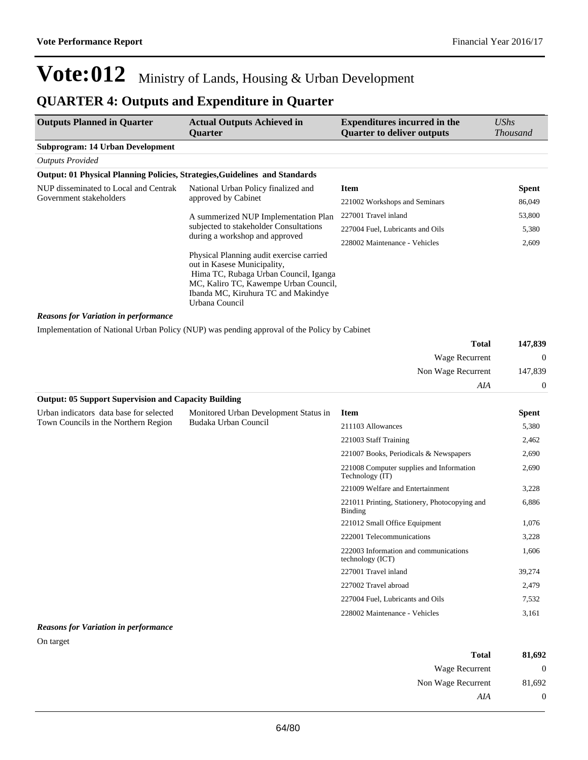## **QUARTER 4: Outputs and Expenditure in Quarter**

| <b>Outputs Planned in Quarter</b>                                           | <b>Actual Outputs Achieved in</b><br>Quarter                                                                                                                                                                       | <b>Expenditures incurred in the</b><br><b>Quarter to deliver outputs</b> | <b>UShs</b><br><b>Thousand</b> |
|-----------------------------------------------------------------------------|--------------------------------------------------------------------------------------------------------------------------------------------------------------------------------------------------------------------|--------------------------------------------------------------------------|--------------------------------|
| <b>Subprogram: 14 Urban Development</b>                                     |                                                                                                                                                                                                                    |                                                                          |                                |
| <b>Outputs Provided</b>                                                     |                                                                                                                                                                                                                    |                                                                          |                                |
| Output: 01 Physical Planning Policies, Strategies, Guidelines and Standards |                                                                                                                                                                                                                    |                                                                          |                                |
| NUP disseminated to Local and Centrak                                       | National Urban Policy finalized and                                                                                                                                                                                | <b>Item</b>                                                              | Spent                          |
| Government stakeholders                                                     | approved by Cabinet                                                                                                                                                                                                | 221002 Workshops and Seminars                                            | 86,049                         |
|                                                                             | A summerized NUP Implementation Plan                                                                                                                                                                               | 227001 Travel inland                                                     | 53,800                         |
|                                                                             | subjected to stakeholder Consultations                                                                                                                                                                             | 227004 Fuel, Lubricants and Oils                                         | 5,380                          |
|                                                                             | during a workshop and approved                                                                                                                                                                                     | 228002 Maintenance - Vehicles                                            | 2,609                          |
|                                                                             | Physical Planning audit exercise carried<br>out in Kasese Municipality,<br>Hima TC, Rubaga Urban Council, Iganga<br>MC, Kaliro TC, Kawempe Urban Council,<br>Ibanda MC, Kiruhura TC and Makindye<br>Urbana Council |                                                                          |                                |
| <b>Reasons for Variation in performance</b>                                 |                                                                                                                                                                                                                    |                                                                          |                                |
|                                                                             | Implementation of National Urban Policy (NUP) was pending approval of the Policy by Cabinet                                                                                                                        |                                                                          |                                |
|                                                                             |                                                                                                                                                                                                                    | <b>Total</b>                                                             | 147,839                        |
|                                                                             |                                                                                                                                                                                                                    | Wage Recurrent                                                           | $\boldsymbol{0}$               |
|                                                                             |                                                                                                                                                                                                                    | Non Wage Recurrent                                                       | 147,839                        |
|                                                                             |                                                                                                                                                                                                                    | AIA                                                                      | $\mathbf{0}$                   |
| <b>Output: 05 Support Supervision and Capacity Building</b>                 |                                                                                                                                                                                                                    |                                                                          |                                |
| Urban indicators data base for selected                                     | Monitored Urban Development Status in                                                                                                                                                                              | <b>Item</b>                                                              | Spent                          |
| Town Councils in the Northern Region                                        | Budaka Urban Council                                                                                                                                                                                               | 211103 Allowances                                                        | 5,380                          |
|                                                                             |                                                                                                                                                                                                                    | 221003 Staff Training                                                    | 2,462                          |
|                                                                             |                                                                                                                                                                                                                    | 221007 Books, Periodicals & Newspapers                                   | 2,690                          |
|                                                                             |                                                                                                                                                                                                                    | 221008 Computer supplies and Information<br>Technology (IT)              | 2,690                          |
|                                                                             |                                                                                                                                                                                                                    | 221009 Welfare and Entertainment                                         | 3,228                          |
|                                                                             |                                                                                                                                                                                                                    | 221011 Printing, Stationery, Photocopying and<br>Binding                 | 6,886                          |
|                                                                             |                                                                                                                                                                                                                    | 221012 Small Office Equipment                                            | 1,076                          |
|                                                                             |                                                                                                                                                                                                                    | 222001 Telecommunications                                                | 3,228                          |
|                                                                             |                                                                                                                                                                                                                    | 222003 Information and communications<br>technology (ICT)                | 1,606                          |
|                                                                             |                                                                                                                                                                                                                    | 227001 Travel inland                                                     | 39,274                         |
|                                                                             |                                                                                                                                                                                                                    | 227002 Travel abroad                                                     | 2,479                          |
|                                                                             |                                                                                                                                                                                                                    | 227004 Fuel, Lubricants and Oils                                         | 7,532                          |
|                                                                             |                                                                                                                                                                                                                    | 228002 Maintenance - Vehicles                                            | 3,161                          |
| <b>Reasons for Variation in performance</b>                                 |                                                                                                                                                                                                                    |                                                                          |                                |

#### On target

| Total              | 81,692       |
|--------------------|--------------|
| Wage Recurrent     | $\mathbf{0}$ |
| Non Wage Recurrent | 81,692       |
| AIA                | 0            |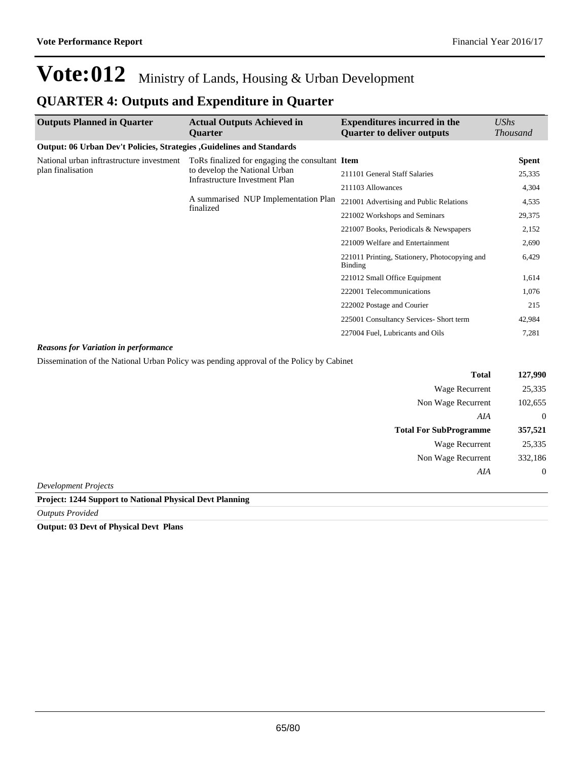### **QUARTER 4: Outputs and Expenditure in Quarter**

| <b>Outputs Planned in Quarter</b>                                            | <b>Actual Outputs Achieved in</b><br><b>Ouarter</b>                                                                | <b>Expenditures incurred in the</b><br><b>Quarter to deliver outputs</b> | <b>UShs</b><br><i>Thousand</i> |
|------------------------------------------------------------------------------|--------------------------------------------------------------------------------------------------------------------|--------------------------------------------------------------------------|--------------------------------|
| <b>Output: 06 Urban Dev't Policies, Strategies, Guidelines and Standards</b> |                                                                                                                    |                                                                          |                                |
| National urban inftrastructure investment                                    | ToRs finalized for engaging the consultant Item<br>to develop the National Urban<br>Infrastructure Investment Plan |                                                                          | <b>Spent</b>                   |
| plan finalisation                                                            |                                                                                                                    | 211101 General Staff Salaries                                            | 25,335                         |
|                                                                              |                                                                                                                    | 211103 Allowances                                                        | 4,304                          |
|                                                                              | A summarised NUP Implementation Plan                                                                               | 221001 Advertising and Public Relations                                  | 4,535                          |
|                                                                              | finalized                                                                                                          | 221002 Workshops and Seminars                                            | 29,375                         |
|                                                                              |                                                                                                                    | 221007 Books, Periodicals & Newspapers                                   | 2,152                          |
|                                                                              |                                                                                                                    | 221009 Welfare and Entertainment                                         | 2,690                          |
|                                                                              |                                                                                                                    | 221011 Printing, Stationery, Photocopying and<br>Binding                 | 6,429                          |
|                                                                              |                                                                                                                    | 221012 Small Office Equipment                                            | 1,614                          |
|                                                                              |                                                                                                                    | 222001 Telecommunications                                                | 1,076                          |
|                                                                              |                                                                                                                    | 222002 Postage and Courier                                               | 215                            |
|                                                                              |                                                                                                                    | 225001 Consultancy Services- Short term                                  | 42,984                         |
|                                                                              |                                                                                                                    | 227004 Fuel, Lubricants and Oils                                         | 7,281                          |

#### *Reasons for Variation in performance*

Dissemination of the National Urban Policy was pending approval of the Policy by Cabinet

| <b>Total</b>                               | 127,990          |
|--------------------------------------------|------------------|
| <b>Wage Recurrent</b>                      | 25,335           |
| Non Wage Recurrent                         | 102,655          |
| AIA                                        | $\boldsymbol{0}$ |
| <b>Total For SubProgramme</b>              | 357,521          |
| <b>Wage Recurrent</b>                      | 25,335           |
| Non Wage Recurrent                         | 332,186          |
| AIA                                        | $\boldsymbol{0}$ |
| $\mathbf{r}$ , $\mathbf{r}$ , $\mathbf{r}$ |                  |

*Development Projects*

#### **Project: 1244 Support to National Physical Devt Planning**

*Outputs Provided*

**Output: 03 Devt of Physical Devt Plans**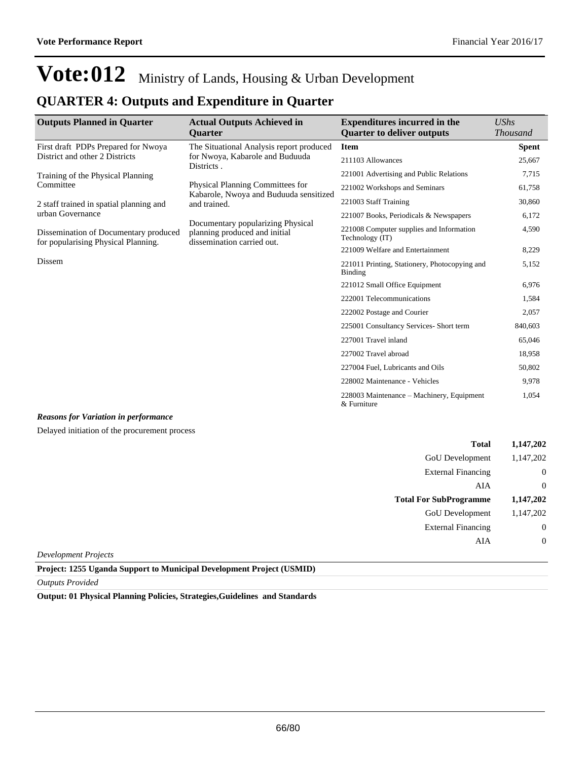### **QUARTER 4: Outputs and Expenditure in Quarter**

| <b>Outputs Planned in Quarter</b>                                            | <b>Actual Outputs Achieved in</b><br><b>Ouarter</b>                                              | <b>Expenditures incurred in the</b><br><b>Ouarter to deliver outputs</b> | $\mathit{UShs}$<br><b>Thousand</b> |
|------------------------------------------------------------------------------|--------------------------------------------------------------------------------------------------|--------------------------------------------------------------------------|------------------------------------|
| First draft PDPs Prepared for Nwoya                                          | The Situational Analysis report produced                                                         | <b>Item</b>                                                              | <b>Spent</b>                       |
| District and other 2 Districts                                               | for Nwoya, Kabarole and Buduuda<br>Districts.                                                    | 211103 Allowances                                                        | 25,667                             |
| Training of the Physical Planning                                            |                                                                                                  | 221001 Advertising and Public Relations                                  | 7,715                              |
| Committee                                                                    | Physical Planning Committees for<br>Kabarole, Nwoya and Buduuda sensitized                       | 221002 Workshops and Seminars                                            | 61,758                             |
| 2 staff trained in spatial planning and                                      | and trained.                                                                                     | 221003 Staff Training                                                    | 30,860                             |
| urban Governance                                                             |                                                                                                  | 221007 Books, Periodicals & Newspapers                                   | 6,172                              |
| Dissemination of Documentary produced<br>for popularising Physical Planning. | Documentary popularizing Physical<br>planning produced and initial<br>dissemination carried out. | 221008 Computer supplies and Information<br>Technology (IT)              | 4,590                              |
|                                                                              |                                                                                                  | 221009 Welfare and Entertainment                                         | 8,229                              |
| Dissem                                                                       |                                                                                                  | 221011 Printing, Stationery, Photocopying and<br>Binding                 | 5,152                              |
|                                                                              |                                                                                                  | 221012 Small Office Equipment                                            | 6,976                              |
|                                                                              |                                                                                                  | 222001 Telecommunications                                                | 1,584                              |
|                                                                              |                                                                                                  | 222002 Postage and Courier                                               | 2,057                              |
|                                                                              |                                                                                                  | 225001 Consultancy Services- Short term                                  | 840,603                            |
|                                                                              |                                                                                                  | 227001 Travel inland                                                     | 65,046                             |
|                                                                              |                                                                                                  | 227002 Travel abroad                                                     | 18,958                             |
|                                                                              |                                                                                                  | 227004 Fuel, Lubricants and Oils                                         | 50,802                             |
|                                                                              |                                                                                                  | 228002 Maintenance - Vehicles                                            | 9,978                              |
|                                                                              |                                                                                                  | 228003 Maintenance – Machinery, Equipment<br>& Furniture                 | 1,054                              |

#### *Reasons for Variation in performance*

Delayed initiation of the procurement process

| <b>Total</b>                  | 1,147,202        |
|-------------------------------|------------------|
| GoU Development               | 1,147,202        |
| <b>External Financing</b>     | $\theta$         |
| AIA                           | $\theta$         |
| <b>Total For SubProgramme</b> | 1,147,202        |
| GoU Development               | 1,147,202        |
| <b>External Financing</b>     | $\boldsymbol{0}$ |
| AIA                           | $\theta$         |
| Louglanus aut Duoisate        |                  |

*Development Projects*

**Project: 1255 Uganda Support to Municipal Development Project (USMID)**

*Outputs Provided*

**Output: 01 Physical Planning Policies, Strategies,Guidelines and Standards**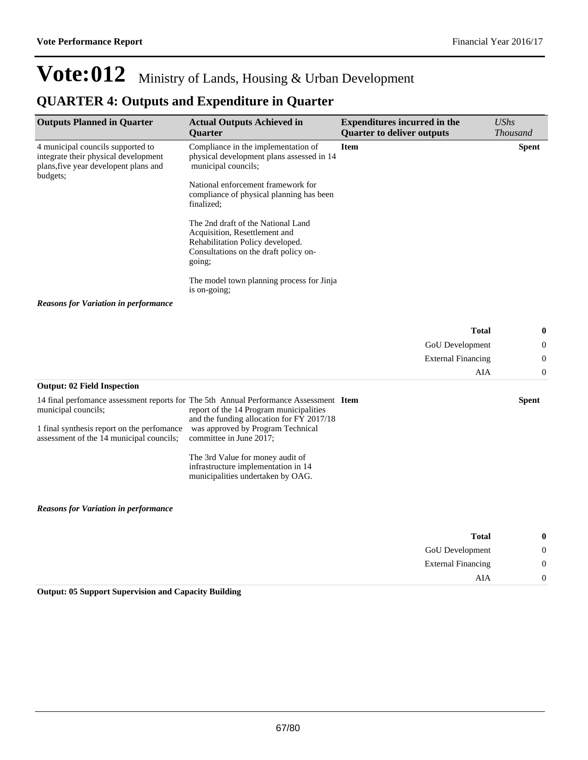### **QUARTER 4: Outputs and Expenditure in Quarter**

| <b>Outputs Planned in Quarter</b>                                                                                              | <b>Actual Outputs Achieved in</b><br><b>Quarter</b>                                                                                                                           | <b>Expenditures incurred in the</b><br><b>Quarter to deliver outputs</b> | <b>UShs</b><br><b>Thousand</b> |
|--------------------------------------------------------------------------------------------------------------------------------|-------------------------------------------------------------------------------------------------------------------------------------------------------------------------------|--------------------------------------------------------------------------|--------------------------------|
| 4 municipal councils supported to<br>integrate their physical development<br>plans, five year developent plans and<br>budgets; | Compliance in the implementation of<br>physical development plans assessed in 14<br>municipal councils;                                                                       | <b>Item</b>                                                              | <b>Spent</b>                   |
|                                                                                                                                | National enforcement framework for<br>compliance of physical planning has been<br>finalized:                                                                                  |                                                                          |                                |
|                                                                                                                                | The 2nd draft of the National Land<br>Acquisition, Resettlement and<br>Rehabilitation Policy developed.<br>Consultations on the draft policy on-<br>going;                    |                                                                          |                                |
|                                                                                                                                | The model town planning process for Jinja<br>is on-going:                                                                                                                     |                                                                          |                                |
| <b>Reasons for Variation in performance</b>                                                                                    |                                                                                                                                                                               |                                                                          |                                |
|                                                                                                                                |                                                                                                                                                                               | <b>Total</b>                                                             | 0                              |
|                                                                                                                                |                                                                                                                                                                               | <b>GoU</b> Development                                                   | 0                              |
|                                                                                                                                |                                                                                                                                                                               | <b>External Financing</b>                                                | $\theta$                       |
|                                                                                                                                |                                                                                                                                                                               | AIA                                                                      | 0                              |
| <b>Output: 02 Field Inspection</b>                                                                                             |                                                                                                                                                                               |                                                                          |                                |
| municipal councils;                                                                                                            | 14 final perfomance assessment reports for The 5th Annual Performance Assessment Item<br>report of the 14 Program municipalities<br>and the funding allocation for FY 2017/18 |                                                                          | <b>Spent</b>                   |
| 1 final synthesis report on the perfomance<br>assessment of the 14 municipal councils;                                         | was approved by Program Technical<br>committee in June 2017;                                                                                                                  |                                                                          |                                |

The 3rd Value for money audit of infrastructure implementation in 14 municipalities undertaken by OAG.

*Reasons for Variation in performance*

| $\bf{0}$         | <b>Total</b>              |
|------------------|---------------------------|
| $\boldsymbol{0}$ | GoU Development           |
| $\boldsymbol{0}$ | <b>External Financing</b> |
| $\overline{0}$   | AIA                       |

**Output: 05 Support Supervision and Capacity Building**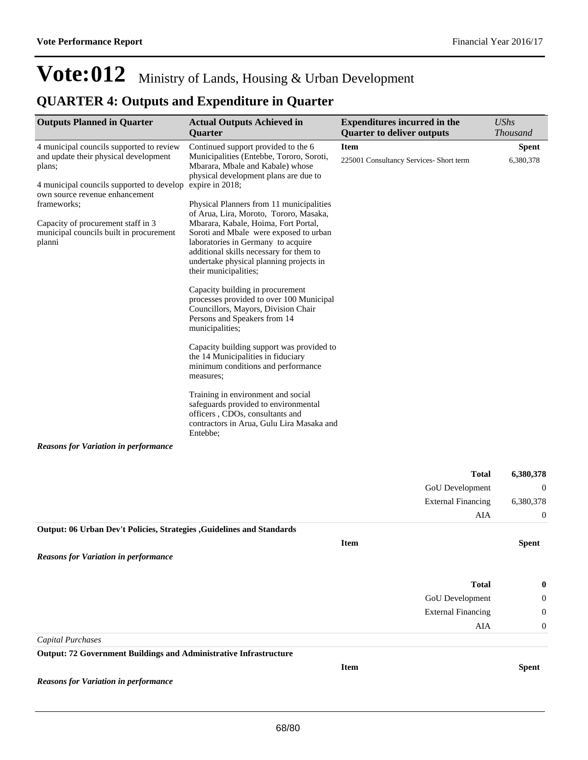## **QUARTER 4: Outputs and Expenditure in Quarter**

| <b>Outputs Planned in Quarter</b>                                                                                                                                          | <b>Actual Outputs Achieved in</b><br>Quarter                                                                                                                                                                                                                                  | <b>Expenditures incurred in the</b><br><b>Quarter to deliver outputs</b> | <b>UShs</b><br><b>Thousand</b> |
|----------------------------------------------------------------------------------------------------------------------------------------------------------------------------|-------------------------------------------------------------------------------------------------------------------------------------------------------------------------------------------------------------------------------------------------------------------------------|--------------------------------------------------------------------------|--------------------------------|
| 4 municipal councils supported to review<br>and update their physical development<br>plans;<br>4 municipal councils supported to develop<br>own source revenue enhancement | Continued support provided to the 6<br>Municipalities (Entebbe, Tororo, Soroti,<br>Mbarara, Mbale and Kabale) whose<br>physical development plans are due to<br>expire in 2018;                                                                                               | <b>Item</b><br>225001 Consultancy Services- Short term                   | <b>Spent</b><br>6,380,378      |
| frameworks;                                                                                                                                                                | Physical Planners from 11 municipalities                                                                                                                                                                                                                                      |                                                                          |                                |
| Capacity of procurement staff in 3<br>municipal councils built in procurement<br>planni                                                                                    | of Arua, Lira, Moroto, Tororo, Masaka,<br>Mbarara, Kabale, Hoima, Fort Portal,<br>Soroti and Mbale were exposed to urban<br>laboratories in Germany to acquire<br>additional skills necessary for them to<br>undertake physical planning projects in<br>their municipalities; |                                                                          |                                |
|                                                                                                                                                                            | Capacity building in procurement<br>processes provided to over 100 Municipal<br>Councillors, Mayors, Division Chair<br>Persons and Speakers from 14<br>municipalities;                                                                                                        |                                                                          |                                |
|                                                                                                                                                                            | Capacity building support was provided to<br>the 14 Municipalities in fiduciary<br>minimum conditions and performance<br>measures;                                                                                                                                            |                                                                          |                                |
|                                                                                                                                                                            | Training in environment and social<br>safeguards provided to environmental<br>officers, CDOs, consultants and<br>contractors in Arua, Gulu Lira Masaka and<br>Entebbe;                                                                                                        |                                                                          |                                |
| <b>Reasons for Variation in performance</b>                                                                                                                                |                                                                                                                                                                                                                                                                               |                                                                          |                                |
|                                                                                                                                                                            |                                                                                                                                                                                                                                                                               | <b>Total</b>                                                             | 6,380,378                      |
|                                                                                                                                                                            |                                                                                                                                                                                                                                                                               | GoU Development                                                          | $\boldsymbol{0}$               |
|                                                                                                                                                                            |                                                                                                                                                                                                                                                                               | <b>External Financing</b>                                                | 6,380,378                      |
|                                                                                                                                                                            |                                                                                                                                                                                                                                                                               | AIA                                                                      | $\boldsymbol{0}$               |
| <b>Output: 06 Urban Dev't Policies, Strategies , Guidelines and Standards</b>                                                                                              |                                                                                                                                                                                                                                                                               |                                                                          |                                |
|                                                                                                                                                                            |                                                                                                                                                                                                                                                                               | Item                                                                     | <b>Spent</b>                   |
| <b>Reasons for Variation in performance</b>                                                                                                                                |                                                                                                                                                                                                                                                                               |                                                                          |                                |
|                                                                                                                                                                            |                                                                                                                                                                                                                                                                               | <b>Total</b>                                                             | 0                              |
|                                                                                                                                                                            |                                                                                                                                                                                                                                                                               | GoU Development                                                          | 0                              |
|                                                                                                                                                                            |                                                                                                                                                                                                                                                                               | <b>External Financing</b>                                                | 0                              |
|                                                                                                                                                                            |                                                                                                                                                                                                                                                                               | AIA                                                                      | $\boldsymbol{0}$               |
| <b>Capital Purchases</b>                                                                                                                                                   |                                                                                                                                                                                                                                                                               |                                                                          |                                |
| <b>Output: 72 Government Buildings and Administrative Infrastructure</b>                                                                                                   |                                                                                                                                                                                                                                                                               |                                                                          |                                |
| <b>Reasons for Variation in performance</b>                                                                                                                                |                                                                                                                                                                                                                                                                               | Item                                                                     | <b>Spent</b>                   |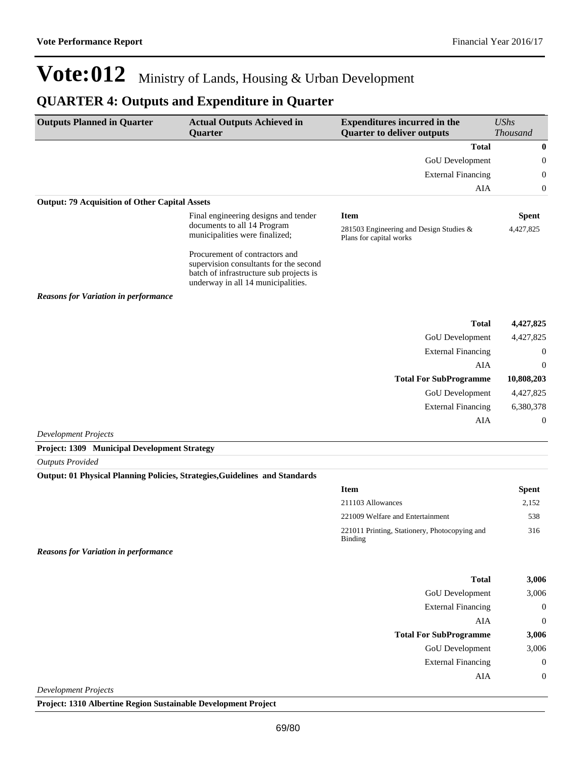### **QUARTER 4: Outputs and Expenditure in Quarter**

| <b>Outputs Planned in Quarter</b>                     | <b>Actual Outputs Achieved in</b><br>Quarter                                                                                                              | <b>Expenditures incurred in the</b><br><b>Quarter to deliver outputs</b> | <b>UShs</b><br><b>Thousand</b> |  |
|-------------------------------------------------------|-----------------------------------------------------------------------------------------------------------------------------------------------------------|--------------------------------------------------------------------------|--------------------------------|--|
|                                                       |                                                                                                                                                           | <b>Total</b>                                                             | $\bf{0}$                       |  |
|                                                       |                                                                                                                                                           | GoU Development                                                          | $\mathbf{0}$                   |  |
|                                                       |                                                                                                                                                           | <b>External Financing</b>                                                | $\mathbf{0}$                   |  |
|                                                       |                                                                                                                                                           | <b>AIA</b>                                                               | $\mathbf{0}$                   |  |
| <b>Output: 79 Acquisition of Other Capital Assets</b> |                                                                                                                                                           |                                                                          |                                |  |
|                                                       | Final engineering designs and tender                                                                                                                      | <b>Item</b>                                                              | <b>Spent</b>                   |  |
|                                                       | documents to all 14 Program<br>municipalities were finalized;                                                                                             | 281503 Engineering and Design Studies $&$<br>Plans for capital works     | 4,427,825                      |  |
|                                                       | Procurement of contractors and<br>supervision consultants for the second<br>batch of infrastructure sub projects is<br>underway in all 14 municipalities. |                                                                          |                                |  |
| <b>Reasons for Variation in performance</b>           |                                                                                                                                                           |                                                                          |                                |  |
|                                                       |                                                                                                                                                           | <b>Total</b>                                                             | 4,427,825                      |  |
|                                                       |                                                                                                                                                           | GoU Development                                                          | 4,427,825                      |  |
|                                                       |                                                                                                                                                           | <b>External Financing</b>                                                | $\mathbf{0}$                   |  |
|                                                       |                                                                                                                                                           | AIA                                                                      | $\theta$                       |  |
|                                                       |                                                                                                                                                           | <b>Total For SubProgramme</b>                                            | 10,808,203                     |  |
|                                                       |                                                                                                                                                           | GoU Development                                                          | 4,427,825                      |  |
|                                                       |                                                                                                                                                           | <b>External Financing</b>                                                | 6,380,378                      |  |
|                                                       |                                                                                                                                                           | <b>AIA</b>                                                               | $\mathbf{0}$                   |  |
| <b>Development Projects</b>                           |                                                                                                                                                           |                                                                          |                                |  |
| Project: 1309 Municipal Development Strategy          |                                                                                                                                                           |                                                                          |                                |  |

*Outputs Provided*

#### **Output: 01 Physical Planning Policies, Strategies,Guidelines and Standards**

| <b>Item</b>                                              | <b>Spent</b> |
|----------------------------------------------------------|--------------|
| 211103 Allowances                                        | 2,152        |
| 221009 Welfare and Entertainment                         | 538          |
| 221011 Printing, Stationery, Photocopying and<br>Binding | 316          |

*Reasons for Variation in performance*

| <b>Total</b>                  | 3,006          |
|-------------------------------|----------------|
| GoU Development               | 3,006          |
| <b>External Financing</b>     | $\overline{0}$ |
| AIA                           | $\overline{0}$ |
| <b>Total For SubProgramme</b> | 3,006          |
| GoU Development               | 3,006          |
| <b>External Financing</b>     | $\overline{0}$ |
| AIA                           | $\overline{0}$ |
| ouglanus aut Ducisate         |                |

*Development Projects*

**Project: 1310 Albertine Region Sustainable Development Project**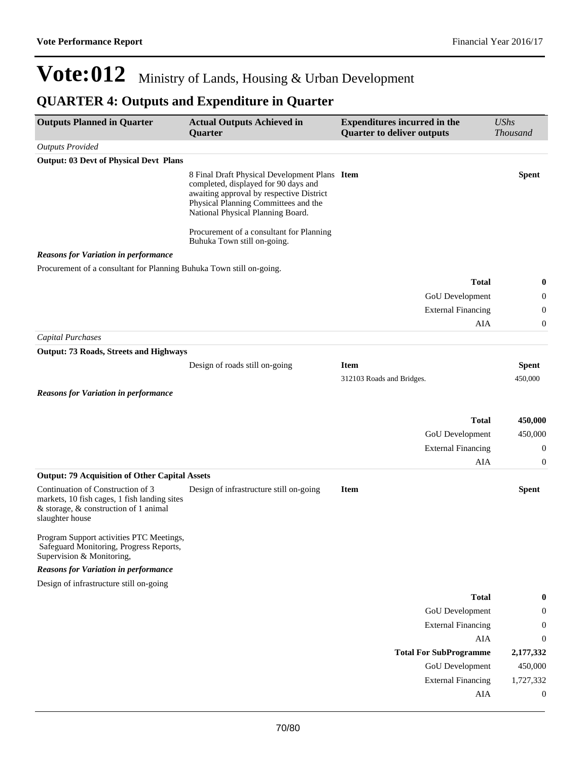## **QUARTER 4: Outputs and Expenditure in Quarter**

| <b>Outputs Planned in Quarter</b>                                                                                | <b>Actual Outputs Achieved in</b><br>Quarter                                                                                                                                                                   | <b>Expenditures incurred in the</b><br><b>Quarter to deliver outputs</b> | <b>UShs</b><br><b>Thousand</b> |
|------------------------------------------------------------------------------------------------------------------|----------------------------------------------------------------------------------------------------------------------------------------------------------------------------------------------------------------|--------------------------------------------------------------------------|--------------------------------|
| <b>Outputs Provided</b>                                                                                          |                                                                                                                                                                                                                |                                                                          |                                |
| <b>Output: 03 Devt of Physical Devt Plans</b>                                                                    |                                                                                                                                                                                                                |                                                                          |                                |
|                                                                                                                  | 8 Final Draft Physical Development Plans Item<br>completed, displayed for 90 days and<br>awaiting approval by respective District<br>Physical Planning Committees and the<br>National Physical Planning Board. |                                                                          | <b>Spent</b>                   |
|                                                                                                                  | Procurement of a consultant for Planning<br>Buhuka Town still on-going.                                                                                                                                        |                                                                          |                                |
| <b>Reasons for Variation in performance</b>                                                                      |                                                                                                                                                                                                                |                                                                          |                                |
| Procurement of a consultant for Planning Buhuka Town still on-going.                                             |                                                                                                                                                                                                                |                                                                          |                                |
|                                                                                                                  |                                                                                                                                                                                                                | <b>Total</b>                                                             | 0                              |
|                                                                                                                  |                                                                                                                                                                                                                | GoU Development                                                          | 0                              |
|                                                                                                                  |                                                                                                                                                                                                                | <b>External Financing</b>                                                | $\boldsymbol{0}$               |
|                                                                                                                  |                                                                                                                                                                                                                | AIA                                                                      | 0                              |
| <b>Capital Purchases</b>                                                                                         |                                                                                                                                                                                                                |                                                                          |                                |
| <b>Output: 73 Roads, Streets and Highways</b>                                                                    |                                                                                                                                                                                                                |                                                                          |                                |
|                                                                                                                  | Design of roads still on-going                                                                                                                                                                                 | <b>Item</b>                                                              | <b>Spent</b>                   |
|                                                                                                                  |                                                                                                                                                                                                                | 312103 Roads and Bridges.                                                | 450,000                        |
| <b>Reasons for Variation in performance</b>                                                                      |                                                                                                                                                                                                                |                                                                          |                                |
|                                                                                                                  |                                                                                                                                                                                                                | <b>Total</b>                                                             | 450,000                        |
|                                                                                                                  |                                                                                                                                                                                                                | GoU Development                                                          | 450,000                        |
|                                                                                                                  |                                                                                                                                                                                                                | <b>External Financing</b>                                                | $\boldsymbol{0}$               |
|                                                                                                                  |                                                                                                                                                                                                                | AIA                                                                      | 0                              |
| <b>Output: 79 Acquisition of Other Capital Assets</b>                                                            |                                                                                                                                                                                                                |                                                                          |                                |
| Continuation of Construction of 3                                                                                | Design of infrastructure still on-going                                                                                                                                                                        | <b>Item</b>                                                              | <b>Spent</b>                   |
| markets, 10 fish cages, 1 fish landing sites<br>& storage, & construction of 1 animal<br>slaughter house         |                                                                                                                                                                                                                |                                                                          |                                |
| Program Support activities PTC Meetings,<br>Safeguard Monitoring, Progress Reports,<br>Supervision & Monitoring, |                                                                                                                                                                                                                |                                                                          |                                |
| <b>Reasons for Variation in performance</b>                                                                      |                                                                                                                                                                                                                |                                                                          |                                |
| Design of infrastructure still on-going                                                                          |                                                                                                                                                                                                                |                                                                          |                                |
|                                                                                                                  |                                                                                                                                                                                                                | <b>Total</b>                                                             | 0                              |
|                                                                                                                  |                                                                                                                                                                                                                | <b>GoU</b> Development                                                   | 0                              |
|                                                                                                                  |                                                                                                                                                                                                                | <b>External Financing</b>                                                | 0                              |
|                                                                                                                  |                                                                                                                                                                                                                | ${\rm AIA}$                                                              | $\boldsymbol{0}$               |
|                                                                                                                  |                                                                                                                                                                                                                | <b>Total For SubProgramme</b>                                            | 2,177,332                      |
|                                                                                                                  |                                                                                                                                                                                                                | GoU Development                                                          | 450,000                        |
|                                                                                                                  |                                                                                                                                                                                                                | <b>External Financing</b>                                                | 1,727,332                      |
|                                                                                                                  |                                                                                                                                                                                                                | AIA                                                                      | $\boldsymbol{0}$               |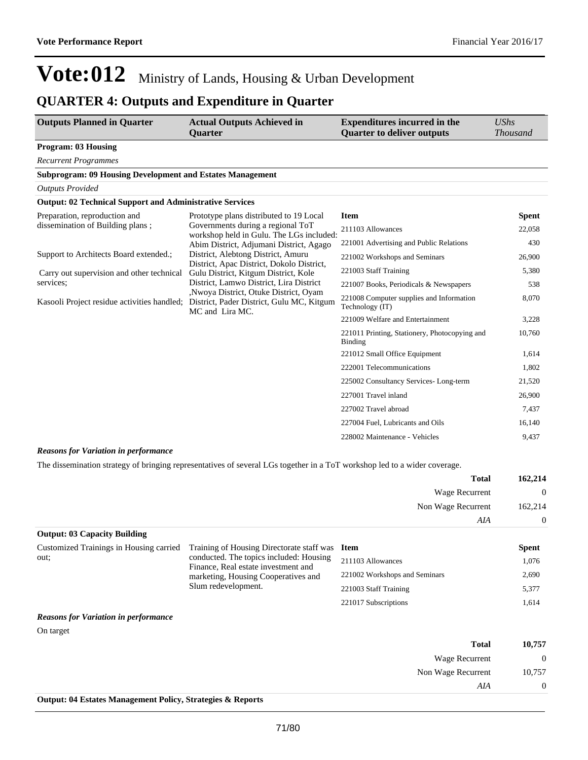### **QUARTER 4: Outputs and Expenditure in Quarter**

| <b>Outputs Planned in Quarter</b>                                | <b>Actual Outputs Achieved in</b><br><b>Quarter</b>                                                                                                                                                                                                                                                                                                                                                      | <b>Expenditures incurred in the</b><br><b>Quarter to deliver outputs</b> | <b>UShs</b><br><b>Thousand</b> |
|------------------------------------------------------------------|----------------------------------------------------------------------------------------------------------------------------------------------------------------------------------------------------------------------------------------------------------------------------------------------------------------------------------------------------------------------------------------------------------|--------------------------------------------------------------------------|--------------------------------|
| <b>Program: 03 Housing</b>                                       |                                                                                                                                                                                                                                                                                                                                                                                                          |                                                                          |                                |
| <b>Recurrent Programmes</b>                                      |                                                                                                                                                                                                                                                                                                                                                                                                          |                                                                          |                                |
| <b>Subprogram: 09 Housing Development and Estates Management</b> |                                                                                                                                                                                                                                                                                                                                                                                                          |                                                                          |                                |
| <b>Outputs Provided</b>                                          |                                                                                                                                                                                                                                                                                                                                                                                                          |                                                                          |                                |
| <b>Output: 02 Technical Support and Administrative Services</b>  |                                                                                                                                                                                                                                                                                                                                                                                                          |                                                                          |                                |
| Preparation, reproduction and                                    | Prototype plans distributed to 19 Local                                                                                                                                                                                                                                                                                                                                                                  | <b>Item</b>                                                              | <b>Spent</b>                   |
| dissemination of Building plans;                                 | Governments during a regional ToT<br>workshop held in Gulu. The LGs included:<br>Abim District, Adjumani District, Agago<br>District, Alebtong District, Amuru<br>District, Apac District, Dokolo District,<br>Gulu District, Kitgum District, Kole<br>District, Lamwo District, Lira District<br>, Nwoya District, Otuke District, Oyam<br>District, Pader District, Gulu MC, Kitgum<br>MC and Lira MC. | 211103 Allowances                                                        | 22,058                         |
|                                                                  |                                                                                                                                                                                                                                                                                                                                                                                                          | 221001 Advertising and Public Relations                                  | 430                            |
| Support to Architects Board extended.;                           |                                                                                                                                                                                                                                                                                                                                                                                                          | 221002 Workshops and Seminars                                            | 26,900                         |
| Carry out supervision and other technical<br>services:           |                                                                                                                                                                                                                                                                                                                                                                                                          | 221003 Staff Training                                                    | 5,380                          |
|                                                                  |                                                                                                                                                                                                                                                                                                                                                                                                          | 221007 Books, Periodicals & Newspapers                                   | 538                            |
| Kasooli Project residue activities handled;                      |                                                                                                                                                                                                                                                                                                                                                                                                          | 221008 Computer supplies and Information<br>Technology (IT)              | 8,070                          |
|                                                                  |                                                                                                                                                                                                                                                                                                                                                                                                          | 221009 Welfare and Entertainment                                         | 3,228                          |
|                                                                  |                                                                                                                                                                                                                                                                                                                                                                                                          | 221011 Printing, Stationery, Photocopying and<br><b>Binding</b>          | 10,760                         |
|                                                                  |                                                                                                                                                                                                                                                                                                                                                                                                          | 221012 Small Office Equipment                                            | 1,614                          |
|                                                                  |                                                                                                                                                                                                                                                                                                                                                                                                          | 222001 Telecommunications                                                | 1,802                          |
|                                                                  |                                                                                                                                                                                                                                                                                                                                                                                                          | 225002 Consultancy Services-Long-term                                    | 21,520                         |
|                                                                  |                                                                                                                                                                                                                                                                                                                                                                                                          | 227001 Travel inland                                                     | 26,900                         |
|                                                                  |                                                                                                                                                                                                                                                                                                                                                                                                          | 227002 Travel abroad                                                     | 7,437                          |
|                                                                  |                                                                                                                                                                                                                                                                                                                                                                                                          | 227004 Fuel, Lubricants and Oils                                         | 16,140                         |
|                                                                  |                                                                                                                                                                                                                                                                                                                                                                                                          | 228002 Maintenance - Vehicles                                            | 9,437                          |

#### *Reasons for Variation in performance*

The dissemination strategy of bringing representatives of several LGs together in a ToT workshop led to a wider coverage.

| 162,214        | <b>Total</b>          |
|----------------|-----------------------|
| $\overline{0}$ | <b>Wage Recurrent</b> |
| 162,214        | Non Wage Recurrent    |
| $\overline{0}$ | AIA                   |

| <b>Output: 03 Capacity Building</b>     |                                                                                                                                              |                               |              |
|-----------------------------------------|----------------------------------------------------------------------------------------------------------------------------------------------|-------------------------------|--------------|
| Customized Trainings in Housing carried | Training of Housing Directorate staff was Item                                                                                               |                               | <b>Spent</b> |
| out:                                    | conducted. The topics included: Housing<br>Finance, Real estate investment and<br>marketing, Housing Cooperatives and<br>Slum redevelopment. | 211103 Allowances             | 1,076        |
|                                         |                                                                                                                                              | 221002 Workshops and Seminars | 2,690        |
|                                         |                                                                                                                                              | 221003 Staff Training         | 5,377        |
|                                         |                                                                                                                                              | 221017 Subscriptions          | 1,614        |

#### *Reasons for Variation in performance*

On target

| 10,757         | <b>Total</b>          |
|----------------|-----------------------|
| $\theta$       | <b>Wage Recurrent</b> |
| 10,757         | Non Wage Recurrent    |
| $\overline{0}$ | AIA                   |
|                |                       |

**Output: 04 Estates Management Policy, Strategies & Reports**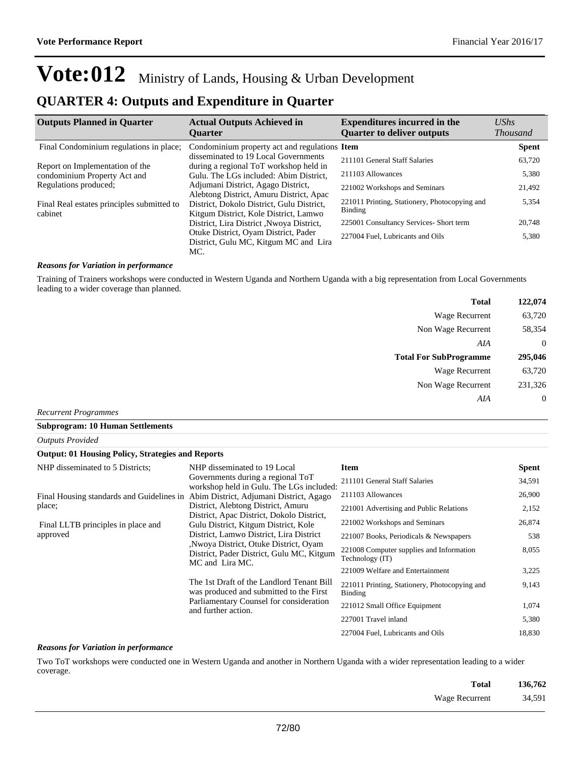### **QUARTER 4: Outputs and Expenditure in Quarter**

| <b>Outputs Planned in Quarter</b>                     | <b>Actual Outputs Achieved in</b><br><b>Ouarter</b>                                                                           | <b>Expenditures incurred in the</b><br><b>Quarter to deliver outputs</b> | $\mathit{UShs}$<br><b>Thousand</b> |
|-------------------------------------------------------|-------------------------------------------------------------------------------------------------------------------------------|--------------------------------------------------------------------------|------------------------------------|
|                                                       |                                                                                                                               |                                                                          |                                    |
| Final Condominium regulations in place;               | Condominium property act and regulations Item                                                                                 |                                                                          | <b>Spent</b>                       |
| Report on Implementation of the                       | disseminated to 19 Local Governments<br>during a regional ToT workshop held in                                                | 211101 General Staff Salaries                                            | 63,720                             |
| condominium Property Act and                          | Gulu. The LGs included: Abim District,                                                                                        | 211103 Allowances                                                        | 5,380                              |
| Regulations produced;                                 | Adjumani District, Agago District,                                                                                            | 221002 Workshops and Seminars                                            | 21,492                             |
| Final Real estates principles submitted to<br>cabinet | Alebtong District, Amuru District, Apac<br>District, Dokolo District, Gulu District,<br>Kitgum District, Kole District, Lamwo | 221011 Printing, Stationery, Photocopying and<br>Binding                 | 5,354                              |
|                                                       | District, Lira District, Nwoya District,                                                                                      | 225001 Consultancy Services- Short term                                  | 20,748                             |
|                                                       | Otuke District, Oyam District, Pader<br>District, Gulu MC, Kitgum MC and Lira                                                 | 227004 Fuel, Lubricants and Oils                                         | 5,380                              |
|                                                       | MC.                                                                                                                           |                                                                          |                                    |

#### *Reasons for Variation in performance*

Training of Trainers workshops were conducted in Western Uganda and Northern Uganda with a big representation from Local Governments leading to a wider coverage than planned.

| 122,074        | <b>Total</b>                  |
|----------------|-------------------------------|
| 63,720         | Wage Recurrent                |
| 58,354         | Non Wage Recurrent            |
| $\overline{0}$ | AIA                           |
|                |                               |
| 295,046        | <b>Total For SubProgramme</b> |
| 63,720         | <b>Wage Recurrent</b>         |
| 231,326        | Non Wage Recurrent            |

*Recurrent Programmes*

**Subprogram: 10 Human Settlements**

| <b>Outputs Provided</b>                                  |                                                                                                                                                                                                                                                                                                                                                                 |                                                                 |              |  |  |  |
|----------------------------------------------------------|-----------------------------------------------------------------------------------------------------------------------------------------------------------------------------------------------------------------------------------------------------------------------------------------------------------------------------------------------------------------|-----------------------------------------------------------------|--------------|--|--|--|
| <b>Output: 01 Housing Policy, Strategies and Reports</b> |                                                                                                                                                                                                                                                                                                                                                                 |                                                                 |              |  |  |  |
| NHP disseminated to 5 Districts;                         | NHP disseminated to 19 Local                                                                                                                                                                                                                                                                                                                                    | <b>Item</b>                                                     | <b>Spent</b> |  |  |  |
|                                                          | Governments during a regional ToT<br>workshop held in Gulu. The LGs included:                                                                                                                                                                                                                                                                                   | 211101 General Staff Salaries                                   | 34,591       |  |  |  |
| place;                                                   | Final Housing standards and Guidelines in Abim District, Adjumani District, Agago<br>District, Alebtong District, Amuru<br>District, Apac District, Dokolo District,<br>Gulu District, Kitgum District, Kole<br>District, Lamwo District, Lira District<br>Nwoya District, Otuke District, Oyam<br>District, Pader District, Gulu MC, Kitgum<br>MC and Lira MC. | 211103 Allowances                                               | 26,900       |  |  |  |
|                                                          |                                                                                                                                                                                                                                                                                                                                                                 | 221001 Advertising and Public Relations                         | 2,152        |  |  |  |
| Final LLTB principles in place and<br>approved           |                                                                                                                                                                                                                                                                                                                                                                 | 221002 Workshops and Seminars                                   | 26,874       |  |  |  |
|                                                          |                                                                                                                                                                                                                                                                                                                                                                 | 221007 Books, Periodicals & Newspapers                          | 538          |  |  |  |
|                                                          |                                                                                                                                                                                                                                                                                                                                                                 | 221008 Computer supplies and Information<br>Technology (IT)     | 8,055        |  |  |  |
|                                                          |                                                                                                                                                                                                                                                                                                                                                                 | 221009 Welfare and Entertainment                                | 3,225        |  |  |  |
|                                                          | The 1st Draft of the Landlord Tenant Bill<br>was produced and submitted to the First<br>Parliamentary Counsel for consideration<br>and further action.                                                                                                                                                                                                          | 221011 Printing, Stationery, Photocopying and<br><b>Binding</b> | 9,143        |  |  |  |
|                                                          |                                                                                                                                                                                                                                                                                                                                                                 | 221012 Small Office Equipment                                   | 1,074        |  |  |  |
|                                                          |                                                                                                                                                                                                                                                                                                                                                                 | 227001 Travel inland                                            | 5,380        |  |  |  |
|                                                          |                                                                                                                                                                                                                                                                                                                                                                 | 227004 Fuel, Lubricants and Oils                                | 18,830       |  |  |  |

#### *Reasons for Variation in performance*

Two ToT workshops were conducted one in Western Uganda and another in Northern Uganda with a wider representation leading to a wider coverage.

| Total                 | 136,762 |
|-----------------------|---------|
| Wage Recurrent 34,591 |         |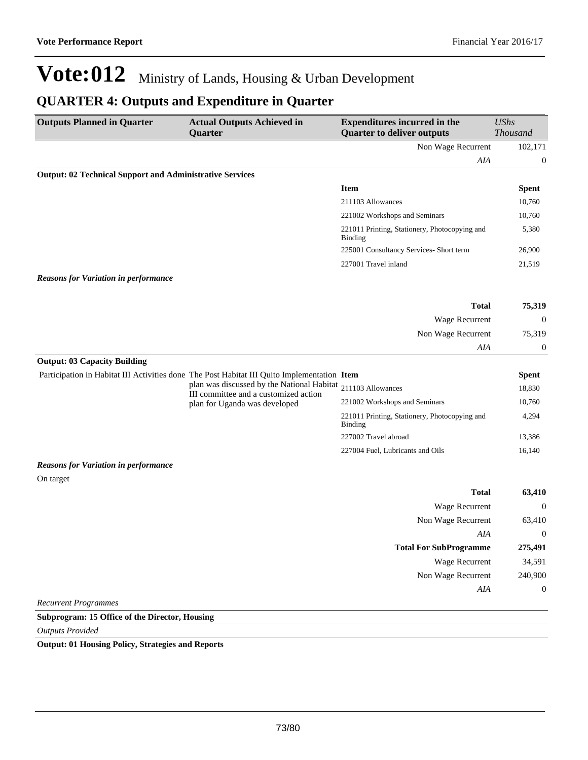## **QUARTER 4: Outputs and Expenditure in Quarter**

| <b>Outputs Planned in Quarter</b>                               | <b>Actual Outputs Achieved in</b><br>Quarter                                                | <b>Expenditures incurred in the</b><br><b>Quarter to deliver outputs</b> | <b>UShs</b><br><b>Thousand</b> |
|-----------------------------------------------------------------|---------------------------------------------------------------------------------------------|--------------------------------------------------------------------------|--------------------------------|
|                                                                 |                                                                                             | Non Wage Recurrent                                                       | 102,171                        |
|                                                                 |                                                                                             | AIA                                                                      | $\boldsymbol{0}$               |
| <b>Output: 02 Technical Support and Administrative Services</b> |                                                                                             |                                                                          |                                |
|                                                                 |                                                                                             | <b>Item</b>                                                              | <b>Spent</b>                   |
|                                                                 |                                                                                             | 211103 Allowances                                                        | 10,760                         |
|                                                                 |                                                                                             | 221002 Workshops and Seminars                                            | 10,760                         |
|                                                                 |                                                                                             | 221011 Printing, Stationery, Photocopying and<br><b>Binding</b>          | 5,380                          |
|                                                                 |                                                                                             | 225001 Consultancy Services- Short term                                  | 26,900                         |
|                                                                 |                                                                                             | 227001 Travel inland                                                     | 21,519                         |
| <b>Reasons for Variation in performance</b>                     |                                                                                             |                                                                          |                                |
|                                                                 |                                                                                             | <b>Total</b>                                                             | 75,319                         |
|                                                                 |                                                                                             | Wage Recurrent                                                           | $\mathbf{0}$                   |
|                                                                 |                                                                                             | Non Wage Recurrent                                                       | 75,319                         |
|                                                                 |                                                                                             | AIA                                                                      | $\boldsymbol{0}$               |
| <b>Output: 03 Capacity Building</b>                             |                                                                                             |                                                                          |                                |
|                                                                 | Participation in Habitat III Activities done The Post Habitat III Quito Implementation Item |                                                                          | <b>Spent</b>                   |
|                                                                 | plan was discussed by the National Habitat<br>III committee and a customized action         | 211103 Allowances                                                        | 18,830                         |
|                                                                 | plan for Uganda was developed                                                               | 221002 Workshops and Seminars                                            | 10,760                         |
|                                                                 |                                                                                             | 221011 Printing, Stationery, Photocopying and<br><b>Binding</b>          | 4,294                          |
|                                                                 |                                                                                             | 227002 Travel abroad                                                     | 13,386                         |
|                                                                 |                                                                                             | 227004 Fuel, Lubricants and Oils                                         | 16,140                         |
| <b>Reasons for Variation in performance</b>                     |                                                                                             |                                                                          |                                |
| On target                                                       |                                                                                             |                                                                          |                                |
|                                                                 |                                                                                             | <b>Total</b>                                                             | 63,410                         |
|                                                                 |                                                                                             | Wage Recurrent                                                           | $\overline{0}$                 |
|                                                                 |                                                                                             | Non Wage Recurrent                                                       | 63,410                         |
|                                                                 |                                                                                             | AIA                                                                      | $\mathbf{0}$                   |
|                                                                 |                                                                                             | <b>Total For SubProgramme</b>                                            | 275,491                        |
|                                                                 |                                                                                             | Wage Recurrent                                                           | 34,591                         |
|                                                                 |                                                                                             | Non Wage Recurrent                                                       | 240,900                        |
|                                                                 |                                                                                             | AIA                                                                      | $\theta$                       |
| <b>Recurrent Programmes</b>                                     |                                                                                             |                                                                          |                                |

**Subprogram: 15 Office of the Director, Housing**

*Outputs Provided*

**Output: 01 Housing Policy, Strategies and Reports**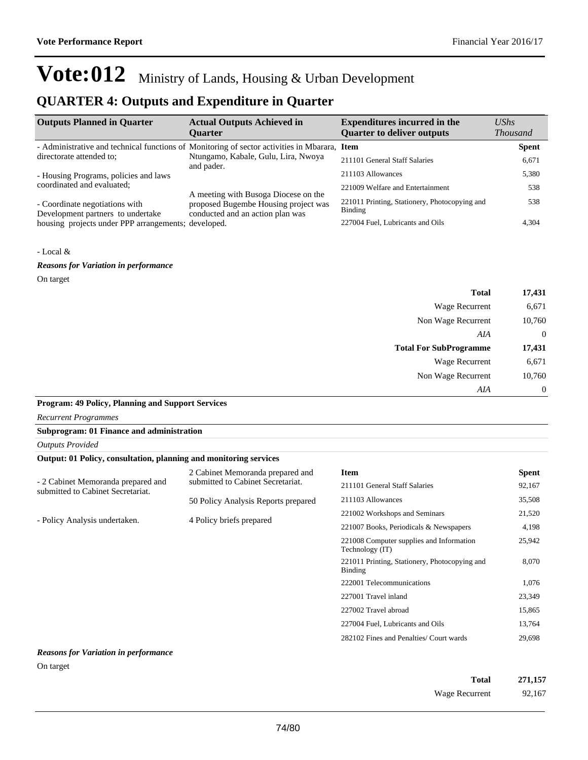## **QUARTER 4: Outputs and Expenditure in Quarter**

| <b>Outputs Planned in Quarter</b>                                   | <b>Actual Outputs Achieved in</b>                                                            | <b>Expenditures incurred in the</b>                      | $\mathit{UShs}$ |
|---------------------------------------------------------------------|----------------------------------------------------------------------------------------------|----------------------------------------------------------|-----------------|
|                                                                     | <b>Ouarter</b>                                                                               | <b>Quarter to deliver outputs</b>                        | <b>Thousand</b> |
|                                                                     | - Administrative and technical functions of Monitoring of sector activities in Mbarara, Item |                                                          | <b>Spent</b>    |
| directorate attended to:                                            | Ntungamo, Kabale, Gulu, Lira, Nwoya<br>and pader.                                            | 211101 General Staff Salaries                            | 6,671           |
| - Housing Programs, policies and laws                               |                                                                                              | 211103 Allowances                                        | 5,380           |
| coordinated and evaluated;                                          | A meeting with Busoga Diocese on the                                                         | 221009 Welfare and Entertainment                         | 538             |
| - Coordinate negotiations with<br>Development partners to undertake | proposed Bugembe Housing project was<br>conducted and an action plan was                     | 221011 Printing, Stationery, Photocopying and<br>Binding | 538             |
| housing projects under PPP arrangements; developed.                 |                                                                                              | 227004 Fuel, Lubricants and Oils                         | 4,304           |

### - Local &

*Reasons for Variation in performance*

### On target

| 17,431         | <b>Total</b>                  |
|----------------|-------------------------------|
| 6,671          | Wage Recurrent                |
| 10,760         | Non Wage Recurrent            |
| $\overline{0}$ | AIA                           |
| 17,431         | <b>Total For SubProgramme</b> |
| 6,671          | Wage Recurrent                |
| 10,760         | Non Wage Recurrent            |
| $\theta$       | AIA                           |

### **Program: 49 Policy, Planning and Support Services**

| <b>Recurrent Programmes</b>                                             |                                     |                                                                 |              |
|-------------------------------------------------------------------------|-------------------------------------|-----------------------------------------------------------------|--------------|
| Subprogram: 01 Finance and administration                               |                                     |                                                                 |              |
| <b>Outputs Provided</b>                                                 |                                     |                                                                 |              |
| Output: 01 Policy, consultation, planning and monitoring services       |                                     |                                                                 |              |
|                                                                         | 2 Cabinet Memoranda prepared and    | <b>Item</b>                                                     | <b>Spent</b> |
| - 2 Cabinet Memoranda prepared and<br>submitted to Cabinet Secretariat. | submitted to Cabinet Secretariat.   | 211101 General Staff Salaries                                   | 92,167       |
|                                                                         | 50 Policy Analysis Reports prepared | 211103 Allowances                                               | 35,508       |
|                                                                         | 4 Policy briefs prepared            | 221002 Workshops and Seminars                                   | 21,520       |
| - Policy Analysis undertaken.                                           |                                     | 221007 Books, Periodicals & Newspapers                          | 4,198        |
|                                                                         |                                     | 221008 Computer supplies and Information<br>Technology (IT)     | 25,942       |
|                                                                         |                                     | 221011 Printing, Stationery, Photocopying and<br><b>Binding</b> | 8,070        |
|                                                                         |                                     | 222001 Telecommunications                                       | 1,076        |
|                                                                         |                                     | 227001 Travel inland                                            | 23,349       |
|                                                                         |                                     | 227002 Travel abroad                                            | 15,865       |
|                                                                         |                                     | 227004 Fuel, Lubricants and Oils                                | 13,764       |
|                                                                         |                                     | 282102 Fines and Penalties/ Court wards                         | 29,698       |
| <b>Reasons for Variation in performance</b>                             |                                     |                                                                 |              |

#### On target

| Total          | 271,157 |
|----------------|---------|
| Wage Recurrent | 92,167  |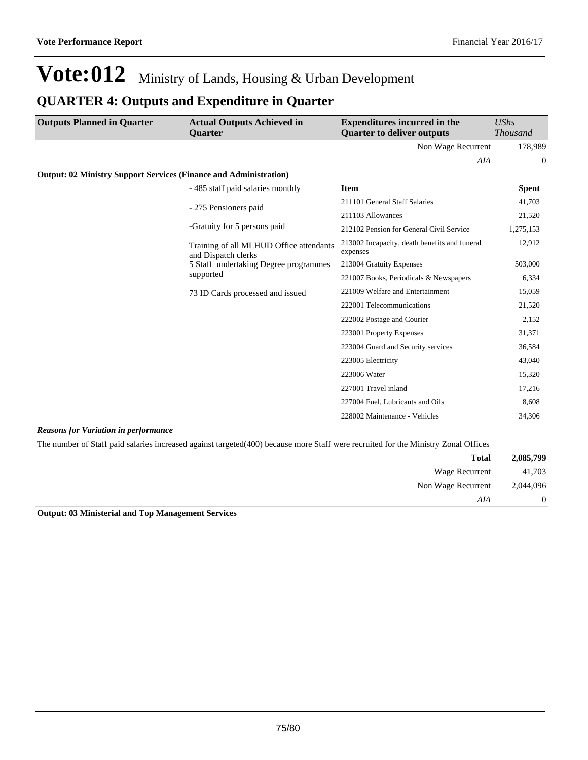## **QUARTER 4: Outputs and Expenditure in Quarter**

| <b>Outputs Planned in Quarter</b>                                        | <b>Actual Outputs Achieved in</b><br><b>Ouarter</b>                                                                                 | <b>Expenditures incurred in the</b><br><b>Quarter to deliver outputs</b> | <b>UShs</b><br><b>Thousand</b> |
|--------------------------------------------------------------------------|-------------------------------------------------------------------------------------------------------------------------------------|--------------------------------------------------------------------------|--------------------------------|
|                                                                          |                                                                                                                                     | Non Wage Recurrent                                                       | 178,989                        |
|                                                                          |                                                                                                                                     | AIA                                                                      | $\theta$                       |
| <b>Output: 02 Ministry Support Services (Finance and Administration)</b> |                                                                                                                                     |                                                                          |                                |
|                                                                          | - 485 staff paid salaries monthly                                                                                                   | <b>Item</b>                                                              | <b>Spent</b>                   |
|                                                                          | - 275 Pensioners paid                                                                                                               | 211101 General Staff Salaries                                            | 41,703                         |
|                                                                          |                                                                                                                                     | 211103 Allowances                                                        | 21,520                         |
|                                                                          | -Gratuity for 5 persons paid                                                                                                        | 212102 Pension for General Civil Service                                 | 1,275,153                      |
|                                                                          | Training of all MLHUD Office attendants<br>and Dispatch clerks                                                                      | 213002 Incapacity, death benefits and funeral<br>expenses                | 12,912                         |
|                                                                          | 5 Staff undertaking Degree programmes                                                                                               | 213004 Gratuity Expenses                                                 | 503,000                        |
|                                                                          | supported                                                                                                                           | 221007 Books, Periodicals & Newspapers                                   | 6,334                          |
|                                                                          | 73 ID Cards processed and issued                                                                                                    | 221009 Welfare and Entertainment                                         | 15,059                         |
|                                                                          |                                                                                                                                     | 222001 Telecommunications                                                | 21,520                         |
|                                                                          |                                                                                                                                     | 222002 Postage and Courier                                               | 2,152                          |
|                                                                          |                                                                                                                                     | 223001 Property Expenses                                                 | 31,371                         |
|                                                                          |                                                                                                                                     | 223004 Guard and Security services                                       | 36,584                         |
|                                                                          |                                                                                                                                     | 223005 Electricity                                                       | 43,040                         |
|                                                                          |                                                                                                                                     | 223006 Water                                                             | 15,320                         |
|                                                                          |                                                                                                                                     | 227001 Travel inland                                                     | 17,216                         |
|                                                                          |                                                                                                                                     | 227004 Fuel, Lubricants and Oils                                         | 8,608                          |
|                                                                          |                                                                                                                                     | 228002 Maintenance - Vehicles                                            | 34,306                         |
| <b>Reasons for Variation in performance</b>                              |                                                                                                                                     |                                                                          |                                |
|                                                                          | The number of Staff paid salaries increased against targeted (400) because more Staff were recruited for the Ministry Zonal Offices |                                                                          |                                |

|                |                    | - U<br>$\sim$ $\sim$ | ັ |  |
|----------------|--------------------|----------------------|---|--|
| 2,085,799      | <b>Total</b>       |                      |   |  |
| 41,703         | Wage Recurrent     |                      |   |  |
| 2,044,096      | Non Wage Recurrent |                      |   |  |
| $\overline{0}$ | AIA                |                      |   |  |

**Output: 03 Ministerial and Top Management Services**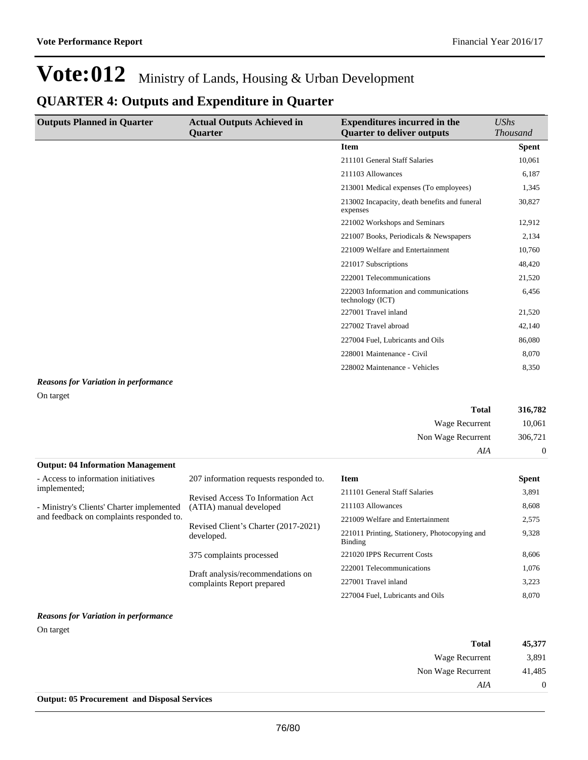## **QUARTER 4: Outputs and Expenditure in Quarter**

| <b>Outputs Planned in Quarter</b> | <b>Actual Outputs Achieved in</b> | <b>Expenditures incurred in the</b>                       | <b>UShs</b>     |
|-----------------------------------|-----------------------------------|-----------------------------------------------------------|-----------------|
|                                   | <b>Quarter</b>                    | <b>Quarter to deliver outputs</b>                         | <b>Thousand</b> |
|                                   |                                   | <b>Item</b>                                               | <b>Spent</b>    |
|                                   |                                   | 211101 General Staff Salaries                             | 10,061          |
|                                   |                                   | 211103 Allowances                                         | 6,187           |
|                                   |                                   | 213001 Medical expenses (To employees)                    | 1,345           |
|                                   |                                   | 213002 Incapacity, death benefits and funeral<br>expenses | 30,827          |
|                                   |                                   | 221002 Workshops and Seminars                             | 12,912          |
|                                   |                                   | 221007 Books, Periodicals & Newspapers                    | 2,134           |
|                                   |                                   | 221009 Welfare and Entertainment                          | 10,760          |
|                                   |                                   | 221017 Subscriptions                                      | 48,420          |
|                                   |                                   | 222001 Telecommunications                                 | 21,520          |
|                                   |                                   | 222003 Information and communications<br>technology (ICT) | 6,456           |
|                                   |                                   | 227001 Travel inland                                      | 21,520          |
|                                   |                                   | 227002 Travel abroad                                      | 42,140          |
|                                   |                                   | 227004 Fuel, Lubricants and Oils                          | 86,080          |
|                                   |                                   | 228001 Maintenance - Civil                                | 8,070           |
|                                   |                                   | 228002 Maintenance - Vehicles                             | 8,350           |

## *Reasons for Variation in performance*

On target

| <b>Total</b>                             | 316,782        |
|------------------------------------------|----------------|
| Wage Recurrent                           | 10,061         |
| Non Wage Recurrent                       | 306,721        |
| AIA                                      | $\overline{0}$ |
| <b>Output: 04 Information Management</b> |                |

| - Access to information initiatives       | 207 information requests responded to.                          | <b>Item</b>                                              | <b>Spent</b> |
|-------------------------------------------|-----------------------------------------------------------------|----------------------------------------------------------|--------------|
| implemented;                              | Revised Access To Information Act<br>(ATIA) manual developed    | 211101 General Staff Salaries                            | 3,891        |
| - Ministry's Clients' Charter implemented |                                                                 | 211103 Allowances                                        | 8,608        |
| and feedback on complaints responded to.  | Revised Client's Charter (2017-2021)<br>developed.              | 221009 Welfare and Entertainment                         | 2,575        |
|                                           |                                                                 | 221011 Printing, Stationery, Photocopying and<br>Binding | 9,328        |
|                                           | 375 complaints processed                                        | 221020 IPPS Recurrent Costs                              | 8,606        |
|                                           | Draft analysis/recommendations on<br>complaints Report prepared | 222001 Telecommunications                                | 1,076        |
|                                           |                                                                 | 227001 Travel inland                                     | 3,223        |
|                                           |                                                                 | 227004 Fuel, Lubricants and Oils                         | 8.070        |

### *Reasons for Variation in performance*

On target

| 45,377         | <b>Total</b>       |
|----------------|--------------------|
| 3,891          | Wage Recurrent     |
| 41,485         | Non Wage Recurrent |
| $\overline{0}$ | AIA                |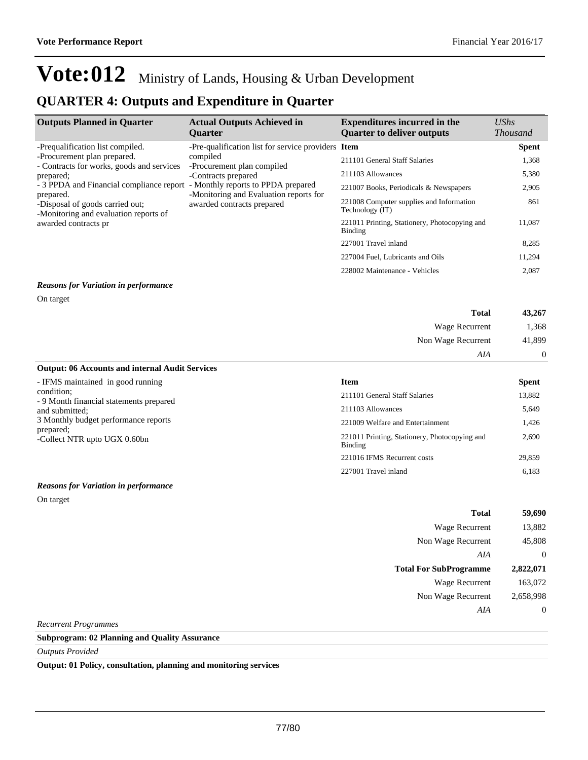## **QUARTER 4: Outputs and Expenditure in Quarter**

| <b>Outputs Planned in Quarter</b>                                                                                                                                                                                                                                                      | <b>Actual Outputs Achieved in</b><br><b>Ouarter</b>                                                                                                                                                                               | <b>Expenditures incurred in the</b><br><b>Quarter to deliver outputs</b>                                                                                                                                                                                                                                                    | <b>UShs</b><br><b>Thousand</b>                                                       |
|----------------------------------------------------------------------------------------------------------------------------------------------------------------------------------------------------------------------------------------------------------------------------------------|-----------------------------------------------------------------------------------------------------------------------------------------------------------------------------------------------------------------------------------|-----------------------------------------------------------------------------------------------------------------------------------------------------------------------------------------------------------------------------------------------------------------------------------------------------------------------------|--------------------------------------------------------------------------------------|
| -Prequalification list compiled.<br>-Procurement plan prepared.<br>- Contracts for works, goods and services<br>prepared;<br>- 3 PPDA and Financial compliance report<br>prepared.<br>-Disposal of goods carried out;<br>-Monitoring and evaluation reports of<br>awarded contracts pr | -Pre-qualification list for service providers Item<br>compiled<br>-Procurement plan compiled<br>-Contracts prepared<br>- Monthly reports to PPDA prepared<br>-Monitoring and Evaluation reports for<br>awarded contracts prepared | 211101 General Staff Salaries<br>211103 Allowances<br>221007 Books, Periodicals & Newspapers<br>221008 Computer supplies and Information<br>Technology (IT)<br>221011 Printing, Stationery, Photocopying and<br><b>Binding</b><br>227001 Travel inland<br>227004 Fuel, Lubricants and Oils<br>228002 Maintenance - Vehicles | <b>Spent</b><br>1,368<br>5,380<br>2,905<br>861<br>11,087<br>8,285<br>11,294<br>2,087 |
| <b>Reasons for Variation in performance</b>                                                                                                                                                                                                                                            |                                                                                                                                                                                                                                   |                                                                                                                                                                                                                                                                                                                             |                                                                                      |

On target

| 43,267         | <b>Total</b>       |
|----------------|--------------------|
| 1,368          | Wage Recurrent     |
| 41,899         | Non Wage Recurrent |
| $\overline{0}$ | AIA                |

### **Output: 06 Accounts and internal Audit Services**

| - IFMS maintained in good running                     | <b>Item</b>                                                     | Spent  |
|-------------------------------------------------------|-----------------------------------------------------------------|--------|
| condition:<br>- 9 Month financial statements prepared | 211101 General Staff Salaries                                   | 13,882 |
| and submitted:                                        | 211103 Allowances                                               | 5.649  |
| 3 Monthly budget performance reports                  | 221009 Welfare and Entertainment                                | 1.426  |
| prepared;<br>-Collect NTR upto UGX 0.60bn             | 221011 Printing, Stationery, Photocopying and<br><b>Binding</b> | 2.690  |
|                                                       | 221016 IFMS Recurrent costs                                     | 29.859 |

#### *Reasons for Variation in performance*

On target

| Total                         | 59,690    |
|-------------------------------|-----------|
| <b>Wage Recurrent</b>         | 13,882    |
| Non Wage Recurrent            | 45,808    |
| AIA                           | 0         |
|                               |           |
| <b>Total For SubProgramme</b> | 2,822,071 |
| <b>Wage Recurrent</b>         | 163,072   |
| Non Wage Recurrent            | 2,658,998 |
| AIA                           | 0         |

227001 Travel inland 6,183

*Recurrent Programmes*

### **Subprogram: 02 Planning and Quality Assurance**

*Outputs Provided*

**Output: 01 Policy, consultation, planning and monitoring services**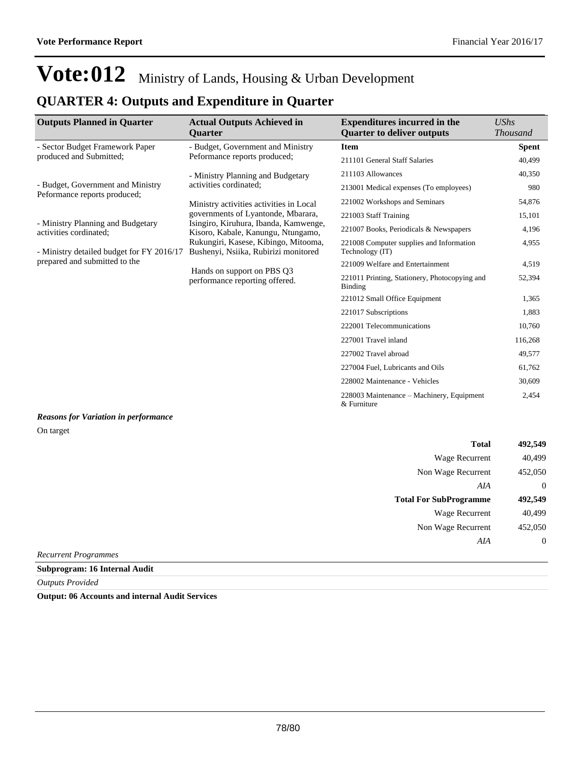## **QUARTER 4: Outputs and Expenditure in Quarter**

| <b>Outputs Planned in Quarter</b>                                 | <b>Actual Outputs Achieved in</b><br><b>Ouarter</b>                                                                                                         | <b>Expenditures incurred in the</b><br><b>Quarter to deliver outputs</b> | <b>UShs</b><br><b>Thousand</b> |
|-------------------------------------------------------------------|-------------------------------------------------------------------------------------------------------------------------------------------------------------|--------------------------------------------------------------------------|--------------------------------|
| - Sector Budget Framework Paper                                   | - Budget, Government and Ministry                                                                                                                           | <b>Item</b>                                                              | <b>Spent</b>                   |
| produced and Submitted;                                           | Peformance reports produced;                                                                                                                                | 211101 General Staff Salaries                                            | 40,499                         |
| - Ministry Planning and Budgetary                                 |                                                                                                                                                             | 211103 Allowances                                                        | 40,350                         |
| - Budget, Government and Ministry<br>Peformance reports produced; | activities cordinated:                                                                                                                                      | 213001 Medical expenses (To employees)                                   | 980                            |
|                                                                   | Ministry activities activities in Local                                                                                                                     | 221002 Workshops and Seminars                                            | 54,876                         |
|                                                                   | governments of Lyantonde, Mbarara,                                                                                                                          | 221003 Staff Training                                                    | 15,101                         |
| - Ministry Planning and Budgetary<br>activities cordinated;       | Isingiro, Kiruhura, Ibanda, Kamwenge,<br>Kisoro, Kabale, Kanungu, Ntungamo,<br>Rukungiri, Kasese, Kibingo, Mitooma,<br>Bushenyi, Nsiika, Rubirizi monitored | 221007 Books, Periodicals & Newspapers                                   | 4,196                          |
| - Ministry detailed budget for FY 2016/17                         |                                                                                                                                                             | 221008 Computer supplies and Information<br>Technology (IT)              | 4,955                          |
| prepared and submitted to the                                     |                                                                                                                                                             | 221009 Welfare and Entertainment                                         | 4,519                          |
|                                                                   | Hands on support on PBS Q3<br>performance reporting offered.                                                                                                | 221011 Printing, Stationery, Photocopying and<br><b>Binding</b>          | 52,394                         |
|                                                                   |                                                                                                                                                             | 221012 Small Office Equipment                                            | 1,365                          |
|                                                                   |                                                                                                                                                             | 221017 Subscriptions                                                     | 1,883                          |
|                                                                   |                                                                                                                                                             | 222001 Telecommunications                                                | 10,760                         |
|                                                                   |                                                                                                                                                             | 227001 Travel inland                                                     | 116,268                        |
|                                                                   |                                                                                                                                                             | 227002 Travel abroad                                                     | 49,577                         |
|                                                                   |                                                                                                                                                             | 227004 Fuel, Lubricants and Oils                                         | 61,762                         |
|                                                                   |                                                                                                                                                             | 228002 Maintenance - Vehicles                                            | 30,609                         |
|                                                                   |                                                                                                                                                             | 228003 Maintenance – Machinery, Equipment<br>& Furniture                 | 2,454                          |

### *Reasons for Variation in performance* On target

| <b>Total</b>                  | 492,549        |
|-------------------------------|----------------|
| Wage Recurrent                | 40,499         |
| Non Wage Recurrent            | 452,050        |
| AIA                           | $\overline{0}$ |
| <b>Total For SubProgramme</b> | 492,549        |
| Wage Recurrent                | 40,499         |
| Non Wage Recurrent            | 452,050        |
| AIA                           | $\overline{0}$ |
| <b>Recurrent Programmes</b>   |                |

**Subprogram: 16 Internal Audit**

*Outputs Provided*

**Output: 06 Accounts and internal Audit Services**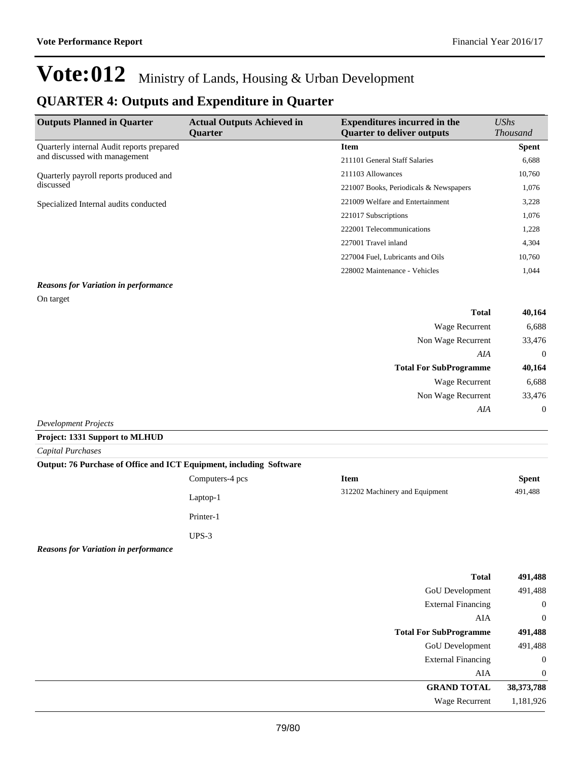## **QUARTER 4: Outputs and Expenditure in Quarter**

| <b>Outputs Planned in Quarter</b>                   | <b>Actual Outputs Achieved in</b><br><b>Ouarter</b> | <b>Expenditures incurred in the</b><br><b>Ouarter to deliver outputs</b> | $\mathit{UShs}$<br><i>Thousand</i> |
|-----------------------------------------------------|-----------------------------------------------------|--------------------------------------------------------------------------|------------------------------------|
| Quarterly internal Audit reports prepared           |                                                     | <b>Item</b>                                                              | <b>Spent</b>                       |
| and discussed with management                       |                                                     | 211101 General Staff Salaries                                            | 6,688                              |
| Quarterly payroll reports produced and<br>discussed |                                                     | 211103 Allowances                                                        | 10,760                             |
|                                                     |                                                     | 221007 Books, Periodicals & Newspapers                                   | 1,076                              |
| Specialized Internal audits conducted               | 221009 Welfare and Entertainment                    | 3,228                                                                    |                                    |
|                                                     |                                                     | 221017 Subscriptions                                                     | 1,076                              |
|                                                     |                                                     | 222001 Telecommunications                                                | 1,228                              |
|                                                     |                                                     | 227001 Travel inland                                                     | 4,304                              |
|                                                     |                                                     | 227004 Fuel, Lubricants and Oils                                         | 10,760                             |
|                                                     |                                                     | 228002 Maintenance - Vehicles                                            | 1.044                              |

### *Reasons for Variation in performance* On target

| <b>Total</b>                  | 40,164         |
|-------------------------------|----------------|
| <b>Wage Recurrent</b>         | 6,688          |
| Non Wage Recurrent            | 33,476         |
| AIA                           | $\overline{0}$ |
| <b>Total For SubProgramme</b> | 40,164         |
| <b>Wage Recurrent</b>         | 6,688          |
| Non Wage Recurrent            | 33,476         |
| AIA                           | $\overline{0}$ |
| <b>Development Projects</b>   |                |

### **Project: 1331 Support to MLHUD**

*Capital Purchases*

| Output: 76 Purchase of Office and ICT Equipment, including Software |                 |                                |              |
|---------------------------------------------------------------------|-----------------|--------------------------------|--------------|
|                                                                     | Computers-4 pcs | Item                           | <b>Spent</b> |
|                                                                     | Laptop-1        | 312202 Machinery and Equipment | 491.488      |

Printer-1

UPS-3

*Reasons for Variation in performance*

| 491,488        | <b>Total</b>                  |
|----------------|-------------------------------|
| 491,488        | GoU Development               |
| $\overline{0}$ | <b>External Financing</b>     |
| $\overline{0}$ | AIA                           |
| 491,488        | <b>Total For SubProgramme</b> |
| 491,488        | GoU Development               |
| $\overline{0}$ | <b>External Financing</b>     |
| $\theta$       | AIA                           |
| 38,373,788     | <b>GRAND TOTAL</b>            |
| 1,181,926      | <b>Wage Recurrent</b>         |
|                |                               |